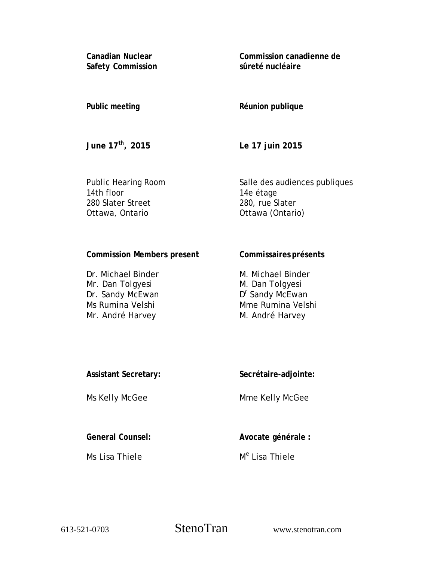**Canadian Nuclear Safety Commission** **Commission canadienne de sûreté nucléaire**

# **Public meeting**

**Réunion publique**

**June 17th, 2015** 

**Le 17 juin 2015**

Public Hearing Room 14th floor 280 Slater Street Ottawa, Ontario

Salle des audiences publiques 14e étage 280, rue Slater Ottawa (Ontario)

# **Commission Members present**

Dr. Michael Binder Mr. Dan Tolgyesi Dr. Sandy McEwan Ms Rumina Velshi Mr. André Harvey

## **Commissaires présents**

M. Michael Binder M. Dan Tolgyesi D<sup>r</sup> Sandy McEwan Mme Rumina Velshi M. André Harvey

### **Assistant Secretary:**

Ms Kelly McGee

**Secrétaire-adjointe:** 

Mme Kelly McGee

**General Counsel:**

Ms Lisa Thiele

**Avocate générale :** 

M<sup>e</sup> Lisa Thiele

613-521-0703 StenoTran www.stenotran.com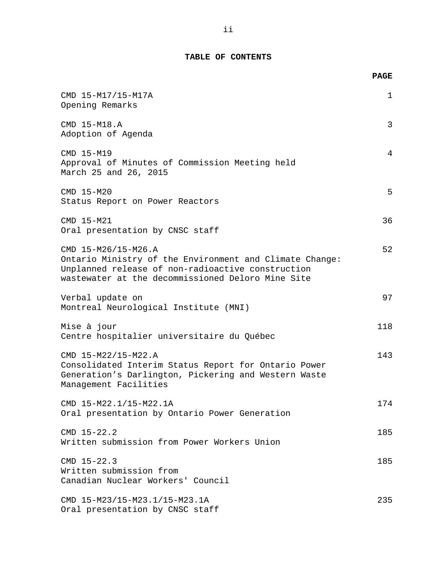# **TABLE OF CONTENTS**

|                                                                                                                                                                                          | <b>PAGE</b> |
|------------------------------------------------------------------------------------------------------------------------------------------------------------------------------------------|-------------|
| CMD 15-M17/15-M17A<br>Opening Remarks                                                                                                                                                    | $\mathbf 1$ |
| CMD 15-M18.A<br>Adoption of Agenda                                                                                                                                                       | 3           |
| CMD 15-M19<br>Approval of Minutes of Commission Meeting held<br>March 25 and 26, 2015                                                                                                    | 4           |
| CMD 15-M20<br>Status Report on Power Reactors                                                                                                                                            | 5           |
| CMD 15-M21<br>Oral presentation by CNSC staff                                                                                                                                            | 36          |
| CMD 15-M26/15-M26.A<br>Ontario Ministry of the Environment and Climate Change:<br>Unplanned release of non-radioactive construction<br>wastewater at the decommissioned Deloro Mine Site | 52          |
| Verbal update on<br>Montreal Neurological Institute (MNI)                                                                                                                                | 97          |
| Mise à jour<br>Centre hospitalier universitaire du Québec                                                                                                                                | 118         |
| CMD 15-M22/15-M22.A<br>Consolidated Interim Status Report for Ontario Power<br>Generation's Darlington, Pickering and Western Waste<br>Management Facilities                             | 143         |
| CMD 15-M22.1/15-M22.1A<br>Oral presentation by Ontario Power Generation                                                                                                                  | 174         |
| $CMD 15-22.2$<br>Written submission from Power Workers Union                                                                                                                             | 185         |
| $CMD 15-22.3$<br>Written submission from<br>Canadian Nuclear Workers' Council                                                                                                            | 185         |
| CMD 15-M23/15-M23.1/15-M23.1A<br>Oral presentation by CNSC staff                                                                                                                         | 235         |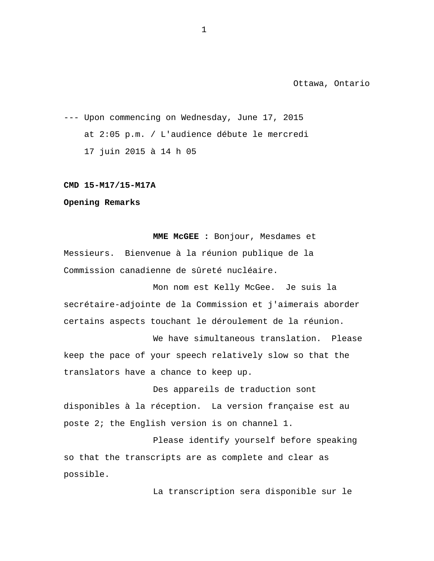--- Upon commencing on Wednesday, June 17, 2015 at 2:05 p.m. / L'audience débute le mercredi 17 juin 2015 à 14 h 05

#### **CMD 15-M17/15-M17A**

**Opening Remarks**

**MME McGEE :** Bonjour, Mesdames et Messieurs. Bienvenue à la réunion publique de la Commission canadienne de sûreté nucléaire.

Mon nom est Kelly McGee. Je suis la secrétaire-adjointe de la Commission et j'aimerais aborder certains aspects touchant le déroulement de la réunion.

We have simultaneous translation. Please keep the pace of your speech relatively slow so that the translators have a chance to keep up.

Des appareils de traduction sont disponibles à la réception. La version française est au poste 2; the English version is on channel 1.

Please identify yourself before speaking so that the transcripts are as complete and clear as possible.

La transcription sera disponible sur le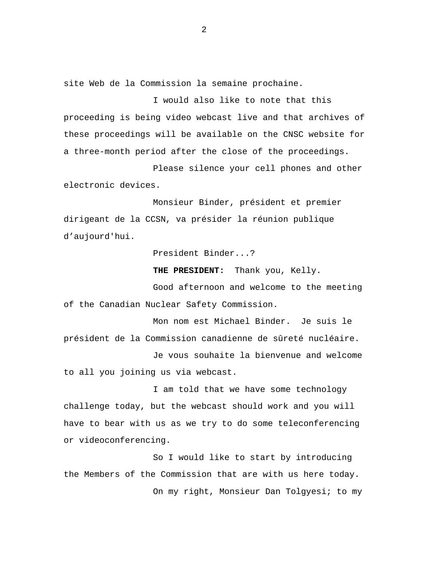site Web de la Commission la semaine prochaine.

I would also like to note that this proceeding is being video webcast live and that archives of these proceedings will be available on the CNSC website for a three-month period after the close of the proceedings.

Please silence your cell phones and other electronic devices.

Monsieur Binder, président et premier dirigeant de la CCSN, va présider la réunion publique d'aujourd'hui.

President Binder...?

**THE PRESIDENT:** Thank you, Kelly.

Good afternoon and welcome to the meeting of the Canadian Nuclear Safety Commission.

Mon nom est Michael Binder. Je suis le président de la Commission canadienne de sûreté nucléaire.

Je vous souhaite la bienvenue and welcome to all you joining us via webcast.

I am told that we have some technology challenge today, but the webcast should work and you will have to bear with us as we try to do some teleconferencing or videoconferencing.

So I would like to start by introducing the Members of the Commission that are with us here today. On my right, Monsieur Dan Tolgyesi; to my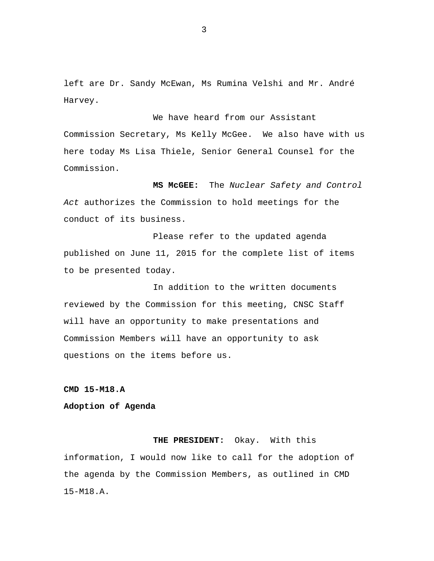left are Dr. Sandy McEwan, Ms Rumina Velshi and Mr. André Harvey.

We have heard from our Assistant Commission Secretary, Ms Kelly McGee. We also have with us here today Ms Lisa Thiele, Senior General Counsel for the Commission.

**MS McGEE:** The *Nuclear Safety and Control Act* authorizes the Commission to hold meetings for the conduct of its business.

Please refer to the updated agenda published on June 11, 2015 for the complete list of items to be presented today.

In addition to the written documents reviewed by the Commission for this meeting, CNSC Staff will have an opportunity to make presentations and Commission Members will have an opportunity to ask questions on the items before us.

**CMD 15-M18.A**

#### **Adoption of Agenda**

**THE PRESIDENT:** Okay. With this information, I would now like to call for the adoption of the agenda by the Commission Members, as outlined in CMD 15-M18.A.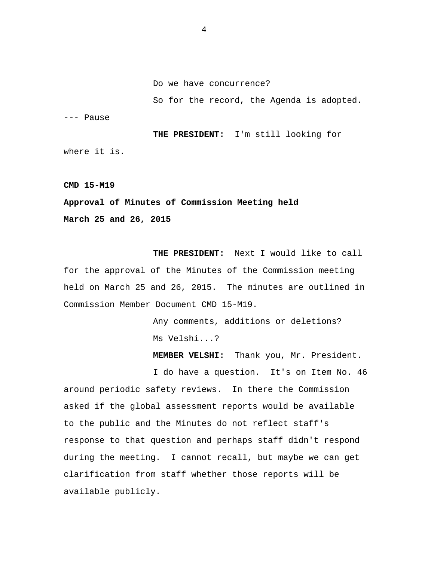Do we have concurrence?

So for the record, the Agenda is adopted.

--- Pause

**THE PRESIDENT:** I'm still looking for where it is.

**CMD 15-M19**

**Approval of Minutes of Commission Meeting held March 25 and 26, 2015**

**THE PRESIDENT:** Next I would like to call for the approval of the Minutes of the Commission meeting held on March 25 and 26, 2015. The minutes are outlined in Commission Member Document CMD 15-M19.

> Any comments, additions or deletions? Ms Velshi...?

**MEMBER VELSHI:** Thank you, Mr. President.

I do have a question. It's on Item No. 46 around periodic safety reviews. In there the Commission asked if the global assessment reports would be available to the public and the Minutes do not reflect staff's response to that question and perhaps staff didn't respond during the meeting. I cannot recall, but maybe we can get clarification from staff whether those reports will be available publicly.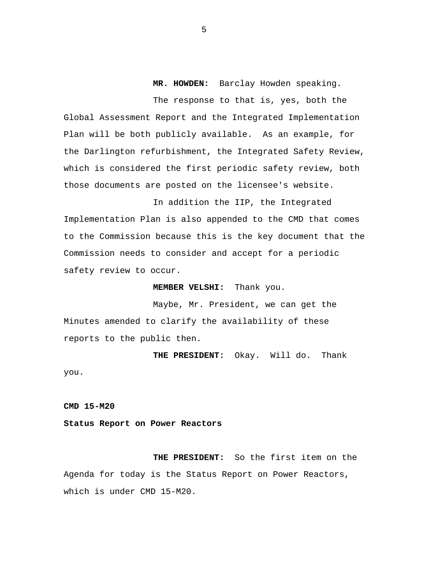**MR. HOWDEN:** Barclay Howden speaking.

The response to that is, yes, both the Global Assessment Report and the Integrated Implementation Plan will be both publicly available. As an example, for the Darlington refurbishment, the Integrated Safety Review, which is considered the first periodic safety review, both those documents are posted on the licensee's website.

In addition the IIP, the Integrated Implementation Plan is also appended to the CMD that comes to the Commission because this is the key document that the Commission needs to consider and accept for a periodic safety review to occur.

**MEMBER VELSHI:** Thank you.

Maybe, Mr. President, we can get the Minutes amended to clarify the availability of these reports to the public then.

**THE PRESIDENT:** Okay. Will do. Thank you.

**CMD 15-M20**

**Status Report on Power Reactors**

**THE PRESIDENT:** So the first item on the Agenda for today is the Status Report on Power Reactors, which is under CMD 15-M20.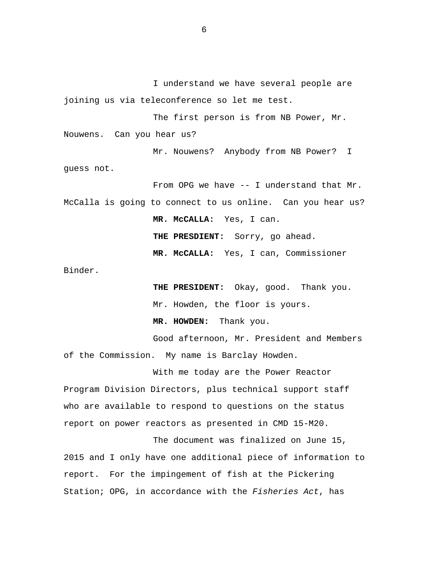I understand we have several people are joining us via teleconference so let me test.

The first person is from NB Power, Mr. Nouwens. Can you hear us?

Mr. Nouwens? Anybody from NB Power? I guess not.

From OPG we have -- I understand that Mr. McCalla is going to connect to us online. Can you hear us? **MR. McCALLA:** Yes, I can. **THE PRESDIENT:** Sorry, go ahead. **MR. McCALLA:** Yes, I can, Commissioner

Binder.

**THE PRESIDENT:** Okay, good. Thank you.

Mr. Howden, the floor is yours.

**MR. HOWDEN:** Thank you.

Good afternoon, Mr. President and Members of the Commission. My name is Barclay Howden.

With me today are the Power Reactor Program Division Directors, plus technical support staff who are available to respond to questions on the status report on power reactors as presented in CMD 15-M20.

The document was finalized on June 15, 2015 and I only have one additional piece of information to report. For the impingement of fish at the Pickering Station; OPG, in accordance with the *Fisheries Act*, has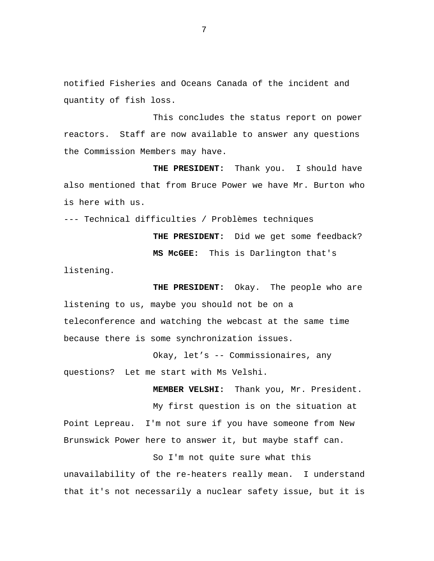notified Fisheries and Oceans Canada of the incident and quantity of fish loss.

This concludes the status report on power reactors. Staff are now available to answer any questions the Commission Members may have.

**THE PRESIDENT:** Thank you. I should have also mentioned that from Bruce Power we have Mr. Burton who is here with us.

--- Technical difficulties / Problèmes techniques

**THE PRESIDENT:** Did we get some feedback? **MS McGEE:** This is Darlington that's listening.

**THE PRESIDENT:** Okay. The people who are listening to us, maybe you should not be on a teleconference and watching the webcast at the same time because there is some synchronization issues.

Okay, let's -- Commissionaires, any questions? Let me start with Ms Velshi.

**MEMBER VELSHI:** Thank you, Mr. President. My first question is on the situation at Point Lepreau. I'm not sure if you have someone from New Brunswick Power here to answer it, but maybe staff can.

So I'm not quite sure what this unavailability of the re-heaters really mean. I understand that it's not necessarily a nuclear safety issue, but it is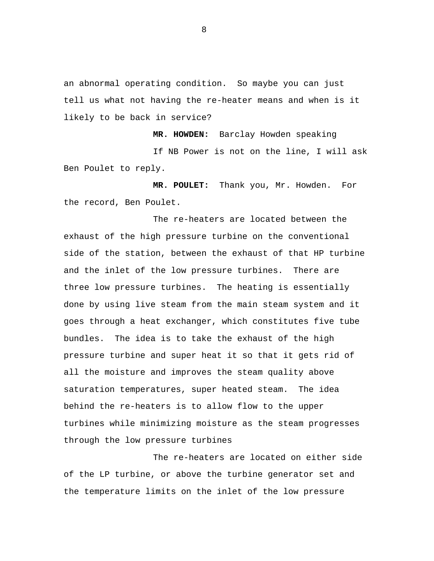an abnormal operating condition. So maybe you can just tell us what not having the re-heater means and when is it likely to be back in service?

**MR. HOWDEN:** Barclay Howden speaking

If NB Power is not on the line, I will ask Ben Poulet to reply.

**MR. POULET:** Thank you, Mr. Howden. For the record, Ben Poulet.

The re-heaters are located between the exhaust of the high pressure turbine on the conventional side of the station, between the exhaust of that HP turbine and the inlet of the low pressure turbines. There are three low pressure turbines. The heating is essentially done by using live steam from the main steam system and it goes through a heat exchanger, which constitutes five tube bundles. The idea is to take the exhaust of the high pressure turbine and super heat it so that it gets rid of all the moisture and improves the steam quality above saturation temperatures, super heated steam. The idea behind the re-heaters is to allow flow to the upper turbines while minimizing moisture as the steam progresses through the low pressure turbines

The re-heaters are located on either side of the LP turbine, or above the turbine generator set and the temperature limits on the inlet of the low pressure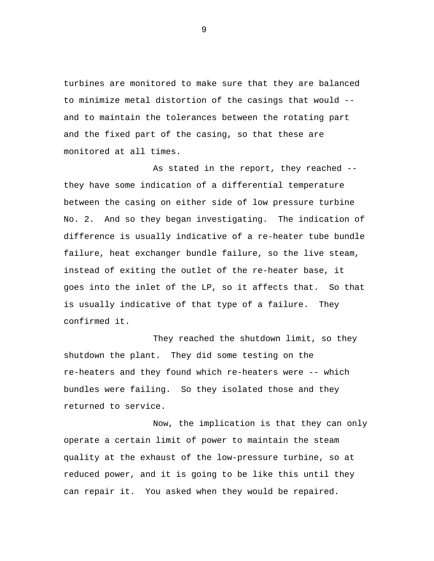turbines are monitored to make sure that they are balanced to minimize metal distortion of the casings that would - and to maintain the tolerances between the rotating part and the fixed part of the casing, so that these are monitored at all times.

As stated in the report, they reached - they have some indication of a differential temperature between the casing on either side of low pressure turbine No. 2. And so they began investigating. The indication of difference is usually indicative of a re-heater tube bundle failure, heat exchanger bundle failure, so the live steam, instead of exiting the outlet of the re-heater base, it goes into the inlet of the LP, so it affects that. So that is usually indicative of that type of a failure. They confirmed it.

They reached the shutdown limit, so they shutdown the plant. They did some testing on the re-heaters and they found which re-heaters were -- which bundles were failing. So they isolated those and they returned to service.

Now, the implication is that they can only operate a certain limit of power to maintain the steam quality at the exhaust of the low-pressure turbine, so at reduced power, and it is going to be like this until they can repair it. You asked when they would be repaired.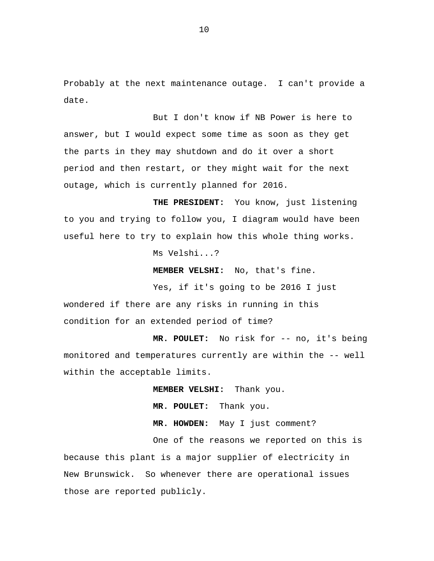Probably at the next maintenance outage. I can't provide a date.

But I don't know if NB Power is here to answer, but I would expect some time as soon as they get the parts in they may shutdown and do it over a short period and then restart, or they might wait for the next outage, which is currently planned for 2016.

**THE PRESIDENT:** You know, just listening to you and trying to follow you, I diagram would have been useful here to try to explain how this whole thing works.

Ms Velshi...?

**MEMBER VELSHI:** No, that's fine.

Yes, if it's going to be 2016 I just wondered if there are any risks in running in this condition for an extended period of time?

**MR. POULET:** No risk for -- no, it's being monitored and temperatures currently are within the -- well within the acceptable limits.

**MEMBER VELSHI:** Thank you.

**MR. POULET:** Thank you.

**MR. HOWDEN:** May I just comment?

One of the reasons we reported on this is because this plant is a major supplier of electricity in New Brunswick. So whenever there are operational issues those are reported publicly.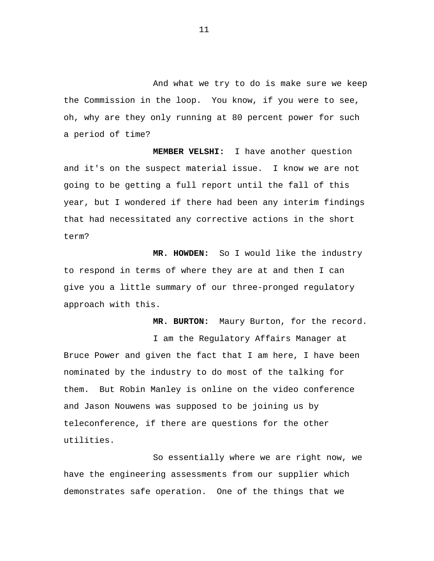And what we try to do is make sure we keep the Commission in the loop. You know, if you were to see, oh, why are they only running at 80 percent power for such a period of time?

**MEMBER VELSHI:** I have another question and it's on the suspect material issue. I know we are not going to be getting a full report until the fall of this year, but I wondered if there had been any interim findings that had necessitated any corrective actions in the short term?

**MR. HOWDEN:** So I would like the industry to respond in terms of where they are at and then I can give you a little summary of our three-pronged regulatory approach with this.

**MR. BURTON:** Maury Burton, for the record.

I am the Regulatory Affairs Manager at Bruce Power and given the fact that I am here, I have been nominated by the industry to do most of the talking for them. But Robin Manley is online on the video conference and Jason Nouwens was supposed to be joining us by teleconference, if there are questions for the other utilities.

So essentially where we are right now, we have the engineering assessments from our supplier which demonstrates safe operation. One of the things that we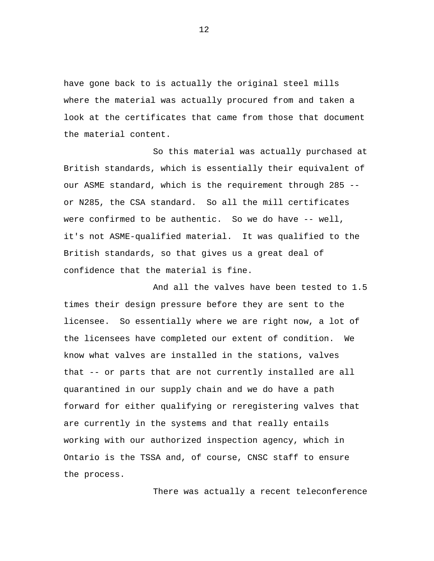have gone back to is actually the original steel mills where the material was actually procured from and taken a look at the certificates that came from those that document the material content.

So this material was actually purchased at British standards, which is essentially their equivalent of our ASME standard, which is the requirement through 285 - or N285, the CSA standard. So all the mill certificates were confirmed to be authentic. So we do have -- well, it's not ASME-qualified material. It was qualified to the British standards, so that gives us a great deal of confidence that the material is fine.

And all the valves have been tested to 1.5 times their design pressure before they are sent to the licensee. So essentially where we are right now, a lot of the licensees have completed our extent of condition. We know what valves are installed in the stations, valves that -- or parts that are not currently installed are all quarantined in our supply chain and we do have a path forward for either qualifying or reregistering valves that are currently in the systems and that really entails working with our authorized inspection agency, which in Ontario is the TSSA and, of course, CNSC staff to ensure the process.

There was actually a recent teleconference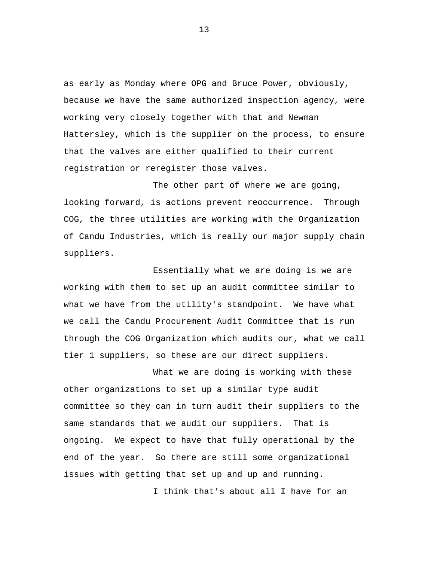as early as Monday where OPG and Bruce Power, obviously, because we have the same authorized inspection agency, were working very closely together with that and Newman Hattersley, which is the supplier on the process, to ensure that the valves are either qualified to their current registration or reregister those valves.

The other part of where we are going, looking forward, is actions prevent reoccurrence. Through COG, the three utilities are working with the Organization of Candu Industries, which is really our major supply chain suppliers.

Essentially what we are doing is we are working with them to set up an audit committee similar to what we have from the utility's standpoint. We have what we call the Candu Procurement Audit Committee that is run through the COG Organization which audits our, what we call tier 1 suppliers, so these are our direct suppliers.

What we are doing is working with these other organizations to set up a similar type audit committee so they can in turn audit their suppliers to the same standards that we audit our suppliers. That is ongoing. We expect to have that fully operational by the end of the year. So there are still some organizational issues with getting that set up and up and running.

I think that's about all I have for an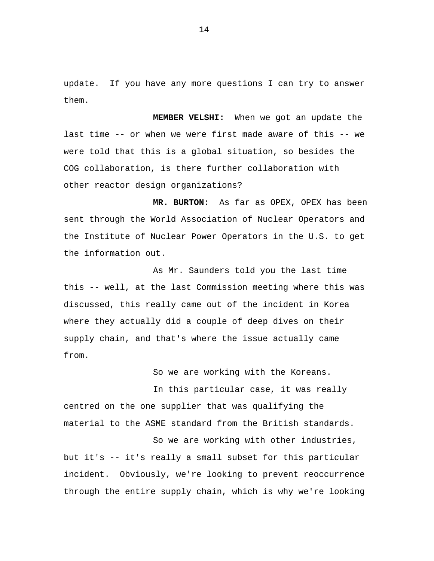update. If you have any more questions I can try to answer them.

**MEMBER VELSHI:** When we got an update the last time -- or when we were first made aware of this -- we were told that this is a global situation, so besides the COG collaboration, is there further collaboration with other reactor design organizations?

**MR. BURTON:** As far as OPEX, OPEX has been sent through the World Association of Nuclear Operators and the Institute of Nuclear Power Operators in the U.S. to get the information out.

As Mr. Saunders told you the last time this -- well, at the last Commission meeting where this was discussed, this really came out of the incident in Korea where they actually did a couple of deep dives on their supply chain, and that's where the issue actually came from.

So we are working with the Koreans.

In this particular case, it was really centred on the one supplier that was qualifying the material to the ASME standard from the British standards.

So we are working with other industries, but it's -- it's really a small subset for this particular incident. Obviously, we're looking to prevent reoccurrence through the entire supply chain, which is why we're looking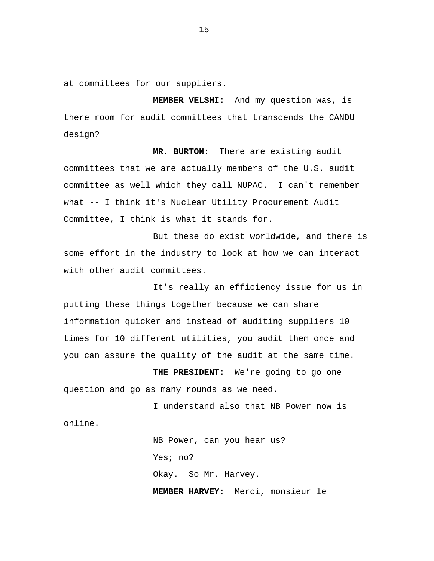at committees for our suppliers.

**MEMBER VELSHI:** And my question was, is there room for audit committees that transcends the CANDU design?

**MR. BURTON:** There are existing audit committees that we are actually members of the U.S. audit committee as well which they call NUPAC. I can't remember what -- I think it's Nuclear Utility Procurement Audit Committee, I think is what it stands for.

But these do exist worldwide, and there is some effort in the industry to look at how we can interact with other audit committees.

It's really an efficiency issue for us in putting these things together because we can share information quicker and instead of auditing suppliers 10 times for 10 different utilities, you audit them once and you can assure the quality of the audit at the same time.

**THE PRESIDENT:** We're going to go one question and go as many rounds as we need.

I understand also that NB Power now is online.

> NB Power, can you hear us? Yes; no? Okay. So Mr. Harvey. **MEMBER HARVEY:** Merci, monsieur le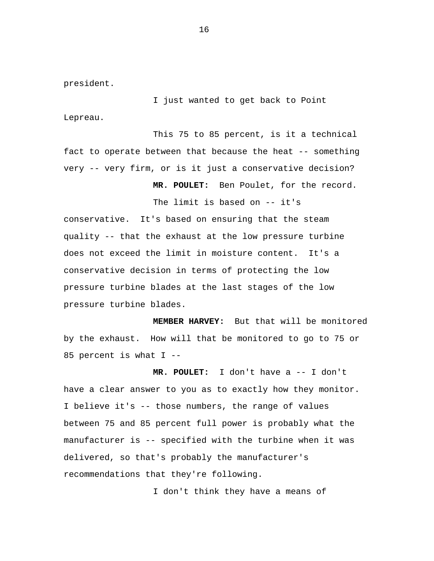president.

I just wanted to get back to Point Lepreau.

This 75 to 85 percent, is it a technical fact to operate between that because the heat -- something very -- very firm, or is it just a conservative decision?

**MR. POULET:** Ben Poulet, for the record.

The limit is based on -- it's

conservative. It's based on ensuring that the steam quality -- that the exhaust at the low pressure turbine does not exceed the limit in moisture content. It's a conservative decision in terms of protecting the low pressure turbine blades at the last stages of the low pressure turbine blades.

**MEMBER HARVEY:** But that will be monitored by the exhaust. How will that be monitored to go to 75 or 85 percent is what I --

**MR. POULET:** I don't have a -- I don't have a clear answer to you as to exactly how they monitor. I believe it's -- those numbers, the range of values between 75 and 85 percent full power is probably what the manufacturer is -- specified with the turbine when it was delivered, so that's probably the manufacturer's recommendations that they're following.

I don't think they have a means of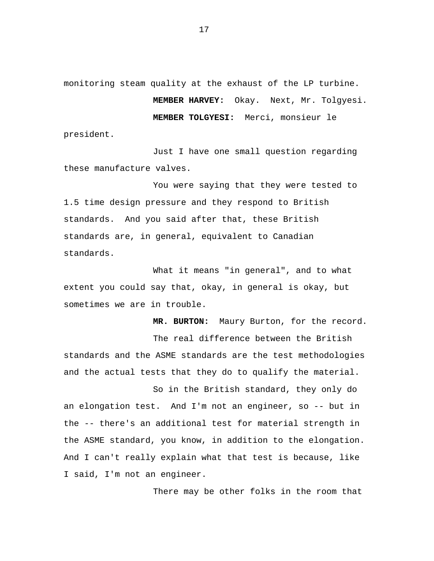monitoring steam quality at the exhaust of the LP turbine. **MEMBER HARVEY:** Okay. Next, Mr. Tolgyesi. **MEMBER TOLGYESI:** Merci, monsieur le

president.

Just I have one small question regarding these manufacture valves.

You were saying that they were tested to 1.5 time design pressure and they respond to British standards. And you said after that, these British standards are, in general, equivalent to Canadian standards.

What it means "in general", and to what extent you could say that, okay, in general is okay, but sometimes we are in trouble.

**MR. BURTON:** Maury Burton, for the record. The real difference between the British standards and the ASME standards are the test methodologies and the actual tests that they do to qualify the material.

So in the British standard, they only do an elongation test. And I'm not an engineer, so -- but in the -- there's an additional test for material strength in the ASME standard, you know, in addition to the elongation. And I can't really explain what that test is because, like I said, I'm not an engineer.

There may be other folks in the room that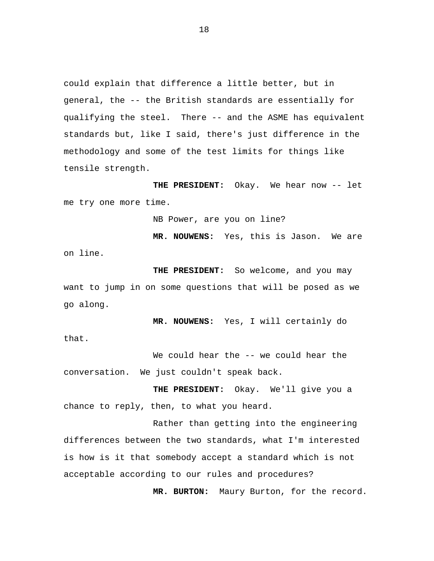could explain that difference a little better, but in general, the -- the British standards are essentially for qualifying the steel. There -- and the ASME has equivalent standards but, like I said, there's just difference in the methodology and some of the test limits for things like tensile strength.

**THE PRESIDENT:** Okay. We hear now -- let me try one more time.

NB Power, are you on line?

**MR. NOUWENS:** Yes, this is Jason. We are on line.

**THE PRESIDENT:** So welcome, and you may want to jump in on some questions that will be posed as we go along.

**MR. NOUWENS:** Yes, I will certainly do that.

We could hear the -- we could hear the conversation. We just couldn't speak back.

**THE PRESIDENT:** Okay. We'll give you a chance to reply, then, to what you heard.

Rather than getting into the engineering differences between the two standards, what I'm interested is how is it that somebody accept a standard which is not acceptable according to our rules and procedures?

**MR. BURTON:** Maury Burton, for the record.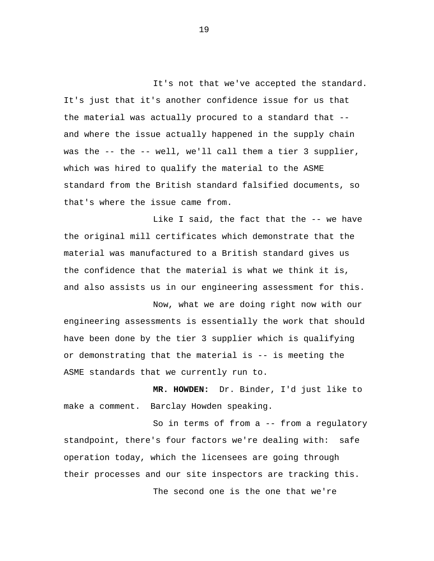It's not that we've accepted the standard. It's just that it's another confidence issue for us that the material was actually procured to a standard that - and where the issue actually happened in the supply chain was the -- the -- well, we'll call them a tier 3 supplier, which was hired to qualify the material to the ASME standard from the British standard falsified documents, so that's where the issue came from.

Like I said, the fact that the -- we have the original mill certificates which demonstrate that the material was manufactured to a British standard gives us the confidence that the material is what we think it is, and also assists us in our engineering assessment for this.

Now, what we are doing right now with our engineering assessments is essentially the work that should have been done by the tier 3 supplier which is qualifying or demonstrating that the material is -- is meeting the ASME standards that we currently run to.

**MR. HOWDEN:** Dr. Binder, I'd just like to make a comment. Barclay Howden speaking.

So in terms of from a -- from a regulatory standpoint, there's four factors we're dealing with: safe operation today, which the licensees are going through their processes and our site inspectors are tracking this. The second one is the one that we're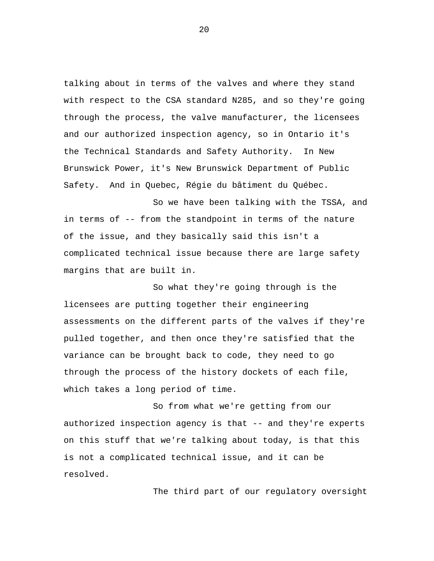talking about in terms of the valves and where they stand with respect to the CSA standard N285, and so they're going through the process, the valve manufacturer, the licensees and our authorized inspection agency, so in Ontario it's the Technical Standards and Safety Authority. In New Brunswick Power, it's New Brunswick Department of Public Safety. And in Quebec, Régie du bâtiment du Québec.

So we have been talking with the TSSA, and in terms of -- from the standpoint in terms of the nature of the issue, and they basically said this isn't a complicated technical issue because there are large safety margins that are built in.

So what they're going through is the licensees are putting together their engineering assessments on the different parts of the valves if they're pulled together, and then once they're satisfied that the variance can be brought back to code, they need to go through the process of the history dockets of each file, which takes a long period of time.

So from what we're getting from our authorized inspection agency is that -- and they're experts on this stuff that we're talking about today, is that this is not a complicated technical issue, and it can be resolved.

The third part of our regulatory oversight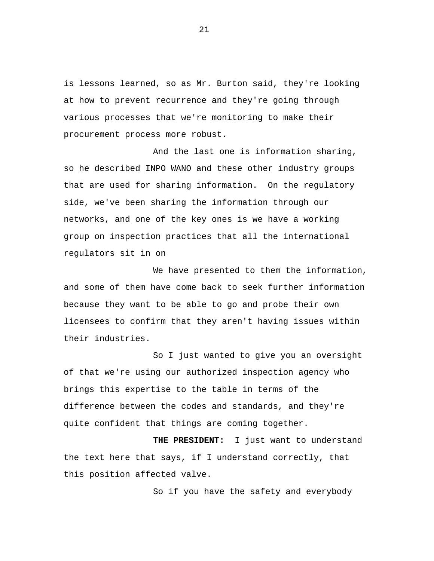is lessons learned, so as Mr. Burton said, they're looking at how to prevent recurrence and they're going through various processes that we're monitoring to make their procurement process more robust.

And the last one is information sharing, so he described INPO WANO and these other industry groups that are used for sharing information. On the regulatory side, we've been sharing the information through our networks, and one of the key ones is we have a working group on inspection practices that all the international regulators sit in on

We have presented to them the information, and some of them have come back to seek further information because they want to be able to go and probe their own licensees to confirm that they aren't having issues within their industries.

So I just wanted to give you an oversight of that we're using our authorized inspection agency who brings this expertise to the table in terms of the difference between the codes and standards, and they're quite confident that things are coming together.

**THE PRESIDENT:** I just want to understand the text here that says, if I understand correctly, that this position affected valve.

So if you have the safety and everybody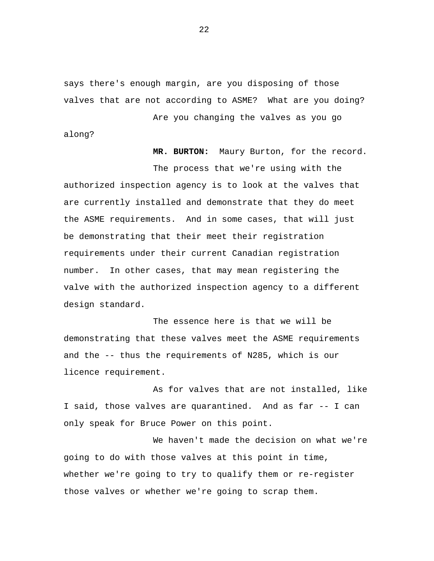says there's enough margin, are you disposing of those valves that are not according to ASME? What are you doing?

Are you changing the valves as you go along?

**MR. BURTON:** Maury Burton, for the record. The process that we're using with the authorized inspection agency is to look at the valves that are currently installed and demonstrate that they do meet the ASME requirements. And in some cases, that will just be demonstrating that their meet their registration requirements under their current Canadian registration number. In other cases, that may mean registering the valve with the authorized inspection agency to a different design standard.

The essence here is that we will be demonstrating that these valves meet the ASME requirements and the -- thus the requirements of N285, which is our licence requirement.

As for valves that are not installed, like I said, those valves are quarantined. And as far -- I can only speak for Bruce Power on this point.

We haven't made the decision on what we're going to do with those valves at this point in time, whether we're going to try to qualify them or re-register those valves or whether we're going to scrap them.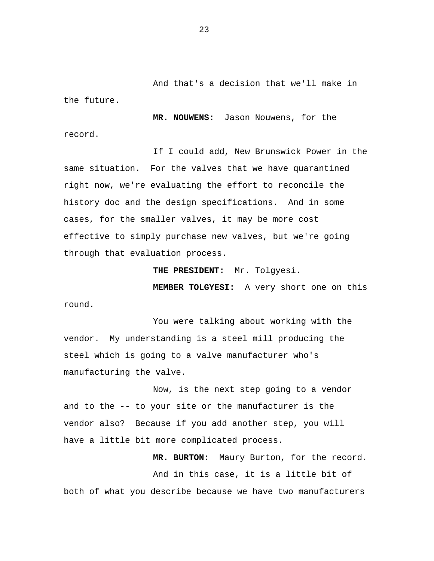And that's a decision that we'll make in the future.

**MR. NOUWENS:** Jason Nouwens, for the record.

If I could add, New Brunswick Power in the same situation. For the valves that we have quarantined right now, we're evaluating the effort to reconcile the history doc and the design specifications. And in some cases, for the smaller valves, it may be more cost effective to simply purchase new valves, but we're going through that evaluation process.

**THE PRESIDENT:** Mr. Tolgyesi.

**MEMBER TOLGYESI:** A very short one on this round.

You were talking about working with the vendor. My understanding is a steel mill producing the steel which is going to a valve manufacturer who's manufacturing the valve.

Now, is the next step going to a vendor and to the -- to your site or the manufacturer is the vendor also? Because if you add another step, you will have a little bit more complicated process.

**MR. BURTON:** Maury Burton, for the record. And in this case, it is a little bit of both of what you describe because we have two manufacturers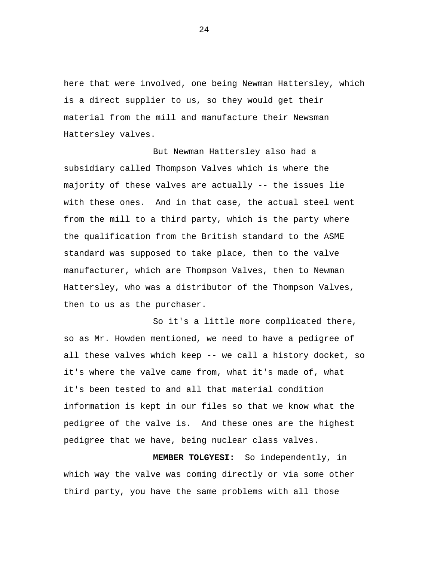here that were involved, one being Newman Hattersley, which is a direct supplier to us, so they would get their material from the mill and manufacture their Newsman Hattersley valves.

But Newman Hattersley also had a subsidiary called Thompson Valves which is where the majority of these valves are actually -- the issues lie with these ones. And in that case, the actual steel went from the mill to a third party, which is the party where the qualification from the British standard to the ASME standard was supposed to take place, then to the valve manufacturer, which are Thompson Valves, then to Newman Hattersley, who was a distributor of the Thompson Valves, then to us as the purchaser.

So it's a little more complicated there, so as Mr. Howden mentioned, we need to have a pedigree of all these valves which keep -- we call a history docket, so it's where the valve came from, what it's made of, what it's been tested to and all that material condition information is kept in our files so that we know what the pedigree of the valve is. And these ones are the highest pedigree that we have, being nuclear class valves.

**MEMBER TOLGYESI:** So independently, in which way the valve was coming directly or via some other third party, you have the same problems with all those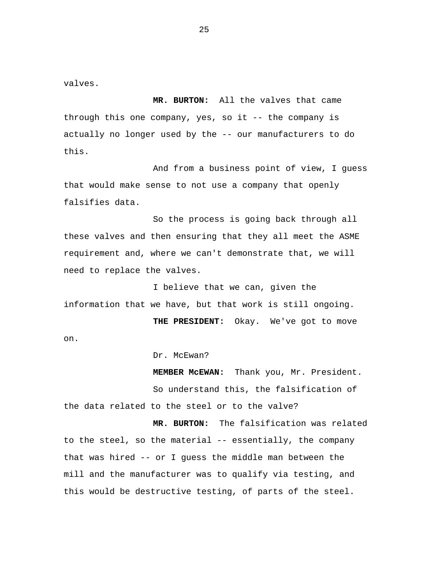valves.

**MR. BURTON:** All the valves that came through this one company, yes, so it -- the company is actually no longer used by the -- our manufacturers to do this.

And from a business point of view, I guess that would make sense to not use a company that openly falsifies data.

So the process is going back through all these valves and then ensuring that they all meet the ASME requirement and, where we can't demonstrate that, we will need to replace the valves.

I believe that we can, given the information that we have, but that work is still ongoing.

**THE PRESIDENT:** Okay. We've got to move on.

Dr. McEwan?

**MEMBER McEWAN:** Thank you, Mr. President. So understand this, the falsification of the data related to the steel or to the valve?

**MR. BURTON:** The falsification was related to the steel, so the material -- essentially, the company that was hired -- or I guess the middle man between the mill and the manufacturer was to qualify via testing, and this would be destructive testing, of parts of the steel.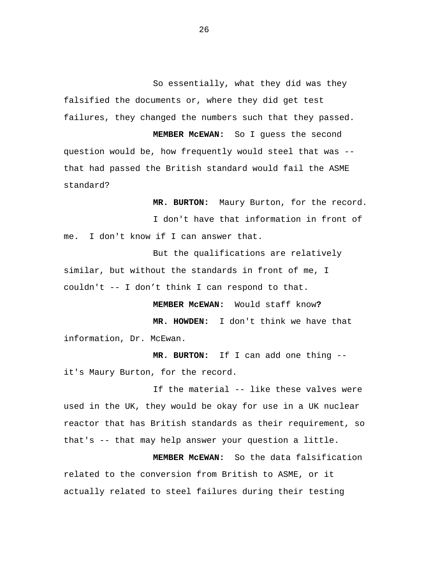So essentially, what they did was they falsified the documents or, where they did get test failures, they changed the numbers such that they passed.

**MEMBER McEWAN:** So I guess the second question would be, how frequently would steel that was - that had passed the British standard would fail the ASME standard?

**MR. BURTON:** Maury Burton, for the record.

I don't have that information in front of me. I don't know if I can answer that.

But the qualifications are relatively similar, but without the standards in front of me, I couldn't -- I don't think I can respond to that.

**MEMBER McEWAN:** Would staff know**?**

**MR. HOWDEN:** I don't think we have that information, Dr. McEwan.

**MR. BURTON:** If I can add one thing - it's Maury Burton, for the record.

If the material -- like these valves were used in the UK, they would be okay for use in a UK nuclear reactor that has British standards as their requirement, so that's -- that may help answer your question a little.

**MEMBER McEWAN:** So the data falsification related to the conversion from British to ASME, or it actually related to steel failures during their testing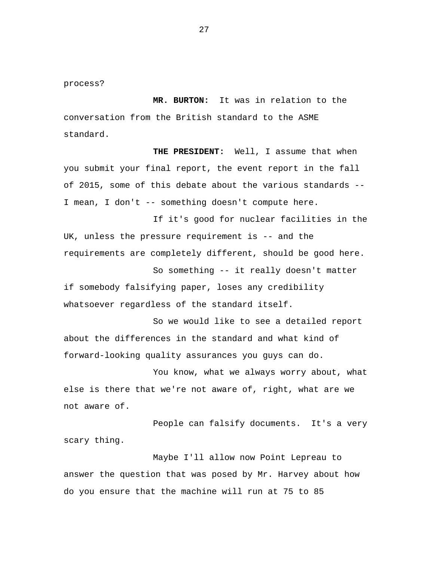process?

**MR. BURTON:** It was in relation to the conversation from the British standard to the ASME standard.

**THE PRESIDENT:** Well, I assume that when you submit your final report, the event report in the fall of 2015, some of this debate about the various standards -- I mean, I don't -- something doesn't compute here.

If it's good for nuclear facilities in the UK, unless the pressure requirement is -- and the requirements are completely different, should be good here.

So something -- it really doesn't matter if somebody falsifying paper, loses any credibility whatsoever regardless of the standard itself.

So we would like to see a detailed report about the differences in the standard and what kind of forward-looking quality assurances you guys can do.

You know, what we always worry about, what else is there that we're not aware of, right, what are we not aware of.

People can falsify documents. It's a very scary thing.

Maybe I'll allow now Point Lepreau to answer the question that was posed by Mr. Harvey about how do you ensure that the machine will run at 75 to 85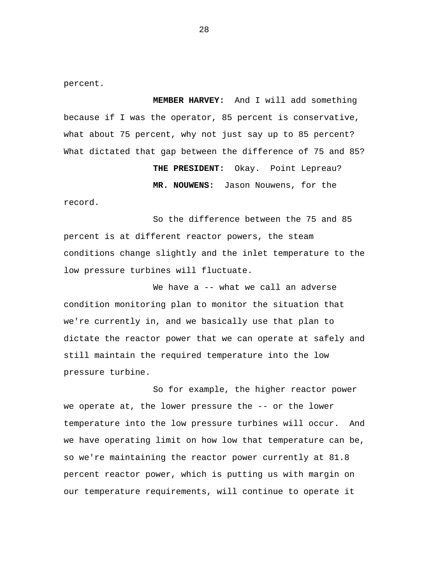percent.

**MEMBER HARVEY:** And I will add something because if I was the operator, 85 percent is conservative, what about 75 percent, why not just say up to 85 percent? What dictated that gap between the difference of 75 and 85?

> **THE PRESIDENT:** Okay. Point Lepreau? **MR. NOUWENS:** Jason Nouwens, for the

record.

So the difference between the 75 and 85 percent is at different reactor powers, the steam conditions change slightly and the inlet temperature to the low pressure turbines will fluctuate.

We have a -- what we call an adverse condition monitoring plan to monitor the situation that we're currently in, and we basically use that plan to dictate the reactor power that we can operate at safely and still maintain the required temperature into the low pressure turbine.

So for example, the higher reactor power we operate at, the lower pressure the -- or the lower temperature into the low pressure turbines will occur. And we have operating limit on how low that temperature can be, so we're maintaining the reactor power currently at 81.8 percent reactor power, which is putting us with margin on our temperature requirements, will continue to operate it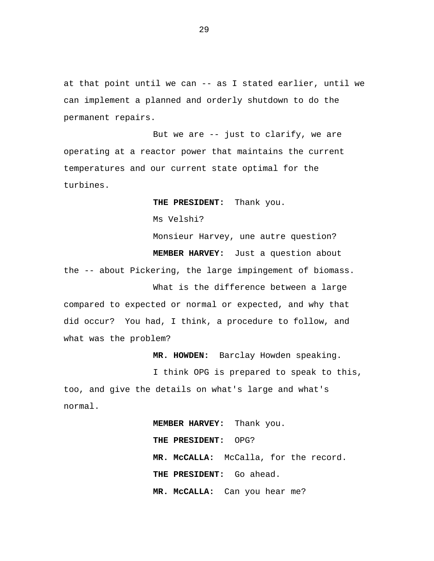at that point until we can -- as I stated earlier, until we can implement a planned and orderly shutdown to do the permanent repairs.

But we are -- just to clarify, we are operating at a reactor power that maintains the current temperatures and our current state optimal for the turbines.

**THE PRESIDENT:** Thank you.

Ms Velshi?

Monsieur Harvey, une autre question? **MEMBER HARVEY:** Just a question about the -- about Pickering, the large impingement of biomass. What is the difference between a large

compared to expected or normal or expected, and why that did occur? You had, I think, a procedure to follow, and what was the problem?

**MR. HOWDEN:** Barclay Howden speaking.

I think OPG is prepared to speak to this, too, and give the details on what's large and what's normal.

> **MEMBER HARVEY:** Thank you. **THE PRESIDENT:** OPG? **MR. McCALLA:** McCalla, for the record. **THE PRESIDENT:** Go ahead. **MR. McCALLA:** Can you hear me?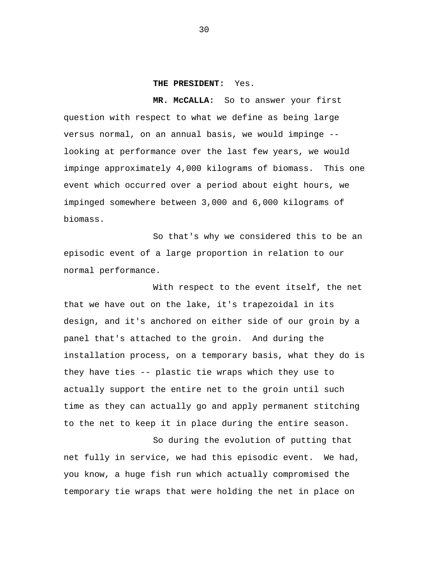#### **THE PRESIDENT:** Yes.

**MR. McCALLA:** So to answer your first question with respect to what we define as being large versus normal, on an annual basis, we would impinge - looking at performance over the last few years, we would impinge approximately 4,000 kilograms of biomass. This one event which occurred over a period about eight hours, we impinged somewhere between 3,000 and 6,000 kilograms of biomass.

So that's why we considered this to be an episodic event of a large proportion in relation to our normal performance.

With respect to the event itself, the net that we have out on the lake, it's trapezoidal in its design, and it's anchored on either side of our groin by a panel that's attached to the groin. And during the installation process, on a temporary basis, what they do is they have ties -- plastic tie wraps which they use to actually support the entire net to the groin until such time as they can actually go and apply permanent stitching to the net to keep it in place during the entire season.

So during the evolution of putting that net fully in service, we had this episodic event. We had, you know, a huge fish run which actually compromised the temporary tie wraps that were holding the net in place on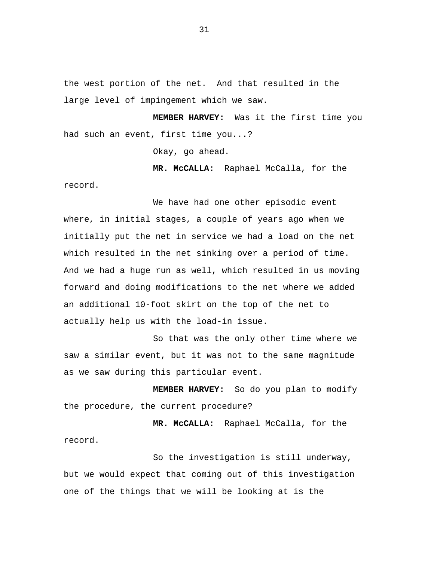the west portion of the net. And that resulted in the large level of impingement which we saw.

**MEMBER HARVEY:** Was it the first time you had such an event, first time you...?

Okay, go ahead.

**MR. McCALLA:** Raphael McCalla, for the record.

We have had one other episodic event where, in initial stages, a couple of years ago when we initially put the net in service we had a load on the net which resulted in the net sinking over a period of time. And we had a huge run as well, which resulted in us moving forward and doing modifications to the net where we added an additional 10-foot skirt on the top of the net to actually help us with the load-in issue.

So that was the only other time where we saw a similar event, but it was not to the same magnitude as we saw during this particular event.

**MEMBER HARVEY:** So do you plan to modify the procedure, the current procedure?

**MR. McCALLA:** Raphael McCalla, for the record.

So the investigation is still underway, but we would expect that coming out of this investigation one of the things that we will be looking at is the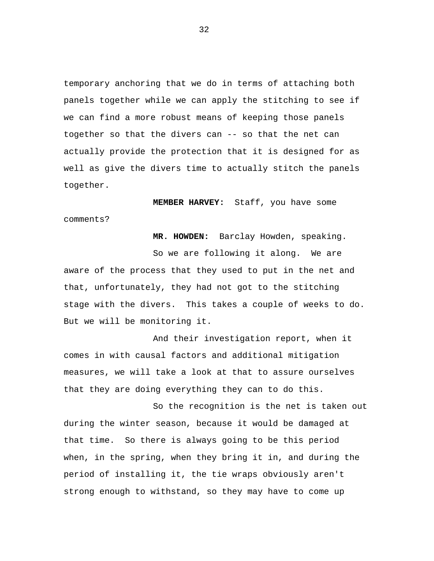temporary anchoring that we do in terms of attaching both panels together while we can apply the stitching to see if we can find a more robust means of keeping those panels together so that the divers can -- so that the net can actually provide the protection that it is designed for as well as give the divers time to actually stitch the panels together.

**MEMBER HARVEY:** Staff, you have some comments?

**MR. HOWDEN:** Barclay Howden, speaking.

So we are following it along. We are aware of the process that they used to put in the net and that, unfortunately, they had not got to the stitching stage with the divers. This takes a couple of weeks to do. But we will be monitoring it.

And their investigation report, when it comes in with causal factors and additional mitigation measures, we will take a look at that to assure ourselves that they are doing everything they can to do this.

So the recognition is the net is taken out during the winter season, because it would be damaged at that time. So there is always going to be this period when, in the spring, when they bring it in, and during the period of installing it, the tie wraps obviously aren't strong enough to withstand, so they may have to come up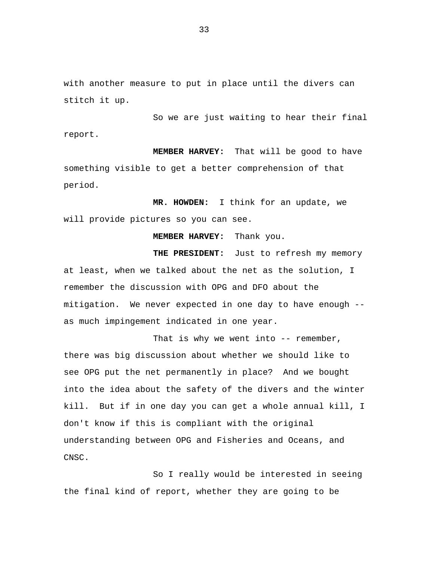with another measure to put in place until the divers can stitch it up.

So we are just waiting to hear their final report.

**MEMBER HARVEY:** That will be good to have something visible to get a better comprehension of that period.

**MR. HOWDEN:** I think for an update, we will provide pictures so you can see.

**MEMBER HARVEY:** Thank you.

THE PRESIDENT: Just to refresh my memory at least, when we talked about the net as the solution, I remember the discussion with OPG and DFO about the mitigation. We never expected in one day to have enough - as much impingement indicated in one year.

That is why we went into -- remember, there was big discussion about whether we should like to see OPG put the net permanently in place? And we bought into the idea about the safety of the divers and the winter kill. But if in one day you can get a whole annual kill, I don't know if this is compliant with the original understanding between OPG and Fisheries and Oceans, and CNSC.

So I really would be interested in seeing the final kind of report, whether they are going to be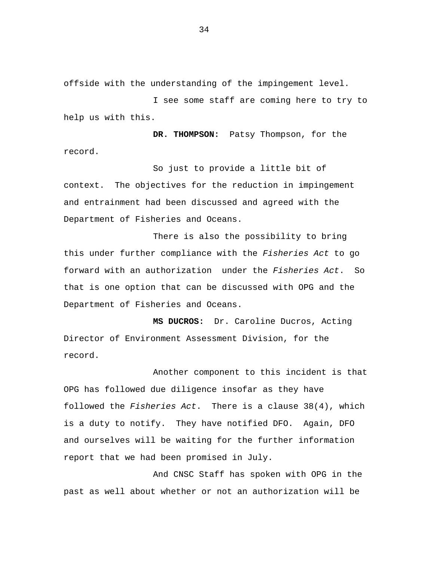offside with the understanding of the impingement level.

I see some staff are coming here to try to help us with this.

**DR. THOMPSON:** Patsy Thompson, for the record.

So just to provide a little bit of context. The objectives for the reduction in impingement and entrainment had been discussed and agreed with the Department of Fisheries and Oceans.

There is also the possibility to bring this under further compliance with the *Fisheries Act* to go forward with an authorization under the *Fisheries Act*. So that is one option that can be discussed with OPG and the Department of Fisheries and Oceans.

**MS DUCROS:** Dr. Caroline Ducros, Acting Director of Environment Assessment Division, for the record.

Another component to this incident is that OPG has followed due diligence insofar as they have followed the *Fisheries Act*. There is a clause 38(4), which is a duty to notify. They have notified DFO. Again, DFO and ourselves will be waiting for the further information report that we had been promised in July.

And CNSC Staff has spoken with OPG in the past as well about whether or not an authorization will be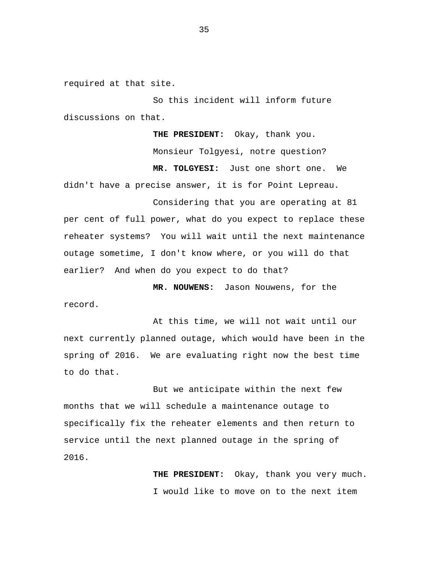required at that site.

So this incident will inform future discussions on that.

**THE PRESIDENT:** Okay, thank you. Monsieur Tolgyesi, notre question? **MR. TOLGYESI:** Just one short one. We didn't have a precise answer, it is for Point Lepreau.

Considering that you are operating at 81 per cent of full power, what do you expect to replace these reheater systems? You will wait until the next maintenance outage sometime, I don't know where, or you will do that earlier? And when do you expect to do that?

**MR. NOUWENS:** Jason Nouwens, for the record.

At this time, we will not wait until our next currently planned outage, which would have been in the spring of 2016. We are evaluating right now the best time to do that.

But we anticipate within the next few months that we will schedule a maintenance outage to specifically fix the reheater elements and then return to service until the next planned outage in the spring of 2016.

> **THE PRESIDENT:** Okay, thank you very much. I would like to move on to the next item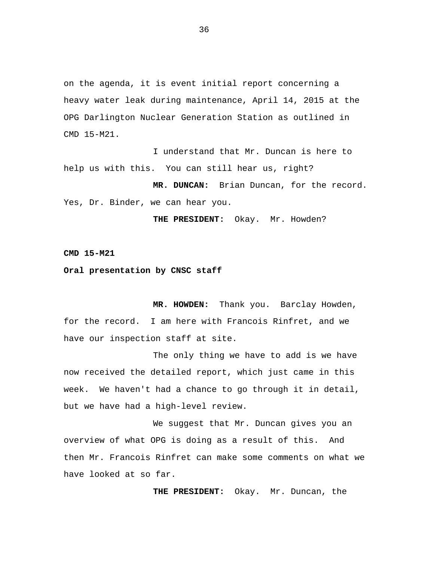on the agenda, it is event initial report concerning a heavy water leak during maintenance, April 14, 2015 at the OPG Darlington Nuclear Generation Station as outlined in CMD 15-M21.

I understand that Mr. Duncan is here to help us with this. You can still hear us, right?

**MR. DUNCAN:** Brian Duncan, for the record. Yes, Dr. Binder, we can hear you.

**THE PRESIDENT:** Okay. Mr. Howden?

**CMD 15-M21**

# **Oral presentation by CNSC staff**

**MR. HOWDEN:** Thank you. Barclay Howden, for the record. I am here with Francois Rinfret, and we have our inspection staff at site.

The only thing we have to add is we have now received the detailed report, which just came in this week. We haven't had a chance to go through it in detail, but we have had a high-level review.

We suggest that Mr. Duncan gives you an overview of what OPG is doing as a result of this. And then Mr. Francois Rinfret can make some comments on what we have looked at so far.

**THE PRESIDENT:** Okay. Mr. Duncan, the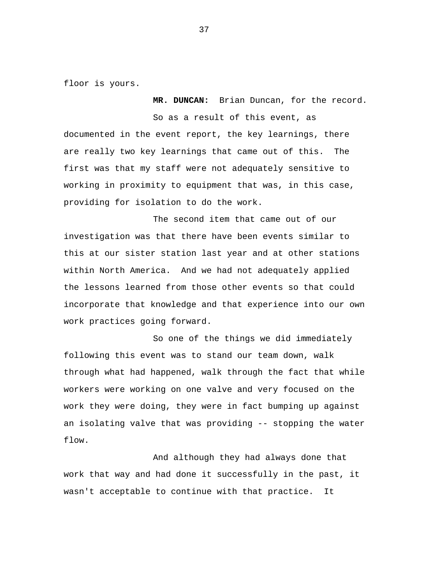floor is yours.

**MR. DUNCAN:** Brian Duncan, for the record.

So as a result of this event, as documented in the event report, the key learnings, there are really two key learnings that came out of this. The first was that my staff were not adequately sensitive to working in proximity to equipment that was, in this case, providing for isolation to do the work.

The second item that came out of our investigation was that there have been events similar to this at our sister station last year and at other stations within North America. And we had not adequately applied the lessons learned from those other events so that could incorporate that knowledge and that experience into our own work practices going forward.

So one of the things we did immediately following this event was to stand our team down, walk through what had happened, walk through the fact that while workers were working on one valve and very focused on the work they were doing, they were in fact bumping up against an isolating valve that was providing -- stopping the water flow.

And although they had always done that work that way and had done it successfully in the past, it wasn't acceptable to continue with that practice. It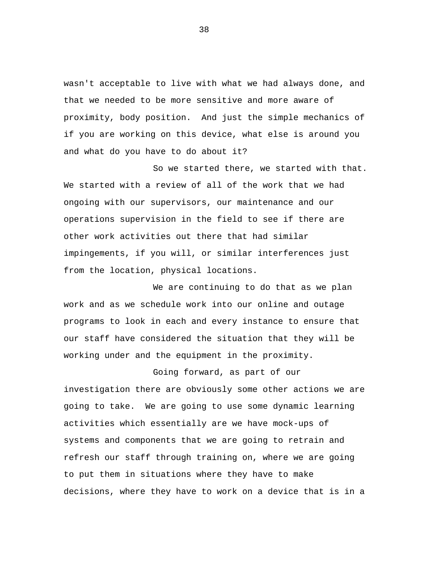wasn't acceptable to live with what we had always done, and that we needed to be more sensitive and more aware of proximity, body position. And just the simple mechanics of if you are working on this device, what else is around you and what do you have to do about it?

So we started there, we started with that. We started with a review of all of the work that we had ongoing with our supervisors, our maintenance and our operations supervision in the field to see if there are other work activities out there that had similar impingements, if you will, or similar interferences just from the location, physical locations.

We are continuing to do that as we plan work and as we schedule work into our online and outage programs to look in each and every instance to ensure that our staff have considered the situation that they will be working under and the equipment in the proximity.

Going forward, as part of our investigation there are obviously some other actions we are going to take. We are going to use some dynamic learning activities which essentially are we have mock-ups of systems and components that we are going to retrain and refresh our staff through training on, where we are going to put them in situations where they have to make decisions, where they have to work on a device that is in a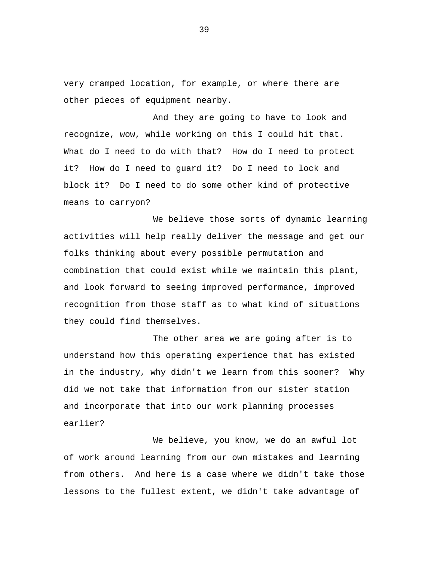very cramped location, for example, or where there are other pieces of equipment nearby.

And they are going to have to look and recognize, wow, while working on this I could hit that. What do I need to do with that? How do I need to protect it? How do I need to guard it? Do I need to lock and block it? Do I need to do some other kind of protective means to carryon?

We believe those sorts of dynamic learning activities will help really deliver the message and get our folks thinking about every possible permutation and combination that could exist while we maintain this plant, and look forward to seeing improved performance, improved recognition from those staff as to what kind of situations they could find themselves.

The other area we are going after is to understand how this operating experience that has existed in the industry, why didn't we learn from this sooner? Why did we not take that information from our sister station and incorporate that into our work planning processes earlier?

We believe, you know, we do an awful lot of work around learning from our own mistakes and learning from others. And here is a case where we didn't take those lessons to the fullest extent, we didn't take advantage of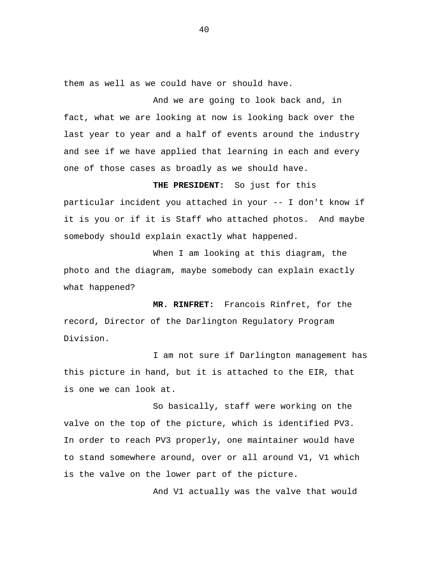them as well as we could have or should have.

And we are going to look back and, in fact, what we are looking at now is looking back over the last year to year and a half of events around the industry and see if we have applied that learning in each and every one of those cases as broadly as we should have.

**THE PRESIDENT:** So just for this particular incident you attached in your -- I don't know if it is you or if it is Staff who attached photos. And maybe somebody should explain exactly what happened.

When I am looking at this diagram, the photo and the diagram, maybe somebody can explain exactly what happened?

**MR. RINFRET:** Francois Rinfret, for the record, Director of the Darlington Regulatory Program Division.

I am not sure if Darlington management has this picture in hand, but it is attached to the EIR, that is one we can look at.

So basically, staff were working on the valve on the top of the picture, which is identified PV3. In order to reach PV3 properly, one maintainer would have to stand somewhere around, over or all around V1, V1 which is the valve on the lower part of the picture.

And V1 actually was the valve that would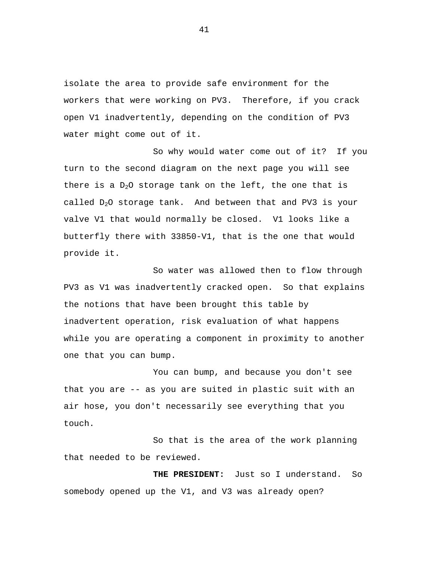isolate the area to provide safe environment for the workers that were working on PV3. Therefore, if you crack open V1 inadvertently, depending on the condition of PV3 water might come out of it.

So why would water come out of it? If you turn to the second diagram on the next page you will see there is a  $D_2O$  storage tank on the left, the one that is called  $D_2O$  storage tank. And between that and PV3 is your valve V1 that would normally be closed. V1 looks like a butterfly there with 33850-V1, that is the one that would provide it.

So water was allowed then to flow through PV3 as V1 was inadvertently cracked open. So that explains the notions that have been brought this table by inadvertent operation, risk evaluation of what happens while you are operating a component in proximity to another one that you can bump.

You can bump, and because you don't see that you are -- as you are suited in plastic suit with an air hose, you don't necessarily see everything that you touch.

So that is the area of the work planning that needed to be reviewed.

**THE PRESIDENT:** Just so I understand. So somebody opened up the V1, and V3 was already open?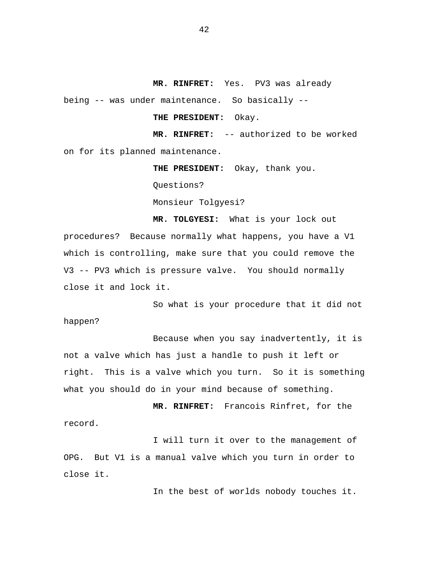**MR. RINFRET:** Yes. PV3 was already

being -- was under maintenance. So basically --

**THE PRESIDENT:** Okay.

**MR. RINFRET:** -- authorized to be worked on for its planned maintenance.

**THE PRESIDENT:** Okay, thank you.

Questions?

Monsieur Tolgyesi?

**MR. TOLGYESI:** What is your lock out procedures? Because normally what happens, you have a V1 which is controlling, make sure that you could remove the V3 -- PV3 which is pressure valve. You should normally close it and lock it.

So what is your procedure that it did not happen?

Because when you say inadvertently, it is not a valve which has just a handle to push it left or right. This is a valve which you turn. So it is something what you should do in your mind because of something.

**MR. RINFRET:** Francois Rinfret, for the record.

I will turn it over to the management of OPG. But V1 is a manual valve which you turn in order to close it.

In the best of worlds nobody touches it.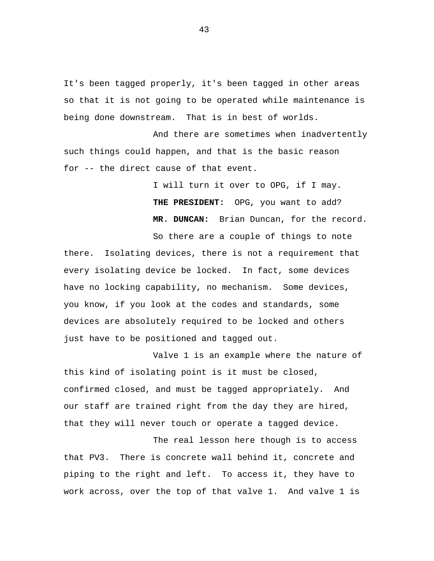It's been tagged properly, it's been tagged in other areas so that it is not going to be operated while maintenance is being done downstream. That is in best of worlds.

And there are sometimes when inadvertently such things could happen, and that is the basic reason for -- the direct cause of that event.

> I will turn it over to OPG, if I may. **THE PRESIDENT:** OPG, you want to add? **MR. DUNCAN:** Brian Duncan, for the record.

So there are a couple of things to note there. Isolating devices, there is not a requirement that every isolating device be locked. In fact, some devices have no locking capability, no mechanism. Some devices, you know, if you look at the codes and standards, some devices are absolutely required to be locked and others just have to be positioned and tagged out.

Valve 1 is an example where the nature of this kind of isolating point is it must be closed, confirmed closed, and must be tagged appropriately. And our staff are trained right from the day they are hired, that they will never touch or operate a tagged device.

The real lesson here though is to access that PV3. There is concrete wall behind it, concrete and piping to the right and left. To access it, they have to work across, over the top of that valve 1. And valve 1 is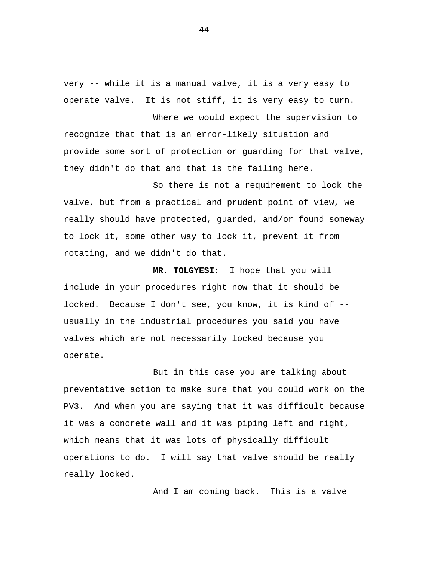very -- while it is a manual valve, it is a very easy to operate valve. It is not stiff, it is very easy to turn.

Where we would expect the supervision to recognize that that is an error-likely situation and provide some sort of protection or guarding for that valve, they didn't do that and that is the failing here.

So there is not a requirement to lock the valve, but from a practical and prudent point of view, we really should have protected, guarded, and/or found someway to lock it, some other way to lock it, prevent it from rotating, and we didn't do that.

**MR. TOLGYESI:** I hope that you will include in your procedures right now that it should be locked. Because I don't see, you know, it is kind of - usually in the industrial procedures you said you have valves which are not necessarily locked because you operate.

But in this case you are talking about preventative action to make sure that you could work on the PV3. And when you are saying that it was difficult because it was a concrete wall and it was piping left and right, which means that it was lots of physically difficult operations to do. I will say that valve should be really really locked.

And I am coming back. This is a valve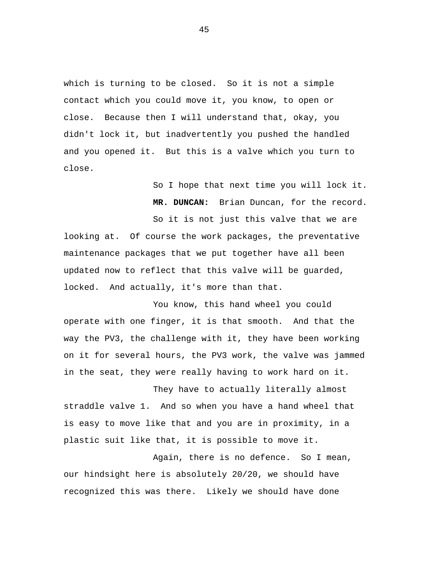which is turning to be closed. So it is not a simple contact which you could move it, you know, to open or close. Because then I will understand that, okay, you didn't lock it, but inadvertently you pushed the handled and you opened it. But this is a valve which you turn to close.

> So I hope that next time you will lock it. **MR. DUNCAN:** Brian Duncan, for the record. So it is not just this valve that we are

looking at. Of course the work packages, the preventative maintenance packages that we put together have all been updated now to reflect that this valve will be guarded, locked. And actually, it's more than that.

You know, this hand wheel you could operate with one finger, it is that smooth. And that the way the PV3, the challenge with it, they have been working on it for several hours, the PV3 work, the valve was jammed in the seat, they were really having to work hard on it.

They have to actually literally almost straddle valve 1. And so when you have a hand wheel that is easy to move like that and you are in proximity, in a plastic suit like that, it is possible to move it.

Again, there is no defence. So I mean, our hindsight here is absolutely 20/20, we should have recognized this was there. Likely we should have done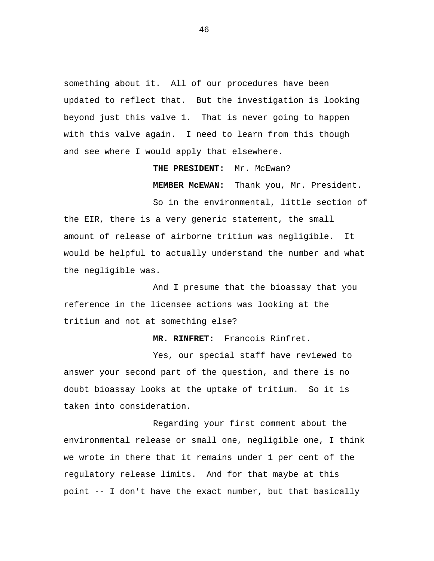something about it. All of our procedures have been updated to reflect that. But the investigation is looking beyond just this valve 1. That is never going to happen with this valve again. I need to learn from this though and see where I would apply that elsewhere.

#### **THE PRESIDENT:** Mr. McEwan?

**MEMBER McEWAN:** Thank you, Mr. President.

So in the environmental, little section of the EIR, there is a very generic statement, the small amount of release of airborne tritium was negligible. It would be helpful to actually understand the number and what the negligible was.

And I presume that the bioassay that you reference in the licensee actions was looking at the tritium and not at something else?

**MR. RINFRET:** Francois Rinfret.

Yes, our special staff have reviewed to answer your second part of the question, and there is no doubt bioassay looks at the uptake of tritium. So it is taken into consideration.

Regarding your first comment about the environmental release or small one, negligible one, I think we wrote in there that it remains under 1 per cent of the regulatory release limits. And for that maybe at this point -- I don't have the exact number, but that basically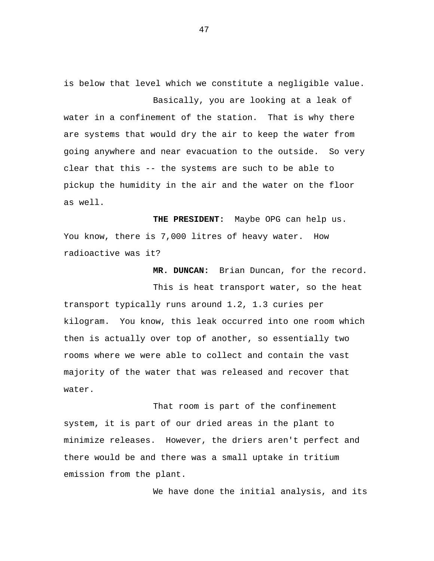is below that level which we constitute a negligible value. Basically, you are looking at a leak of

water in a confinement of the station. That is why there are systems that would dry the air to keep the water from going anywhere and near evacuation to the outside. So very clear that this -- the systems are such to be able to pickup the humidity in the air and the water on the floor as well.

**THE PRESIDENT:** Maybe OPG can help us. You know, there is 7,000 litres of heavy water. How radioactive was it?

**MR. DUNCAN:** Brian Duncan, for the record.

This is heat transport water, so the heat transport typically runs around 1.2, 1.3 curies per kilogram. You know, this leak occurred into one room which then is actually over top of another, so essentially two rooms where we were able to collect and contain the vast majority of the water that was released and recover that water.

That room is part of the confinement system, it is part of our dried areas in the plant to minimize releases. However, the driers aren't perfect and there would be and there was a small uptake in tritium emission from the plant.

We have done the initial analysis, and its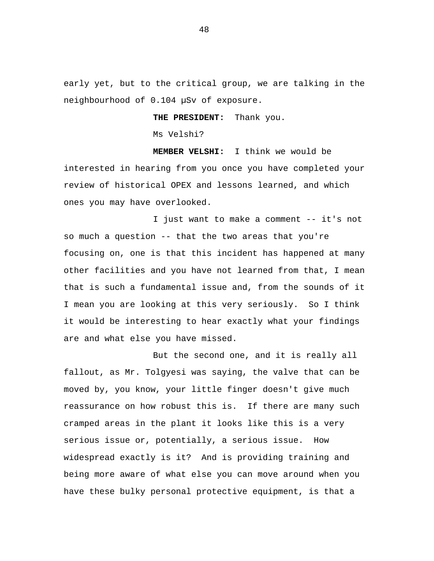early yet, but to the critical group, we are talking in the neighbourhood of 0.104 µSv of exposure.

## **THE PRESIDENT:** Thank you.

Ms Velshi?

**MEMBER VELSHI:** I think we would be interested in hearing from you once you have completed your review of historical OPEX and lessons learned, and which ones you may have overlooked.

I just want to make a comment -- it's not so much a question -- that the two areas that you're focusing on, one is that this incident has happened at many other facilities and you have not learned from that, I mean that is such a fundamental issue and, from the sounds of it I mean you are looking at this very seriously. So I think it would be interesting to hear exactly what your findings are and what else you have missed.

But the second one, and it is really all fallout, as Mr. Tolgyesi was saying, the valve that can be moved by, you know, your little finger doesn't give much reassurance on how robust this is. If there are many such cramped areas in the plant it looks like this is a very serious issue or, potentially, a serious issue. How widespread exactly is it? And is providing training and being more aware of what else you can move around when you have these bulky personal protective equipment, is that a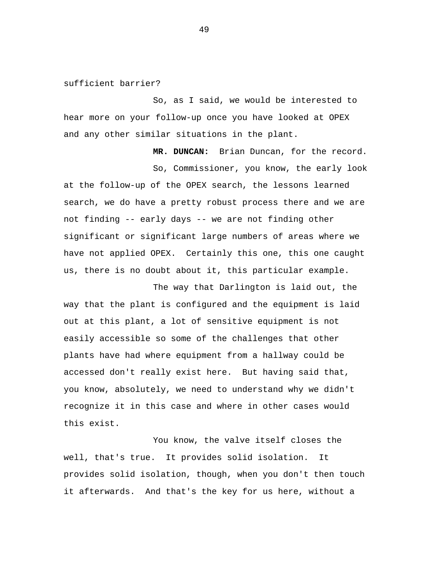sufficient barrier?

So, as I said, we would be interested to hear more on your follow-up once you have looked at OPEX and any other similar situations in the plant.

**MR. DUNCAN:** Brian Duncan, for the record.

So, Commissioner, you know, the early look at the follow-up of the OPEX search, the lessons learned search, we do have a pretty robust process there and we are not finding -- early days -- we are not finding other significant or significant large numbers of areas where we have not applied OPEX. Certainly this one, this one caught us, there is no doubt about it, this particular example.

The way that Darlington is laid out, the way that the plant is configured and the equipment is laid out at this plant, a lot of sensitive equipment is not easily accessible so some of the challenges that other plants have had where equipment from a hallway could be accessed don't really exist here. But having said that, you know, absolutely, we need to understand why we didn't recognize it in this case and where in other cases would this exist.

You know, the valve itself closes the well, that's true. It provides solid isolation. It provides solid isolation, though, when you don't then touch it afterwards. And that's the key for us here, without a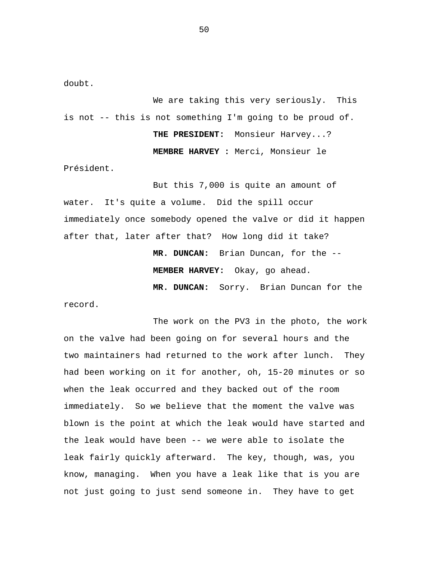doubt.

We are taking this very seriously. This is not -- this is not something I'm going to be proud of. **THE PRESIDENT:** Monsieur Harvey...? **MEMBRE HARVEY :** Merci, Monsieur le Président.

But this 7,000 is quite an amount of water. It's quite a volume. Did the spill occur immediately once somebody opened the valve or did it happen after that, later after that? How long did it take?

> **MR. DUNCAN:** Brian Duncan, for the -- **MEMBER HARVEY:** Okay, go ahead.

**MR. DUNCAN:** Sorry. Brian Duncan for the

record.

The work on the PV3 in the photo, the work on the valve had been going on for several hours and the two maintainers had returned to the work after lunch. They had been working on it for another, oh, 15-20 minutes or so when the leak occurred and they backed out of the room immediately. So we believe that the moment the valve was blown is the point at which the leak would have started and the leak would have been -- we were able to isolate the leak fairly quickly afterward. The key, though, was, you know, managing. When you have a leak like that is you are not just going to just send someone in. They have to get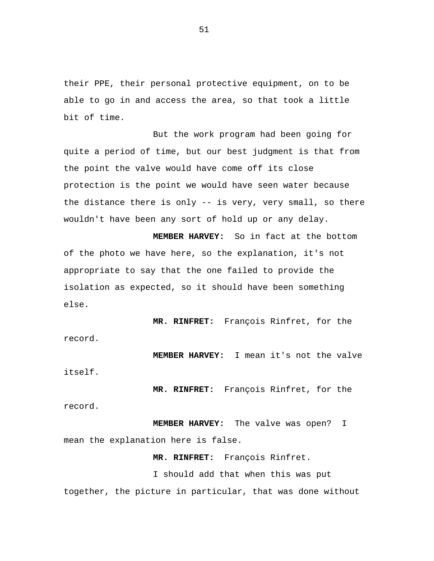their PPE, their personal protective equipment, on to be able to go in and access the area, so that took a little bit of time.

But the work program had been going for quite a period of time, but our best judgment is that from the point the valve would have come off its close protection is the point we would have seen water because the distance there is only -- is very, very small, so there wouldn't have been any sort of hold up or any delay.

**MEMBER HARVEY:** So in fact at the bottom of the photo we have here, so the explanation, it's not appropriate to say that the one failed to provide the isolation as expected, so it should have been something else.

**MR. RINFRET:** François Rinfret, for the record.

**MEMBER HARVEY:** I mean it's not the valve

itself.

**MR. RINFRET:** François Rinfret, for the

record.

**MEMBER HARVEY:** The valve was open? I mean the explanation here is false.

**MR. RINFRET:** François Rinfret.

I should add that when this was put together, the picture in particular, that was done without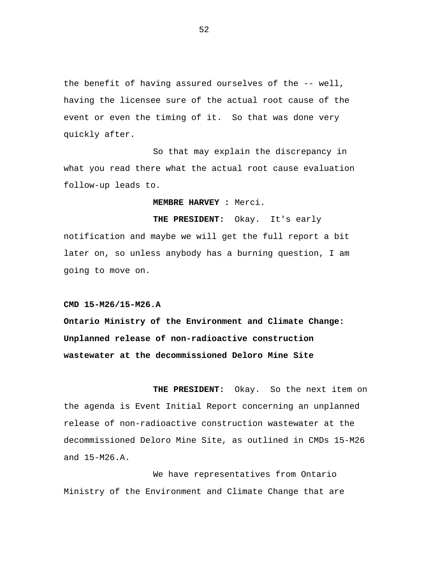the benefit of having assured ourselves of the -- well, having the licensee sure of the actual root cause of the event or even the timing of it. So that was done very quickly after.

So that may explain the discrepancy in what you read there what the actual root cause evaluation follow-up leads to.

**MEMBRE HARVEY :** Merci.

**THE PRESIDENT:** Okay. It's early notification and maybe we will get the full report a bit later on, so unless anybody has a burning question, I am going to move on.

**CMD 15-M26/15-M26.A**

**Ontario Ministry of the Environment and Climate Change: Unplanned release of non-radioactive construction wastewater at the decommissioned Deloro Mine Site**

**THE PRESIDENT:** Okay. So the next item on the agenda is Event Initial Report concerning an unplanned release of non-radioactive construction wastewater at the decommissioned Deloro Mine Site, as outlined in CMDs 15-M26 and 15-M26.A.

We have representatives from Ontario Ministry of the Environment and Climate Change that are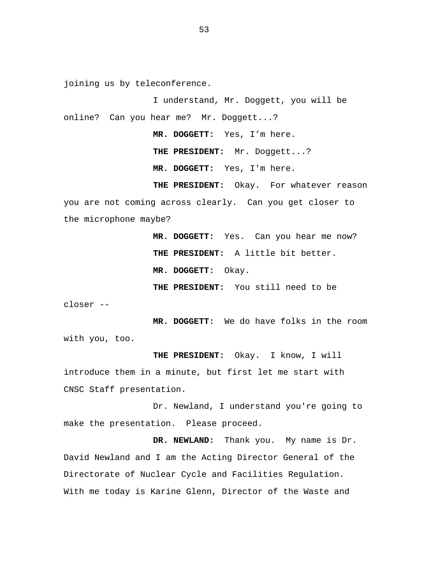joining us by teleconference.

I understand, Mr. Doggett, you will be online? Can you hear me? Mr. Doggett...?

> **MR. DOGGETT:** Yes, I'm here. **THE PRESIDENT:** Mr. Doggett...?

**MR. DOGGETT:** Yes, I'm here.

**THE PRESIDENT:** Okay. For whatever reason you are not coming across clearly. Can you get closer to the microphone maybe?

> **MR. DOGGETT:** Yes. Can you hear me now? **THE PRESIDENT:** A little bit better. **MR. DOGGETT:** Okay. **THE PRESIDENT:** You still need to be

closer --

**MR. DOGGETT:** We do have folks in the room with you, too.

**THE PRESIDENT:** Okay. I know, I will introduce them in a minute, but first let me start with CNSC Staff presentation.

Dr. Newland, I understand you're going to make the presentation. Please proceed.

**DR. NEWLAND:** Thank you. My name is Dr. David Newland and I am the Acting Director General of the Directorate of Nuclear Cycle and Facilities Regulation. With me today is Karine Glenn, Director of the Waste and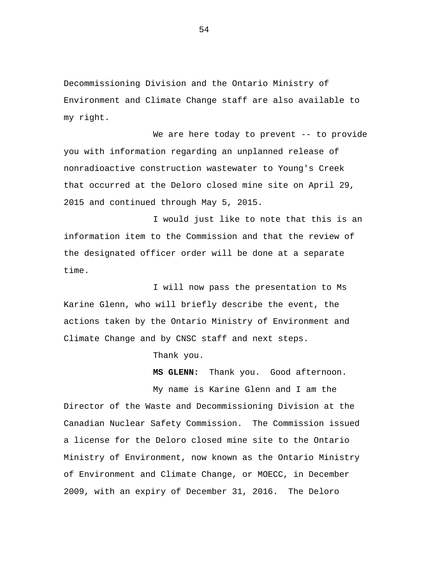Decommissioning Division and the Ontario Ministry of Environment and Climate Change staff are also available to my right.

We are here today to prevent -- to provide you with information regarding an unplanned release of nonradioactive construction wastewater to Young's Creek that occurred at the Deloro closed mine site on April 29, 2015 and continued through May 5, 2015.

I would just like to note that this is an information item to the Commission and that the review of the designated officer order will be done at a separate time.

I will now pass the presentation to Ms Karine Glenn, who will briefly describe the event, the actions taken by the Ontario Ministry of Environment and Climate Change and by CNSC staff and next steps.

Thank you.

**MS GLENN:** Thank you. Good afternoon.

My name is Karine Glenn and I am the Director of the Waste and Decommissioning Division at the Canadian Nuclear Safety Commission. The Commission issued a license for the Deloro closed mine site to the Ontario Ministry of Environment, now known as the Ontario Ministry of Environment and Climate Change, or MOECC, in December 2009, with an expiry of December 31, 2016. The Deloro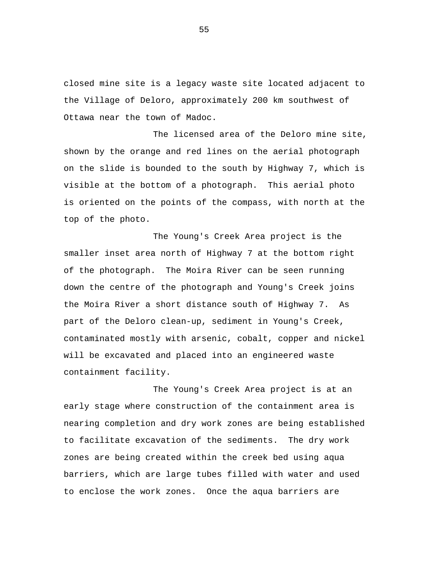closed mine site is a legacy waste site located adjacent to the Village of Deloro, approximately 200 km southwest of Ottawa near the town of Madoc.

The licensed area of the Deloro mine site, shown by the orange and red lines on the aerial photograph on the slide is bounded to the south by Highway 7, which is visible at the bottom of a photograph. This aerial photo is oriented on the points of the compass, with north at the top of the photo.

The Young's Creek Area project is the smaller inset area north of Highway 7 at the bottom right of the photograph. The Moira River can be seen running down the centre of the photograph and Young's Creek joins the Moira River a short distance south of Highway 7. As part of the Deloro clean-up, sediment in Young's Creek, contaminated mostly with arsenic, cobalt, copper and nickel will be excavated and placed into an engineered waste containment facility.

The Young's Creek Area project is at an early stage where construction of the containment area is nearing completion and dry work zones are being established to facilitate excavation of the sediments. The dry work zones are being created within the creek bed using aqua barriers, which are large tubes filled with water and used to enclose the work zones. Once the aqua barriers are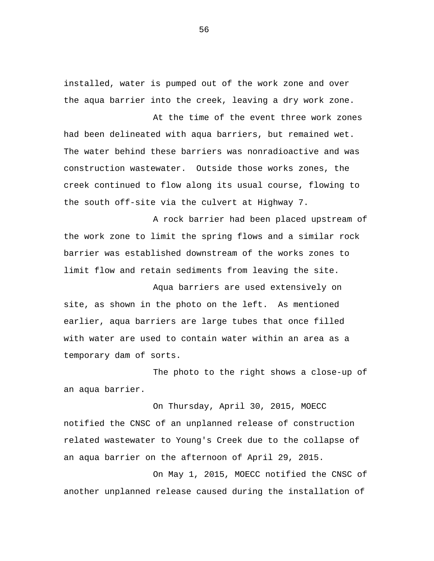installed, water is pumped out of the work zone and over the aqua barrier into the creek, leaving a dry work zone.

At the time of the event three work zones had been delineated with aqua barriers, but remained wet. The water behind these barriers was nonradioactive and was construction wastewater. Outside those works zones, the creek continued to flow along its usual course, flowing to the south off-site via the culvert at Highway 7.

A rock barrier had been placed upstream of the work zone to limit the spring flows and a similar rock barrier was established downstream of the works zones to limit flow and retain sediments from leaving the site.

Aqua barriers are used extensively on site, as shown in the photo on the left. As mentioned earlier, aqua barriers are large tubes that once filled with water are used to contain water within an area as a temporary dam of sorts.

The photo to the right shows a close-up of an aqua barrier.

On Thursday, April 30, 2015, MOECC notified the CNSC of an unplanned release of construction related wastewater to Young's Creek due to the collapse of an aqua barrier on the afternoon of April 29, 2015.

On May 1, 2015, MOECC notified the CNSC of another unplanned release caused during the installation of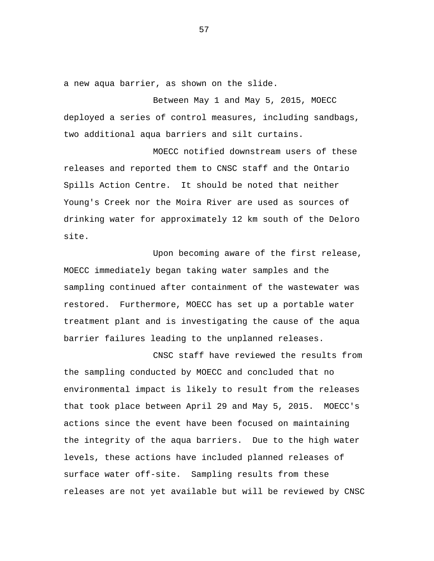a new aqua barrier, as shown on the slide.

Between May 1 and May 5, 2015, MOECC deployed a series of control measures, including sandbags, two additional aqua barriers and silt curtains.

MOECC notified downstream users of these releases and reported them to CNSC staff and the Ontario Spills Action Centre. It should be noted that neither Young's Creek nor the Moira River are used as sources of drinking water for approximately 12 km south of the Deloro site.

Upon becoming aware of the first release, MOECC immediately began taking water samples and the sampling continued after containment of the wastewater was restored. Furthermore, MOECC has set up a portable water treatment plant and is investigating the cause of the aqua barrier failures leading to the unplanned releases.

CNSC staff have reviewed the results from the sampling conducted by MOECC and concluded that no environmental impact is likely to result from the releases that took place between April 29 and May 5, 2015. MOECC's actions since the event have been focused on maintaining the integrity of the aqua barriers. Due to the high water levels, these actions have included planned releases of surface water off-site. Sampling results from these releases are not yet available but will be reviewed by CNSC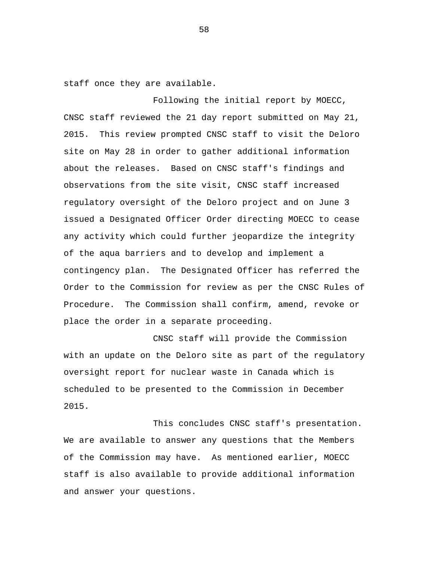staff once they are available.

Following the initial report by MOECC, CNSC staff reviewed the 21 day report submitted on May 21, 2015. This review prompted CNSC staff to visit the Deloro site on May 28 in order to gather additional information about the releases. Based on CNSC staff's findings and observations from the site visit, CNSC staff increased regulatory oversight of the Deloro project and on June 3 issued a Designated Officer Order directing MOECC to cease any activity which could further jeopardize the integrity of the aqua barriers and to develop and implement a contingency plan. The Designated Officer has referred the Order to the Commission for review as per the CNSC Rules of Procedure. The Commission shall confirm, amend, revoke or place the order in a separate proceeding.

CNSC staff will provide the Commission with an update on the Deloro site as part of the regulatory oversight report for nuclear waste in Canada which is scheduled to be presented to the Commission in December 2015.

This concludes CNSC staff's presentation. We are available to answer any questions that the Members of the Commission may have. As mentioned earlier, MOECC staff is also available to provide additional information and answer your questions.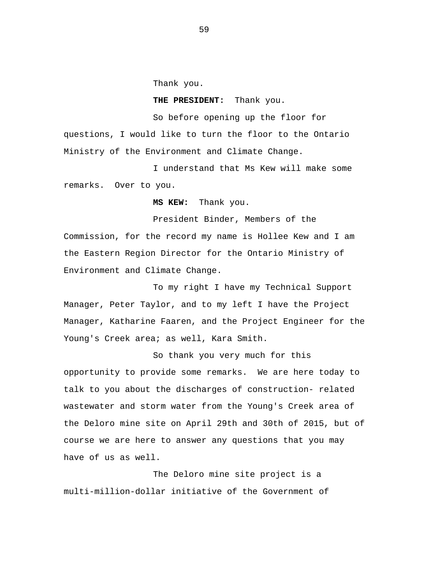Thank you.

#### **THE PRESIDENT:** Thank you.

So before opening up the floor for questions, I would like to turn the floor to the Ontario Ministry of the Environment and Climate Change.

I understand that Ms Kew will make some remarks. Over to you.

**MS KEW:** Thank you.

President Binder, Members of the Commission, for the record my name is Hollee Kew and I am the Eastern Region Director for the Ontario Ministry of Environment and Climate Change.

To my right I have my Technical Support Manager, Peter Taylor, and to my left I have the Project Manager, Katharine Faaren, and the Project Engineer for the Young's Creek area; as well, Kara Smith.

So thank you very much for this opportunity to provide some remarks. We are here today to talk to you about the discharges of construction- related wastewater and storm water from the Young's Creek area of the Deloro mine site on April 29th and 30th of 2015, but of course we are here to answer any questions that you may have of us as well.

The Deloro mine site project is a multi-million-dollar initiative of the Government of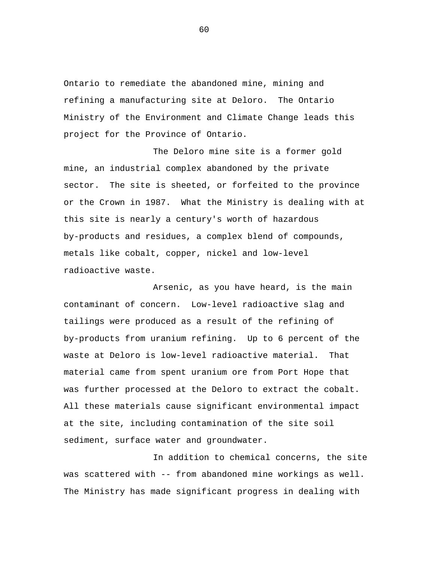Ontario to remediate the abandoned mine, mining and refining a manufacturing site at Deloro. The Ontario Ministry of the Environment and Climate Change leads this project for the Province of Ontario.

The Deloro mine site is a former gold mine, an industrial complex abandoned by the private sector. The site is sheeted, or forfeited to the province or the Crown in 1987. What the Ministry is dealing with at this site is nearly a century's worth of hazardous by-products and residues, a complex blend of compounds, metals like cobalt, copper, nickel and low-level radioactive waste.

Arsenic, as you have heard, is the main contaminant of concern. Low-level radioactive slag and tailings were produced as a result of the refining of by-products from uranium refining. Up to 6 percent of the waste at Deloro is low-level radioactive material. That material came from spent uranium ore from Port Hope that was further processed at the Deloro to extract the cobalt. All these materials cause significant environmental impact at the site, including contamination of the site soil sediment, surface water and groundwater.

In addition to chemical concerns, the site was scattered with -- from abandoned mine workings as well. The Ministry has made significant progress in dealing with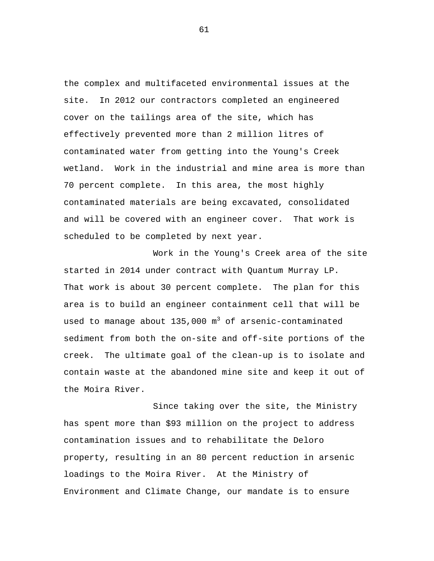the complex and multifaceted environmental issues at the site. In 2012 our contractors completed an engineered cover on the tailings area of the site, which has effectively prevented more than 2 million litres of contaminated water from getting into the Young's Creek wetland. Work in the industrial and mine area is more than 70 percent complete. In this area, the most highly contaminated materials are being excavated, consolidated and will be covered with an engineer cover. That work is scheduled to be completed by next year.

Work in the Young's Creek area of the site started in 2014 under contract with Quantum Murray LP. That work is about 30 percent complete. The plan for this area is to build an engineer containment cell that will be used to manage about  $135,000$  m<sup>3</sup> of arsenic-contaminated sediment from both the on-site and off-site portions of the creek. The ultimate goal of the clean-up is to isolate and contain waste at the abandoned mine site and keep it out of the Moira River.

Since taking over the site, the Ministry has spent more than \$93 million on the project to address contamination issues and to rehabilitate the Deloro property, resulting in an 80 percent reduction in arsenic loadings to the Moira River. At the Ministry of Environment and Climate Change, our mandate is to ensure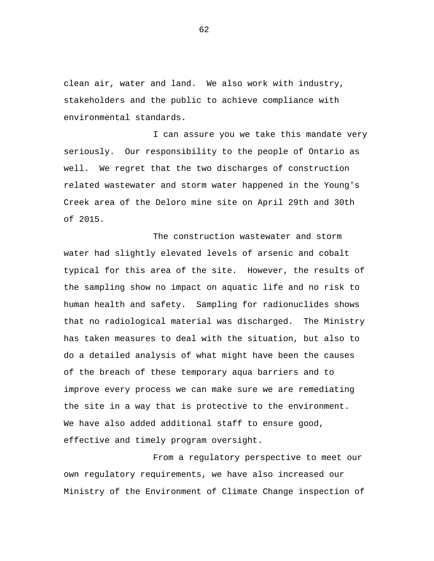clean air, water and land. We also work with industry, stakeholders and the public to achieve compliance with environmental standards.

I can assure you we take this mandate very seriously. Our responsibility to the people of Ontario as well. We regret that the two discharges of construction related wastewater and storm water happened in the Young's Creek area of the Deloro mine site on April 29th and 30th of 2015.

The construction wastewater and storm water had slightly elevated levels of arsenic and cobalt typical for this area of the site. However, the results of the sampling show no impact on aquatic life and no risk to human health and safety. Sampling for radionuclides shows that no radiological material was discharged. The Ministry has taken measures to deal with the situation, but also to do a detailed analysis of what might have been the causes of the breach of these temporary aqua barriers and to improve every process we can make sure we are remediating the site in a way that is protective to the environment. We have also added additional staff to ensure good, effective and timely program oversight.

From a regulatory perspective to meet our own regulatory requirements, we have also increased our Ministry of the Environment of Climate Change inspection of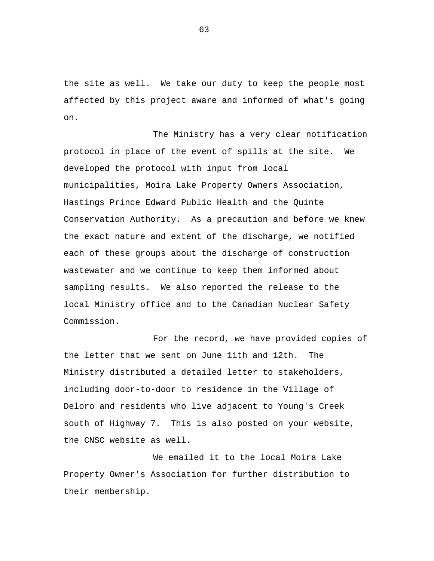the site as well. We take our duty to keep the people most affected by this project aware and informed of what's going on.

The Ministry has a very clear notification protocol in place of the event of spills at the site. We developed the protocol with input from local municipalities, Moira Lake Property Owners Association, Hastings Prince Edward Public Health and the Quinte Conservation Authority. As a precaution and before we knew the exact nature and extent of the discharge, we notified each of these groups about the discharge of construction wastewater and we continue to keep them informed about sampling results. We also reported the release to the local Ministry office and to the Canadian Nuclear Safety Commission.

For the record, we have provided copies of the letter that we sent on June 11th and 12th. The Ministry distributed a detailed letter to stakeholders, including door-to-door to residence in the Village of Deloro and residents who live adjacent to Young's Creek south of Highway 7. This is also posted on your website, the CNSC website as well.

We emailed it to the local Moira Lake Property Owner's Association for further distribution to their membership.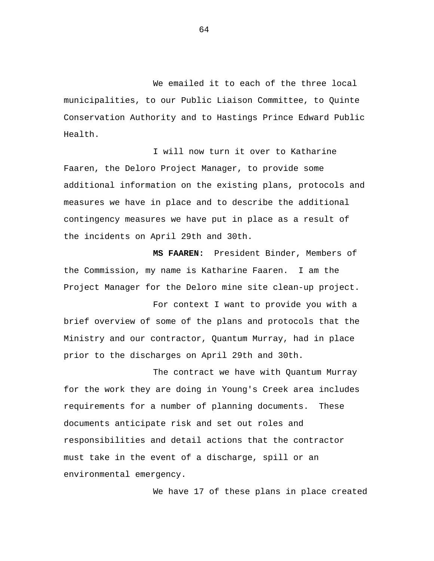We emailed it to each of the three local municipalities, to our Public Liaison Committee, to Quinte Conservation Authority and to Hastings Prince Edward Public Health.

I will now turn it over to Katharine Faaren, the Deloro Project Manager, to provide some additional information on the existing plans, protocols and measures we have in place and to describe the additional contingency measures we have put in place as a result of the incidents on April 29th and 30th.

**MS FAAREN:** President Binder, Members of the Commission, my name is Katharine Faaren. I am the Project Manager for the Deloro mine site clean-up project.

For context I want to provide you with a brief overview of some of the plans and protocols that the Ministry and our contractor, Quantum Murray, had in place prior to the discharges on April 29th and 30th.

The contract we have with Quantum Murray for the work they are doing in Young's Creek area includes requirements for a number of planning documents. These documents anticipate risk and set out roles and responsibilities and detail actions that the contractor must take in the event of a discharge, spill or an environmental emergency.

We have 17 of these plans in place created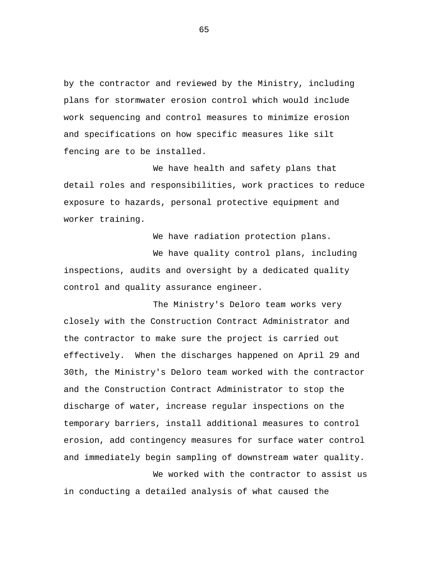by the contractor and reviewed by the Ministry, including plans for stormwater erosion control which would include work sequencing and control measures to minimize erosion and specifications on how specific measures like silt fencing are to be installed.

We have health and safety plans that detail roles and responsibilities, work practices to reduce exposure to hazards, personal protective equipment and worker training.

We have radiation protection plans.

We have quality control plans, including inspections, audits and oversight by a dedicated quality control and quality assurance engineer.

The Ministry's Deloro team works very closely with the Construction Contract Administrator and the contractor to make sure the project is carried out effectively. When the discharges happened on April 29 and 30th, the Ministry's Deloro team worked with the contractor and the Construction Contract Administrator to stop the discharge of water, increase regular inspections on the temporary barriers, install additional measures to control erosion, add contingency measures for surface water control and immediately begin sampling of downstream water quality.

We worked with the contractor to assist us in conducting a detailed analysis of what caused the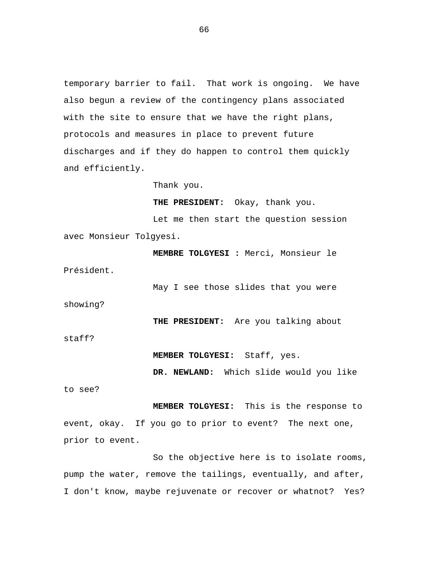temporary barrier to fail. That work is ongoing. We have also begun a review of the contingency plans associated with the site to ensure that we have the right plans, protocols and measures in place to prevent future discharges and if they do happen to control them quickly and efficiently.

Thank you.

**THE PRESIDENT:** Okay, thank you.

Let me then start the question session avec Monsieur Tolgyesi.

**MEMBRE TOLGYESI :** Merci, Monsieur le Président.

May I see those slides that you were

showing?

**THE PRESIDENT:** Are you talking about

staff?

**MEMBER TOLGYESI:** Staff, yes.

**DR. NEWLAND:** Which slide would you like

to see?

**MEMBER TOLGYESI:** This is the response to event, okay. If you go to prior to event? The next one, prior to event.

So the objective here is to isolate rooms, pump the water, remove the tailings, eventually, and after, I don't know, maybe rejuvenate or recover or whatnot? Yes?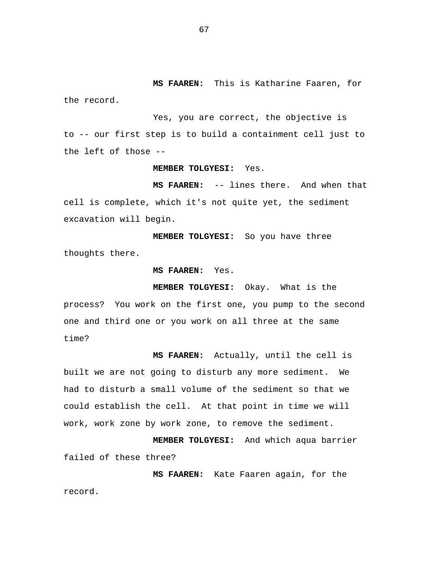**MS FAAREN:** This is Katharine Faaren, for the record.

Yes, you are correct, the objective is to -- our first step is to build a containment cell just to the left of those --

## **MEMBER TOLGYESI:** Yes.

**MS FAAREN:** -- lines there. And when that cell is complete, which it's not quite yet, the sediment excavation will begin.

**MEMBER TOLGYESI:** So you have three thoughts there.

**MS FAAREN:** Yes.

**MEMBER TOLGYESI:** Okay. What is the

process? You work on the first one, you pump to the second one and third one or you work on all three at the same time?

**MS FAAREN:** Actually, until the cell is built we are not going to disturb any more sediment. We had to disturb a small volume of the sediment so that we could establish the cell. At that point in time we will work, work zone by work zone, to remove the sediment.

**MEMBER TOLGYESI:** And which aqua barrier failed of these three?

**MS FAAREN:** Kate Faaren again, for the record.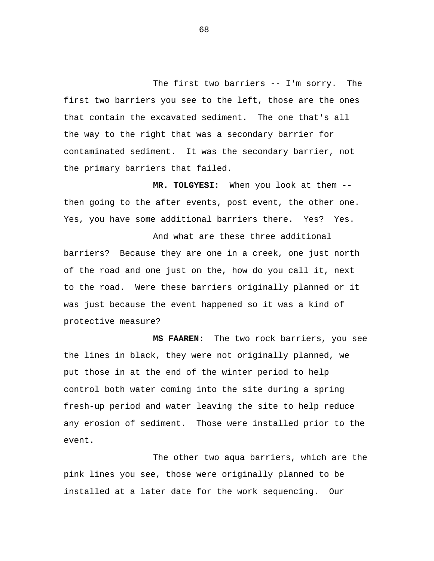The first two barriers -- I'm sorry. The first two barriers you see to the left, those are the ones that contain the excavated sediment. The one that's all the way to the right that was a secondary barrier for contaminated sediment. It was the secondary barrier, not the primary barriers that failed.

**MR. TOLGYESI:** When you look at them - then going to the after events, post event, the other one. Yes, you have some additional barriers there. Yes? Yes.

And what are these three additional barriers? Because they are one in a creek, one just north of the road and one just on the, how do you call it, next to the road. Were these barriers originally planned or it was just because the event happened so it was a kind of protective measure?

**MS FAAREN:** The two rock barriers, you see the lines in black, they were not originally planned, we put those in at the end of the winter period to help control both water coming into the site during a spring fresh-up period and water leaving the site to help reduce any erosion of sediment. Those were installed prior to the event.

The other two aqua barriers, which are the pink lines you see, those were originally planned to be installed at a later date for the work sequencing. Our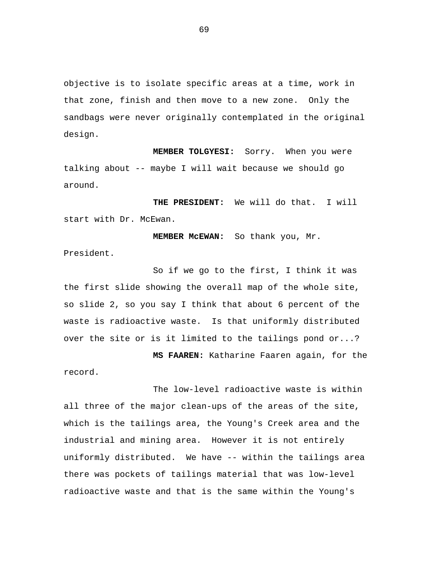objective is to isolate specific areas at a time, work in that zone, finish and then move to a new zone. Only the sandbags were never originally contemplated in the original design.

**MEMBER TOLGYESI:** Sorry. When you were talking about -- maybe I will wait because we should go around.

**THE PRESIDENT:** We will do that. I will start with Dr. McEwan.

**MEMBER McEWAN:** So thank you, Mr. President.

So if we go to the first, I think it was the first slide showing the overall map of the whole site, so slide 2, so you say I think that about 6 percent of the waste is radioactive waste. Is that uniformly distributed over the site or is it limited to the tailings pond or...?

**MS FAAREN:** Katharine Faaren again, for the

record.

The low-level radioactive waste is within all three of the major clean-ups of the areas of the site, which is the tailings area, the Young's Creek area and the industrial and mining area. However it is not entirely uniformly distributed. We have -- within the tailings area there was pockets of tailings material that was low-level radioactive waste and that is the same within the Young's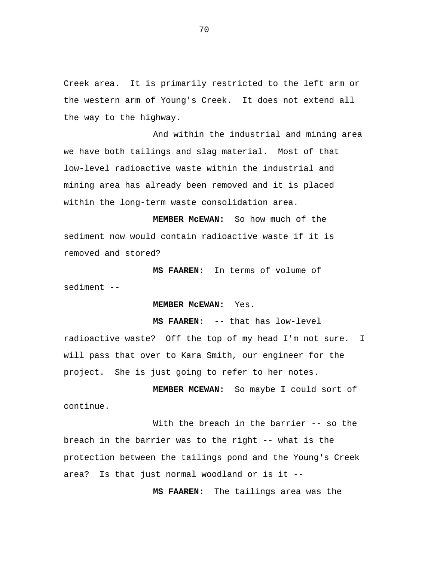Creek area. It is primarily restricted to the left arm or the western arm of Young's Creek. It does not extend all the way to the highway.

And within the industrial and mining area we have both tailings and slag material. Most of that low-level radioactive waste within the industrial and mining area has already been removed and it is placed within the long-term waste consolidation area.

**MEMBER McEWAN:** So how much of the sediment now would contain radioactive waste if it is removed and stored?

**MS FAAREN:** In terms of volume of sediment --

**MEMBER McEWAN:** Yes.

**MS FAAREN:** -- that has low-level radioactive waste? Off the top of my head I'm not sure. I will pass that over to Kara Smith, our engineer for the project. She is just going to refer to her notes.

**MEMBER MCEWAN:** So maybe I could sort of continue.

With the breach in the barrier -- so the breach in the barrier was to the right -- what is the protection between the tailings pond and the Young's Creek area? Is that just normal woodland or is it --

**MS FAAREN:** The tailings area was the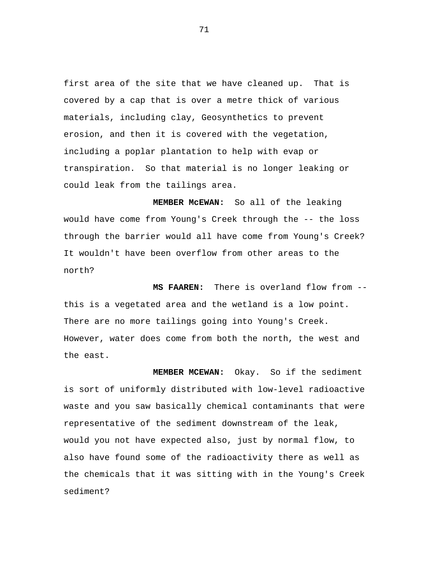first area of the site that we have cleaned up. That is covered by a cap that is over a metre thick of various materials, including clay, Geosynthetics to prevent erosion, and then it is covered with the vegetation, including a poplar plantation to help with evap or transpiration. So that material is no longer leaking or could leak from the tailings area.

**MEMBER McEWAN:** So all of the leaking would have come from Young's Creek through the -- the loss through the barrier would all have come from Young's Creek? It wouldn't have been overflow from other areas to the north?

**MS FAAREN:** There is overland flow from - this is a vegetated area and the wetland is a low point. There are no more tailings going into Young's Creek. However, water does come from both the north, the west and the east.

**MEMBER MCEWAN:** Okay. So if the sediment is sort of uniformly distributed with low-level radioactive waste and you saw basically chemical contaminants that were representative of the sediment downstream of the leak, would you not have expected also, just by normal flow, to also have found some of the radioactivity there as well as the chemicals that it was sitting with in the Young's Creek sediment?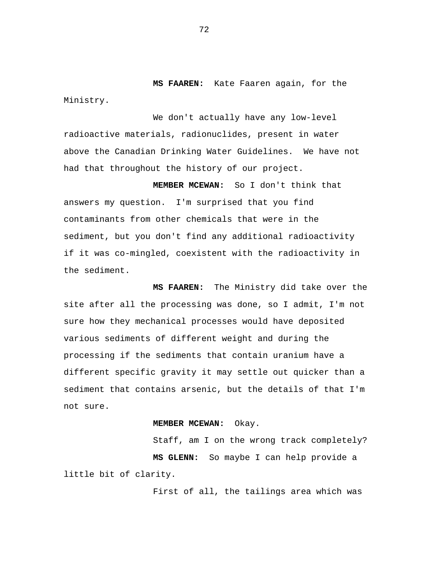**MS FAAREN:** Kate Faaren again, for the Ministry.

We don't actually have any low-level radioactive materials, radionuclides, present in water above the Canadian Drinking Water Guidelines. We have not had that throughout the history of our project.

**MEMBER MCEWAN:** So I don't think that answers my question. I'm surprised that you find contaminants from other chemicals that were in the sediment, but you don't find any additional radioactivity if it was co-mingled, coexistent with the radioactivity in the sediment.

**MS FAAREN:** The Ministry did take over the site after all the processing was done, so I admit, I'm not sure how they mechanical processes would have deposited various sediments of different weight and during the processing if the sediments that contain uranium have a different specific gravity it may settle out quicker than a sediment that contains arsenic, but the details of that I'm not sure.

## **MEMBER MCEWAN:** Okay.

Staff, am I on the wrong track completely? **MS GLENN:** So maybe I can help provide a little bit of clarity.

First of all, the tailings area which was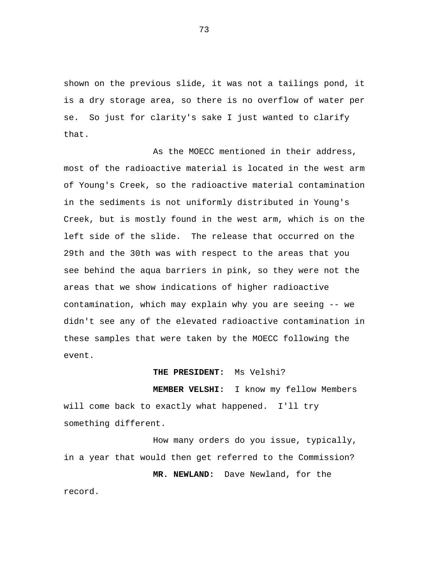shown on the previous slide, it was not a tailings pond, it is a dry storage area, so there is no overflow of water per se. So just for clarity's sake I just wanted to clarify that.

As the MOECC mentioned in their address, most of the radioactive material is located in the west arm of Young's Creek, so the radioactive material contamination in the sediments is not uniformly distributed in Young's Creek, but is mostly found in the west arm, which is on the left side of the slide. The release that occurred on the 29th and the 30th was with respect to the areas that you see behind the aqua barriers in pink, so they were not the areas that we show indications of higher radioactive contamination, which may explain why you are seeing -- we didn't see any of the elevated radioactive contamination in these samples that were taken by the MOECC following the event.

## **THE PRESIDENT:** Ms Velshi?

**MEMBER VELSHI:** I know my fellow Members will come back to exactly what happened. I'll try something different.

How many orders do you issue, typically, in a year that would then get referred to the Commission?

**MR. NEWLAND:** Dave Newland, for the record.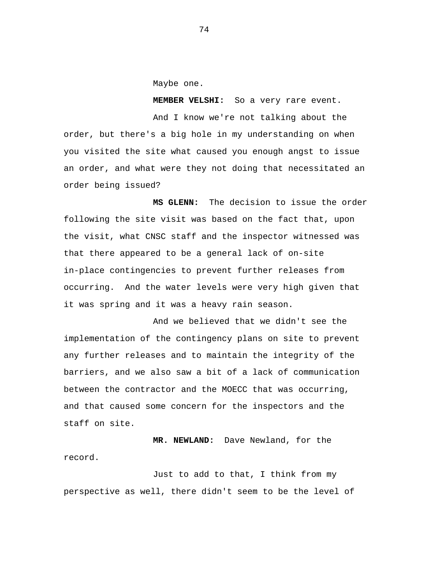Maybe one.

**MEMBER VELSHI:** So a very rare event.

And I know we're not talking about the order, but there's a big hole in my understanding on when you visited the site what caused you enough angst to issue an order, and what were they not doing that necessitated an order being issued?

**MS GLENN:** The decision to issue the order following the site visit was based on the fact that, upon the visit, what CNSC staff and the inspector witnessed was that there appeared to be a general lack of on-site in-place contingencies to prevent further releases from occurring. And the water levels were very high given that it was spring and it was a heavy rain season.

And we believed that we didn't see the implementation of the contingency plans on site to prevent any further releases and to maintain the integrity of the barriers, and we also saw a bit of a lack of communication between the contractor and the MOECC that was occurring, and that caused some concern for the inspectors and the staff on site.

**MR. NEWLAND:** Dave Newland, for the record.

Just to add to that, I think from my perspective as well, there didn't seem to be the level of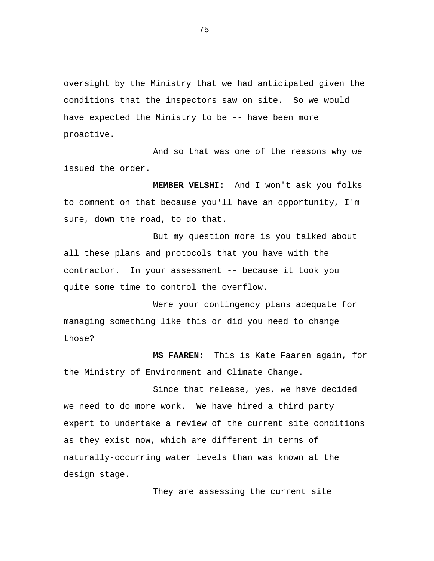oversight by the Ministry that we had anticipated given the conditions that the inspectors saw on site. So we would have expected the Ministry to be -- have been more proactive.

And so that was one of the reasons why we issued the order.

**MEMBER VELSHI:** And I won't ask you folks to comment on that because you'll have an opportunity, I'm sure, down the road, to do that.

But my question more is you talked about all these plans and protocols that you have with the contractor. In your assessment -- because it took you quite some time to control the overflow.

Were your contingency plans adequate for managing something like this or did you need to change those?

**MS FAAREN:** This is Kate Faaren again, for the Ministry of Environment and Climate Change.

Since that release, yes, we have decided we need to do more work. We have hired a third party expert to undertake a review of the current site conditions as they exist now, which are different in terms of naturally-occurring water levels than was known at the design stage.

They are assessing the current site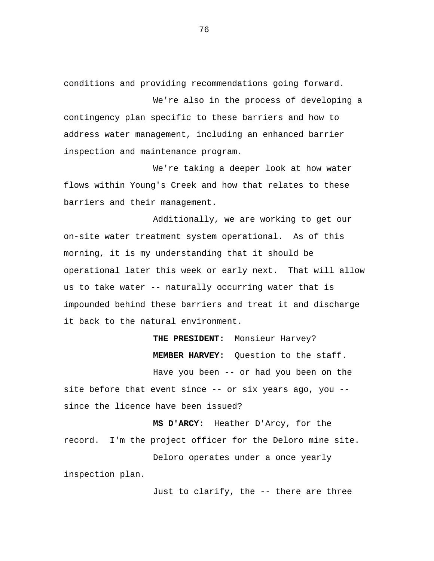conditions and providing recommendations going forward.

We're also in the process of developing a contingency plan specific to these barriers and how to address water management, including an enhanced barrier inspection and maintenance program.

We're taking a deeper look at how water flows within Young's Creek and how that relates to these barriers and their management.

Additionally, we are working to get our on-site water treatment system operational. As of this morning, it is my understanding that it should be operational later this week or early next. That will allow us to take water -- naturally occurring water that is impounded behind these barriers and treat it and discharge it back to the natural environment.

**THE PRESIDENT:** Monsieur Harvey? **MEMBER HARVEY:** Question to the staff. Have you been -- or had you been on the site before that event since -- or six years ago, you - since the licence have been issued?

**MS D'ARCY:** Heather D'Arcy, for the record. I'm the project officer for the Deloro mine site.

Deloro operates under a once yearly inspection plan.

Just to clarify, the -- there are three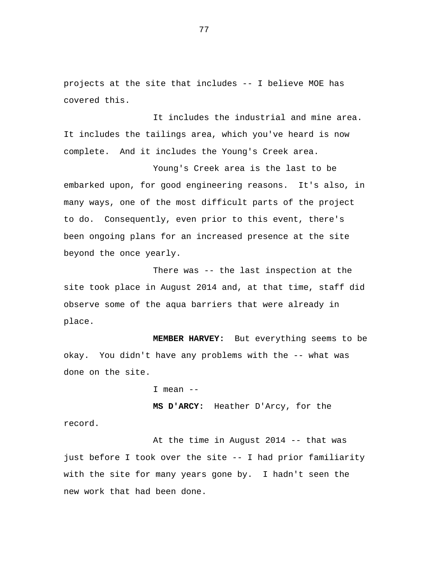projects at the site that includes -- I believe MOE has covered this.

It includes the industrial and mine area. It includes the tailings area, which you've heard is now complete. And it includes the Young's Creek area.

Young's Creek area is the last to be embarked upon, for good engineering reasons. It's also, in many ways, one of the most difficult parts of the project to do. Consequently, even prior to this event, there's been ongoing plans for an increased presence at the site beyond the once yearly.

There was -- the last inspection at the site took place in August 2014 and, at that time, staff did observe some of the aqua barriers that were already in place.

**MEMBER HARVEY:** But everything seems to be okay. You didn't have any problems with the -- what was done on the site.

 $I$  mean  $-$ 

record.

**MS D'ARCY:** Heather D'Arcy, for the

At the time in August 2014 -- that was just before I took over the site -- I had prior familiarity with the site for many years gone by. I hadn't seen the new work that had been done.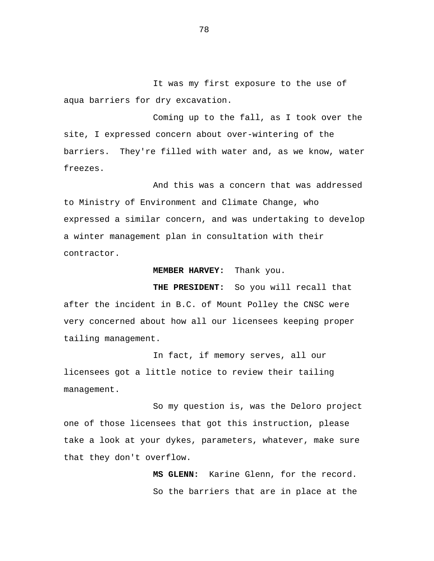It was my first exposure to the use of aqua barriers for dry excavation.

Coming up to the fall, as I took over the site, I expressed concern about over-wintering of the barriers. They're filled with water and, as we know, water freezes.

And this was a concern that was addressed to Ministry of Environment and Climate Change, who expressed a similar concern, and was undertaking to develop a winter management plan in consultation with their contractor.

## **MEMBER HARVEY:** Thank you.

**THE PRESIDENT:** So you will recall that after the incident in B.C. of Mount Polley the CNSC were very concerned about how all our licensees keeping proper tailing management.

In fact, if memory serves, all our licensees got a little notice to review their tailing management.

So my question is, was the Deloro project one of those licensees that got this instruction, please take a look at your dykes, parameters, whatever, make sure that they don't overflow.

> **MS GLENN:** Karine Glenn, for the record. So the barriers that are in place at the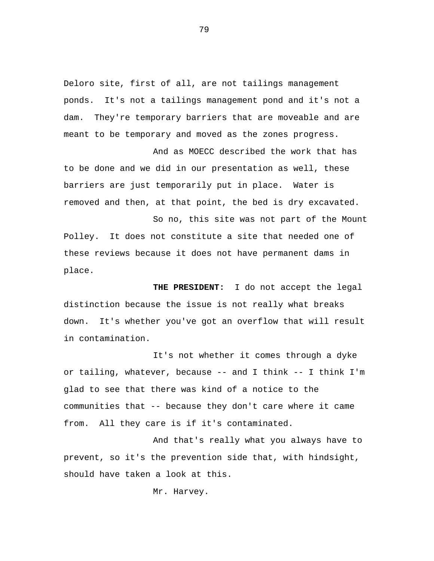Deloro site, first of all, are not tailings management ponds. It's not a tailings management pond and it's not a dam. They're temporary barriers that are moveable and are meant to be temporary and moved as the zones progress.

And as MOECC described the work that has to be done and we did in our presentation as well, these barriers are just temporarily put in place. Water is removed and then, at that point, the bed is dry excavated.

So no, this site was not part of the Mount Polley. It does not constitute a site that needed one of these reviews because it does not have permanent dams in place.

**THE PRESIDENT:** I do not accept the legal distinction because the issue is not really what breaks down. It's whether you've got an overflow that will result in contamination.

It's not whether it comes through a dyke or tailing, whatever, because -- and I think -- I think I'm glad to see that there was kind of a notice to the communities that -- because they don't care where it came from. All they care is if it's contaminated.

And that's really what you always have to prevent, so it's the prevention side that, with hindsight, should have taken a look at this.

Mr. Harvey.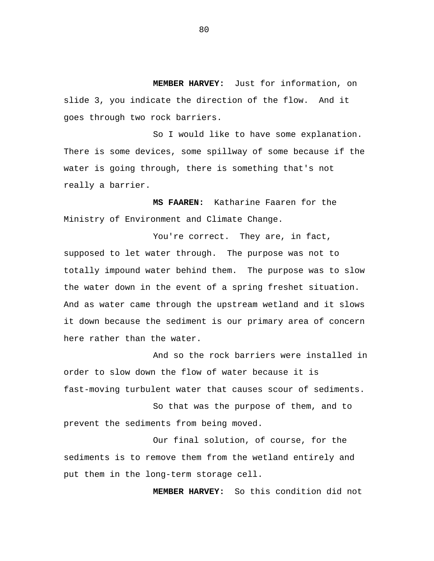**MEMBER HARVEY:** Just for information, on slide 3, you indicate the direction of the flow. And it goes through two rock barriers.

So I would like to have some explanation. There is some devices, some spillway of some because if the water is going through, there is something that's not really a barrier.

**MS FAAREN:** Katharine Faaren for the Ministry of Environment and Climate Change.

You're correct. They are, in fact, supposed to let water through. The purpose was not to totally impound water behind them. The purpose was to slow the water down in the event of a spring freshet situation. And as water came through the upstream wetland and it slows it down because the sediment is our primary area of concern here rather than the water.

And so the rock barriers were installed in order to slow down the flow of water because it is fast-moving turbulent water that causes scour of sediments.

So that was the purpose of them, and to prevent the sediments from being moved.

Our final solution, of course, for the sediments is to remove them from the wetland entirely and put them in the long-term storage cell.

**MEMBER HARVEY:** So this condition did not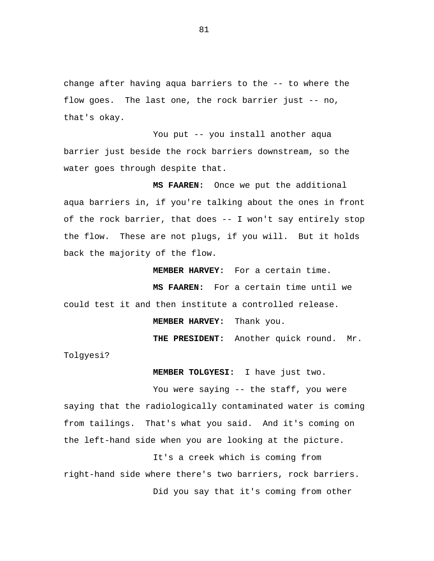change after having aqua barriers to the -- to where the flow goes. The last one, the rock barrier just -- no, that's okay.

You put -- you install another aqua barrier just beside the rock barriers downstream, so the water goes through despite that.

**MS FAAREN:** Once we put the additional aqua barriers in, if you're talking about the ones in front of the rock barrier, that does -- I won't say entirely stop the flow. These are not plugs, if you will. But it holds back the majority of the flow.

**MEMBER HARVEY:** For a certain time.

**MS FAAREN:** For a certain time until we could test it and then institute a controlled release.

**MEMBER HARVEY:** Thank you.

**THE PRESIDENT:** Another quick round. Mr.

Tolgyesi?

**MEMBER TOLGYESI:** I have just two.

You were saying -- the staff, you were saying that the radiologically contaminated water is coming from tailings. That's what you said. And it's coming on the left-hand side when you are looking at the picture.

It's a creek which is coming from right-hand side where there's two barriers, rock barriers. Did you say that it's coming from other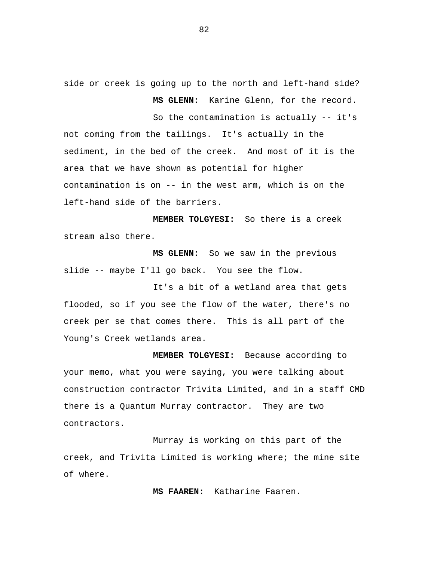side or creek is going up to the north and left-hand side? **MS GLENN:** Karine Glenn, for the record.

So the contamination is actually -- it's not coming from the tailings. It's actually in the sediment, in the bed of the creek. And most of it is the area that we have shown as potential for higher contamination is on -- in the west arm, which is on the left-hand side of the barriers.

**MEMBER TOLGYESI:** So there is a creek stream also there.

**MS GLENN:** So we saw in the previous slide -- maybe I'll go back. You see the flow.

It's a bit of a wetland area that gets flooded, so if you see the flow of the water, there's no creek per se that comes there. This is all part of the Young's Creek wetlands area.

**MEMBER TOLGYESI:** Because according to your memo, what you were saying, you were talking about construction contractor Trivita Limited, and in a staff CMD there is a Quantum Murray contractor. They are two contractors.

Murray is working on this part of the creek, and Trivita Limited is working where; the mine site of where.

**MS FAAREN:** Katharine Faaren.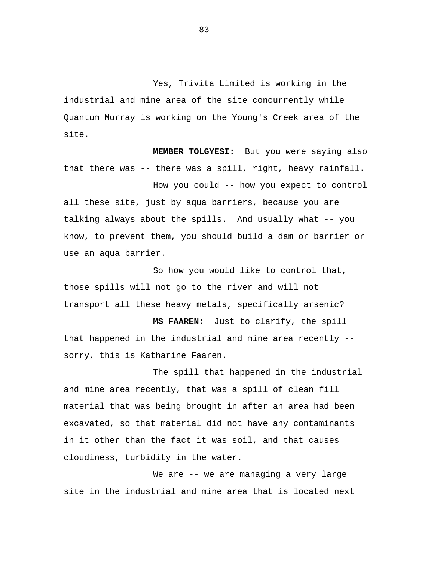Yes, Trivita Limited is working in the industrial and mine area of the site concurrently while Quantum Murray is working on the Young's Creek area of the site.

**MEMBER TOLGYESI:** But you were saying also that there was -- there was a spill, right, heavy rainfall.

How you could -- how you expect to control all these site, just by aqua barriers, because you are talking always about the spills. And usually what -- you know, to prevent them, you should build a dam or barrier or use an aqua barrier.

So how you would like to control that, those spills will not go to the river and will not transport all these heavy metals, specifically arsenic?

**MS FAAREN:** Just to clarify, the spill that happened in the industrial and mine area recently - sorry, this is Katharine Faaren.

The spill that happened in the industrial and mine area recently, that was a spill of clean fill material that was being brought in after an area had been excavated, so that material did not have any contaminants in it other than the fact it was soil, and that causes cloudiness, turbidity in the water.

We are -- we are managing a very large site in the industrial and mine area that is located next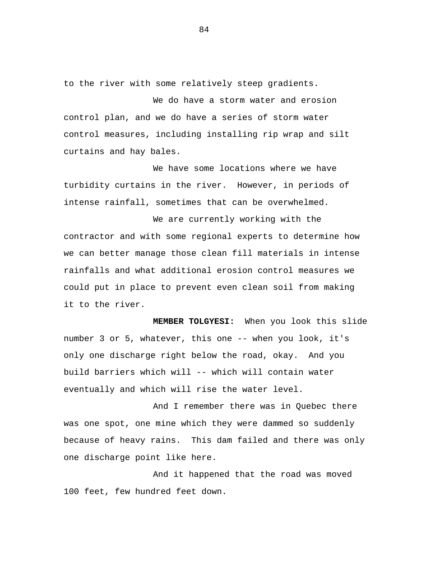to the river with some relatively steep gradients.

We do have a storm water and erosion control plan, and we do have a series of storm water control measures, including installing rip wrap and silt curtains and hay bales.

We have some locations where we have turbidity curtains in the river. However, in periods of intense rainfall, sometimes that can be overwhelmed.

We are currently working with the contractor and with some regional experts to determine how we can better manage those clean fill materials in intense rainfalls and what additional erosion control measures we could put in place to prevent even clean soil from making it to the river.

**MEMBER TOLGYESI:** When you look this slide number 3 or 5, whatever, this one -- when you look, it's only one discharge right below the road, okay. And you build barriers which will -- which will contain water eventually and which will rise the water level.

And I remember there was in Quebec there was one spot, one mine which they were dammed so suddenly because of heavy rains. This dam failed and there was only one discharge point like here.

And it happened that the road was moved 100 feet, few hundred feet down.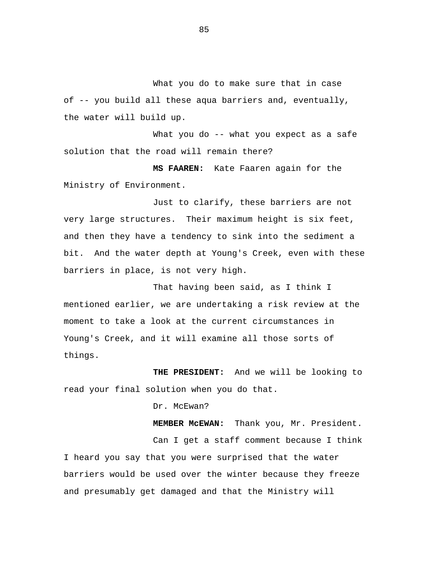What you do to make sure that in case of -- you build all these aqua barriers and, eventually, the water will build up.

What you do -- what you expect as a safe solution that the road will remain there?

**MS FAAREN:** Kate Faaren again for the Ministry of Environment.

Just to clarify, these barriers are not very large structures. Their maximum height is six feet, and then they have a tendency to sink into the sediment a bit. And the water depth at Young's Creek, even with these barriers in place, is not very high.

That having been said, as I think I mentioned earlier, we are undertaking a risk review at the moment to take a look at the current circumstances in Young's Creek, and it will examine all those sorts of things.

**THE PRESIDENT:** And we will be looking to read your final solution when you do that.

Dr. McEwan?

**MEMBER McEWAN:** Thank you, Mr. President. Can I get a staff comment because I think I heard you say that you were surprised that the water barriers would be used over the winter because they freeze and presumably get damaged and that the Ministry will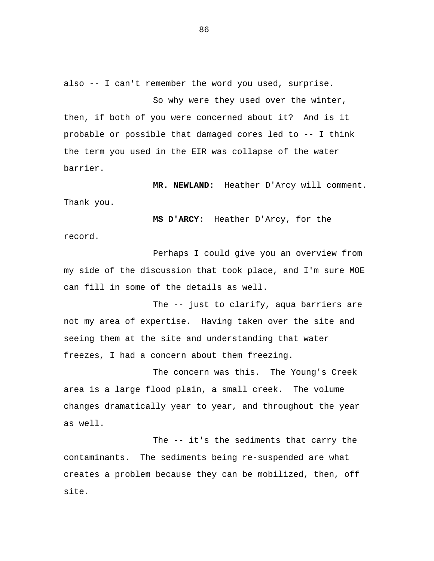also -- I can't remember the word you used, surprise.

So why were they used over the winter, then, if both of you were concerned about it? And is it probable or possible that damaged cores led to -- I think the term you used in the EIR was collapse of the water barrier.

**MR. NEWLAND:** Heather D'Arcy will comment. Thank you.

**MS D'ARCY:** Heather D'Arcy, for the record.

Perhaps I could give you an overview from my side of the discussion that took place, and I'm sure MOE can fill in some of the details as well.

The -- just to clarify, aqua barriers are not my area of expertise. Having taken over the site and seeing them at the site and understanding that water freezes, I had a concern about them freezing.

The concern was this. The Young's Creek area is a large flood plain, a small creek. The volume changes dramatically year to year, and throughout the year as well.

The -- it's the sediments that carry the contaminants. The sediments being re-suspended are what creates a problem because they can be mobilized, then, off site.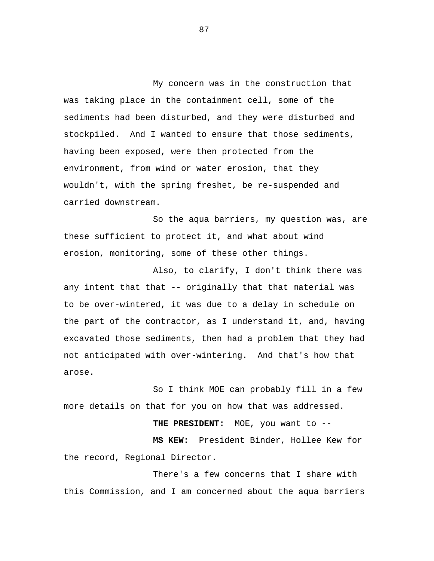My concern was in the construction that was taking place in the containment cell, some of the sediments had been disturbed, and they were disturbed and stockpiled. And I wanted to ensure that those sediments, having been exposed, were then protected from the environment, from wind or water erosion, that they wouldn't, with the spring freshet, be re-suspended and carried downstream.

So the aqua barriers, my question was, are these sufficient to protect it, and what about wind erosion, monitoring, some of these other things.

Also, to clarify, I don't think there was any intent that that -- originally that that material was to be over-wintered, it was due to a delay in schedule on the part of the contractor, as I understand it, and, having excavated those sediments, then had a problem that they had not anticipated with over-wintering. And that's how that arose.

So I think MOE can probably fill in a few more details on that for you on how that was addressed.

**THE PRESIDENT:** MOE, you want to --

**MS KEW:** President Binder, Hollee Kew for the record, Regional Director.

There's a few concerns that I share with this Commission, and I am concerned about the aqua barriers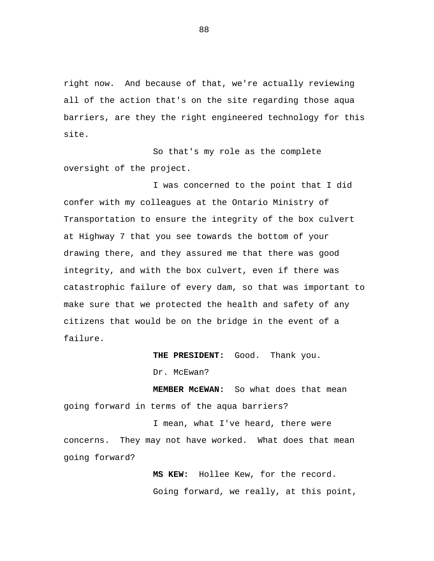right now. And because of that, we're actually reviewing all of the action that's on the site regarding those aqua barriers, are they the right engineered technology for this site.

So that's my role as the complete oversight of the project.

I was concerned to the point that I did confer with my colleagues at the Ontario Ministry of Transportation to ensure the integrity of the box culvert at Highway 7 that you see towards the bottom of your drawing there, and they assured me that there was good integrity, and with the box culvert, even if there was catastrophic failure of every dam, so that was important to make sure that we protected the health and safety of any citizens that would be on the bridge in the event of a failure.

**THE PRESIDENT:** Good. Thank you.

Dr. McEwan?

**MEMBER McEWAN:** So what does that mean going forward in terms of the aqua barriers?

I mean, what I've heard, there were concerns. They may not have worked. What does that mean going forward?

> **MS KEW:** Hollee Kew, for the record. Going forward, we really, at this point,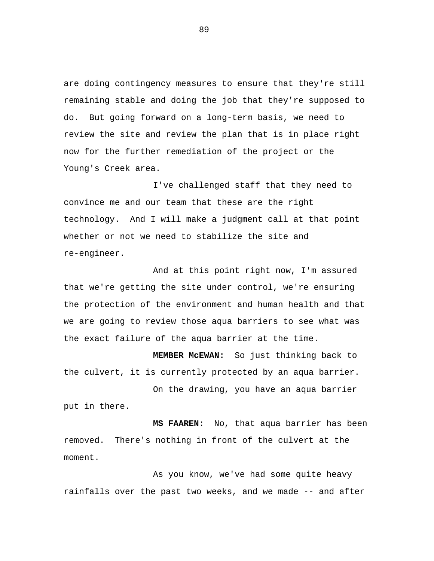are doing contingency measures to ensure that they're still remaining stable and doing the job that they're supposed to do. But going forward on a long-term basis, we need to review the site and review the plan that is in place right now for the further remediation of the project or the Young's Creek area.

I've challenged staff that they need to convince me and our team that these are the right technology. And I will make a judgment call at that point whether or not we need to stabilize the site and re-engineer.

And at this point right now, I'm assured that we're getting the site under control, we're ensuring the protection of the environment and human health and that we are going to review those aqua barriers to see what was the exact failure of the aqua barrier at the time.

**MEMBER McEWAN:** So just thinking back to the culvert, it is currently protected by an aqua barrier.

On the drawing, you have an aqua barrier put in there.

**MS FAAREN:** No, that aqua barrier has been removed. There's nothing in front of the culvert at the moment.

As you know, we've had some quite heavy rainfalls over the past two weeks, and we made -- and after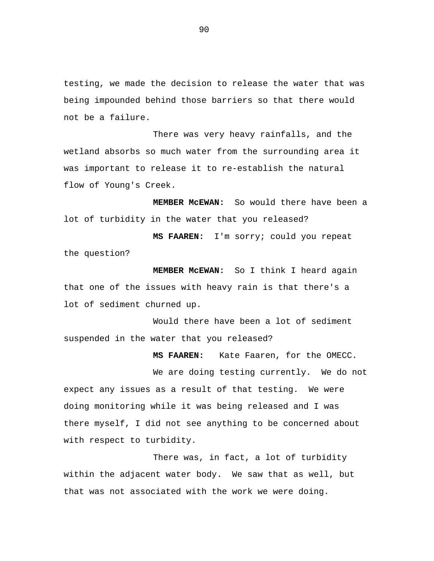testing, we made the decision to release the water that was being impounded behind those barriers so that there would not be a failure.

There was very heavy rainfalls, and the wetland absorbs so much water from the surrounding area it was important to release it to re-establish the natural flow of Young's Creek.

**MEMBER McEWAN:** So would there have been a lot of turbidity in the water that you released?

**MS FAAREN:** I'm sorry; could you repeat the question?

**MEMBER McEWAN:** So I think I heard again that one of the issues with heavy rain is that there's a lot of sediment churned up.

Would there have been a lot of sediment suspended in the water that you released?

**MS FAAREN:** Kate Faaren, for the OMECC.

We are doing testing currently. We do not expect any issues as a result of that testing. We were doing monitoring while it was being released and I was there myself, I did not see anything to be concerned about with respect to turbidity.

There was, in fact, a lot of turbidity within the adjacent water body. We saw that as well, but that was not associated with the work we were doing.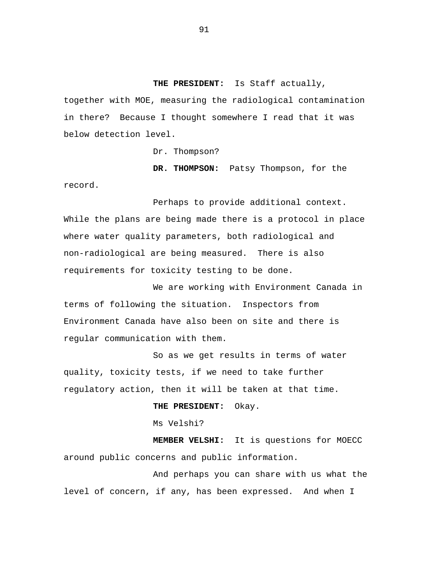**THE PRESIDENT:** Is Staff actually, together with MOE, measuring the radiological contamination in there? Because I thought somewhere I read that it was below detection level.

Dr. Thompson?

**DR. THOMPSON:** Patsy Thompson, for the record.

Perhaps to provide additional context. While the plans are being made there is a protocol in place where water quality parameters, both radiological and non-radiological are being measured. There is also requirements for toxicity testing to be done.

We are working with Environment Canada in terms of following the situation. Inspectors from Environment Canada have also been on site and there is regular communication with them.

So as we get results in terms of water quality, toxicity tests, if we need to take further regulatory action, then it will be taken at that time.

**THE PRESIDENT:** Okay.

Ms Velshi?

**MEMBER VELSHI:** It is questions for MOECC around public concerns and public information.

And perhaps you can share with us what the level of concern, if any, has been expressed. And when I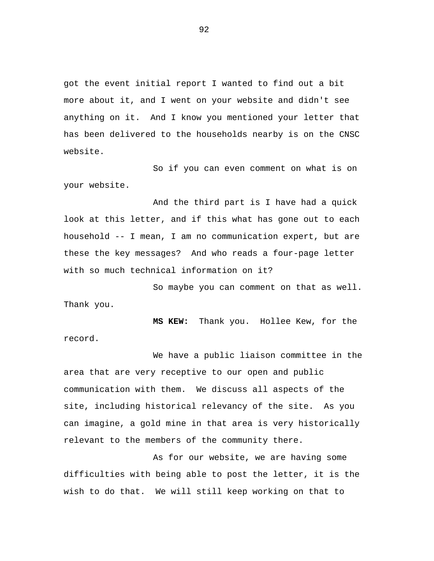got the event initial report I wanted to find out a bit more about it, and I went on your website and didn't see anything on it. And I know you mentioned your letter that has been delivered to the households nearby is on the CNSC website.

So if you can even comment on what is on your website.

And the third part is I have had a quick look at this letter, and if this what has gone out to each household -- I mean, I am no communication expert, but are these the key messages? And who reads a four-page letter with so much technical information on it?

So maybe you can comment on that as well. Thank you.

**MS KEW:** Thank you. Hollee Kew, for the record.

We have a public liaison committee in the area that are very receptive to our open and public communication with them. We discuss all aspects of the site, including historical relevancy of the site. As you can imagine, a gold mine in that area is very historically relevant to the members of the community there.

As for our website, we are having some difficulties with being able to post the letter, it is the wish to do that. We will still keep working on that to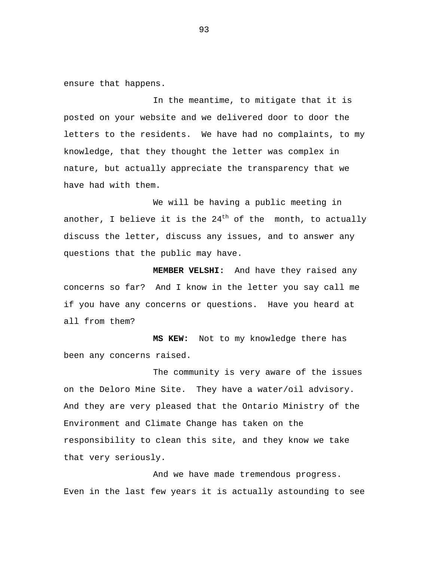ensure that happens.

In the meantime, to mitigate that it is posted on your website and we delivered door to door the letters to the residents. We have had no complaints, to my knowledge, that they thought the letter was complex in nature, but actually appreciate the transparency that we have had with them.

We will be having a public meeting in another, I believe it is the  $24<sup>th</sup>$  of the month, to actually discuss the letter, discuss any issues, and to answer any questions that the public may have.

**MEMBER VELSHI:** And have they raised any concerns so far? And I know in the letter you say call me if you have any concerns or questions. Have you heard at all from them?

**MS KEW:** Not to my knowledge there has been any concerns raised.

The community is very aware of the issues on the Deloro Mine Site. They have a water/oil advisory. And they are very pleased that the Ontario Ministry of the Environment and Climate Change has taken on the responsibility to clean this site, and they know we take that very seriously.

And we have made tremendous progress. Even in the last few years it is actually astounding to see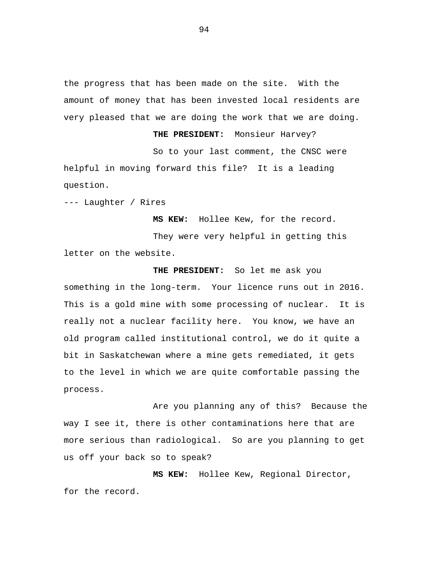the progress that has been made on the site. With the amount of money that has been invested local residents are very pleased that we are doing the work that we are doing.

**THE PRESIDENT:** Monsieur Harvey? So to your last comment, the CNSC were helpful in moving forward this file? It is a leading question.

--- Laughter / Rires

**MS KEW:** Hollee Kew, for the record.

They were very helpful in getting this letter on the website.

**THE PRESIDENT:** So let me ask you something in the long-term. Your licence runs out in 2016. This is a gold mine with some processing of nuclear. It is really not a nuclear facility here. You know, we have an old program called institutional control, we do it quite a bit in Saskatchewan where a mine gets remediated, it gets to the level in which we are quite comfortable passing the process.

Are you planning any of this? Because the way I see it, there is other contaminations here that are more serious than radiological. So are you planning to get us off your back so to speak?

**MS KEW:** Hollee Kew, Regional Director, for the record.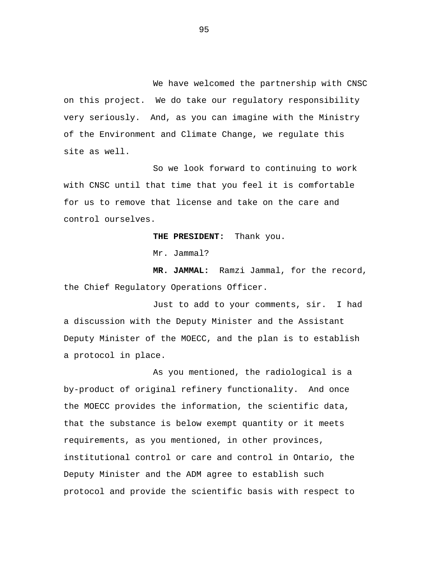We have welcomed the partnership with CNSC on this project. We do take our regulatory responsibility very seriously. And, as you can imagine with the Ministry of the Environment and Climate Change, we regulate this site as well.

So we look forward to continuing to work with CNSC until that time that you feel it is comfortable for us to remove that license and take on the care and control ourselves.

**THE PRESIDENT:** Thank you.

Mr. Jammal?

**MR. JAMMAL:** Ramzi Jammal, for the record, the Chief Regulatory Operations Officer.

Just to add to your comments, sir. I had a discussion with the Deputy Minister and the Assistant Deputy Minister of the MOECC, and the plan is to establish a protocol in place.

As you mentioned, the radiological is a by-product of original refinery functionality. And once the MOECC provides the information, the scientific data, that the substance is below exempt quantity or it meets requirements, as you mentioned, in other provinces, institutional control or care and control in Ontario, the Deputy Minister and the ADM agree to establish such protocol and provide the scientific basis with respect to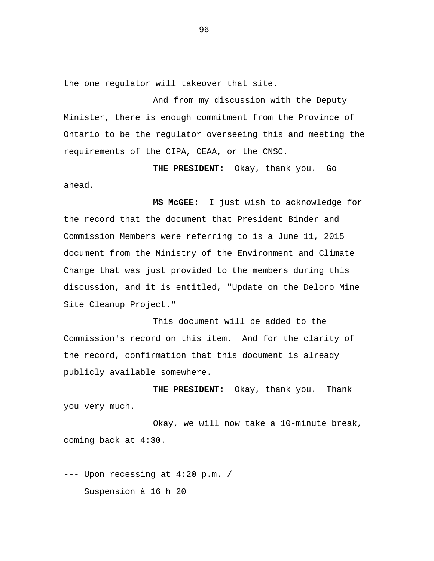the one regulator will takeover that site.

And from my discussion with the Deputy Minister, there is enough commitment from the Province of Ontario to be the regulator overseeing this and meeting the requirements of the CIPA, CEAA, or the CNSC.

**THE PRESIDENT:** Okay, thank you. Go

ahead.

**MS McGEE:** I just wish to acknowledge for the record that the document that President Binder and Commission Members were referring to is a June 11, 2015 document from the Ministry of the Environment and Climate Change that was just provided to the members during this discussion, and it is entitled, "Update on the Deloro Mine Site Cleanup Project."

This document will be added to the Commission's record on this item. And for the clarity of the record, confirmation that this document is already publicly available somewhere.

**THE PRESIDENT:** Okay, thank you. Thank you very much.

Okay, we will now take a 10-minute break, coming back at 4:30.

--- Upon recessing at 4:20 p.m. / Suspension à 16 h 20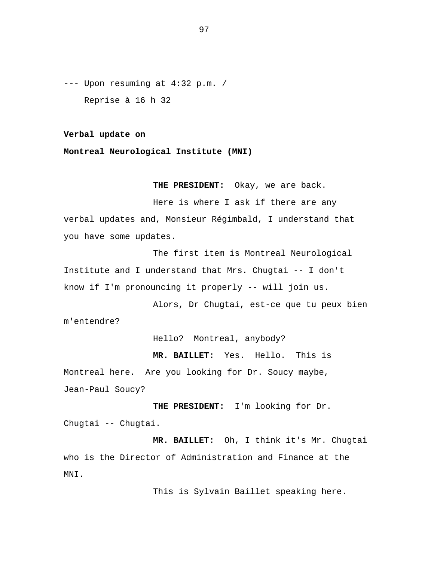--- Upon resuming at 4:32 p.m. / Reprise à 16 h 32

**Verbal update on** 

**Montreal Neurological Institute (MNI)**

**THE PRESIDENT:** Okay, we are back.

Here is where I ask if there are any verbal updates and, Monsieur Régimbald, I understand that you have some updates.

The first item is Montreal Neurological Institute and I understand that Mrs. Chugtai -- I don't know if I'm pronouncing it properly -- will join us.

Alors, Dr Chugtai, est-ce que tu peux bien m'entendre?

Hello? Montreal, anybody?

**MR. BAILLET:** Yes. Hello. This is

Montreal here. Are you looking for Dr. Soucy maybe, Jean-Paul Soucy?

**THE PRESIDENT:** I'm looking for Dr. Chugtai -- Chugtai.

**MR. BAILLET:** Oh, I think it's Mr. Chugtai who is the Director of Administration and Finance at the MNI.

This is Sylvain Baillet speaking here.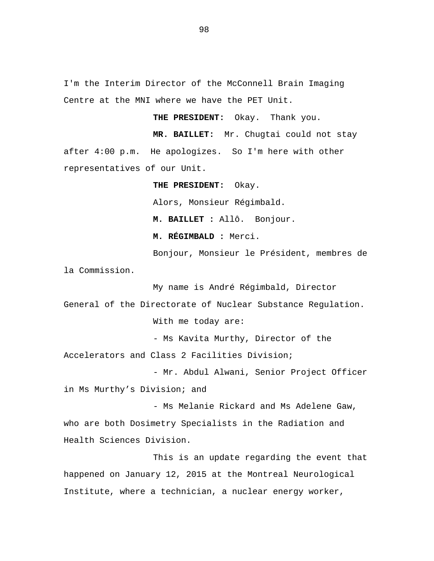I'm the Interim Director of the McConnell Brain Imaging Centre at the MNI where we have the PET Unit.

**THE PRESIDENT:** Okay. Thank you.

**MR. BAILLET:** Mr. Chugtai could not stay after 4:00 p.m. He apologizes. So I'm here with other representatives of our Unit.

> **THE PRESIDENT:** Okay. Alors, Monsieur Régimbald. **M. BAILLET :** Allô. Bonjour. **M. RÉGIMBALD :** Merci.

Bonjour, Monsieur le Président, membres de la Commission.

My name is André Régimbald, Director General of the Directorate of Nuclear Substance Regulation. With me today are:

- Ms Kavita Murthy, Director of the

Accelerators and Class 2 Facilities Division;

- Mr. Abdul Alwani, Senior Project Officer in Ms Murthy's Division; and

- Ms Melanie Rickard and Ms Adelene Gaw, who are both Dosimetry Specialists in the Radiation and Health Sciences Division.

This is an update regarding the event that happened on January 12, 2015 at the Montreal Neurological Institute, where a technician, a nuclear energy worker,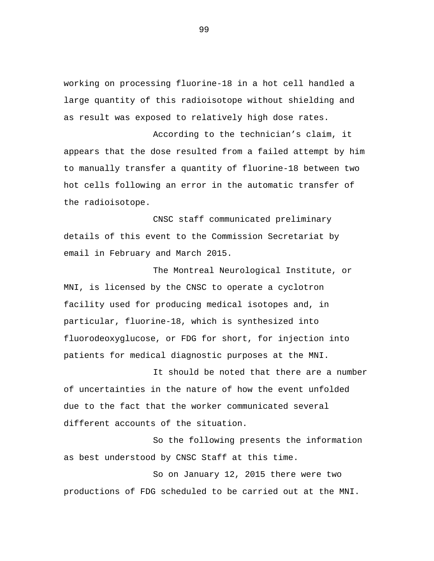working on processing fluorine-18 in a hot cell handled a large quantity of this radioisotope without shielding and as result was exposed to relatively high dose rates.

According to the technician's claim, it appears that the dose resulted from a failed attempt by him to manually transfer a quantity of fluorine-18 between two hot cells following an error in the automatic transfer of the radioisotope.

CNSC staff communicated preliminary details of this event to the Commission Secretariat by email in February and March 2015.

The Montreal Neurological Institute, or MNI, is licensed by the CNSC to operate a cyclotron facility used for producing medical isotopes and, in particular, fluorine-18, which is synthesized into fluorodeoxyglucose, or FDG for short, for injection into patients for medical diagnostic purposes at the MNI.

It should be noted that there are a number of uncertainties in the nature of how the event unfolded due to the fact that the worker communicated several different accounts of the situation.

So the following presents the information as best understood by CNSC Staff at this time.

So on January 12, 2015 there were two productions of FDG scheduled to be carried out at the MNI.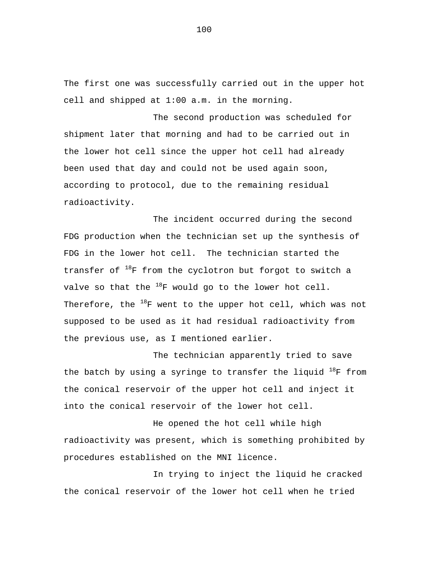The first one was successfully carried out in the upper hot cell and shipped at 1:00 a.m. in the morning.

The second production was scheduled for shipment later that morning and had to be carried out in the lower hot cell since the upper hot cell had already been used that day and could not be used again soon, according to protocol, due to the remaining residual radioactivity.

The incident occurred during the second FDG production when the technician set up the synthesis of FDG in the lower hot cell. The technician started the transfer of  $18F$  from the cyclotron but forgot to switch a valve so that the  $^{18}F$  would go to the lower hot cell. Therefore, the  $^{18}$ F went to the upper hot cell, which was not supposed to be used as it had residual radioactivity from the previous use, as I mentioned earlier.

The technician apparently tried to save the batch by using a syringe to transfer the liquid  $^{18}$ F from the conical reservoir of the upper hot cell and inject it into the conical reservoir of the lower hot cell.

He opened the hot cell while high radioactivity was present, which is something prohibited by procedures established on the MNI licence.

In trying to inject the liquid he cracked the conical reservoir of the lower hot cell when he tried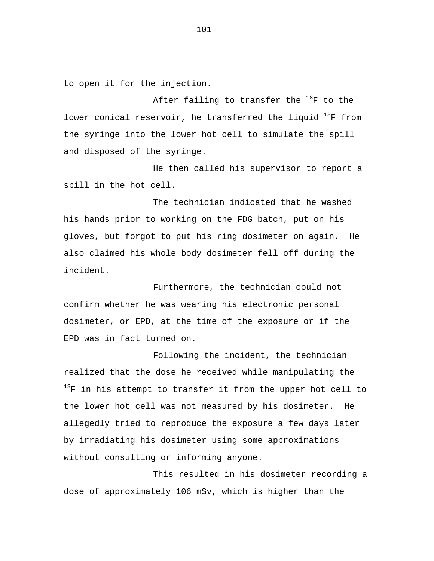to open it for the injection.

After failing to transfer the  $^{18}$ F to the lower conical reservoir, he transferred the liquid  $^{18}F$  from the syringe into the lower hot cell to simulate the spill and disposed of the syringe.

He then called his supervisor to report a spill in the hot cell.

The technician indicated that he washed his hands prior to working on the FDG batch, put on his gloves, but forgot to put his ring dosimeter on again. He also claimed his whole body dosimeter fell off during the incident.

Furthermore, the technician could not confirm whether he was wearing his electronic personal dosimeter, or EPD, at the time of the exposure or if the EPD was in fact turned on.

Following the incident, the technician realized that the dose he received while manipulating the  $18F$  in his attempt to transfer it from the upper hot cell to the lower hot cell was not measured by his dosimeter. He allegedly tried to reproduce the exposure a few days later by irradiating his dosimeter using some approximations without consulting or informing anyone.

This resulted in his dosimeter recording a dose of approximately 106 mSv, which is higher than the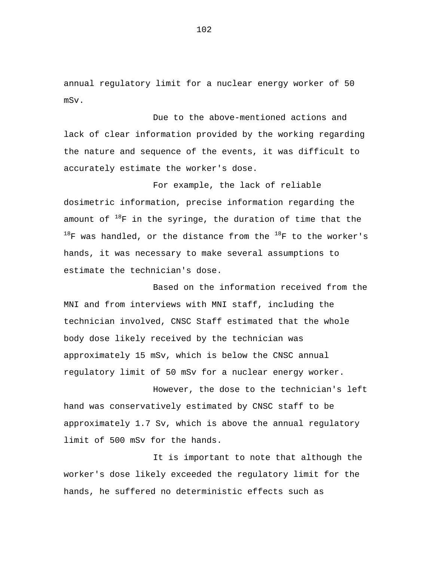annual regulatory limit for a nuclear energy worker of 50 mSv.

Due to the above-mentioned actions and lack of clear information provided by the working regarding the nature and sequence of the events, it was difficult to accurately estimate the worker's dose.

For example, the lack of reliable dosimetric information, precise information regarding the amount of  $18F$  in the syringe, the duration of time that the  $^{18}$ F was handled, or the distance from the  $^{18}$ F to the worker's hands, it was necessary to make several assumptions to estimate the technician's dose.

Based on the information received from the MNI and from interviews with MNI staff, including the technician involved, CNSC Staff estimated that the whole body dose likely received by the technician was approximately 15 mSv, which is below the CNSC annual regulatory limit of 50 mSv for a nuclear energy worker.

However, the dose to the technician's left hand was conservatively estimated by CNSC staff to be approximately 1.7 Sv, which is above the annual regulatory limit of 500 mSv for the hands.

It is important to note that although the worker's dose likely exceeded the regulatory limit for the hands, he suffered no deterministic effects such as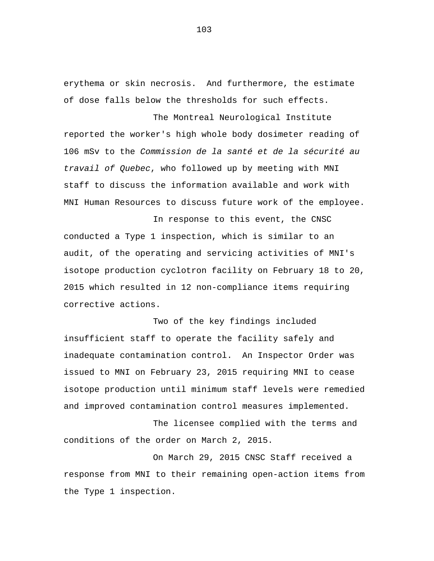erythema or skin necrosis. And furthermore, the estimate of dose falls below the thresholds for such effects.

The Montreal Neurological Institute reported the worker's high whole body dosimeter reading of 106 mSv to the *Commission de la santé et de la sécurité au travail of Quebec*, who followed up by meeting with MNI staff to discuss the information available and work with MNI Human Resources to discuss future work of the employee.

In response to this event, the CNSC conducted a Type 1 inspection, which is similar to an audit, of the operating and servicing activities of MNI's isotope production cyclotron facility on February 18 to 20, 2015 which resulted in 12 non-compliance items requiring corrective actions.

Two of the key findings included insufficient staff to operate the facility safely and inadequate contamination control. An Inspector Order was issued to MNI on February 23, 2015 requiring MNI to cease isotope production until minimum staff levels were remedied and improved contamination control measures implemented.

The licensee complied with the terms and conditions of the order on March 2, 2015.

On March 29, 2015 CNSC Staff received a response from MNI to their remaining open-action items from the Type 1 inspection.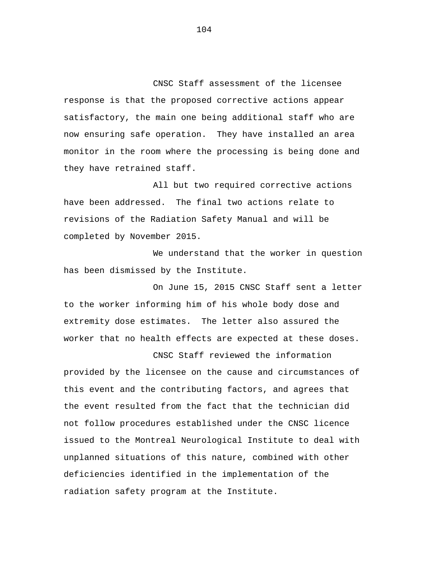CNSC Staff assessment of the licensee response is that the proposed corrective actions appear satisfactory, the main one being additional staff who are now ensuring safe operation. They have installed an area monitor in the room where the processing is being done and they have retrained staff.

All but two required corrective actions have been addressed. The final two actions relate to revisions of the Radiation Safety Manual and will be completed by November 2015.

We understand that the worker in question has been dismissed by the Institute.

On June 15, 2015 CNSC Staff sent a letter to the worker informing him of his whole body dose and extremity dose estimates. The letter also assured the worker that no health effects are expected at these doses.

CNSC Staff reviewed the information provided by the licensee on the cause and circumstances of this event and the contributing factors, and agrees that the event resulted from the fact that the technician did not follow procedures established under the CNSC licence issued to the Montreal Neurological Institute to deal with unplanned situations of this nature, combined with other deficiencies identified in the implementation of the radiation safety program at the Institute.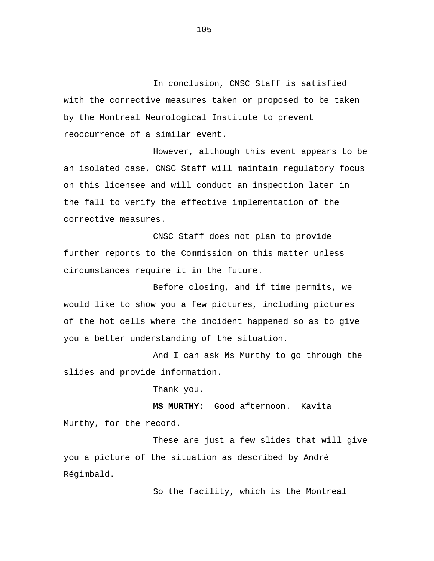In conclusion, CNSC Staff is satisfied with the corrective measures taken or proposed to be taken by the Montreal Neurological Institute to prevent reoccurrence of a similar event.

However, although this event appears to be an isolated case, CNSC Staff will maintain regulatory focus on this licensee and will conduct an inspection later in the fall to verify the effective implementation of the corrective measures.

CNSC Staff does not plan to provide further reports to the Commission on this matter unless circumstances require it in the future.

Before closing, and if time permits, we would like to show you a few pictures, including pictures of the hot cells where the incident happened so as to give you a better understanding of the situation.

And I can ask Ms Murthy to go through the slides and provide information.

Thank you.

**MS MURTHY:** Good afternoon. Kavita Murthy, for the record.

These are just a few slides that will give you a picture of the situation as described by André Régimbald.

So the facility, which is the Montreal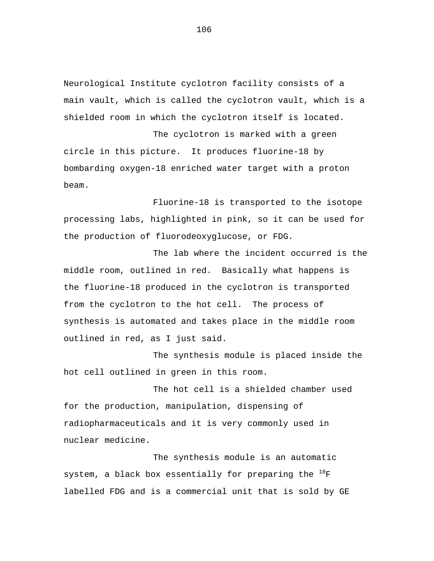Neurological Institute cyclotron facility consists of a main vault, which is called the cyclotron vault, which is a shielded room in which the cyclotron itself is located.

The cyclotron is marked with a green circle in this picture. It produces fluorine-18 by bombarding oxygen-18 enriched water target with a proton beam.

Fluorine-18 is transported to the isotope processing labs, highlighted in pink, so it can be used for the production of fluorodeoxyglucose, or FDG.

The lab where the incident occurred is the middle room, outlined in red. Basically what happens is the fluorine-18 produced in the cyclotron is transported from the cyclotron to the hot cell. The process of synthesis is automated and takes place in the middle room outlined in red, as I just said.

The synthesis module is placed inside the hot cell outlined in green in this room.

The hot cell is a shielded chamber used for the production, manipulation, dispensing of radiopharmaceuticals and it is very commonly used in nuclear medicine.

The synthesis module is an automatic system, a black box essentially for preparing the  $^{18}F$ labelled FDG and is a commercial unit that is sold by GE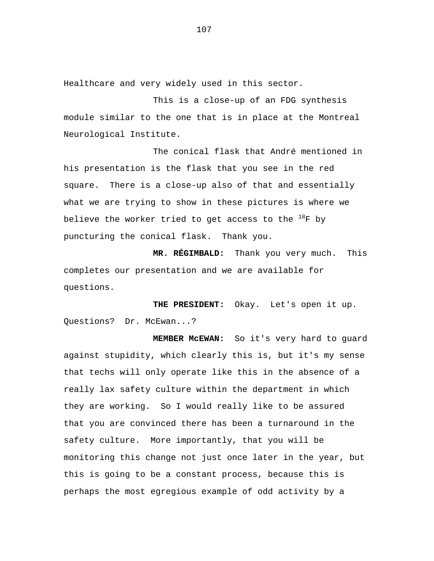Healthcare and very widely used in this sector.

This is a close-up of an FDG synthesis module similar to the one that is in place at the Montreal Neurological Institute.

The conical flask that André mentioned in his presentation is the flask that you see in the red square. There is a close-up also of that and essentially what we are trying to show in these pictures is where we believe the worker tried to get access to the  $^{18}$ F by puncturing the conical flask. Thank you.

**MR. RÉGIMBALD:** Thank you very much. This completes our presentation and we are available for questions.

**THE PRESIDENT:** Okay. Let's open it up. Questions? Dr. McEwan...?

**MEMBER McEWAN:** So it's very hard to guard against stupidity, which clearly this is, but it's my sense that techs will only operate like this in the absence of a really lax safety culture within the department in which they are working. So I would really like to be assured that you are convinced there has been a turnaround in the safety culture. More importantly, that you will be monitoring this change not just once later in the year, but this is going to be a constant process, because this is perhaps the most egregious example of odd activity by a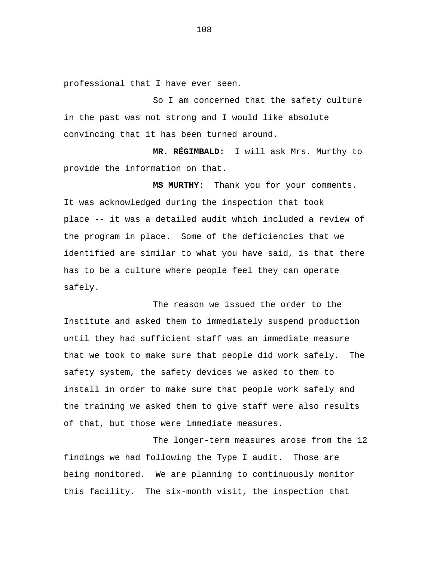professional that I have ever seen.

So I am concerned that the safety culture in the past was not strong and I would like absolute convincing that it has been turned around.

**MR. RÉGIMBALD:** I will ask Mrs. Murthy to provide the information on that.

**MS MURTHY:** Thank you for your comments. It was acknowledged during the inspection that took place -- it was a detailed audit which included a review of the program in place. Some of the deficiencies that we identified are similar to what you have said, is that there has to be a culture where people feel they can operate safely.

The reason we issued the order to the Institute and asked them to immediately suspend production until they had sufficient staff was an immediate measure that we took to make sure that people did work safely. The safety system, the safety devices we asked to them to install in order to make sure that people work safely and the training we asked them to give staff were also results of that, but those were immediate measures.

The longer-term measures arose from the 12 findings we had following the Type I audit. Those are being monitored. We are planning to continuously monitor this facility. The six-month visit, the inspection that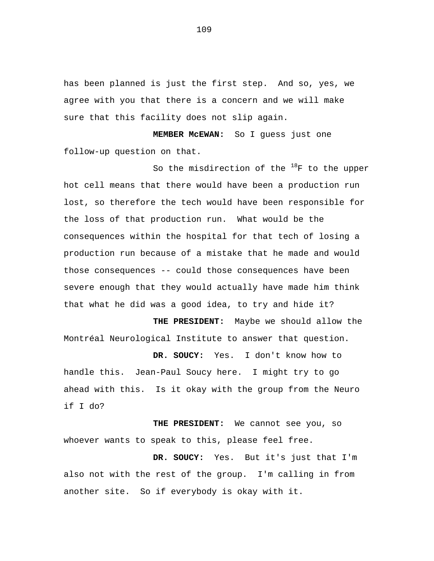has been planned is just the first step. And so, yes, we agree with you that there is a concern and we will make sure that this facility does not slip again.

**MEMBER McEWAN:** So I guess just one follow-up question on that.

So the misdirection of the  $^{18}$ F to the upper hot cell means that there would have been a production run lost, so therefore the tech would have been responsible for the loss of that production run. What would be the consequences within the hospital for that tech of losing a production run because of a mistake that he made and would those consequences -- could those consequences have been severe enough that they would actually have made him think that what he did was a good idea, to try and hide it?

**THE PRESIDENT:** Maybe we should allow the Montréal Neurological Institute to answer that question.

**DR. SOUCY:** Yes. I don't know how to handle this. Jean-Paul Soucy here. I might try to go ahead with this. Is it okay with the group from the Neuro if I do?

**THE PRESIDENT:** We cannot see you, so whoever wants to speak to this, please feel free.

**DR. SOUCY:** Yes. But it's just that I'm also not with the rest of the group. I'm calling in from another site. So if everybody is okay with it.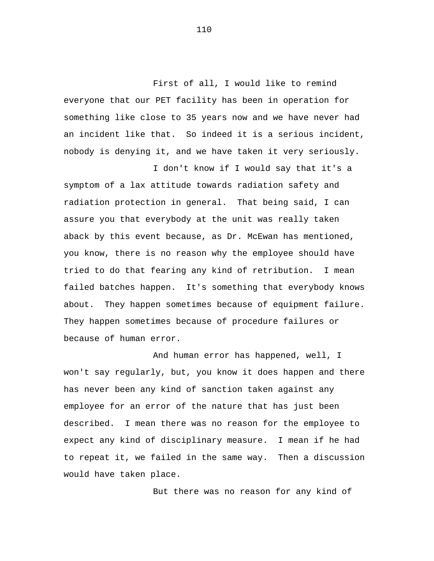First of all, I would like to remind everyone that our PET facility has been in operation for something like close to 35 years now and we have never had an incident like that. So indeed it is a serious incident, nobody is denying it, and we have taken it very seriously.

I don't know if I would say that it's a symptom of a lax attitude towards radiation safety and radiation protection in general. That being said, I can assure you that everybody at the unit was really taken aback by this event because, as Dr. McEwan has mentioned, you know, there is no reason why the employee should have tried to do that fearing any kind of retribution. I mean failed batches happen. It's something that everybody knows about. They happen sometimes because of equipment failure. They happen sometimes because of procedure failures or because of human error.

And human error has happened, well, I won't say regularly, but, you know it does happen and there has never been any kind of sanction taken against any employee for an error of the nature that has just been described. I mean there was no reason for the employee to expect any kind of disciplinary measure. I mean if he had to repeat it, we failed in the same way. Then a discussion would have taken place.

But there was no reason for any kind of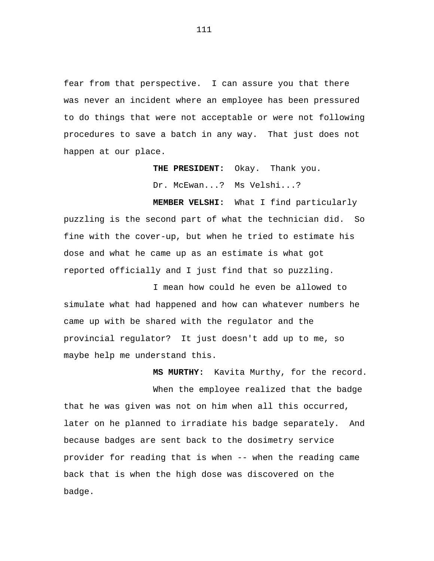fear from that perspective. I can assure you that there was never an incident where an employee has been pressured to do things that were not acceptable or were not following procedures to save a batch in any way. That just does not happen at our place.

> **THE PRESIDENT:** Okay. Thank you. Dr. McEwan...? Ms Velshi...?

**MEMBER VELSHI:** What I find particularly puzzling is the second part of what the technician did. So fine with the cover-up, but when he tried to estimate his dose and what he came up as an estimate is what got reported officially and I just find that so puzzling.

I mean how could he even be allowed to simulate what had happened and how can whatever numbers he came up with be shared with the regulator and the provincial regulator? It just doesn't add up to me, so maybe help me understand this.

**MS MURTHY:** Kavita Murthy, for the record. When the employee realized that the badge that he was given was not on him when all this occurred, later on he planned to irradiate his badge separately. And because badges are sent back to the dosimetry service provider for reading that is when -- when the reading came back that is when the high dose was discovered on the badge.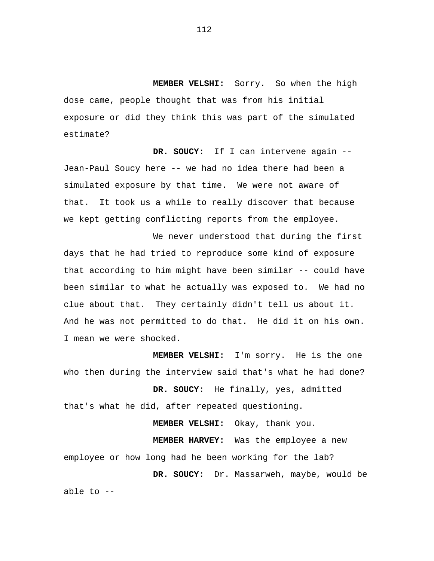**MEMBER VELSHI:** Sorry. So when the high dose came, people thought that was from his initial exposure or did they think this was part of the simulated estimate?

**DR. SOUCY:** If I can intervene again -- Jean-Paul Soucy here -- we had no idea there had been a simulated exposure by that time. We were not aware of that. It took us a while to really discover that because we kept getting conflicting reports from the employee.

We never understood that during the first days that he had tried to reproduce some kind of exposure that according to him might have been similar -- could have been similar to what he actually was exposed to. We had no clue about that. They certainly didn't tell us about it. And he was not permitted to do that. He did it on his own. I mean we were shocked.

**MEMBER VELSHI:** I'm sorry. He is the one who then during the interview said that's what he had done?

**DR. SOUCY:** He finally, yes, admitted that's what he did, after repeated questioning.

**MEMBER VELSHI:** Okay, thank you.

**MEMBER HARVEY:** Was the employee a new employee or how long had he been working for the lab?

**DR. SOUCY:** Dr. Massarweh, maybe, would be

able to --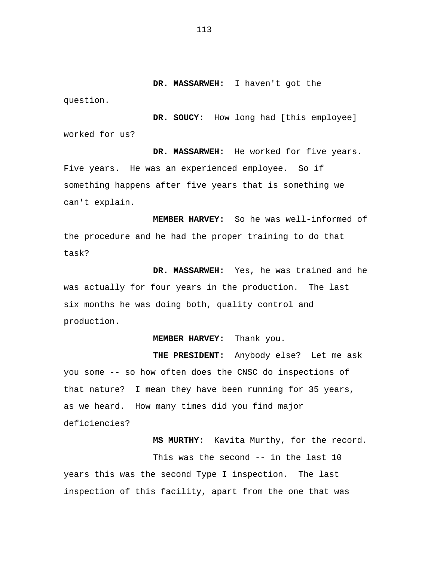**DR. MASSARWEH:** I haven't got the

question.

**DR. SOUCY:** How long had [this employee] worked for us?

**DR. MASSARWEH:** He worked for five years. Five years. He was an experienced employee. So if something happens after five years that is something we can't explain.

**MEMBER HARVEY:** So he was well-informed of the procedure and he had the proper training to do that task?

**DR. MASSARWEH:** Yes, he was trained and he was actually for four years in the production. The last six months he was doing both, quality control and production.

# **MEMBER HARVEY:** Thank you.

**THE PRESIDENT:** Anybody else? Let me ask you some -- so how often does the CNSC do inspections of that nature? I mean they have been running for 35 years, as we heard. How many times did you find major deficiencies?

**MS MURTHY:** Kavita Murthy, for the record.

This was the second -- in the last 10 years this was the second Type I inspection. The last inspection of this facility, apart from the one that was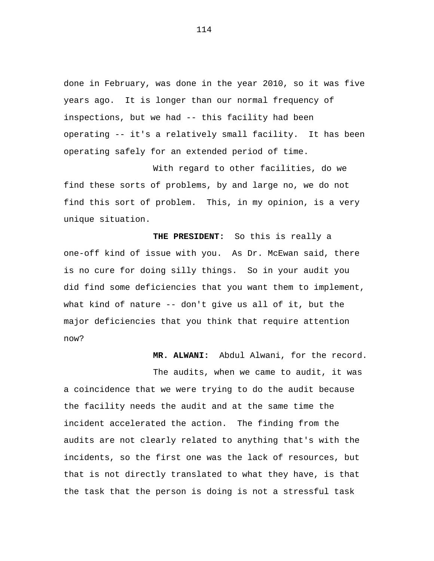done in February, was done in the year 2010, so it was five years ago. It is longer than our normal frequency of inspections, but we had -- this facility had been operating -- it's a relatively small facility. It has been operating safely for an extended period of time.

With regard to other facilities, do we find these sorts of problems, by and large no, we do not find this sort of problem. This, in my opinion, is a very unique situation.

**THE PRESIDENT:** So this is really a one-off kind of issue with you. As Dr. McEwan said, there is no cure for doing silly things. So in your audit you did find some deficiencies that you want them to implement, what kind of nature -- don't give us all of it, but the major deficiencies that you think that require attention now?

**MR. ALWANI:** Abdul Alwani, for the record.

The audits, when we came to audit, it was a coincidence that we were trying to do the audit because the facility needs the audit and at the same time the incident accelerated the action. The finding from the audits are not clearly related to anything that's with the incidents, so the first one was the lack of resources, but that is not directly translated to what they have, is that the task that the person is doing is not a stressful task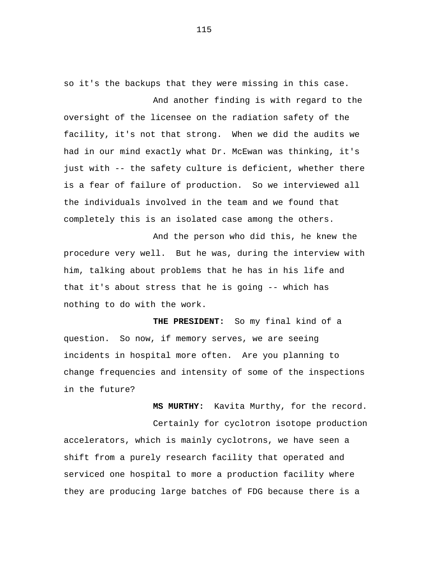so it's the backups that they were missing in this case. And another finding is with regard to the

oversight of the licensee on the radiation safety of the facility, it's not that strong. When we did the audits we had in our mind exactly what Dr. McEwan was thinking, it's just with -- the safety culture is deficient, whether there is a fear of failure of production. So we interviewed all the individuals involved in the team and we found that completely this is an isolated case among the others.

And the person who did this, he knew the procedure very well. But he was, during the interview with him, talking about problems that he has in his life and that it's about stress that he is going -- which has nothing to do with the work.

**THE PRESIDENT:** So my final kind of a question. So now, if memory serves, we are seeing incidents in hospital more often. Are you planning to change frequencies and intensity of some of the inspections in the future?

**MS MURTHY:** Kavita Murthy, for the record. Certainly for cyclotron isotope production accelerators, which is mainly cyclotrons, we have seen a shift from a purely research facility that operated and serviced one hospital to more a production facility where they are producing large batches of FDG because there is a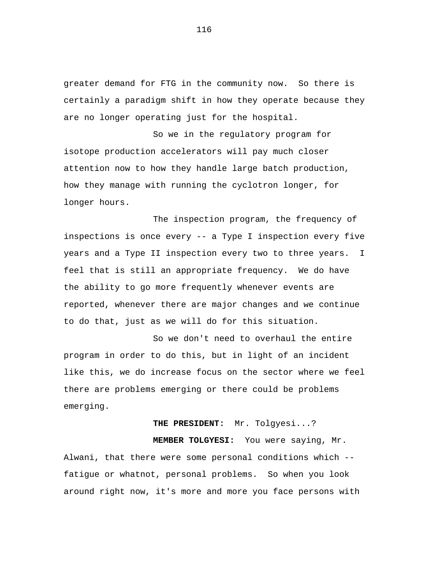greater demand for FTG in the community now. So there is certainly a paradigm shift in how they operate because they are no longer operating just for the hospital.

So we in the regulatory program for isotope production accelerators will pay much closer attention now to how they handle large batch production, how they manage with running the cyclotron longer, for longer hours.

The inspection program, the frequency of inspections is once every -- a Type I inspection every five years and a Type II inspection every two to three years. I feel that is still an appropriate frequency. We do have the ability to go more frequently whenever events are reported, whenever there are major changes and we continue to do that, just as we will do for this situation.

So we don't need to overhaul the entire program in order to do this, but in light of an incident like this, we do increase focus on the sector where we feel there are problems emerging or there could be problems emerging.

# **THE PRESIDENT:** Mr. Tolgyesi...?

**MEMBER TOLGYESI:** You were saying, Mr. Alwani, that there were some personal conditions which - fatigue or whatnot, personal problems. So when you look around right now, it's more and more you face persons with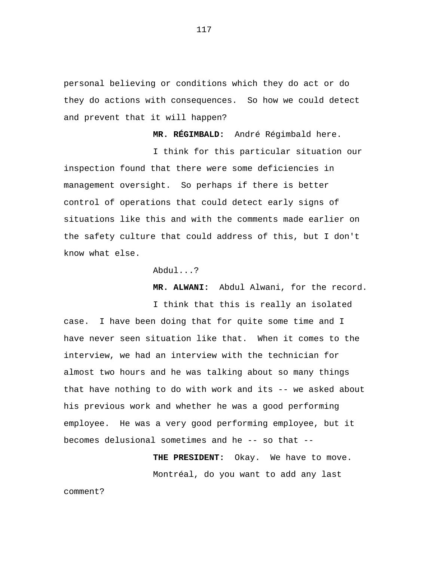personal believing or conditions which they do act or do they do actions with consequences. So how we could detect and prevent that it will happen?

**MR. RÉGIMBALD:** André Régimbald here.

I think for this particular situation our inspection found that there were some deficiencies in management oversight. So perhaps if there is better control of operations that could detect early signs of situations like this and with the comments made earlier on the safety culture that could address of this, but I don't know what else.

Abdul...?

**MR. ALWANI:** Abdul Alwani, for the record.

I think that this is really an isolated case. I have been doing that for quite some time and I have never seen situation like that. When it comes to the interview, we had an interview with the technician for almost two hours and he was talking about so many things that have nothing to do with work and its -- we asked about his previous work and whether he was a good performing employee. He was a very good performing employee, but it becomes delusional sometimes and he -- so that --

> **THE PRESIDENT:** Okay. We have to move. Montréal, do you want to add any last

comment?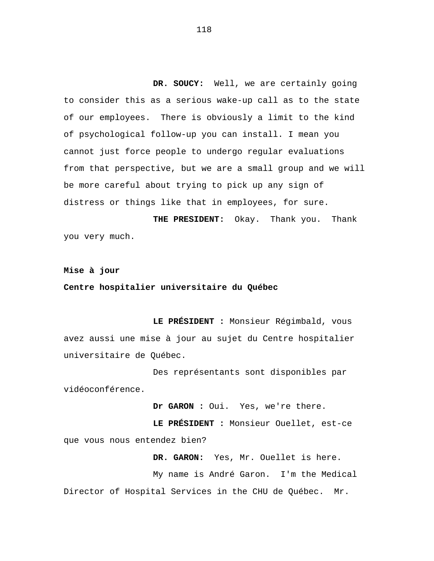**DR. SOUCY:** Well, we are certainly going to consider this as a serious wake-up call as to the state of our employees. There is obviously a limit to the kind of psychological follow-up you can install. I mean you cannot just force people to undergo regular evaluations from that perspective, but we are a small group and we will be more careful about trying to pick up any sign of distress or things like that in employees, for sure.

**THE PRESIDENT:** Okay. Thank you. Thank you very much.

**Mise à jour**

# **Centre hospitalier universitaire du Québec**

**LE PRÉSIDENT :** Monsieur Régimbald, vous avez aussi une mise à jour au sujet du Centre hospitalier universitaire de Québec.

Des représentants sont disponibles par vidéoconférence.

**Dr GARON :** Oui. Yes, we're there.

**LE PRÉSIDENT :** Monsieur Ouellet, est-ce que vous nous entendez bien?

**DR. GARON:** Yes, Mr. Ouellet is here. My name is André Garon. I'm the Medical Director of Hospital Services in the CHU de Québec. Mr.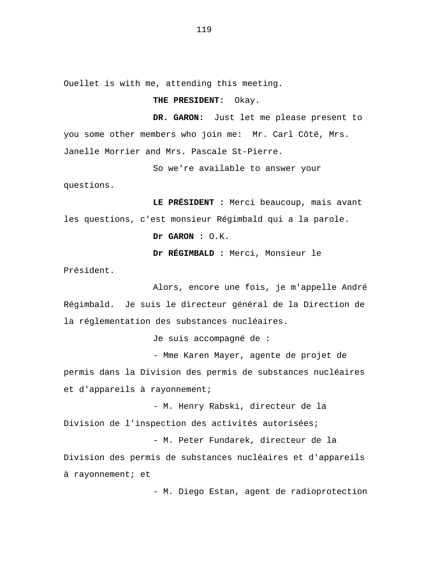Ouellet is with me, attending this meeting.

## **THE PRESIDENT:** Okay.

**DR. GARON:** Just let me please present to you some other members who join me: Mr. Carl Côté, Mrs. Janelle Morrier and Mrs. Pascale St-Pierre.

So we're available to answer your

questions.

**LE PRÉSIDENT :** Merci beaucoup, mais avant les questions, c'est monsieur Régimbald qui a la parole.

**Dr GARON :** O.K.

**Dr RÉGIMBALD :** Merci, Monsieur le

Président.

Alors, encore une fois, je m'appelle André Régimbald. Je suis le directeur général de la Direction de la réglementation des substances nucléaires.

Je suis accompagné de :

- Mme Karen Mayer, agente de projet de permis dans la Division des permis de substances nucléaires et d'appareils à rayonnement;

- M. Henry Rabski, directeur de la Division de l'inspection des activités autorisées;

- M. Peter Fundarek, directeur de la Division des permis de substances nucléaires et d'appareils à rayonnement; et

- M. Diego Estan, agent de radioprotection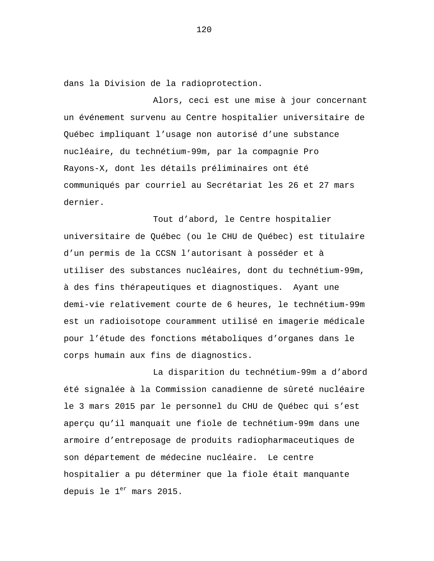dans la Division de la radioprotection.

Alors, ceci est une mise à jour concernant un événement survenu au Centre hospitalier universitaire de Québec impliquant l'usage non autorisé d'une substance nucléaire, du technétium-99m, par la compagnie Pro Rayons-X, dont les détails préliminaires ont été communiqués par courriel au Secrétariat les 26 et 27 mars dernier.

Tout d'abord, le Centre hospitalier universitaire de Québec (ou le CHU de Québec) est titulaire d'un permis de la CCSN l'autorisant à posséder et à utiliser des substances nucléaires, dont du technétium-99m, à des fins thérapeutiques et diagnostiques. Ayant une demi-vie relativement courte de 6 heures, le technétium-99m est un radioisotope couramment utilisé en imagerie médicale pour l'étude des fonctions métaboliques d'organes dans le corps humain aux fins de diagnostics.

La disparition du technétium-99m a d'abord été signalée à la Commission canadienne de sûreté nucléaire le 3 mars 2015 par le personnel du CHU de Québec qui s'est aperçu qu'il manquait une fiole de technétium-99m dans une armoire d'entreposage de produits radiopharmaceutiques de son département de médecine nucléaire. Le centre hospitalier a pu déterminer que la fiole était manquante depuis le  $1<sup>er</sup>$  mars 2015.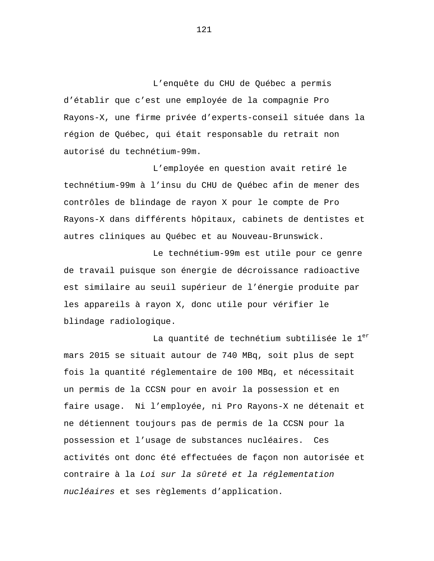L'enquête du CHU de Québec a permis d'établir que c'est une employée de la compagnie Pro Rayons-X, une firme privée d'experts-conseil située dans la région de Québec, qui était responsable du retrait non autorisé du technétium-99m.

L'employée en question avait retiré le technétium-99m à l'insu du CHU de Québec afin de mener des contrôles de blindage de rayon X pour le compte de Pro Rayons-X dans différents hôpitaux, cabinets de dentistes et autres cliniques au Québec et au Nouveau-Brunswick.

Le technétium-99m est utile pour ce genre de travail puisque son énergie de décroissance radioactive est similaire au seuil supérieur de l'énergie produite par les appareils à rayon X, donc utile pour vérifier le blindage radiologique.

La quantité de technétium subtilisée le  $1<sup>er</sup>$ mars 2015 se situait autour de 740 MBq, soit plus de sept fois la quantité réglementaire de 100 MBq, et nécessitait un permis de la CCSN pour en avoir la possession et en faire usage. Ni l'employée, ni Pro Rayons-X ne détenait et ne détiennent toujours pas de permis de la CCSN pour la possession et l'usage de substances nucléaires. Ces activités ont donc été effectuées de façon non autorisée et contraire à la *Loi sur la sûreté et la réglementation nucléaires* et ses règlements d'application.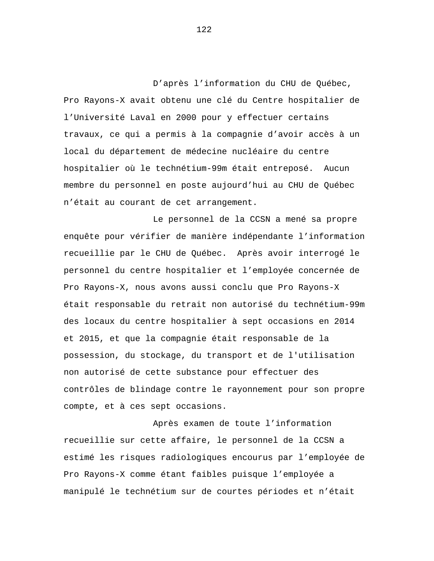D'après l'information du CHU de Québec, Pro Rayons-X avait obtenu une clé du Centre hospitalier de l'Université Laval en 2000 pour y effectuer certains travaux, ce qui a permis à la compagnie d'avoir accès à un local du département de médecine nucléaire du centre hospitalier où le technétium-99m était entreposé. Aucun membre du personnel en poste aujourd'hui au CHU de Québec n'était au courant de cet arrangement.

Le personnel de la CCSN a mené sa propre enquête pour vérifier de manière indépendante l'information recueillie par le CHU de Québec. Après avoir interrogé le personnel du centre hospitalier et l'employée concernée de Pro Rayons-X, nous avons aussi conclu que Pro Rayons-X était responsable du retrait non autorisé du technétium-99m des locaux du centre hospitalier à sept occasions en 2014 et 2015, et que la compagnie était responsable de la possession, du stockage, du transport et de l'utilisation non autorisé de cette substance pour effectuer des contrôles de blindage contre le rayonnement pour son propre compte, et à ces sept occasions.

Après examen de toute l'information recueillie sur cette affaire, le personnel de la CCSN a estimé les risques radiologiques encourus par l'employée de Pro Rayons-X comme étant faibles puisque l'employée a manipulé le technétium sur de courtes périodes et n'était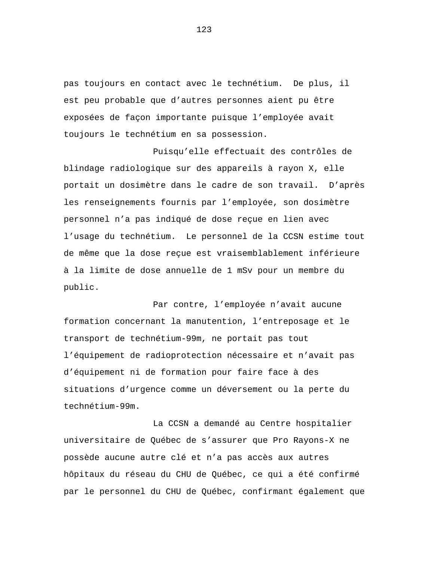pas toujours en contact avec le technétium. De plus, il est peu probable que d'autres personnes aient pu être exposées de façon importante puisque l'employée avait toujours le technétium en sa possession.

Puisqu'elle effectuait des contrôles de blindage radiologique sur des appareils à rayon X, elle portait un dosimètre dans le cadre de son travail. D'après les renseignements fournis par l'employée, son dosimètre personnel n'a pas indiqué de dose reçue en lien avec l'usage du technétium. Le personnel de la CCSN estime tout de même que la dose reçue est vraisemblablement inférieure à la limite de dose annuelle de 1 mSv pour un membre du public.

Par contre, l'employée n'avait aucune formation concernant la manutention, l'entreposage et le transport de technétium-99m, ne portait pas tout l'équipement de radioprotection nécessaire et n'avait pas d'équipement ni de formation pour faire face à des situations d'urgence comme un déversement ou la perte du technétium-99m.

La CCSN a demandé au Centre hospitalier universitaire de Québec de s'assurer que Pro Rayons-X ne possède aucune autre clé et n'a pas accès aux autres hôpitaux du réseau du CHU de Québec, ce qui a été confirmé par le personnel du CHU de Québec, confirmant également que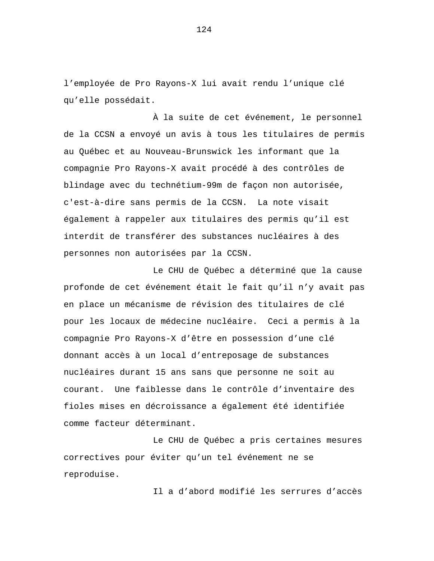l'employée de Pro Rayons-X lui avait rendu l'unique clé qu'elle possédait.

À la suite de cet événement, le personnel de la CCSN a envoyé un avis à tous les titulaires de permis au Québec et au Nouveau-Brunswick les informant que la compagnie Pro Rayons-X avait procédé à des contrôles de blindage avec du technétium-99m de façon non autorisée, c'est-à-dire sans permis de la CCSN. La note visait également à rappeler aux titulaires des permis qu'il est interdit de transférer des substances nucléaires à des personnes non autorisées par la CCSN.

Le CHU de Québec a déterminé que la cause profonde de cet événement était le fait qu'il n'y avait pas en place un mécanisme de révision des titulaires de clé pour les locaux de médecine nucléaire. Ceci a permis à la compagnie Pro Rayons-X d'être en possession d'une clé donnant accès à un local d'entreposage de substances nucléaires durant 15 ans sans que personne ne soit au courant. Une faiblesse dans le contrôle d'inventaire des fioles mises en décroissance a également été identifiée comme facteur déterminant.

Le CHU de Québec a pris certaines mesures correctives pour éviter qu'un tel événement ne se reproduise.

Il a d'abord modifié les serrures d'accès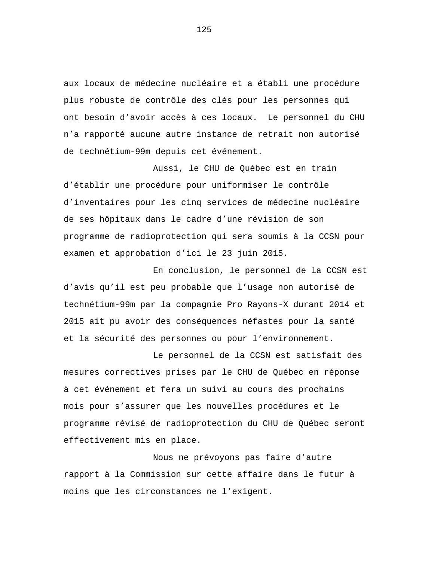aux locaux de médecine nucléaire et a établi une procédure plus robuste de contrôle des clés pour les personnes qui ont besoin d'avoir accès à ces locaux. Le personnel du CHU n'a rapporté aucune autre instance de retrait non autorisé de technétium-99m depuis cet événement.

Aussi, le CHU de Québec est en train d'établir une procédure pour uniformiser le contrôle d'inventaires pour les cinq services de médecine nucléaire de ses hôpitaux dans le cadre d'une révision de son programme de radioprotection qui sera soumis à la CCSN pour examen et approbation d'ici le 23 juin 2015.

En conclusion, le personnel de la CCSN est d'avis qu'il est peu probable que l'usage non autorisé de technétium-99m par la compagnie Pro Rayons-X durant 2014 et 2015 ait pu avoir des conséquences néfastes pour la santé et la sécurité des personnes ou pour l'environnement.

Le personnel de la CCSN est satisfait des mesures correctives prises par le CHU de Québec en réponse à cet événement et fera un suivi au cours des prochains mois pour s'assurer que les nouvelles procédures et le programme révisé de radioprotection du CHU de Québec seront effectivement mis en place.

Nous ne prévoyons pas faire d'autre rapport à la Commission sur cette affaire dans le futur à moins que les circonstances ne l'exigent.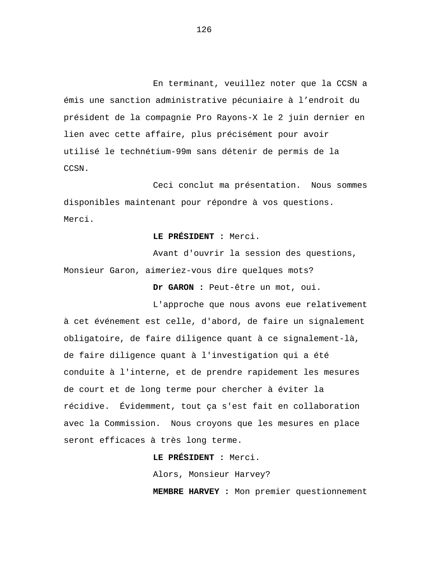En terminant, veuillez noter que la CCSN a émis une sanction administrative pécuniaire à l'endroit du président de la compagnie Pro Rayons-X le 2 juin dernier en lien avec cette affaire, plus précisément pour avoir utilisé le technétium-99m sans détenir de permis de la CCSN.

Ceci conclut ma présentation. Nous sommes disponibles maintenant pour répondre à vos questions. Merci.

**LE PRÉSIDENT :** Merci.

Avant d'ouvrir la session des questions, Monsieur Garon, aimeriez-vous dire quelques mots?

**Dr GARON :** Peut-être un mot, oui.

L'approche que nous avons eue relativement à cet événement est celle, d'abord, de faire un signalement obligatoire, de faire diligence quant à ce signalement-là, de faire diligence quant à l'investigation qui a été conduite à l'interne, et de prendre rapidement les mesures de court et de long terme pour chercher à éviter la récidive. Évidemment, tout ça s'est fait en collaboration avec la Commission. Nous croyons que les mesures en place seront efficaces à très long terme.

**LE PRÉSIDENT :** Merci.

Alors, Monsieur Harvey?

**MEMBRE HARVEY :** Mon premier questionnement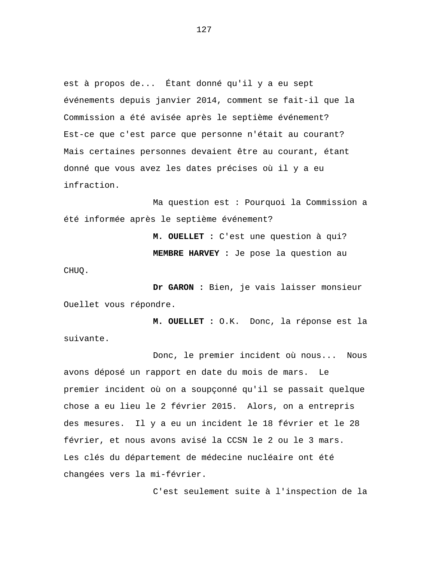est à propos de... Étant donné qu'il y a eu sept événements depuis janvier 2014, comment se fait-il que la Commission a été avisée après le septième événement? Est-ce que c'est parce que personne n'était au courant? Mais certaines personnes devaient être au courant, étant donné que vous avez les dates précises où il y a eu infraction.

Ma question est : Pourquoi la Commission a été informée après le septième événement?

> **M. OUELLET :** C'est une question à qui? **MEMBRE HARVEY :** Je pose la question au

**Dr GARON :** Bien, je vais laisser monsieur Ouellet vous répondre.

CHUQ.

**M. OUELLET :** O.K. Donc, la réponse est la suivante.

Donc, le premier incident où nous... Nous avons déposé un rapport en date du mois de mars. Le premier incident où on a soupçonné qu'il se passait quelque chose a eu lieu le 2 février 2015. Alors, on a entrepris des mesures. Il y a eu un incident le 18 février et le 28 février, et nous avons avisé la CCSN le 2 ou le 3 mars. Les clés du département de médecine nucléaire ont été changées vers la mi-février.

C'est seulement suite à l'inspection de la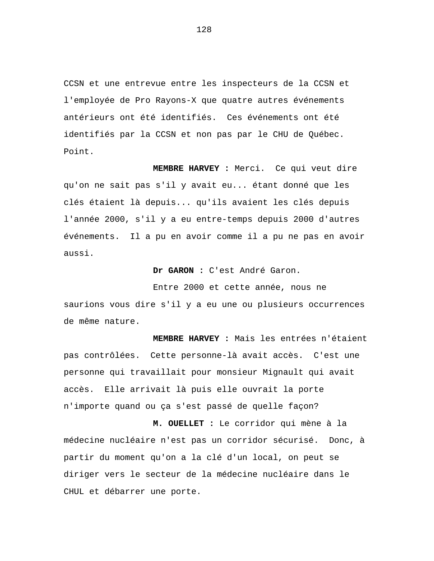CCSN et une entrevue entre les inspecteurs de la CCSN et l'employée de Pro Rayons-X que quatre autres événements antérieurs ont été identifiés. Ces événements ont été identifiés par la CCSN et non pas par le CHU de Québec. Point.

**MEMBRE HARVEY :** Merci. Ce qui veut dire qu'on ne sait pas s'il y avait eu... étant donné que les clés étaient là depuis... qu'ils avaient les clés depuis l'année 2000, s'il y a eu entre-temps depuis 2000 d'autres événements. Il a pu en avoir comme il a pu ne pas en avoir aussi.

**Dr GARON :** C'est André Garon.

Entre 2000 et cette année, nous ne saurions vous dire s'il y a eu une ou plusieurs occurrences de même nature.

**MEMBRE HARVEY :** Mais les entrées n'étaient pas contrôlées. Cette personne-là avait accès. C'est une personne qui travaillait pour monsieur Mignault qui avait accès. Elle arrivait là puis elle ouvrait la porte n'importe quand ou ça s'est passé de quelle façon?

**M. OUELLET :** Le corridor qui mène à la médecine nucléaire n'est pas un corridor sécurisé. Donc, à partir du moment qu'on a la clé d'un local, on peut se diriger vers le secteur de la médecine nucléaire dans le CHUL et débarrer une porte.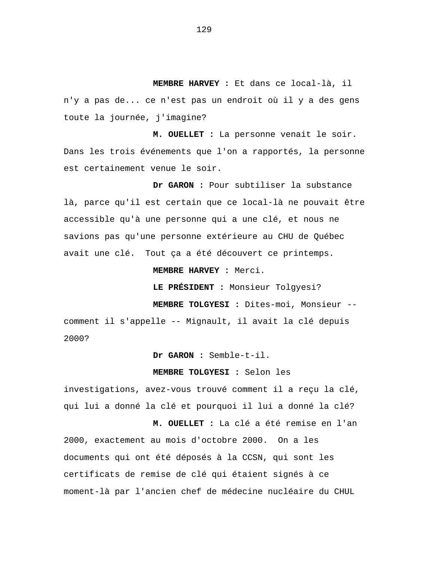**MEMBRE HARVEY :** Et dans ce local-là, il n'y a pas de... ce n'est pas un endroit où il y a des gens toute la journée, j'imagine?

**M. OUELLET :** La personne venait le soir. Dans les trois événements que l'on a rapportés, la personne est certainement venue le soir.

**Dr GARON :** Pour subtiliser la substance là, parce qu'il est certain que ce local-là ne pouvait être accessible qu'à une personne qui a une clé, et nous ne savions pas qu'une personne extérieure au CHU de Québec avait une clé. Tout ça a été découvert ce printemps.

**MEMBRE HARVEY :** Merci.

**LE PRÉSIDENT :** Monsieur Tolgyesi?

**MEMBRE TOLGYESI :** Dites-moi, Monsieur --

comment il s'appelle -- Mignault, il avait la clé depuis 2000?

**Dr GARON :** Semble-t-il.

### **MEMBRE TOLGYESI :** Selon les

investigations, avez-vous trouvé comment il a reçu la clé, qui lui a donné la clé et pourquoi il lui a donné la clé?

**M. OUELLET :** La clé a été remise en l'an 2000, exactement au mois d'octobre 2000. On a les documents qui ont été déposés à la CCSN, qui sont les certificats de remise de clé qui étaient signés à ce moment-là par l'ancien chef de médecine nucléaire du CHUL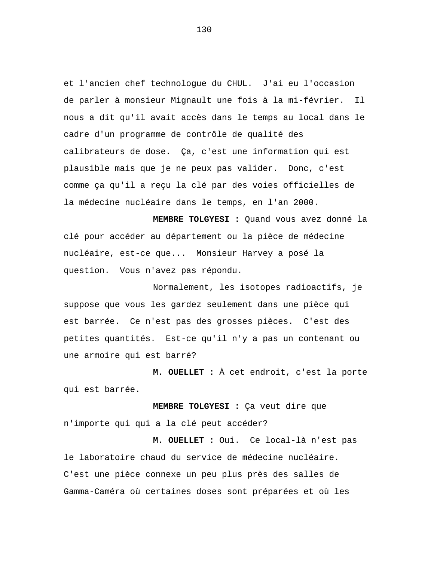et l'ancien chef technologue du CHUL. J'ai eu l'occasion de parler à monsieur Mignault une fois à la mi-février. Il nous a dit qu'il avait accès dans le temps au local dans le cadre d'un programme de contrôle de qualité des calibrateurs de dose. Ça, c'est une information qui est plausible mais que je ne peux pas valider. Donc, c'est comme ça qu'il a reçu la clé par des voies officielles de la médecine nucléaire dans le temps, en l'an 2000.

**MEMBRE TOLGYESI :** Quand vous avez donné la clé pour accéder au département ou la pièce de médecine nucléaire, est-ce que... Monsieur Harvey a posé la question. Vous n'avez pas répondu.

Normalement, les isotopes radioactifs, je suppose que vous les gardez seulement dans une pièce qui est barrée. Ce n'est pas des grosses pièces. C'est des petites quantités. Est-ce qu'il n'y a pas un contenant ou une armoire qui est barré?

**M. OUELLET :** À cet endroit, c'est la porte qui est barrée.

**MEMBRE TOLGYESI :** Ça veut dire que n'importe qui qui a la clé peut accéder?

**M. OUELLET :** Oui. Ce local-là n'est pas le laboratoire chaud du service de médecine nucléaire. C'est une pièce connexe un peu plus près des salles de Gamma-Caméra où certaines doses sont préparées et où les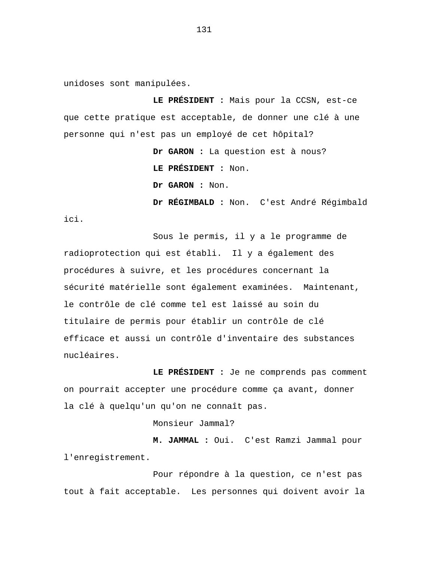unidoses sont manipulées.

**LE PRÉSIDENT :** Mais pour la CCSN, est-ce que cette pratique est acceptable, de donner une clé à une personne qui n'est pas un employé de cet hôpital?

> **Dr GARON :** La question est à nous? **LE PRÉSIDENT :** Non. **Dr GARON :** Non. **Dr RÉGIMBALD :** Non. C'est André Régimbald

ici.

Sous le permis, il y a le programme de radioprotection qui est établi. Il y a également des procédures à suivre, et les procédures concernant la sécurité matérielle sont également examinées. Maintenant, le contrôle de clé comme tel est laissé au soin du titulaire de permis pour établir un contrôle de clé efficace et aussi un contrôle d'inventaire des substances nucléaires.

**LE PRÉSIDENT :** Je ne comprends pas comment on pourrait accepter une procédure comme ça avant, donner la clé à quelqu'un qu'on ne connaît pas.

Monsieur Jammal?

**M. JAMMAL :** Oui. C'est Ramzi Jammal pour l'enregistrement.

Pour répondre à la question, ce n'est pas tout à fait acceptable. Les personnes qui doivent avoir la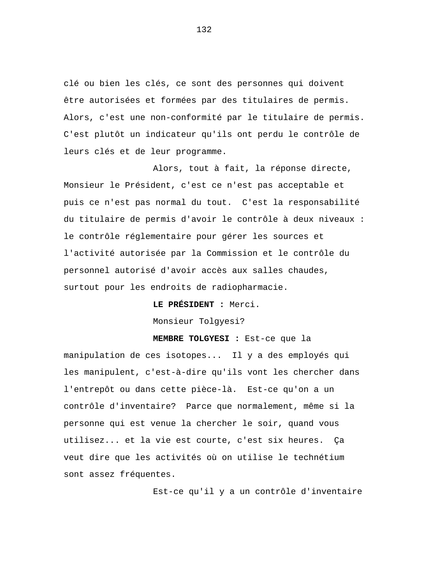clé ou bien les clés, ce sont des personnes qui doivent être autorisées et formées par des titulaires de permis. Alors, c'est une non-conformité par le titulaire de permis. C'est plutôt un indicateur qu'ils ont perdu le contrôle de leurs clés et de leur programme.

Alors, tout à fait, la réponse directe, Monsieur le Président, c'est ce n'est pas acceptable et puis ce n'est pas normal du tout. C'est la responsabilité du titulaire de permis d'avoir le contrôle à deux niveaux : le contrôle réglementaire pour gérer les sources et l'activité autorisée par la Commission et le contrôle du personnel autorisé d'avoir accès aux salles chaudes, surtout pour les endroits de radiopharmacie.

**LE PRÉSIDENT :** Merci.

Monsieur Tolgyesi?

# **MEMBRE TOLGYESI :** Est-ce que la

manipulation de ces isotopes... Il y a des employés qui les manipulent, c'est-à-dire qu'ils vont les chercher dans l'entrepôt ou dans cette pièce-là. Est-ce qu'on a un contrôle d'inventaire? Parce que normalement, même si la personne qui est venue la chercher le soir, quand vous utilisez... et la vie est courte, c'est six heures. Ça veut dire que les activités où on utilise le technétium sont assez fréquentes.

Est-ce qu'il y a un contrôle d'inventaire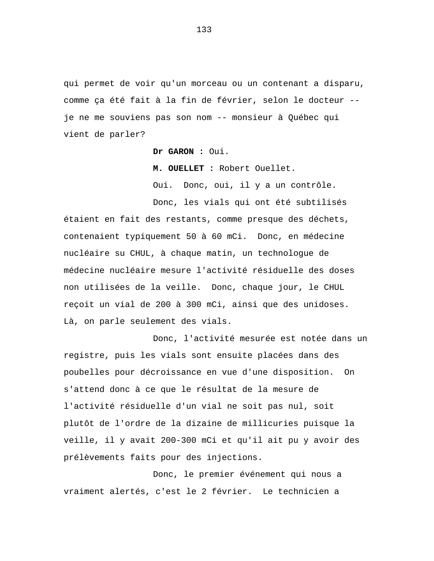qui permet de voir qu'un morceau ou un contenant a disparu, comme ça été fait à la fin de février, selon le docteur - je ne me souviens pas son nom -- monsieur à Québec qui vient de parler?

**Dr GARON :** Oui.

**M. OUELLET :** Robert Ouellet.

Oui. Donc, oui, il y a un contrôle.

Donc, les vials qui ont été subtilisés étaient en fait des restants, comme presque des déchets, contenaient typiquement 50 à 60 mCi. Donc, en médecine nucléaire su CHUL, à chaque matin, un technologue de médecine nucléaire mesure l'activité résiduelle des doses non utilisées de la veille. Donc, chaque jour, le CHUL reçoit un vial de 200 à 300 mCi, ainsi que des unidoses. Là, on parle seulement des vials.

Donc, l'activité mesurée est notée dans un registre, puis les vials sont ensuite placées dans des poubelles pour décroissance en vue d'une disposition. On s'attend donc à ce que le résultat de la mesure de l'activité résiduelle d'un vial ne soit pas nul, soit plutôt de l'ordre de la dizaine de millicuries puisque la veille, il y avait 200-300 mCi et qu'il ait pu y avoir des prélèvements faits pour des injections.

Donc, le premier événement qui nous a vraiment alertés, c'est le 2 février. Le technicien a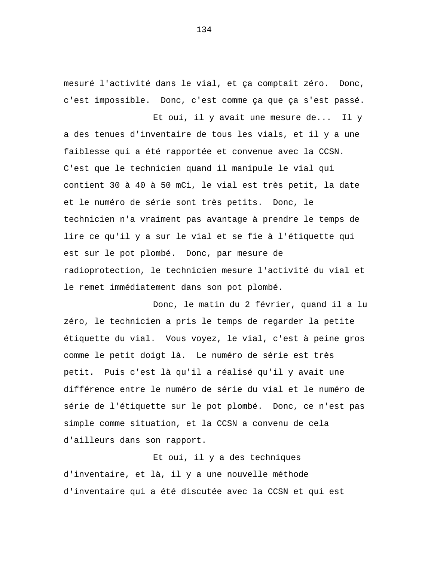mesuré l'activité dans le vial, et ça comptait zéro. Donc, c'est impossible. Donc, c'est comme ça que ça s'est passé.

Et oui, il y avait une mesure de... Il y a des tenues d'inventaire de tous les vials, et il y a une faiblesse qui a été rapportée et convenue avec la CCSN. C'est que le technicien quand il manipule le vial qui contient 30 à 40 à 50 mCi, le vial est très petit, la date et le numéro de série sont très petits. Donc, le technicien n'a vraiment pas avantage à prendre le temps de lire ce qu'il y a sur le vial et se fie à l'étiquette qui est sur le pot plombé. Donc, par mesure de radioprotection, le technicien mesure l'activité du vial et le remet immédiatement dans son pot plombé.

Donc, le matin du 2 février, quand il a lu zéro, le technicien a pris le temps de regarder la petite étiquette du vial. Vous voyez, le vial, c'est à peine gros comme le petit doigt là. Le numéro de série est très petit. Puis c'est là qu'il a réalisé qu'il y avait une différence entre le numéro de série du vial et le numéro de série de l'étiquette sur le pot plombé. Donc, ce n'est pas simple comme situation, et la CCSN a convenu de cela d'ailleurs dans son rapport.

Et oui, il y a des techniques d'inventaire, et là, il y a une nouvelle méthode d'inventaire qui a été discutée avec la CCSN et qui est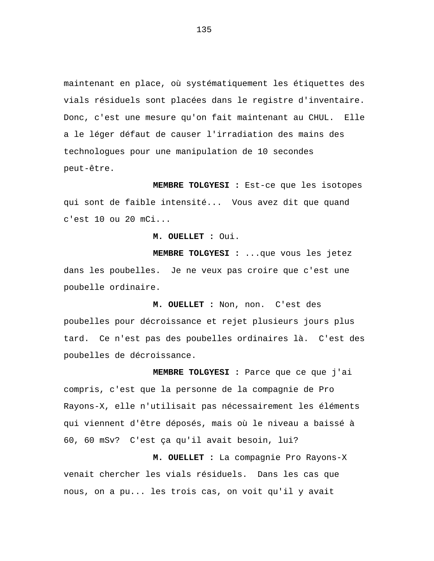maintenant en place, où systématiquement les étiquettes des vials résiduels sont placées dans le registre d'inventaire. Donc, c'est une mesure qu'on fait maintenant au CHUL. Elle a le léger défaut de causer l'irradiation des mains des technologues pour une manipulation de 10 secondes peut-être.

**MEMBRE TOLGYESI :** Est-ce que les isotopes qui sont de faible intensité... Vous avez dit que quand c'est 10 ou 20 mCi...

**M. OUELLET :** Oui.

**MEMBRE TOLGYESI :** ...que vous les jetez dans les poubelles. Je ne veux pas croire que c'est une poubelle ordinaire.

**M. OUELLET :** Non, non. C'est des poubelles pour décroissance et rejet plusieurs jours plus tard. Ce n'est pas des poubelles ordinaires là. C'est des poubelles de décroissance.

**MEMBRE TOLGYESI :** Parce que ce que j'ai compris, c'est que la personne de la compagnie de Pro Rayons-X, elle n'utilisait pas nécessairement les éléments qui viennent d'être déposés, mais où le niveau a baissé à 60, 60 mSv? C'est ça qu'il avait besoin, lui?

**M. OUELLET :** La compagnie Pro Rayons-X venait chercher les vials résiduels. Dans les cas que nous, on a pu... les trois cas, on voit qu'il y avait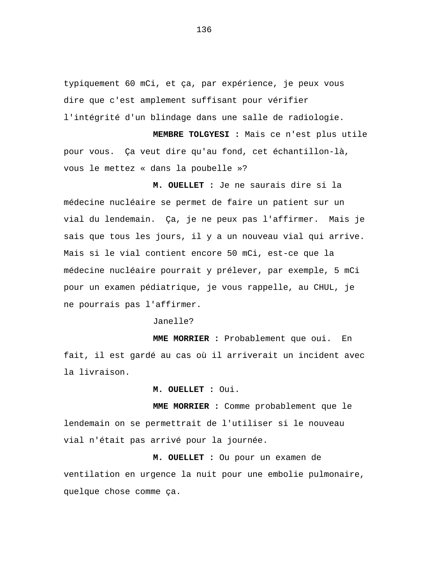typiquement 60 mCi, et ça, par expérience, je peux vous dire que c'est amplement suffisant pour vérifier l'intégrité d'un blindage dans une salle de radiologie.

**MEMBRE TOLGYESI :** Mais ce n'est plus utile pour vous. Ça veut dire qu'au fond, cet échantillon-là, vous le mettez « dans la poubelle »?

**M. OUELLET :** Je ne saurais dire si la médecine nucléaire se permet de faire un patient sur un vial du lendemain. Ça, je ne peux pas l'affirmer. Mais je sais que tous les jours, il y a un nouveau vial qui arrive. Mais si le vial contient encore 50 mCi, est-ce que la médecine nucléaire pourrait y prélever, par exemple, 5 mCi pour un examen pédiatrique, je vous rappelle, au CHUL, je ne pourrais pas l'affirmer.

Janelle?

**MME MORRIER :** Probablement que oui. En fait, il est gardé au cas où il arriverait un incident avec la livraison.

**M. OUELLET :** Oui.

**MME MORRIER :** Comme probablement que le lendemain on se permettrait de l'utiliser si le nouveau vial n'était pas arrivé pour la journée.

**M. OUELLET :** Ou pour un examen de ventilation en urgence la nuit pour une embolie pulmonaire, quelque chose comme ça.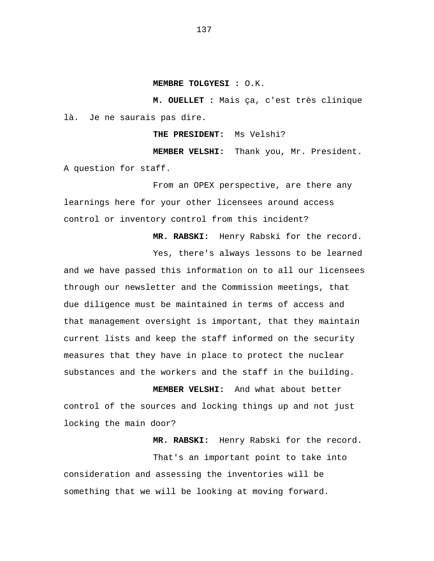#### **MEMBRE TOLGYESI :** O.K.

**M. OUELLET :** Mais ça, c'est très clinique là. Je ne saurais pas dire.

**THE PRESIDENT:** Ms Velshi?

**MEMBER VELSHI:** Thank you, Mr. President. A question for staff.

From an OPEX perspective, are there any learnings here for your other licensees around access control or inventory control from this incident?

**MR. RABSKI:** Henry Rabski for the record.

Yes, there's always lessons to be learned

and we have passed this information on to all our licensees through our newsletter and the Commission meetings, that due diligence must be maintained in terms of access and that management oversight is important, that they maintain current lists and keep the staff informed on the security measures that they have in place to protect the nuclear substances and the workers and the staff in the building.

**MEMBER VELSHI:** And what about better control of the sources and locking things up and not just locking the main door?

**MR. RABSKI:** Henry Rabski for the record.

That's an important point to take into consideration and assessing the inventories will be something that we will be looking at moving forward.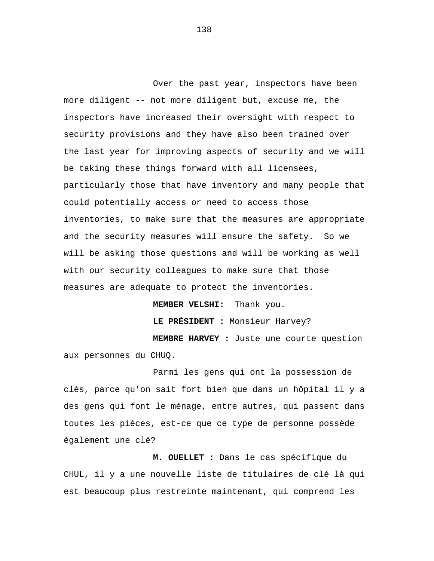Over the past year, inspectors have been more diligent -- not more diligent but, excuse me, the inspectors have increased their oversight with respect to security provisions and they have also been trained over the last year for improving aspects of security and we will be taking these things forward with all licensees, particularly those that have inventory and many people that could potentially access or need to access those inventories, to make sure that the measures are appropriate and the security measures will ensure the safety. So we will be asking those questions and will be working as well with our security colleagues to make sure that those measures are adequate to protect the inventories.

**MEMBER VELSHI:** Thank you. **LE PRÉSIDENT :** Monsieur Harvey? **MEMBRE HARVEY :** Juste une courte question aux personnes du CHUQ.

Parmi les gens qui ont la possession de clés, parce qu'on sait fort bien que dans un hôpital il y a des gens qui font le ménage, entre autres, qui passent dans toutes les pièces, est-ce que ce type de personne possède également une clé?

**M. OUELLET :** Dans le cas spécifique du CHUL, il y a une nouvelle liste de titulaires de clé là qui est beaucoup plus restreinte maintenant, qui comprend les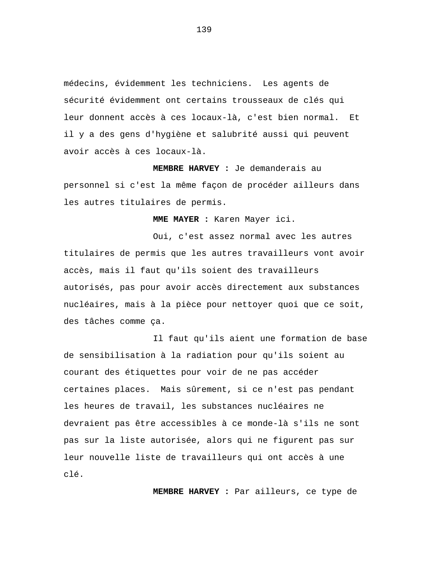médecins, évidemment les techniciens. Les agents de sécurité évidemment ont certains trousseaux de clés qui leur donnent accès à ces locaux-là, c'est bien normal. Et il y a des gens d'hygiène et salubrité aussi qui peuvent avoir accès à ces locaux-là.

**MEMBRE HARVEY :** Je demanderais au personnel si c'est la même façon de procéder ailleurs dans les autres titulaires de permis.

**MME MAYER :** Karen Mayer ici.

Oui, c'est assez normal avec les autres titulaires de permis que les autres travailleurs vont avoir accès, mais il faut qu'ils soient des travailleurs autorisés, pas pour avoir accès directement aux substances nucléaires, mais à la pièce pour nettoyer quoi que ce soit, des tâches comme ça.

Il faut qu'ils aient une formation de base de sensibilisation à la radiation pour qu'ils soient au courant des étiquettes pour voir de ne pas accéder certaines places. Mais sûrement, si ce n'est pas pendant les heures de travail, les substances nucléaires ne devraient pas être accessibles à ce monde-là s'ils ne sont pas sur la liste autorisée, alors qui ne figurent pas sur leur nouvelle liste de travailleurs qui ont accès à une clé.

**MEMBRE HARVEY :** Par ailleurs, ce type de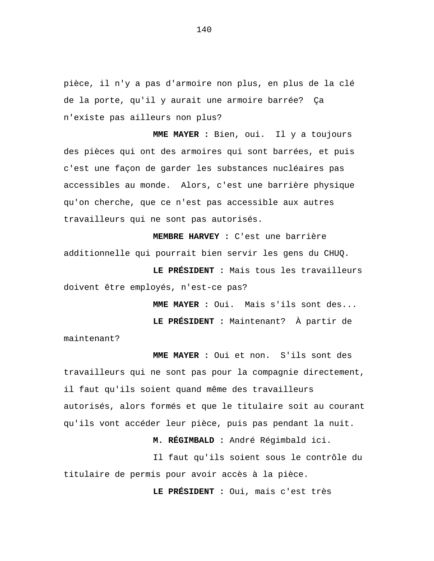pièce, il n'y a pas d'armoire non plus, en plus de la clé de la porte, qu'il y aurait une armoire barrée? Ça n'existe pas ailleurs non plus?

**MME MAYER :** Bien, oui. Il y a toujours des pièces qui ont des armoires qui sont barrées, et puis c'est une façon de garder les substances nucléaires pas accessibles au monde. Alors, c'est une barrière physique qu'on cherche, que ce n'est pas accessible aux autres travailleurs qui ne sont pas autorisés.

**MEMBRE HARVEY :** C'est une barrière additionnelle qui pourrait bien servir les gens du CHUQ.

**LE PRÉSIDENT :** Mais tous les travailleurs doivent être employés, n'est-ce pas?

**MME MAYER :** Oui. Mais s'ils sont des...

**LE PRÉSIDENT :** Maintenant? À partir de

maintenant?

**MME MAYER :** Oui et non. S'ils sont des travailleurs qui ne sont pas pour la compagnie directement, il faut qu'ils soient quand même des travailleurs autorisés, alors formés et que le titulaire soit au courant qu'ils vont accéder leur pièce, puis pas pendant la nuit.

**M. RÉGIMBALD :** André Régimbald ici.

Il faut qu'ils soient sous le contrôle du titulaire de permis pour avoir accès à la pièce.

**LE PRÉSIDENT :** Oui, mais c'est très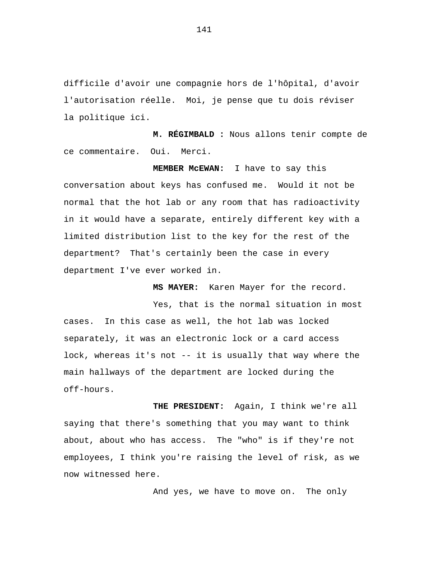difficile d'avoir une compagnie hors de l'hôpital, d'avoir l'autorisation réelle. Moi, je pense que tu dois réviser la politique ici.

**M. RÉGIMBALD :** Nous allons tenir compte de ce commentaire. Oui. Merci.

**MEMBER McEWAN:** I have to say this conversation about keys has confused me. Would it not be normal that the hot lab or any room that has radioactivity in it would have a separate, entirely different key with a limited distribution list to the key for the rest of the department? That's certainly been the case in every department I've ever worked in.

**MS MAYER:** Karen Mayer for the record.

Yes, that is the normal situation in most cases. In this case as well, the hot lab was locked separately, it was an electronic lock or a card access lock, whereas it's not -- it is usually that way where the main hallways of the department are locked during the off-hours.

**THE PRESIDENT:** Again, I think we're all saying that there's something that you may want to think about, about who has access. The "who" is if they're not employees, I think you're raising the level of risk, as we now witnessed here.

And yes, we have to move on. The only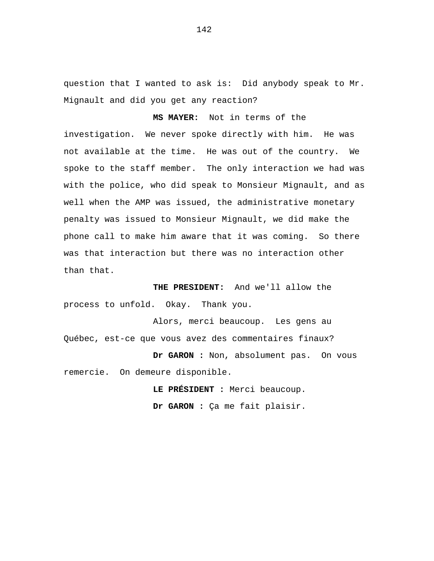question that I wanted to ask is: Did anybody speak to Mr. Mignault and did you get any reaction?

**MS MAYER:** Not in terms of the

investigation. We never spoke directly with him. He was not available at the time. He was out of the country. We spoke to the staff member. The only interaction we had was with the police, who did speak to Monsieur Mignault, and as well when the AMP was issued, the administrative monetary penalty was issued to Monsieur Mignault, we did make the phone call to make him aware that it was coming. So there was that interaction but there was no interaction other than that.

**THE PRESIDENT:** And we'll allow the process to unfold. Okay. Thank you.

Alors, merci beaucoup. Les gens au Québec, est-ce que vous avez des commentaires finaux?

**Dr GARON :** Non, absolument pas. On vous remercie. On demeure disponible.

> **LE PRÉSIDENT :** Merci beaucoup. **Dr GARON :** Ça me fait plaisir.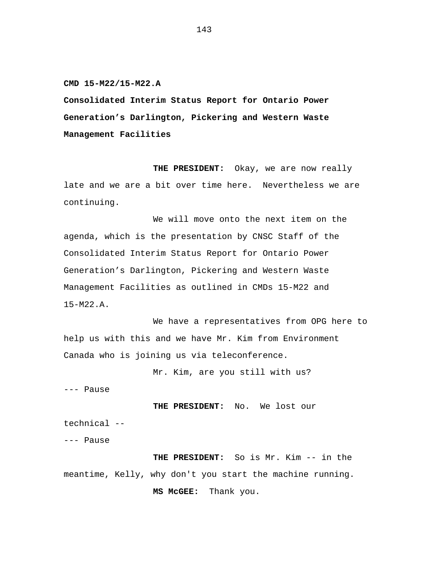**CMD 15-M22/15-M22.A**

**Consolidated Interim Status Report for Ontario Power Generation's Darlington, Pickering and Western Waste Management Facilities**

**THE PRESIDENT:** Okay, we are now really late and we are a bit over time here. Nevertheless we are continuing.

We will move onto the next item on the agenda, which is the presentation by CNSC Staff of the Consolidated Interim Status Report for Ontario Power Generation's Darlington, Pickering and Western Waste Management Facilities as outlined in CMDs 15-M22 and 15-M22.A.

We have a representatives from OPG here to help us with this and we have Mr. Kim from Environment Canada who is joining us via teleconference.

Mr. Kim, are you still with us?

--- Pause

**THE PRESIDENT:** No. We lost our technical --

--- Pause

**THE PRESIDENT:** So is Mr. Kim -- in the meantime, Kelly, why don't you start the machine running. **MS McGEE:** Thank you.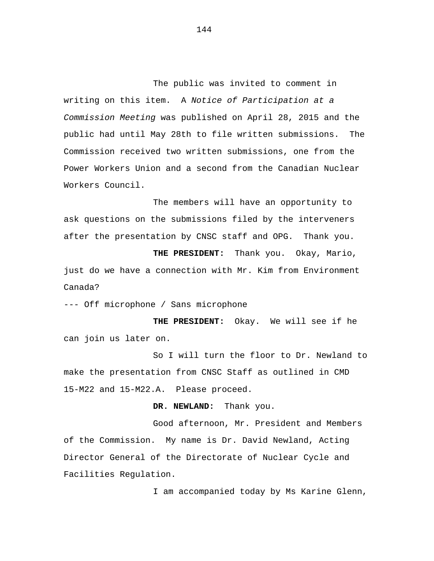The public was invited to comment in writing on this item. A *Notice of Participation at a Commission Meeting* was published on April 28, 2015 and the public had until May 28th to file written submissions. The Commission received two written submissions, one from the Power Workers Union and a second from the Canadian Nuclear Workers Council.

The members will have an opportunity to ask questions on the submissions filed by the interveners after the presentation by CNSC staff and OPG. Thank you.

**THE PRESIDENT:** Thank you. Okay, Mario, just do we have a connection with Mr. Kim from Environment Canada?

--- Off microphone / Sans microphone

**THE PRESIDENT:** Okay. We will see if he can join us later on.

So I will turn the floor to Dr. Newland to make the presentation from CNSC Staff as outlined in CMD 15-M22 and 15-M22.A. Please proceed.

**DR. NEWLAND:** Thank you.

Good afternoon, Mr. President and Members of the Commission. My name is Dr. David Newland, Acting Director General of the Directorate of Nuclear Cycle and Facilities Regulation.

I am accompanied today by Ms Karine Glenn,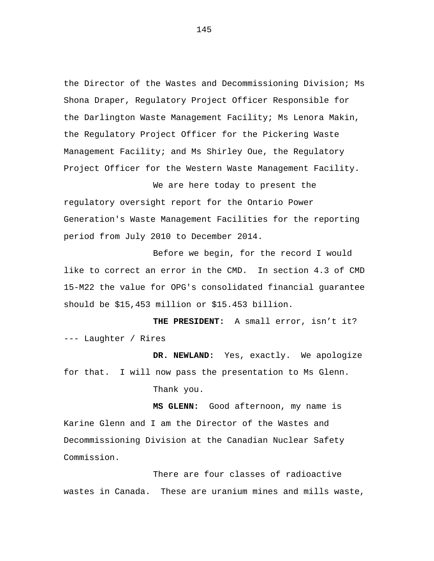the Director of the Wastes and Decommissioning Division; Ms Shona Draper, Regulatory Project Officer Responsible for the Darlington Waste Management Facility; Ms Lenora Makin, the Regulatory Project Officer for the Pickering Waste Management Facility; and Ms Shirley Oue, the Regulatory Project Officer for the Western Waste Management Facility.

We are here today to present the regulatory oversight report for the Ontario Power Generation's Waste Management Facilities for the reporting period from July 2010 to December 2014.

Before we begin, for the record I would like to correct an error in the CMD. In section 4.3 of CMD 15-M22 the value for OPG's consolidated financial guarantee should be \$15,453 million or \$15.453 billion.

**THE PRESIDENT:** A small error, isn't it? --- Laughter / Rires

**DR. NEWLAND:** Yes, exactly. We apologize for that. I will now pass the presentation to Ms Glenn. Thank you.

**MS GLENN:** Good afternoon, my name is Karine Glenn and I am the Director of the Wastes and Decommissioning Division at the Canadian Nuclear Safety Commission.

There are four classes of radioactive wastes in Canada. These are uranium mines and mills waste,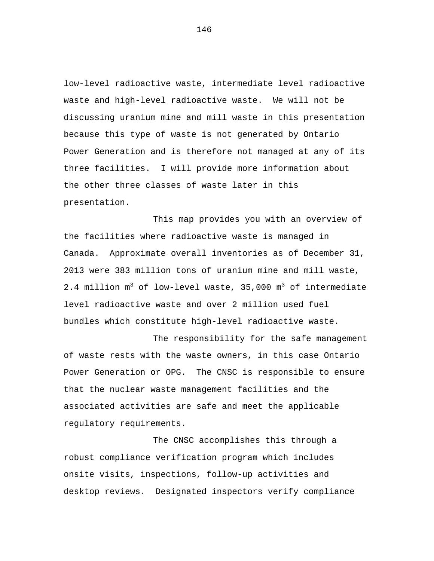low-level radioactive waste, intermediate level radioactive waste and high-level radioactive waste. We will not be discussing uranium mine and mill waste in this presentation because this type of waste is not generated by Ontario Power Generation and is therefore not managed at any of its three facilities. I will provide more information about the other three classes of waste later in this presentation.

This map provides you with an overview of the facilities where radioactive waste is managed in Canada. Approximate overall inventories as of December 31, 2013 were 383 million tons of uranium mine and mill waste, 2.4 million  $m^3$  of low-level waste, 35,000  $m^3$  of intermediate level radioactive waste and over 2 million used fuel bundles which constitute high-level radioactive waste.

The responsibility for the safe management of waste rests with the waste owners, in this case Ontario Power Generation or OPG. The CNSC is responsible to ensure that the nuclear waste management facilities and the associated activities are safe and meet the applicable regulatory requirements.

The CNSC accomplishes this through a robust compliance verification program which includes onsite visits, inspections, follow-up activities and desktop reviews. Designated inspectors verify compliance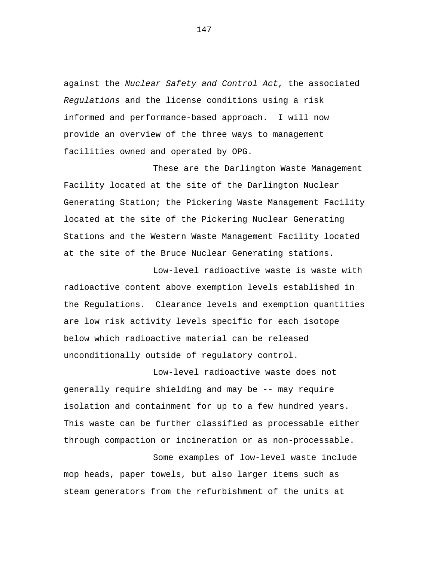against the *Nuclear Safety and Control Act*, the associated *Regulations* and the license conditions using a risk informed and performance-based approach. I will now provide an overview of the three ways to management facilities owned and operated by OPG.

These are the Darlington Waste Management Facility located at the site of the Darlington Nuclear Generating Station; the Pickering Waste Management Facility located at the site of the Pickering Nuclear Generating Stations and the Western Waste Management Facility located at the site of the Bruce Nuclear Generating stations.

Low-level radioactive waste is waste with radioactive content above exemption levels established in the Regulations. Clearance levels and exemption quantities are low risk activity levels specific for each isotope below which radioactive material can be released unconditionally outside of regulatory control.

Low-level radioactive waste does not generally require shielding and may be -- may require isolation and containment for up to a few hundred years. This waste can be further classified as processable either through compaction or incineration or as non-processable.

Some examples of low-level waste include mop heads, paper towels, but also larger items such as steam generators from the refurbishment of the units at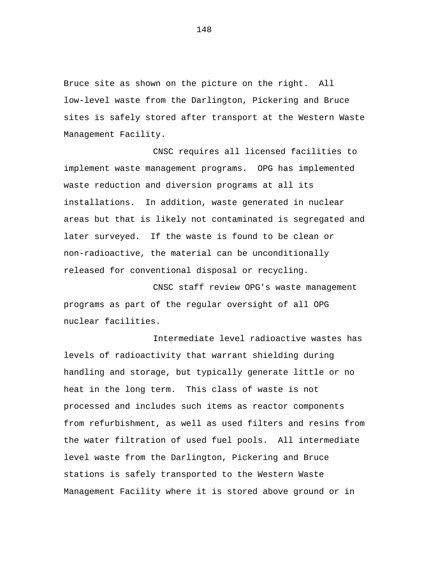Bruce site as shown on the picture on the right. All low-level waste from the Darlington, Pickering and Bruce sites is safely stored after transport at the Western Waste Management Facility.

CNSC requires all licensed facilities to implement waste management programs. OPG has implemented waste reduction and diversion programs at all its installations. In addition, waste generated in nuclear areas but that is likely not contaminated is segregated and later surveyed. If the waste is found to be clean or non-radioactive, the material can be unconditionally released for conventional disposal or recycling.

CNSC staff review OPG's waste management programs as part of the regular oversight of all OPG nuclear facilities.

Intermediate level radioactive wastes has levels of radioactivity that warrant shielding during handling and storage, but typically generate little or no heat in the long term. This class of waste is not processed and includes such items as reactor components from refurbishment, as well as used filters and resins from the water filtration of used fuel pools. All intermediate level waste from the Darlington, Pickering and Bruce stations is safely transported to the Western Waste Management Facility where it is stored above ground or in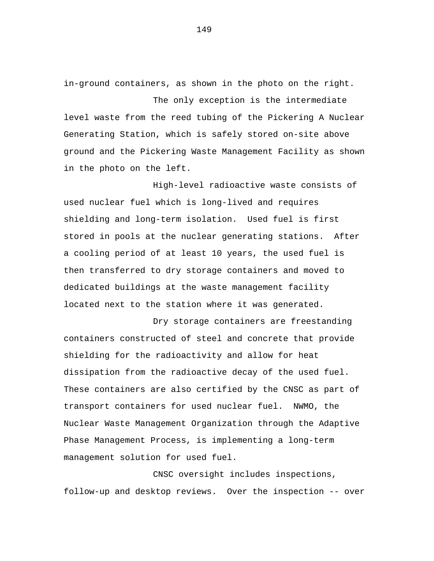in-ground containers, as shown in the photo on the right.

The only exception is the intermediate level waste from the reed tubing of the Pickering A Nuclear Generating Station, which is safely stored on-site above ground and the Pickering Waste Management Facility as shown in the photo on the left.

High-level radioactive waste consists of used nuclear fuel which is long-lived and requires shielding and long-term isolation. Used fuel is first stored in pools at the nuclear generating stations. After a cooling period of at least 10 years, the used fuel is then transferred to dry storage containers and moved to dedicated buildings at the waste management facility located next to the station where it was generated.

Dry storage containers are freestanding containers constructed of steel and concrete that provide shielding for the radioactivity and allow for heat dissipation from the radioactive decay of the used fuel. These containers are also certified by the CNSC as part of transport containers for used nuclear fuel. NWMO, the Nuclear Waste Management Organization through the Adaptive Phase Management Process, is implementing a long-term management solution for used fuel.

CNSC oversight includes inspections, follow-up and desktop reviews. Over the inspection -- over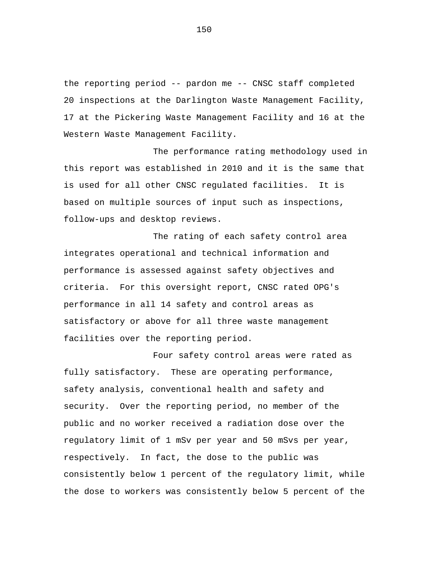the reporting period -- pardon me -- CNSC staff completed 20 inspections at the Darlington Waste Management Facility, 17 at the Pickering Waste Management Facility and 16 at the Western Waste Management Facility.

The performance rating methodology used in this report was established in 2010 and it is the same that is used for all other CNSC regulated facilities. It is based on multiple sources of input such as inspections, follow-ups and desktop reviews.

The rating of each safety control area integrates operational and technical information and performance is assessed against safety objectives and criteria. For this oversight report, CNSC rated OPG's performance in all 14 safety and control areas as satisfactory or above for all three waste management facilities over the reporting period.

Four safety control areas were rated as fully satisfactory. These are operating performance, safety analysis, conventional health and safety and security. Over the reporting period, no member of the public and no worker received a radiation dose over the regulatory limit of 1 mSv per year and 50 mSvs per year, respectively. In fact, the dose to the public was consistently below 1 percent of the regulatory limit, while the dose to workers was consistently below 5 percent of the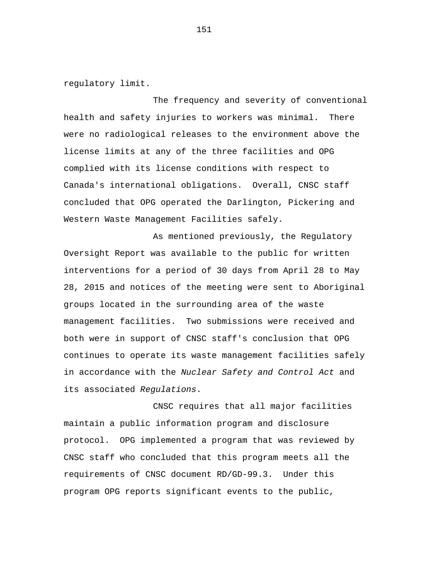regulatory limit.

The frequency and severity of conventional health and safety injuries to workers was minimal. There were no radiological releases to the environment above the license limits at any of the three facilities and OPG complied with its license conditions with respect to Canada's international obligations. Overall, CNSC staff concluded that OPG operated the Darlington, Pickering and Western Waste Management Facilities safely.

As mentioned previously, the Regulatory Oversight Report was available to the public for written interventions for a period of 30 days from April 28 to May 28, 2015 and notices of the meeting were sent to Aboriginal groups located in the surrounding area of the waste management facilities. Two submissions were received and both were in support of CNSC staff's conclusion that OPG continues to operate its waste management facilities safely in accordance with the *Nuclear Safety and Control Act* and its associated *Regulations*.

CNSC requires that all major facilities maintain a public information program and disclosure protocol. OPG implemented a program that was reviewed by CNSC staff who concluded that this program meets all the requirements of CNSC document RD/GD-99.3. Under this program OPG reports significant events to the public,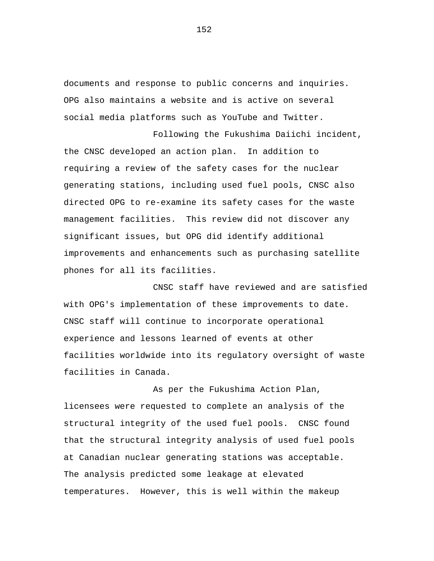documents and response to public concerns and inquiries. OPG also maintains a website and is active on several social media platforms such as YouTube and Twitter.

Following the Fukushima Daiichi incident, the CNSC developed an action plan. In addition to requiring a review of the safety cases for the nuclear generating stations, including used fuel pools, CNSC also directed OPG to re-examine its safety cases for the waste management facilities. This review did not discover any significant issues, but OPG did identify additional improvements and enhancements such as purchasing satellite phones for all its facilities.

CNSC staff have reviewed and are satisfied with OPG's implementation of these improvements to date. CNSC staff will continue to incorporate operational experience and lessons learned of events at other facilities worldwide into its regulatory oversight of waste facilities in Canada.

As per the Fukushima Action Plan, licensees were requested to complete an analysis of the structural integrity of the used fuel pools. CNSC found that the structural integrity analysis of used fuel pools at Canadian nuclear generating stations was acceptable. The analysis predicted some leakage at elevated temperatures. However, this is well within the makeup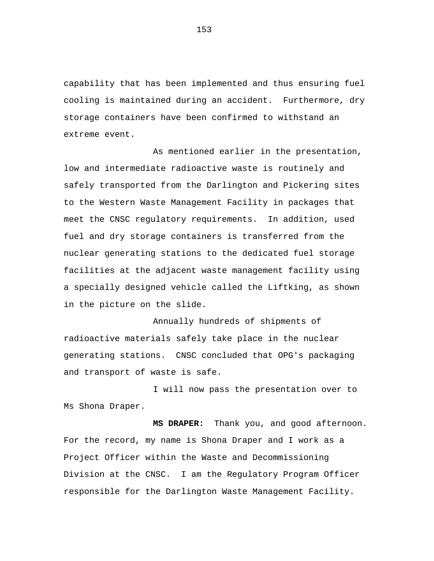capability that has been implemented and thus ensuring fuel cooling is maintained during an accident. Furthermore, dry storage containers have been confirmed to withstand an extreme event.

As mentioned earlier in the presentation, low and intermediate radioactive waste is routinely and safely transported from the Darlington and Pickering sites to the Western Waste Management Facility in packages that meet the CNSC regulatory requirements. In addition, used fuel and dry storage containers is transferred from the nuclear generating stations to the dedicated fuel storage facilities at the adjacent waste management facility using a specially designed vehicle called the Liftking, as shown in the picture on the slide.

Annually hundreds of shipments of radioactive materials safely take place in the nuclear generating stations. CNSC concluded that OPG's packaging and transport of waste is safe.

I will now pass the presentation over to Ms Shona Draper.

**MS DRAPER:** Thank you, and good afternoon. For the record, my name is Shona Draper and I work as a Project Officer within the Waste and Decommissioning Division at the CNSC. I am the Regulatory Program Officer responsible for the Darlington Waste Management Facility.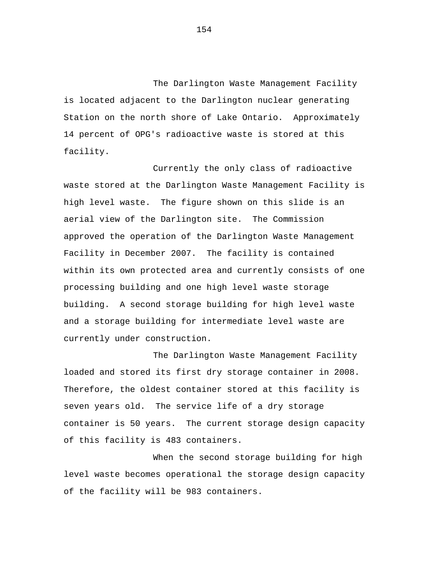The Darlington Waste Management Facility is located adjacent to the Darlington nuclear generating Station on the north shore of Lake Ontario. Approximately 14 percent of OPG's radioactive waste is stored at this facility.

Currently the only class of radioactive waste stored at the Darlington Waste Management Facility is high level waste. The figure shown on this slide is an aerial view of the Darlington site. The Commission approved the operation of the Darlington Waste Management Facility in December 2007. The facility is contained within its own protected area and currently consists of one processing building and one high level waste storage building. A second storage building for high level waste and a storage building for intermediate level waste are currently under construction.

The Darlington Waste Management Facility loaded and stored its first dry storage container in 2008. Therefore, the oldest container stored at this facility is seven years old. The service life of a dry storage container is 50 years. The current storage design capacity of this facility is 483 containers.

When the second storage building for high level waste becomes operational the storage design capacity of the facility will be 983 containers.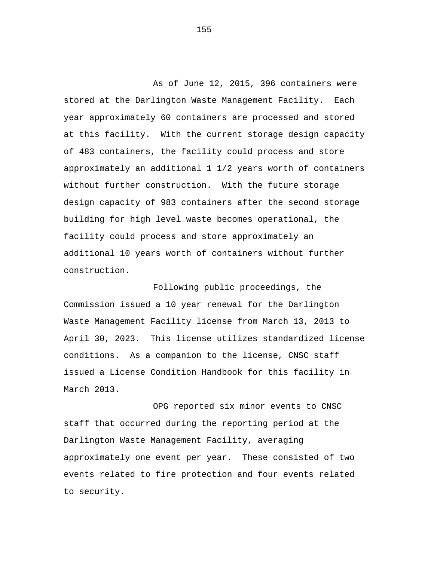As of June 12, 2015, 396 containers were stored at the Darlington Waste Management Facility. Each year approximately 60 containers are processed and stored at this facility. With the current storage design capacity of 483 containers, the facility could process and store approximately an additional 1 1/2 years worth of containers without further construction. With the future storage design capacity of 983 containers after the second storage building for high level waste becomes operational, the facility could process and store approximately an additional 10 years worth of containers without further construction.

Following public proceedings, the Commission issued a 10 year renewal for the Darlington Waste Management Facility license from March 13, 2013 to April 30, 2023. This license utilizes standardized license conditions. As a companion to the license, CNSC staff issued a License Condition Handbook for this facility in March 2013.

OPG reported six minor events to CNSC staff that occurred during the reporting period at the Darlington Waste Management Facility, averaging approximately one event per year. These consisted of two events related to fire protection and four events related to security.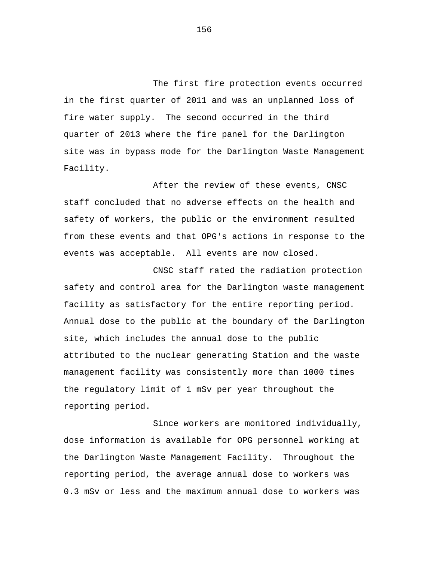The first fire protection events occurred in the first quarter of 2011 and was an unplanned loss of fire water supply. The second occurred in the third quarter of 2013 where the fire panel for the Darlington site was in bypass mode for the Darlington Waste Management Facility.

After the review of these events, CNSC staff concluded that no adverse effects on the health and safety of workers, the public or the environment resulted from these events and that OPG's actions in response to the events was acceptable. All events are now closed.

CNSC staff rated the radiation protection safety and control area for the Darlington waste management facility as satisfactory for the entire reporting period. Annual dose to the public at the boundary of the Darlington site, which includes the annual dose to the public attributed to the nuclear generating Station and the waste management facility was consistently more than 1000 times the regulatory limit of 1 mSv per year throughout the reporting period.

Since workers are monitored individually, dose information is available for OPG personnel working at the Darlington Waste Management Facility. Throughout the reporting period, the average annual dose to workers was 0.3 mSv or less and the maximum annual dose to workers was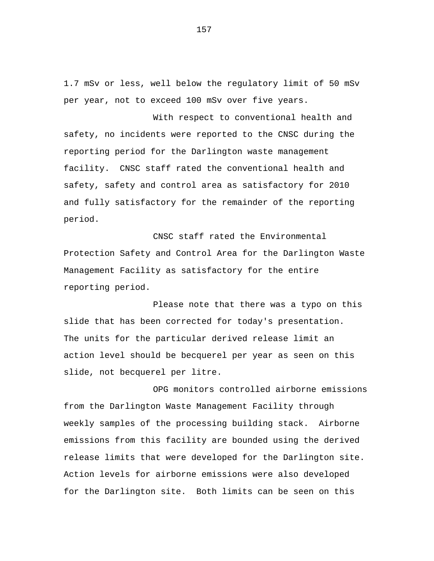1.7 mSv or less, well below the regulatory limit of 50 mSv per year, not to exceed 100 mSv over five years.

With respect to conventional health and safety, no incidents were reported to the CNSC during the reporting period for the Darlington waste management facility. CNSC staff rated the conventional health and safety, safety and control area as satisfactory for 2010 and fully satisfactory for the remainder of the reporting period.

CNSC staff rated the Environmental Protection Safety and Control Area for the Darlington Waste Management Facility as satisfactory for the entire reporting period.

Please note that there was a typo on this slide that has been corrected for today's presentation. The units for the particular derived release limit an action level should be becquerel per year as seen on this slide, not becquerel per litre.

OPG monitors controlled airborne emissions from the Darlington Waste Management Facility through weekly samples of the processing building stack. Airborne emissions from this facility are bounded using the derived release limits that were developed for the Darlington site. Action levels for airborne emissions were also developed for the Darlington site. Both limits can be seen on this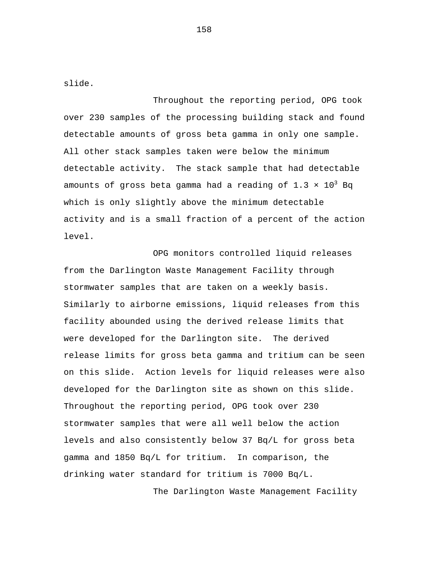slide.

Throughout the reporting period, OPG took over 230 samples of the processing building stack and found detectable amounts of gross beta gamma in only one sample. All other stack samples taken were below the minimum detectable activity. The stack sample that had detectable amounts of gross beta gamma had a reading of  $1.3 \times 10^3$  Bq which is only slightly above the minimum detectable activity and is a small fraction of a percent of the action level.

OPG monitors controlled liquid releases from the Darlington Waste Management Facility through stormwater samples that are taken on a weekly basis. Similarly to airborne emissions, liquid releases from this facility abounded using the derived release limits that were developed for the Darlington site. The derived release limits for gross beta gamma and tritium can be seen on this slide. Action levels for liquid releases were also developed for the Darlington site as shown on this slide. Throughout the reporting period, OPG took over 230 stormwater samples that were all well below the action levels and also consistently below 37 Bq/L for gross beta gamma and 1850 Bq/L for tritium. In comparison, the drinking water standard for tritium is 7000 Bq/L.

The Darlington Waste Management Facility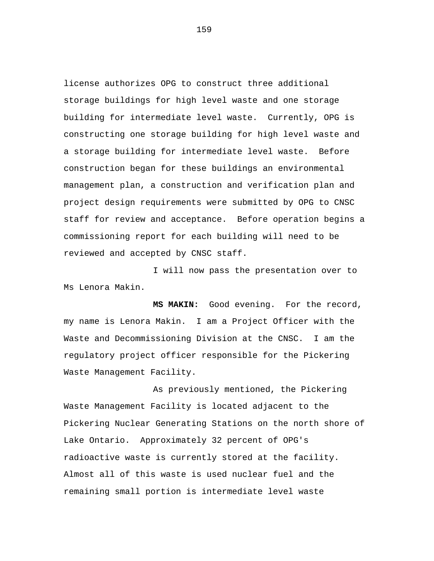license authorizes OPG to construct three additional storage buildings for high level waste and one storage building for intermediate level waste. Currently, OPG is constructing one storage building for high level waste and a storage building for intermediate level waste. Before construction began for these buildings an environmental management plan, a construction and verification plan and project design requirements were submitted by OPG to CNSC staff for review and acceptance. Before operation begins a commissioning report for each building will need to be reviewed and accepted by CNSC staff.

I will now pass the presentation over to Ms Lenora Makin.

**MS MAKIN:** Good evening. For the record, my name is Lenora Makin. I am a Project Officer with the Waste and Decommissioning Division at the CNSC. I am the regulatory project officer responsible for the Pickering Waste Management Facility.

As previously mentioned, the Pickering Waste Management Facility is located adjacent to the Pickering Nuclear Generating Stations on the north shore of Lake Ontario. Approximately 32 percent of OPG's radioactive waste is currently stored at the facility. Almost all of this waste is used nuclear fuel and the remaining small portion is intermediate level waste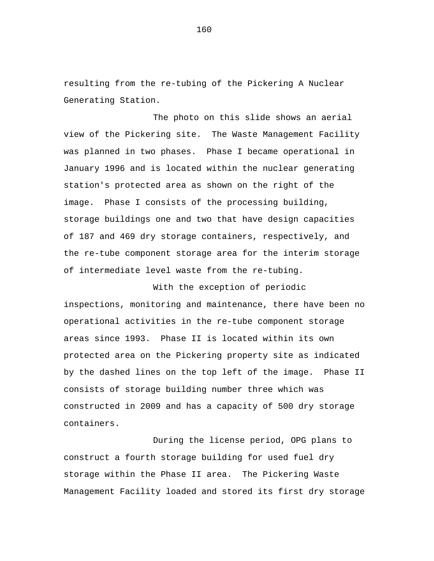resulting from the re-tubing of the Pickering A Nuclear Generating Station.

The photo on this slide shows an aerial view of the Pickering site. The Waste Management Facility was planned in two phases. Phase I became operational in January 1996 and is located within the nuclear generating station's protected area as shown on the right of the image. Phase I consists of the processing building, storage buildings one and two that have design capacities of 187 and 469 dry storage containers, respectively, and the re-tube component storage area for the interim storage of intermediate level waste from the re-tubing.

With the exception of periodic inspections, monitoring and maintenance, there have been no operational activities in the re-tube component storage areas since 1993. Phase II is located within its own protected area on the Pickering property site as indicated by the dashed lines on the top left of the image. Phase II consists of storage building number three which was constructed in 2009 and has a capacity of 500 dry storage containers.

During the license period, OPG plans to construct a fourth storage building for used fuel dry storage within the Phase II area. The Pickering Waste Management Facility loaded and stored its first dry storage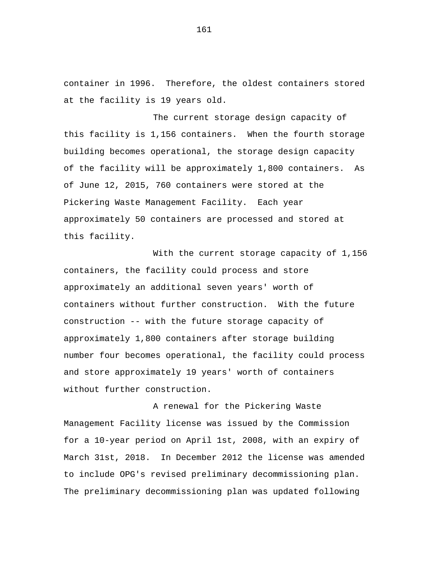container in 1996. Therefore, the oldest containers stored at the facility is 19 years old.

The current storage design capacity of this facility is 1,156 containers. When the fourth storage building becomes operational, the storage design capacity of the facility will be approximately 1,800 containers. As of June 12, 2015, 760 containers were stored at the Pickering Waste Management Facility. Each year approximately 50 containers are processed and stored at this facility.

With the current storage capacity of 1,156 containers, the facility could process and store approximately an additional seven years' worth of containers without further construction. With the future construction -- with the future storage capacity of approximately 1,800 containers after storage building number four becomes operational, the facility could process and store approximately 19 years' worth of containers without further construction.

A renewal for the Pickering Waste Management Facility license was issued by the Commission for a 10-year period on April 1st, 2008, with an expiry of March 31st, 2018. In December 2012 the license was amended to include OPG's revised preliminary decommissioning plan. The preliminary decommissioning plan was updated following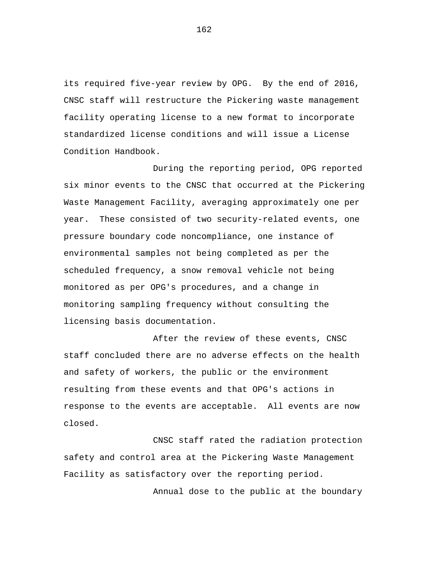its required five-year review by OPG. By the end of 2016, CNSC staff will restructure the Pickering waste management facility operating license to a new format to incorporate standardized license conditions and will issue a License Condition Handbook.

During the reporting period, OPG reported six minor events to the CNSC that occurred at the Pickering Waste Management Facility, averaging approximately one per year. These consisted of two security-related events, one pressure boundary code noncompliance, one instance of environmental samples not being completed as per the scheduled frequency, a snow removal vehicle not being monitored as per OPG's procedures, and a change in monitoring sampling frequency without consulting the licensing basis documentation.

After the review of these events, CNSC staff concluded there are no adverse effects on the health and safety of workers, the public or the environment resulting from these events and that OPG's actions in response to the events are acceptable. All events are now closed.

CNSC staff rated the radiation protection safety and control area at the Pickering Waste Management Facility as satisfactory over the reporting period.

Annual dose to the public at the boundary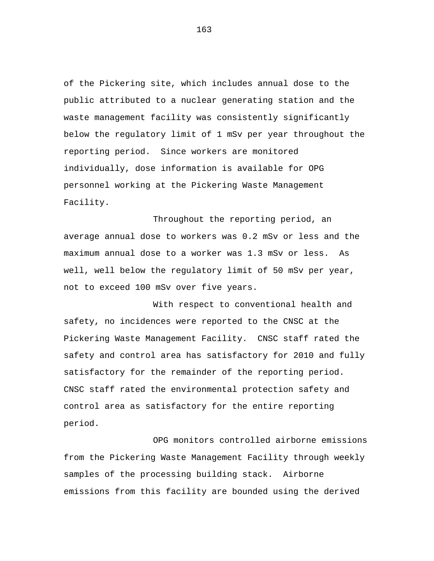of the Pickering site, which includes annual dose to the public attributed to a nuclear generating station and the waste management facility was consistently significantly below the regulatory limit of 1 mSv per year throughout the reporting period. Since workers are monitored individually, dose information is available for OPG personnel working at the Pickering Waste Management Facility.

Throughout the reporting period, an average annual dose to workers was 0.2 mSv or less and the maximum annual dose to a worker was 1.3 mSv or less. As well, well below the regulatory limit of 50 mSv per year, not to exceed 100 mSv over five years.

With respect to conventional health and safety, no incidences were reported to the CNSC at the Pickering Waste Management Facility. CNSC staff rated the safety and control area has satisfactory for 2010 and fully satisfactory for the remainder of the reporting period. CNSC staff rated the environmental protection safety and control area as satisfactory for the entire reporting period.

OPG monitors controlled airborne emissions from the Pickering Waste Management Facility through weekly samples of the processing building stack. Airborne emissions from this facility are bounded using the derived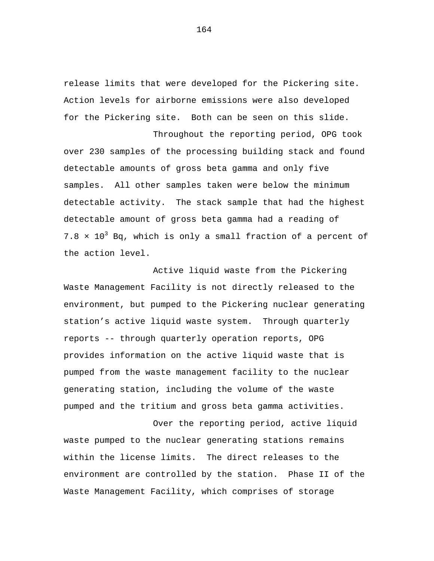release limits that were developed for the Pickering site. Action levels for airborne emissions were also developed for the Pickering site. Both can be seen on this slide.

Throughout the reporting period, OPG took over 230 samples of the processing building stack and found detectable amounts of gross beta gamma and only five samples. All other samples taken were below the minimum detectable activity. The stack sample that had the highest detectable amount of gross beta gamma had a reading of  $7.8 \times 10^3$  Bq, which is only a small fraction of a percent of the action level.

Active liquid waste from the Pickering Waste Management Facility is not directly released to the environment, but pumped to the Pickering nuclear generating station's active liquid waste system. Through quarterly reports -- through quarterly operation reports, OPG provides information on the active liquid waste that is pumped from the waste management facility to the nuclear generating station, including the volume of the waste pumped and the tritium and gross beta gamma activities.

Over the reporting period, active liquid waste pumped to the nuclear generating stations remains within the license limits. The direct releases to the environment are controlled by the station. Phase II of the Waste Management Facility, which comprises of storage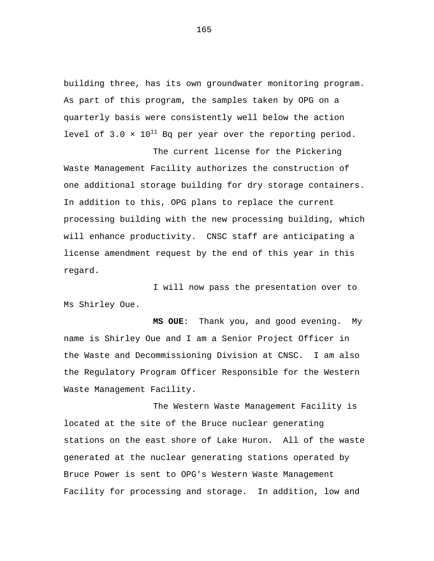building three, has its own groundwater monitoring program. As part of this program, the samples taken by OPG on a quarterly basis were consistently well below the action level of  $3.0 \times 10^{11}$  Bq per year over the reporting period.

The current license for the Pickering Waste Management Facility authorizes the construction of one additional storage building for dry storage containers. In addition to this, OPG plans to replace the current processing building with the new processing building, which will enhance productivity. CNSC staff are anticipating a license amendment request by the end of this year in this regard.

I will now pass the presentation over to Ms Shirley Oue.

**MS OUE**: Thank you, and good evening. My name is Shirley Oue and I am a Senior Project Officer in the Waste and Decommissioning Division at CNSC. I am also the Regulatory Program Officer Responsible for the Western Waste Management Facility.

The Western Waste Management Facility is located at the site of the Bruce nuclear generating stations on the east shore of Lake Huron. All of the waste generated at the nuclear generating stations operated by Bruce Power is sent to OPG's Western Waste Management Facility for processing and storage. In addition, low and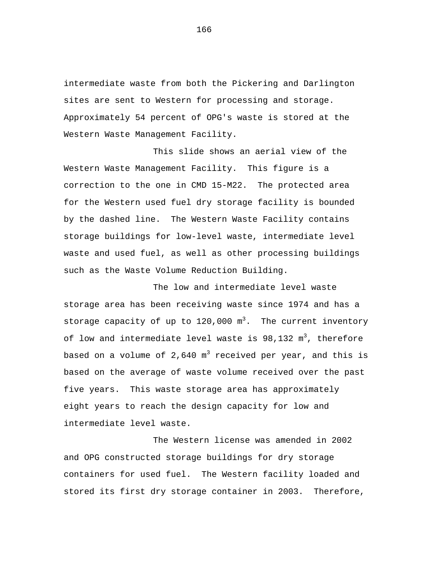intermediate waste from both the Pickering and Darlington sites are sent to Western for processing and storage. Approximately 54 percent of OPG's waste is stored at the Western Waste Management Facility.

This slide shows an aerial view of the Western Waste Management Facility. This figure is a correction to the one in CMD 15-M22. The protected area for the Western used fuel dry storage facility is bounded by the dashed line. The Western Waste Facility contains storage buildings for low-level waste, intermediate level waste and used fuel, as well as other processing buildings such as the Waste Volume Reduction Building.

The low and intermediate level waste storage area has been receiving waste since 1974 and has a storage capacity of up to  $120,000$   $\mathrm{m}^3$ . The current inventory of low and intermediate level waste is  $98,132$   $\mathrm{m}^{3}$ , therefore based on a volume of 2,640  $m<sup>3</sup>$  received per year, and this is based on the average of waste volume received over the past five years. This waste storage area has approximately eight years to reach the design capacity for low and intermediate level waste.

The Western license was amended in 2002 and OPG constructed storage buildings for dry storage containers for used fuel. The Western facility loaded and stored its first dry storage container in 2003. Therefore,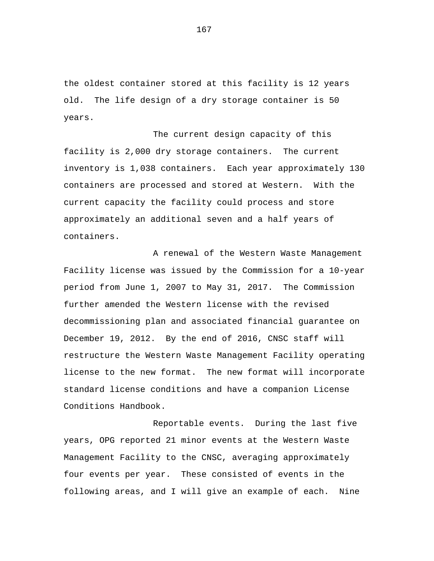the oldest container stored at this facility is 12 years old. The life design of a dry storage container is 50 years.

The current design capacity of this facility is 2,000 dry storage containers. The current inventory is 1,038 containers. Each year approximately 130 containers are processed and stored at Western. With the current capacity the facility could process and store approximately an additional seven and a half years of containers.

A renewal of the Western Waste Management Facility license was issued by the Commission for a 10-year period from June 1, 2007 to May 31, 2017. The Commission further amended the Western license with the revised decommissioning plan and associated financial guarantee on December 19, 2012. By the end of 2016, CNSC staff will restructure the Western Waste Management Facility operating license to the new format. The new format will incorporate standard license conditions and have a companion License Conditions Handbook.

Reportable events. During the last five years, OPG reported 21 minor events at the Western Waste Management Facility to the CNSC, averaging approximately four events per year. These consisted of events in the following areas, and I will give an example of each. Nine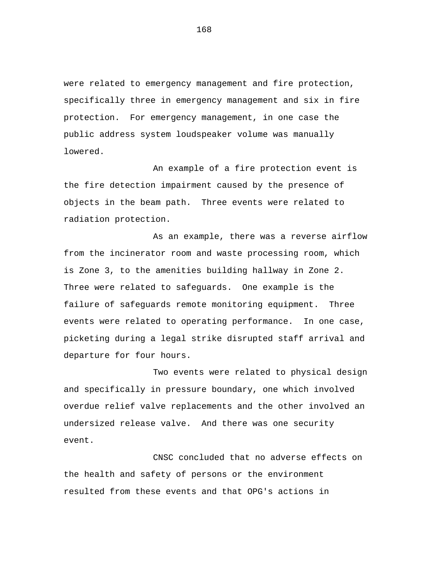were related to emergency management and fire protection, specifically three in emergency management and six in fire protection. For emergency management, in one case the public address system loudspeaker volume was manually lowered.

An example of a fire protection event is the fire detection impairment caused by the presence of objects in the beam path. Three events were related to radiation protection.

As an example, there was a reverse airflow from the incinerator room and waste processing room, which is Zone 3, to the amenities building hallway in Zone 2. Three were related to safeguards. One example is the failure of safeguards remote monitoring equipment. Three events were related to operating performance. In one case, picketing during a legal strike disrupted staff arrival and departure for four hours.

Two events were related to physical design and specifically in pressure boundary, one which involved overdue relief valve replacements and the other involved an undersized release valve. And there was one security event.

CNSC concluded that no adverse effects on the health and safety of persons or the environment resulted from these events and that OPG's actions in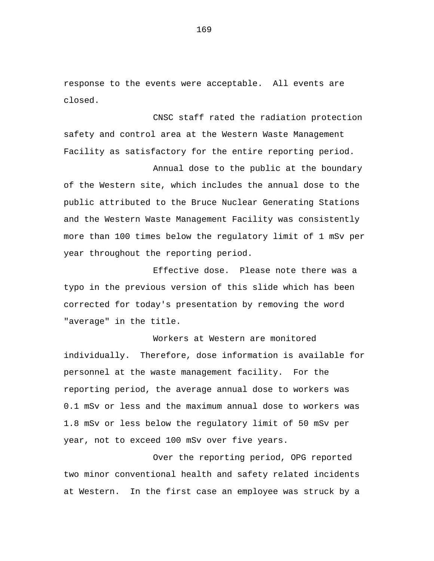response to the events were acceptable. All events are closed.

CNSC staff rated the radiation protection safety and control area at the Western Waste Management Facility as satisfactory for the entire reporting period.

Annual dose to the public at the boundary of the Western site, which includes the annual dose to the public attributed to the Bruce Nuclear Generating Stations and the Western Waste Management Facility was consistently more than 100 times below the regulatory limit of 1 mSv per year throughout the reporting period.

Effective dose. Please note there was a typo in the previous version of this slide which has been corrected for today's presentation by removing the word "average" in the title.

Workers at Western are monitored individually. Therefore, dose information is available for personnel at the waste management facility. For the reporting period, the average annual dose to workers was 0.1 mSv or less and the maximum annual dose to workers was 1.8 mSv or less below the regulatory limit of 50 mSv per year, not to exceed 100 mSv over five years.

Over the reporting period, OPG reported two minor conventional health and safety related incidents at Western. In the first case an employee was struck by a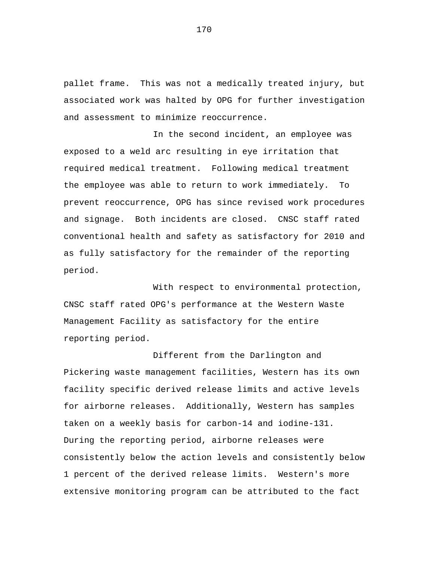pallet frame. This was not a medically treated injury, but associated work was halted by OPG for further investigation and assessment to minimize reoccurrence.

In the second incident, an employee was exposed to a weld arc resulting in eye irritation that required medical treatment. Following medical treatment the employee was able to return to work immediately. To prevent reoccurrence, OPG has since revised work procedures and signage. Both incidents are closed. CNSC staff rated conventional health and safety as satisfactory for 2010 and as fully satisfactory for the remainder of the reporting period.

With respect to environmental protection, CNSC staff rated OPG's performance at the Western Waste Management Facility as satisfactory for the entire reporting period.

Different from the Darlington and Pickering waste management facilities, Western has its own facility specific derived release limits and active levels for airborne releases. Additionally, Western has samples taken on a weekly basis for carbon-14 and iodine-131. During the reporting period, airborne releases were consistently below the action levels and consistently below 1 percent of the derived release limits. Western's more extensive monitoring program can be attributed to the fact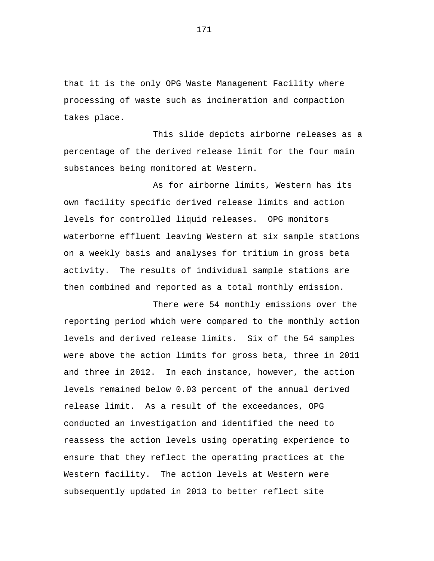that it is the only OPG Waste Management Facility where processing of waste such as incineration and compaction takes place.

This slide depicts airborne releases as a percentage of the derived release limit for the four main substances being monitored at Western.

As for airborne limits, Western has its own facility specific derived release limits and action levels for controlled liquid releases. OPG monitors waterborne effluent leaving Western at six sample stations on a weekly basis and analyses for tritium in gross beta activity. The results of individual sample stations are then combined and reported as a total monthly emission.

There were 54 monthly emissions over the reporting period which were compared to the monthly action levels and derived release limits. Six of the 54 samples were above the action limits for gross beta, three in 2011 and three in 2012. In each instance, however, the action levels remained below 0.03 percent of the annual derived release limit. As a result of the exceedances, OPG conducted an investigation and identified the need to reassess the action levels using operating experience to ensure that they reflect the operating practices at the Western facility. The action levels at Western were subsequently updated in 2013 to better reflect site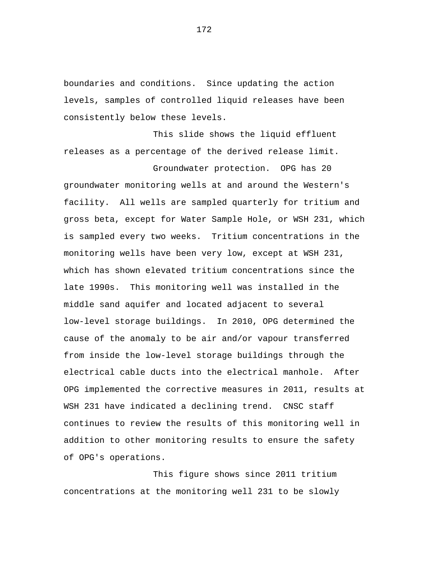boundaries and conditions. Since updating the action levels, samples of controlled liquid releases have been consistently below these levels.

This slide shows the liquid effluent releases as a percentage of the derived release limit.

Groundwater protection. OPG has 20 groundwater monitoring wells at and around the Western's facility. All wells are sampled quarterly for tritium and gross beta, except for Water Sample Hole, or WSH 231, which is sampled every two weeks. Tritium concentrations in the monitoring wells have been very low, except at WSH 231, which has shown elevated tritium concentrations since the late 1990s. This monitoring well was installed in the middle sand aquifer and located adjacent to several low-level storage buildings. In 2010, OPG determined the cause of the anomaly to be air and/or vapour transferred from inside the low-level storage buildings through the electrical cable ducts into the electrical manhole. After OPG implemented the corrective measures in 2011, results at WSH 231 have indicated a declining trend. CNSC staff continues to review the results of this monitoring well in addition to other monitoring results to ensure the safety of OPG's operations.

This figure shows since 2011 tritium concentrations at the monitoring well 231 to be slowly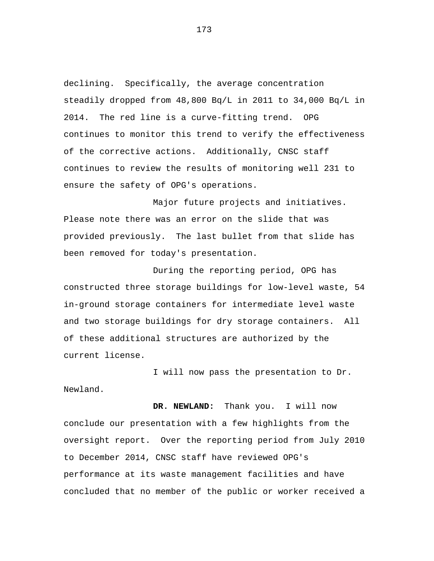declining. Specifically, the average concentration steadily dropped from 48,800 Bq/L in 2011 to 34,000 Bq/L in 2014. The red line is a curve-fitting trend. OPG continues to monitor this trend to verify the effectiveness of the corrective actions. Additionally, CNSC staff continues to review the results of monitoring well 231 to ensure the safety of OPG's operations.

Major future projects and initiatives. Please note there was an error on the slide that was provided previously. The last bullet from that slide has been removed for today's presentation.

During the reporting period, OPG has constructed three storage buildings for low-level waste, 54 in-ground storage containers for intermediate level waste and two storage buildings for dry storage containers. All of these additional structures are authorized by the current license.

I will now pass the presentation to Dr. Newland.

**DR. NEWLAND:** Thank you. I will now conclude our presentation with a few highlights from the oversight report. Over the reporting period from July 2010 to December 2014, CNSC staff have reviewed OPG's performance at its waste management facilities and have concluded that no member of the public or worker received a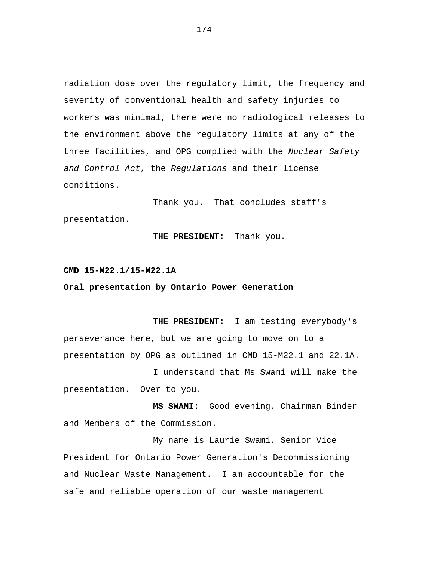radiation dose over the regulatory limit, the frequency and severity of conventional health and safety injuries to workers was minimal, there were no radiological releases to the environment above the regulatory limits at any of the three facilities, and OPG complied with the *Nuclear Safety and Control Act*, the *Regulations* and their license conditions.

Thank you. That concludes staff's presentation.

## **THE PRESIDENT:** Thank you.

## **CMD 15-M22.1/15-M22.1A**

## **Oral presentation by Ontario Power Generation**

**THE PRESIDENT:** I am testing everybody's perseverance here, but we are going to move on to a presentation by OPG as outlined in CMD 15-M22.1 and 22.1A.

I understand that Ms Swami will make the presentation. Over to you.

**MS SWAMI:** Good evening, Chairman Binder and Members of the Commission.

My name is Laurie Swami, Senior Vice President for Ontario Power Generation's Decommissioning and Nuclear Waste Management. I am accountable for the safe and reliable operation of our waste management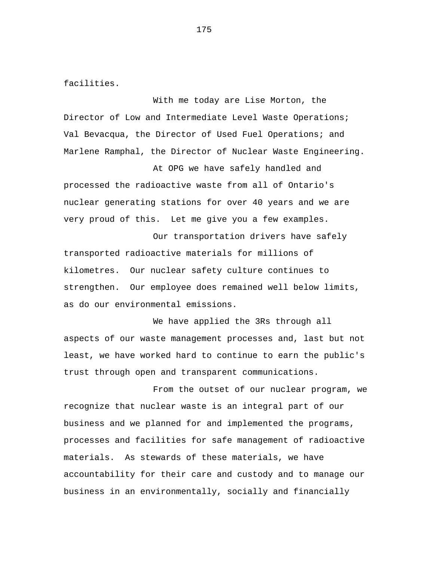facilities.

With me today are Lise Morton, the Director of Low and Intermediate Level Waste Operations; Val Bevacqua, the Director of Used Fuel Operations; and Marlene Ramphal, the Director of Nuclear Waste Engineering.

At OPG we have safely handled and processed the radioactive waste from all of Ontario's nuclear generating stations for over 40 years and we are very proud of this. Let me give you a few examples.

Our transportation drivers have safely transported radioactive materials for millions of kilometres. Our nuclear safety culture continues to strengthen. Our employee does remained well below limits, as do our environmental emissions.

We have applied the 3Rs through all aspects of our waste management processes and, last but not least, we have worked hard to continue to earn the public's trust through open and transparent communications.

From the outset of our nuclear program, we recognize that nuclear waste is an integral part of our business and we planned for and implemented the programs, processes and facilities for safe management of radioactive materials. As stewards of these materials, we have accountability for their care and custody and to manage our business in an environmentally, socially and financially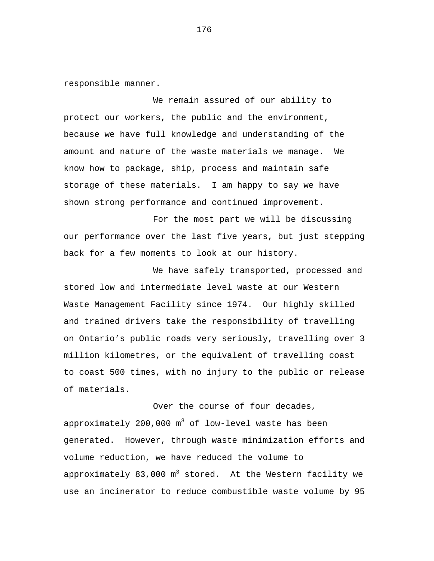responsible manner.

We remain assured of our ability to protect our workers, the public and the environment, because we have full knowledge and understanding of the amount and nature of the waste materials we manage. We know how to package, ship, process and maintain safe storage of these materials. I am happy to say we have shown strong performance and continued improvement.

For the most part we will be discussing our performance over the last five years, but just stepping back for a few moments to look at our history.

We have safely transported, processed and stored low and intermediate level waste at our Western Waste Management Facility since 1974. Our highly skilled and trained drivers take the responsibility of travelling on Ontario's public roads very seriously, travelling over 3 million kilometres, or the equivalent of travelling coast to coast 500 times, with no injury to the public or release of materials.

Over the course of four decades, approximately 200,000  $m^3$  of low-level waste has been generated. However, through waste minimization efforts and volume reduction, we have reduced the volume to approximately 83,000  $m^3$  stored. At the Western facility we use an incinerator to reduce combustible waste volume by 95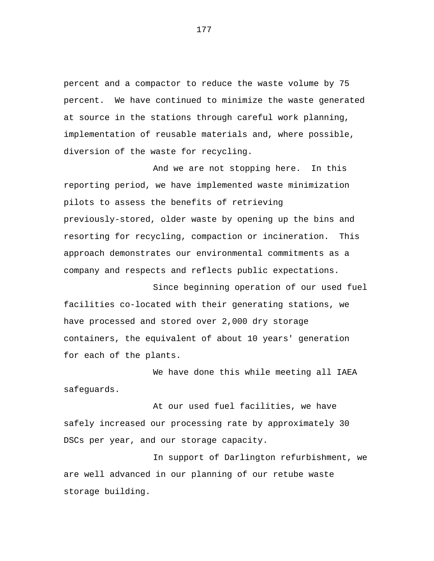percent and a compactor to reduce the waste volume by 75 percent. We have continued to minimize the waste generated at source in the stations through careful work planning, implementation of reusable materials and, where possible, diversion of the waste for recycling.

And we are not stopping here. In this reporting period, we have implemented waste minimization pilots to assess the benefits of retrieving previously-stored, older waste by opening up the bins and resorting for recycling, compaction or incineration. This approach demonstrates our environmental commitments as a company and respects and reflects public expectations.

Since beginning operation of our used fuel facilities co-located with their generating stations, we have processed and stored over 2,000 dry storage containers, the equivalent of about 10 years' generation for each of the plants.

We have done this while meeting all IAEA safeguards.

At our used fuel facilities, we have safely increased our processing rate by approximately 30 DSCs per year, and our storage capacity.

In support of Darlington refurbishment, we are well advanced in our planning of our retube waste storage building.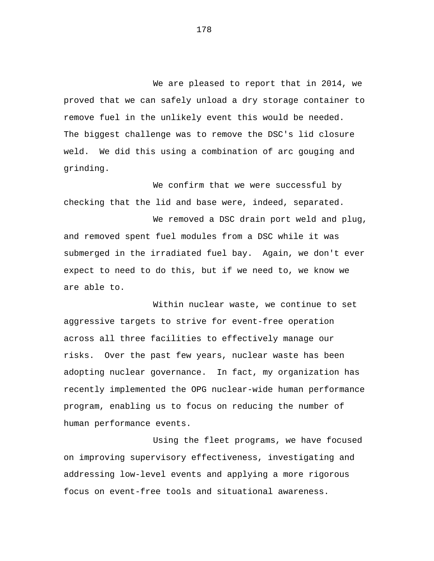We are pleased to report that in 2014, we proved that we can safely unload a dry storage container to remove fuel in the unlikely event this would be needed. The biggest challenge was to remove the DSC's lid closure weld. We did this using a combination of arc gouging and grinding.

We confirm that we were successful by checking that the lid and base were, indeed, separated.

We removed a DSC drain port weld and plug, and removed spent fuel modules from a DSC while it was submerged in the irradiated fuel bay. Again, we don't ever expect to need to do this, but if we need to, we know we are able to.

Within nuclear waste, we continue to set aggressive targets to strive for event-free operation across all three facilities to effectively manage our risks. Over the past few years, nuclear waste has been adopting nuclear governance. In fact, my organization has recently implemented the OPG nuclear-wide human performance program, enabling us to focus on reducing the number of human performance events.

Using the fleet programs, we have focused on improving supervisory effectiveness, investigating and addressing low-level events and applying a more rigorous focus on event-free tools and situational awareness.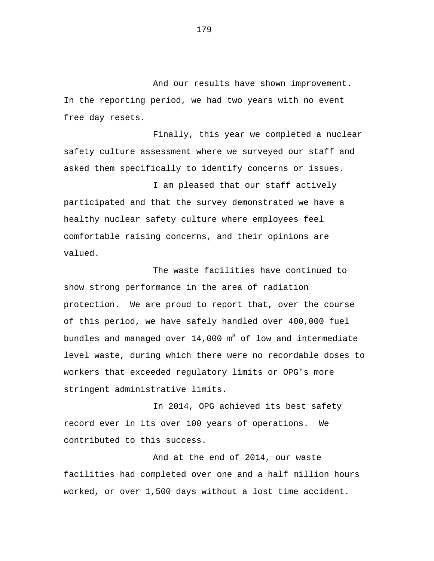And our results have shown improvement. In the reporting period, we had two years with no event free day resets.

Finally, this year we completed a nuclear safety culture assessment where we surveyed our staff and asked them specifically to identify concerns or issues.

I am pleased that our staff actively participated and that the survey demonstrated we have a healthy nuclear safety culture where employees feel comfortable raising concerns, and their opinions are valued.

The waste facilities have continued to show strong performance in the area of radiation protection. We are proud to report that, over the course of this period, we have safely handled over 400,000 fuel bundles and managed over  $14,000$   $m^3$  of low and intermediate level waste, during which there were no recordable doses to workers that exceeded regulatory limits or OPG's more stringent administrative limits.

In 2014, OPG achieved its best safety record ever in its over 100 years of operations. We contributed to this success.

And at the end of 2014, our waste facilities had completed over one and a half million hours worked, or over 1,500 days without a lost time accident.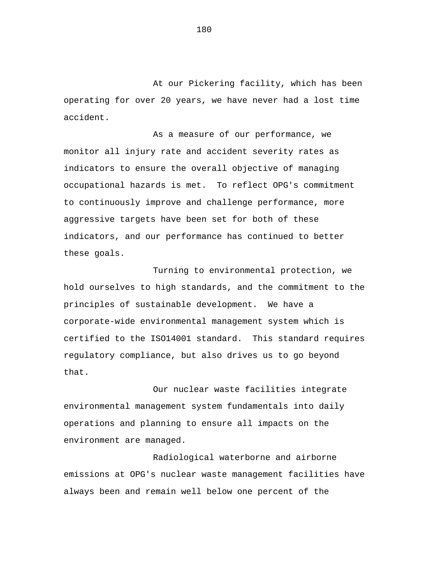At our Pickering facility, which has been operating for over 20 years, we have never had a lost time accident.

As a measure of our performance, we monitor all injury rate and accident severity rates as indicators to ensure the overall objective of managing occupational hazards is met. To reflect OPG's commitment to continuously improve and challenge performance, more aggressive targets have been set for both of these indicators, and our performance has continued to better these goals.

Turning to environmental protection, we hold ourselves to high standards, and the commitment to the principles of sustainable development. We have a corporate-wide environmental management system which is certified to the ISO14001 standard. This standard requires regulatory compliance, but also drives us to go beyond that.

Our nuclear waste facilities integrate environmental management system fundamentals into daily operations and planning to ensure all impacts on the environment are managed.

Radiological waterborne and airborne emissions at OPG's nuclear waste management facilities have always been and remain well below one percent of the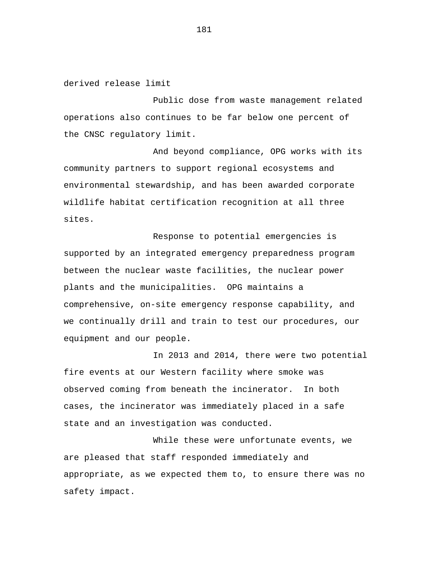derived release limit

Public dose from waste management related operations also continues to be far below one percent of the CNSC regulatory limit.

And beyond compliance, OPG works with its community partners to support regional ecosystems and environmental stewardship, and has been awarded corporate wildlife habitat certification recognition at all three sites.

Response to potential emergencies is supported by an integrated emergency preparedness program between the nuclear waste facilities, the nuclear power plants and the municipalities. OPG maintains a comprehensive, on-site emergency response capability, and we continually drill and train to test our procedures, our equipment and our people.

In 2013 and 2014, there were two potential fire events at our Western facility where smoke was observed coming from beneath the incinerator. In both cases, the incinerator was immediately placed in a safe state and an investigation was conducted.

While these were unfortunate events, we are pleased that staff responded immediately and appropriate, as we expected them to, to ensure there was no safety impact.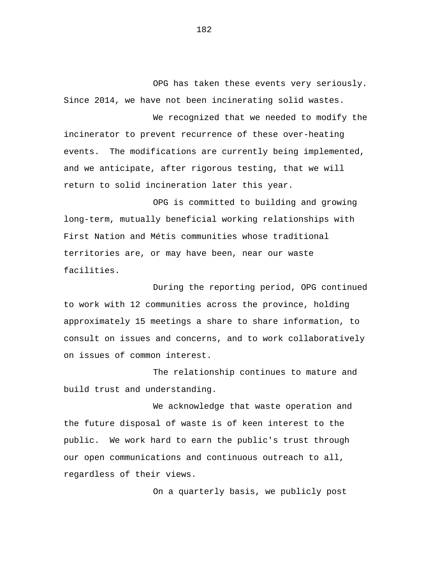OPG has taken these events very seriously. Since 2014, we have not been incinerating solid wastes.

We recognized that we needed to modify the incinerator to prevent recurrence of these over-heating events. The modifications are currently being implemented, and we anticipate, after rigorous testing, that we will return to solid incineration later this year.

OPG is committed to building and growing long-term, mutually beneficial working relationships with First Nation and Métis communities whose traditional territories are, or may have been, near our waste facilities.

During the reporting period, OPG continued to work with 12 communities across the province, holding approximately 15 meetings a share to share information, to consult on issues and concerns, and to work collaboratively on issues of common interest.

The relationship continues to mature and build trust and understanding.

We acknowledge that waste operation and the future disposal of waste is of keen interest to the public. We work hard to earn the public's trust through our open communications and continuous outreach to all, regardless of their views.

On a quarterly basis, we publicly post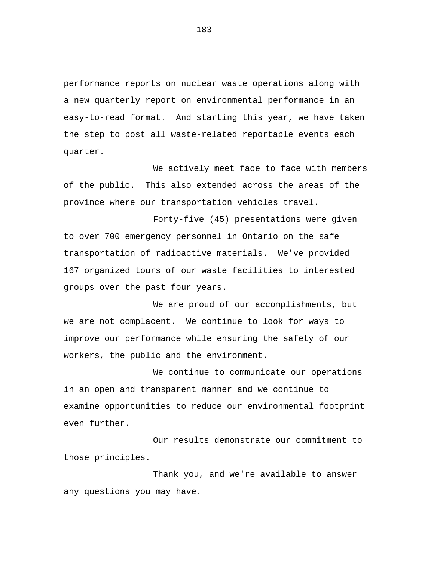performance reports on nuclear waste operations along with a new quarterly report on environmental performance in an easy-to-read format. And starting this year, we have taken the step to post all waste-related reportable events each quarter.

We actively meet face to face with members of the public. This also extended across the areas of the province where our transportation vehicles travel.

Forty-five (45) presentations were given to over 700 emergency personnel in Ontario on the safe transportation of radioactive materials. We've provided 167 organized tours of our waste facilities to interested groups over the past four years.

We are proud of our accomplishments, but we are not complacent. We continue to look for ways to improve our performance while ensuring the safety of our workers, the public and the environment.

We continue to communicate our operations in an open and transparent manner and we continue to examine opportunities to reduce our environmental footprint even further.

Our results demonstrate our commitment to those principles.

Thank you, and we're available to answer any questions you may have.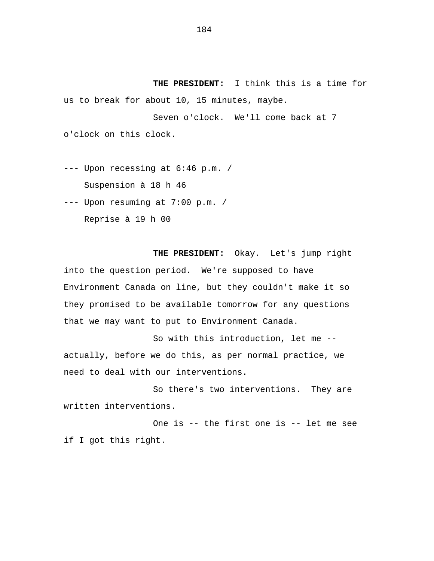**THE PRESIDENT:** I think this is a time for us to break for about 10, 15 minutes, maybe.

Seven o'clock. We'll come back at 7 o'clock on this clock.

--- Upon recessing at 6:46 p.m. / Suspension à 18 h 46

--- Upon resuming at 7:00 p.m. /

Reprise à 19 h 00

**THE PRESIDENT:** Okay. Let's jump right into the question period. We're supposed to have Environment Canada on line, but they couldn't make it so they promised to be available tomorrow for any questions that we may want to put to Environment Canada.

So with this introduction, let me - actually, before we do this, as per normal practice, we need to deal with our interventions.

So there's two interventions. They are written interventions.

One is -- the first one is -- let me see if I got this right.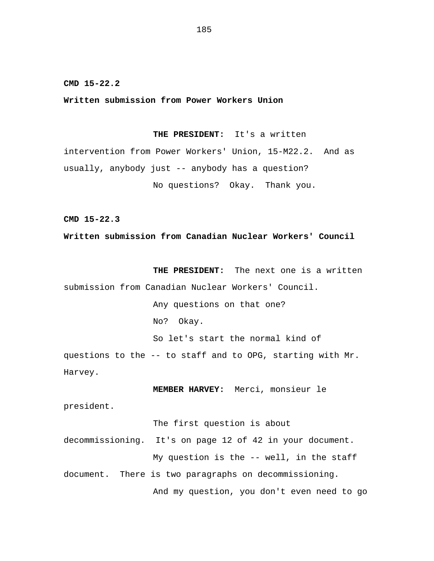**CMD 15-22.2**

**Written submission from Power Workers Union**

**THE PRESIDENT:** It's a written

intervention from Power Workers' Union, 15-M22.2. And as usually, anybody just -- anybody has a question? No questions? Okay. Thank you.

**CMD 15-22.3**

**Written submission from Canadian Nuclear Workers' Council**

**THE PRESIDENT:** The next one is a written submission from Canadian Nuclear Workers' Council.

> Any questions on that one? No? Okay.

So let's start the normal kind of

questions to the -- to staff and to OPG, starting with Mr. Harvey.

**MEMBER HARVEY:** Merci, monsieur le

president.

The first question is about

decommissioning. It's on page 12 of 42 in your document. My question is the -- well, in the staff document. There is two paragraphs on decommissioning.

And my question, you don't even need to go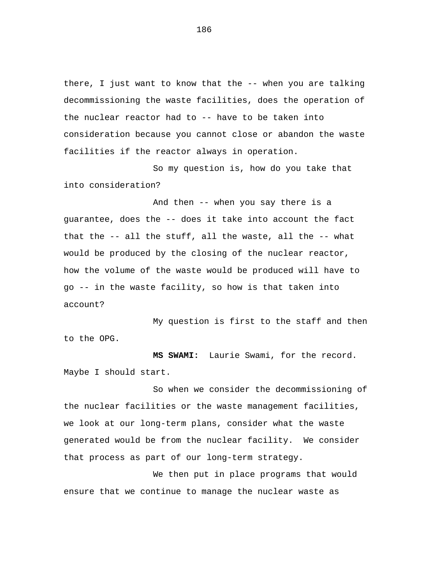there, I just want to know that the -- when you are talking decommissioning the waste facilities, does the operation of the nuclear reactor had to -- have to be taken into consideration because you cannot close or abandon the waste facilities if the reactor always in operation.

So my question is, how do you take that into consideration?

And then -- when you say there is a guarantee, does the -- does it take into account the fact that the -- all the stuff, all the waste, all the -- what would be produced by the closing of the nuclear reactor, how the volume of the waste would be produced will have to go -- in the waste facility, so how is that taken into account?

My question is first to the staff and then to the OPG.

**MS SWAMI:** Laurie Swami, for the record. Maybe I should start.

So when we consider the decommissioning of the nuclear facilities or the waste management facilities, we look at our long-term plans, consider what the waste generated would be from the nuclear facility. We consider that process as part of our long-term strategy.

We then put in place programs that would ensure that we continue to manage the nuclear waste as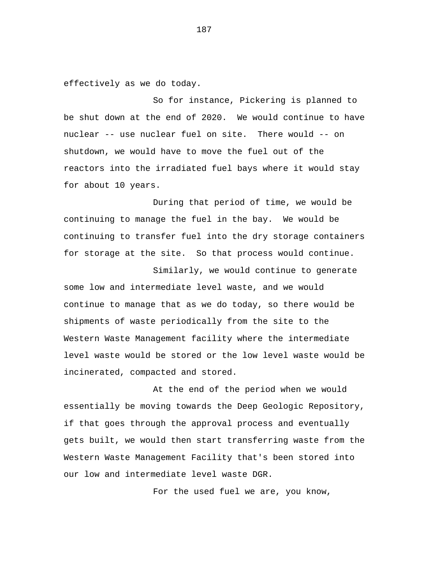effectively as we do today.

So for instance, Pickering is planned to be shut down at the end of 2020. We would continue to have nuclear -- use nuclear fuel on site. There would -- on shutdown, we would have to move the fuel out of the reactors into the irradiated fuel bays where it would stay for about 10 years.

During that period of time, we would be continuing to manage the fuel in the bay. We would be continuing to transfer fuel into the dry storage containers for storage at the site. So that process would continue.

Similarly, we would continue to generate some low and intermediate level waste, and we would continue to manage that as we do today, so there would be shipments of waste periodically from the site to the Western Waste Management facility where the intermediate level waste would be stored or the low level waste would be incinerated, compacted and stored.

At the end of the period when we would essentially be moving towards the Deep Geologic Repository, if that goes through the approval process and eventually gets built, we would then start transferring waste from the Western Waste Management Facility that's been stored into our low and intermediate level waste DGR.

For the used fuel we are, you know,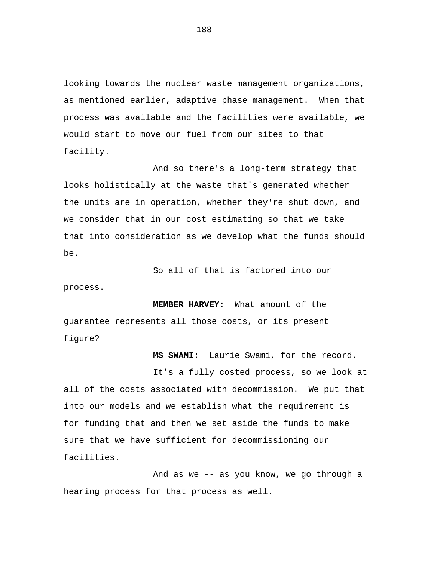looking towards the nuclear waste management organizations, as mentioned earlier, adaptive phase management. When that process was available and the facilities were available, we would start to move our fuel from our sites to that facility.

And so there's a long-term strategy that looks holistically at the waste that's generated whether the units are in operation, whether they're shut down, and we consider that in our cost estimating so that we take that into consideration as we develop what the funds should be.

So all of that is factored into our

**MEMBER HARVEY:** What amount of the guarantee represents all those costs, or its present figure?

process.

**MS SWAMI:** Laurie Swami, for the record.

It's a fully costed process, so we look at all of the costs associated with decommission. We put that into our models and we establish what the requirement is for funding that and then we set aside the funds to make sure that we have sufficient for decommissioning our facilities.

And as we -- as you know, we go through a hearing process for that process as well.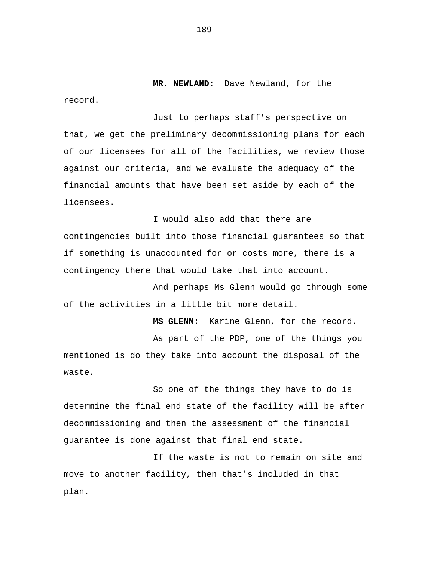**MR. NEWLAND:** Dave Newland, for the

Just to perhaps staff's perspective on that, we get the preliminary decommissioning plans for each of our licensees for all of the facilities, we review those against our criteria, and we evaluate the adequacy of the financial amounts that have been set aside by each of the licensees.

I would also add that there are contingencies built into those financial guarantees so that if something is unaccounted for or costs more, there is a contingency there that would take that into account.

And perhaps Ms Glenn would go through some of the activities in a little bit more detail.

**MS GLENN:** Karine Glenn, for the record. As part of the PDP, one of the things you mentioned is do they take into account the disposal of the waste.

So one of the things they have to do is determine the final end state of the facility will be after decommissioning and then the assessment of the financial guarantee is done against that final end state.

If the waste is not to remain on site and move to another facility, then that's included in that plan.

189

record.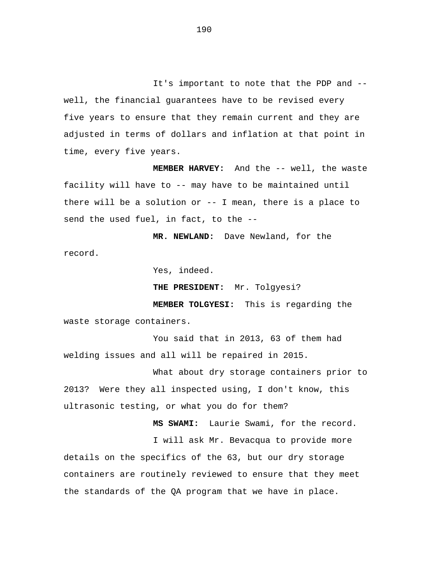It's important to note that the PDP and - well, the financial guarantees have to be revised every five years to ensure that they remain current and they are adjusted in terms of dollars and inflation at that point in time, every five years.

**MEMBER HARVEY:** And the -- well, the waste facility will have to -- may have to be maintained until there will be a solution or -- I mean, there is a place to send the used fuel, in fact, to the --

**MR. NEWLAND:** Dave Newland, for the record.

Yes, indeed.

**THE PRESIDENT:** Mr. Tolgyesi?

**MEMBER TOLGYESI:** This is regarding the waste storage containers.

You said that in 2013, 63 of them had welding issues and all will be repaired in 2015.

What about dry storage containers prior to 2013? Were they all inspected using, I don't know, this ultrasonic testing, or what you do for them?

> **MS SWAMI:** Laurie Swami, for the record. I will ask Mr. Bevacqua to provide more

details on the specifics of the 63, but our dry storage containers are routinely reviewed to ensure that they meet the standards of the QA program that we have in place.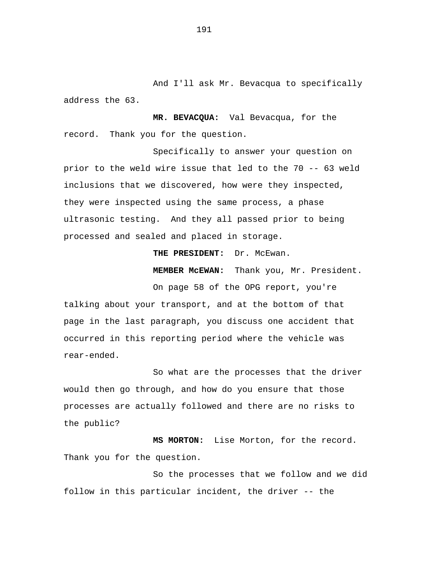And I'll ask Mr. Bevacqua to specifically address the 63.

**MR. BEVACQUA:** Val Bevacqua, for the record. Thank you for the question.

Specifically to answer your question on prior to the weld wire issue that led to the 70 -- 63 weld inclusions that we discovered, how were they inspected, they were inspected using the same process, a phase ultrasonic testing. And they all passed prior to being processed and sealed and placed in storage.

**THE PRESIDENT:** Dr. McEwan.

**MEMBER McEWAN:** Thank you, Mr. President.

On page 58 of the OPG report, you're talking about your transport, and at the bottom of that page in the last paragraph, you discuss one accident that occurred in this reporting period where the vehicle was rear-ended.

So what are the processes that the driver would then go through, and how do you ensure that those processes are actually followed and there are no risks to the public?

**MS MORTON:** Lise Morton, for the record. Thank you for the question.

So the processes that we follow and we did follow in this particular incident, the driver -- the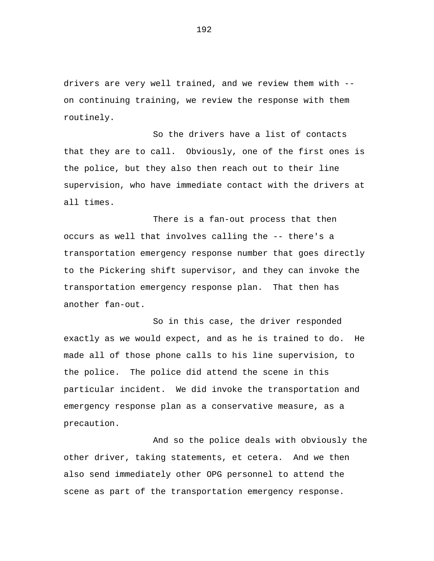drivers are very well trained, and we review them with - on continuing training, we review the response with them routinely.

So the drivers have a list of contacts that they are to call. Obviously, one of the first ones is the police, but they also then reach out to their line supervision, who have immediate contact with the drivers at all times.

There is a fan-out process that then occurs as well that involves calling the -- there's a transportation emergency response number that goes directly to the Pickering shift supervisor, and they can invoke the transportation emergency response plan. That then has another fan-out.

So in this case, the driver responded exactly as we would expect, and as he is trained to do. He made all of those phone calls to his line supervision, to the police. The police did attend the scene in this particular incident. We did invoke the transportation and emergency response plan as a conservative measure, as a precaution.

And so the police deals with obviously the other driver, taking statements, et cetera. And we then also send immediately other OPG personnel to attend the scene as part of the transportation emergency response.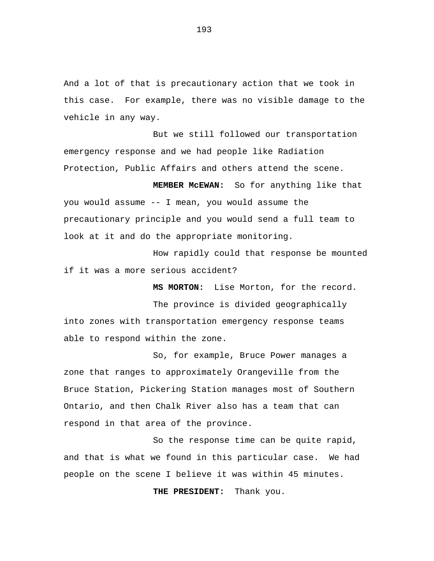And a lot of that is precautionary action that we took in this case. For example, there was no visible damage to the vehicle in any way.

But we still followed our transportation emergency response and we had people like Radiation Protection, Public Affairs and others attend the scene.

**MEMBER McEWAN:** So for anything like that you would assume -- I mean, you would assume the precautionary principle and you would send a full team to look at it and do the appropriate monitoring.

How rapidly could that response be mounted if it was a more serious accident?

**MS MORTON:** Lise Morton, for the record.

The province is divided geographically into zones with transportation emergency response teams able to respond within the zone.

So, for example, Bruce Power manages a zone that ranges to approximately Orangeville from the Bruce Station, Pickering Station manages most of Southern Ontario, and then Chalk River also has a team that can respond in that area of the province.

So the response time can be quite rapid, and that is what we found in this particular case. We had people on the scene I believe it was within 45 minutes.

**THE PRESIDENT:** Thank you.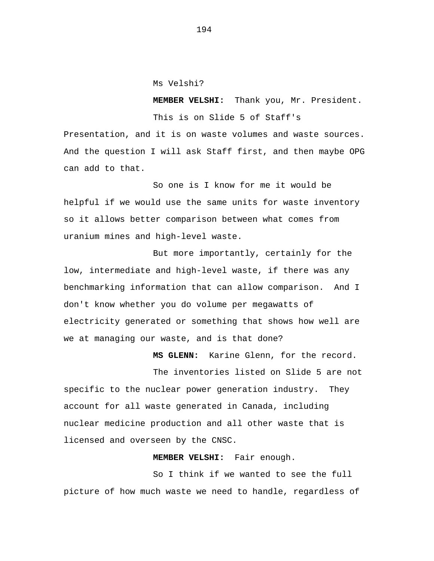Ms Velshi?

**MEMBER VELSHI:** Thank you, Mr. President. This is on Slide 5 of Staff's

Presentation, and it is on waste volumes and waste sources. And the question I will ask Staff first, and then maybe OPG can add to that.

So one is I know for me it would be helpful if we would use the same units for waste inventory so it allows better comparison between what comes from uranium mines and high-level waste.

But more importantly, certainly for the low, intermediate and high-level waste, if there was any benchmarking information that can allow comparison. And I don't know whether you do volume per megawatts of electricity generated or something that shows how well are we at managing our waste, and is that done?

**MS GLENN:** Karine Glenn, for the record.

The inventories listed on Slide 5 are not specific to the nuclear power generation industry. They account for all waste generated in Canada, including nuclear medicine production and all other waste that is licensed and overseen by the CNSC.

## **MEMBER VELSHI:** Fair enough.

So I think if we wanted to see the full picture of how much waste we need to handle, regardless of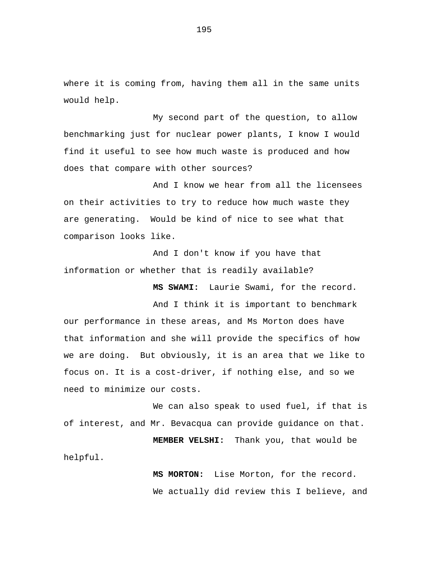where it is coming from, having them all in the same units would help.

My second part of the question, to allow benchmarking just for nuclear power plants, I know I would find it useful to see how much waste is produced and how does that compare with other sources?

And I know we hear from all the licensees on their activities to try to reduce how much waste they are generating. Would be kind of nice to see what that comparison looks like.

And I don't know if you have that information or whether that is readily available?

**MS SWAMI:** Laurie Swami, for the record.

And I think it is important to benchmark our performance in these areas, and Ms Morton does have that information and she will provide the specifics of how we are doing. But obviously, it is an area that we like to focus on. It is a cost-driver, if nothing else, and so we need to minimize our costs.

We can also speak to used fuel, if that is of interest, and Mr. Bevacqua can provide guidance on that.

**MEMBER VELSHI:** Thank you, that would be helpful.

> **MS MORTON:** Lise Morton, for the record. We actually did review this I believe, and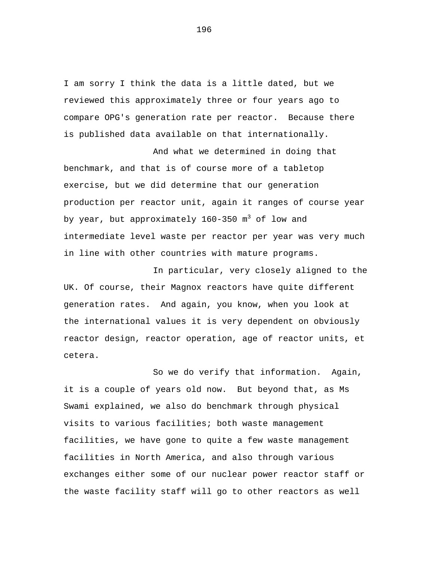I am sorry I think the data is a little dated, but we reviewed this approximately three or four years ago to compare OPG's generation rate per reactor. Because there is published data available on that internationally.

And what we determined in doing that benchmark, and that is of course more of a tabletop exercise, but we did determine that our generation production per reactor unit, again it ranges of course year by year, but approximately  $160-350$  m<sup>3</sup> of low and intermediate level waste per reactor per year was very much in line with other countries with mature programs.

In particular, very closely aligned to the UK. Of course, their Magnox reactors have quite different generation rates. And again, you know, when you look at the international values it is very dependent on obviously reactor design, reactor operation, age of reactor units, et cetera.

So we do verify that information. Again, it is a couple of years old now. But beyond that, as Ms Swami explained, we also do benchmark through physical visits to various facilities; both waste management facilities, we have gone to quite a few waste management facilities in North America, and also through various exchanges either some of our nuclear power reactor staff or the waste facility staff will go to other reactors as well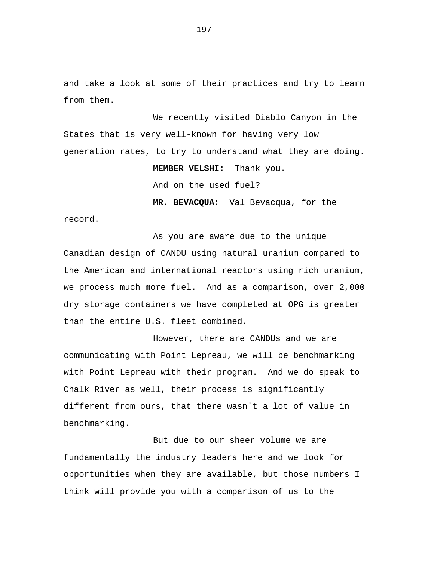and take a look at some of their practices and try to learn from them.

We recently visited Diablo Canyon in the States that is very well-known for having very low generation rates, to try to understand what they are doing.

**MEMBER VELSHI:** Thank you.

And on the used fuel?

**MR. BEVACQUA:** Val Bevacqua, for the

record.

As you are aware due to the unique Canadian design of CANDU using natural uranium compared to the American and international reactors using rich uranium, we process much more fuel. And as a comparison, over 2,000 dry storage containers we have completed at OPG is greater than the entire U.S. fleet combined.

However, there are CANDUs and we are communicating with Point Lepreau, we will be benchmarking with Point Lepreau with their program. And we do speak to Chalk River as well, their process is significantly different from ours, that there wasn't a lot of value in benchmarking.

But due to our sheer volume we are fundamentally the industry leaders here and we look for opportunities when they are available, but those numbers I think will provide you with a comparison of us to the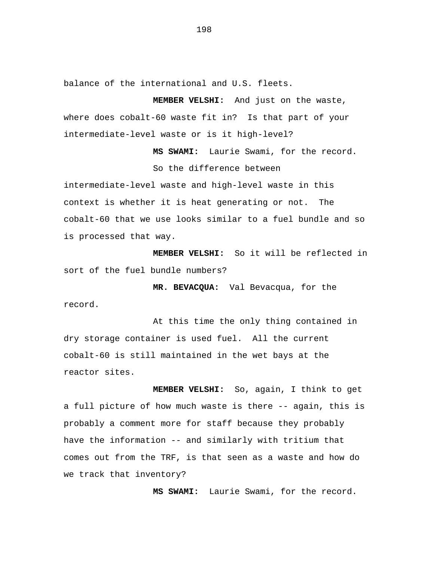balance of the international and U.S. fleets.

**MEMBER VELSHI:** And just on the waste, where does cobalt-60 waste fit in? Is that part of your intermediate-level waste or is it high-level?

**MS SWAMI:** Laurie Swami, for the record.

So the difference between

intermediate-level waste and high-level waste in this context is whether it is heat generating or not. The cobalt-60 that we use looks similar to a fuel bundle and so is processed that way.

**MEMBER VELSHI:** So it will be reflected in sort of the fuel bundle numbers?

**MR. BEVACQUA:** Val Bevacqua, for the record.

At this time the only thing contained in dry storage container is used fuel. All the current cobalt-60 is still maintained in the wet bays at the reactor sites.

**MEMBER VELSHI:** So, again, I think to get a full picture of how much waste is there -- again, this is probably a comment more for staff because they probably have the information -- and similarly with tritium that comes out from the TRF, is that seen as a waste and how do we track that inventory?

**MS SWAMI:** Laurie Swami, for the record.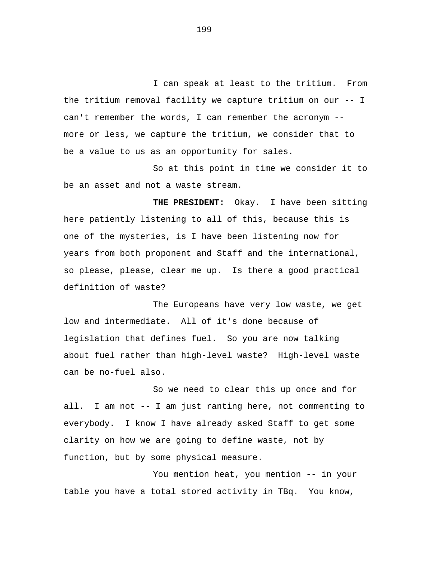I can speak at least to the tritium. From the tritium removal facility we capture tritium on our -- I can't remember the words, I can remember the acronym - more or less, we capture the tritium, we consider that to be a value to us as an opportunity for sales.

So at this point in time we consider it to be an asset and not a waste stream.

**THE PRESIDENT:** Okay. I have been sitting here patiently listening to all of this, because this is one of the mysteries, is I have been listening now for years from both proponent and Staff and the international, so please, please, clear me up. Is there a good practical definition of waste?

The Europeans have very low waste, we get low and intermediate. All of it's done because of legislation that defines fuel. So you are now talking about fuel rather than high-level waste? High-level waste can be no-fuel also.

So we need to clear this up once and for all. I am not -- I am just ranting here, not commenting to everybody. I know I have already asked Staff to get some clarity on how we are going to define waste, not by function, but by some physical measure.

You mention heat, you mention -- in your table you have a total stored activity in TBq. You know,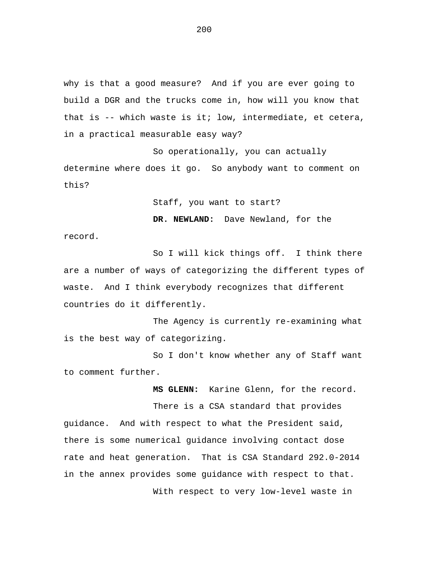why is that a good measure? And if you are ever going to build a DGR and the trucks come in, how will you know that that is -- which waste is it; low, intermediate, et cetera, in a practical measurable easy way?

So operationally, you can actually determine where does it go. So anybody want to comment on this?

Staff, you want to start?

**DR. NEWLAND:** Dave Newland, for the record.

So I will kick things off. I think there are a number of ways of categorizing the different types of waste. And I think everybody recognizes that different countries do it differently.

The Agency is currently re-examining what is the best way of categorizing.

So I don't know whether any of Staff want to comment further.

**MS GLENN:** Karine Glenn, for the record.

There is a CSA standard that provides guidance. And with respect to what the President said, there is some numerical guidance involving contact dose rate and heat generation. That is CSA Standard 292.0-2014 in the annex provides some guidance with respect to that. With respect to very low-level waste in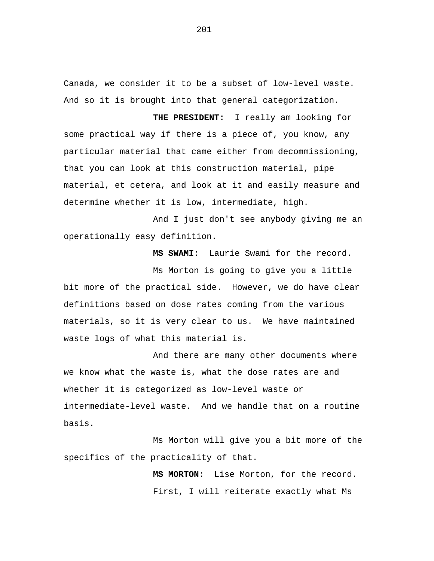Canada, we consider it to be a subset of low-level waste. And so it is brought into that general categorization.

**THE PRESIDENT:** I really am looking for some practical way if there is a piece of, you know, any particular material that came either from decommissioning, that you can look at this construction material, pipe material, et cetera, and look at it and easily measure and determine whether it is low, intermediate, high.

And I just don't see anybody giving me an operationally easy definition.

**MS SWAMI:** Laurie Swami for the record.

Ms Morton is going to give you a little bit more of the practical side. However, we do have clear definitions based on dose rates coming from the various materials, so it is very clear to us. We have maintained waste logs of what this material is.

And there are many other documents where we know what the waste is, what the dose rates are and whether it is categorized as low-level waste or intermediate-level waste. And we handle that on a routine basis.

Ms Morton will give you a bit more of the specifics of the practicality of that.

> **MS MORTON:** Lise Morton, for the record. First, I will reiterate exactly what Ms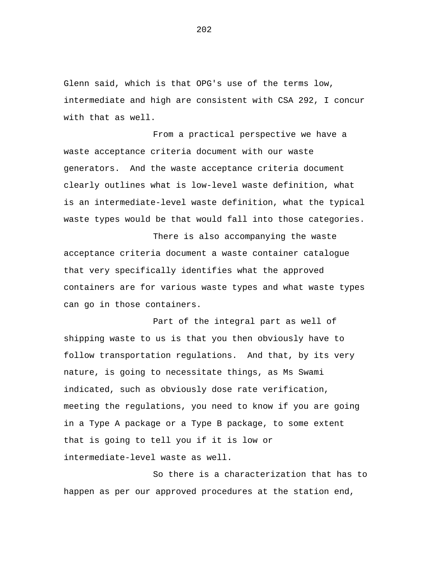Glenn said, which is that OPG's use of the terms low, intermediate and high are consistent with CSA 292, I concur with that as well.

From a practical perspective we have a waste acceptance criteria document with our waste generators. And the waste acceptance criteria document clearly outlines what is low-level waste definition, what is an intermediate-level waste definition, what the typical waste types would be that would fall into those categories.

There is also accompanying the waste acceptance criteria document a waste container catalogue that very specifically identifies what the approved containers are for various waste types and what waste types can go in those containers.

Part of the integral part as well of shipping waste to us is that you then obviously have to follow transportation regulations. And that, by its very nature, is going to necessitate things, as Ms Swami indicated, such as obviously dose rate verification, meeting the regulations, you need to know if you are going in a Type A package or a Type B package, to some extent that is going to tell you if it is low or intermediate-level waste as well.

So there is a characterization that has to happen as per our approved procedures at the station end,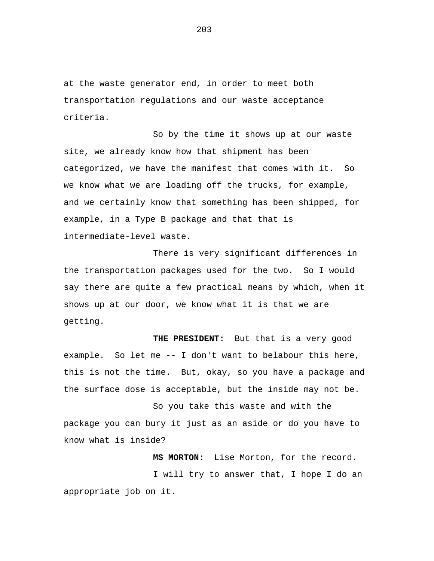at the waste generator end, in order to meet both transportation regulations and our waste acceptance criteria.

So by the time it shows up at our waste site, we already know how that shipment has been categorized, we have the manifest that comes with it. So we know what we are loading off the trucks, for example, and we certainly know that something has been shipped, for example, in a Type B package and that that is intermediate-level waste.

There is very significant differences in the transportation packages used for the two. So I would say there are quite a few practical means by which, when it shows up at our door, we know what it is that we are getting.

**THE PRESIDENT:** But that is a very good example. So let me -- I don't want to belabour this here, this is not the time. But, okay, so you have a package and the surface dose is acceptable, but the inside may not be.

So you take this waste and with the package you can bury it just as an aside or do you have to know what is inside?

**MS MORTON:** Lise Morton, for the record.

I will try to answer that, I hope I do an appropriate job on it.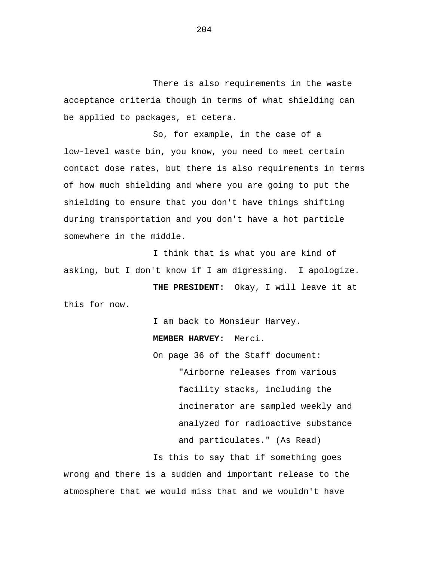There is also requirements in the waste acceptance criteria though in terms of what shielding can be applied to packages, et cetera.

So, for example, in the case of a low-level waste bin, you know, you need to meet certain contact dose rates, but there is also requirements in terms of how much shielding and where you are going to put the shielding to ensure that you don't have things shifting during transportation and you don't have a hot particle somewhere in the middle.

I think that is what you are kind of asking, but I don't know if I am digressing. I apologize.

**THE PRESIDENT:** Okay, I will leave it at this for now.

I am back to Monsieur Harvey.

**MEMBER HARVEY:** Merci.

On page 36 of the Staff document: "Airborne releases from various facility stacks, including the incinerator are sampled weekly and analyzed for radioactive substance and particulates." (As Read)

Is this to say that if something goes wrong and there is a sudden and important release to the atmosphere that we would miss that and we wouldn't have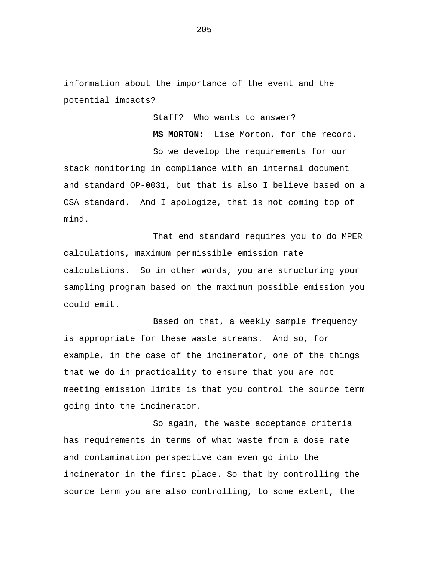information about the importance of the event and the potential impacts?

Staff? Who wants to answer?

**MS MORTON:** Lise Morton, for the record.

So we develop the requirements for our stack monitoring in compliance with an internal document and standard OP-0031, but that is also I believe based on a CSA standard. And I apologize, that is not coming top of mind.

That end standard requires you to do MPER calculations, maximum permissible emission rate calculations. So in other words, you are structuring your sampling program based on the maximum possible emission you could emit.

Based on that, a weekly sample frequency is appropriate for these waste streams. And so, for example, in the case of the incinerator, one of the things that we do in practicality to ensure that you are not meeting emission limits is that you control the source term going into the incinerator.

So again, the waste acceptance criteria has requirements in terms of what waste from a dose rate and contamination perspective can even go into the incinerator in the first place. So that by controlling the source term you are also controlling, to some extent, the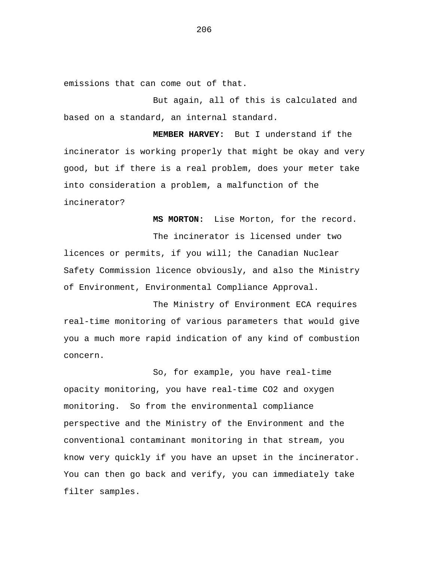emissions that can come out of that.

But again, all of this is calculated and based on a standard, an internal standard.

**MEMBER HARVEY:** But I understand if the incinerator is working properly that might be okay and very good, but if there is a real problem, does your meter take into consideration a problem, a malfunction of the incinerator?

**MS MORTON:** Lise Morton, for the record.

The incinerator is licensed under two licences or permits, if you will; the Canadian Nuclear Safety Commission licence obviously, and also the Ministry of Environment, Environmental Compliance Approval.

The Ministry of Environment ECA requires real-time monitoring of various parameters that would give you a much more rapid indication of any kind of combustion concern.

So, for example, you have real-time opacity monitoring, you have real-time CO2 and oxygen monitoring. So from the environmental compliance perspective and the Ministry of the Environment and the conventional contaminant monitoring in that stream, you know very quickly if you have an upset in the incinerator. You can then go back and verify, you can immediately take filter samples.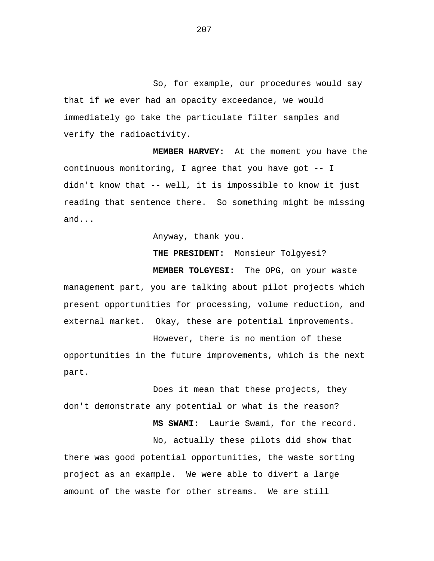So, for example, our procedures would say that if we ever had an opacity exceedance, we would immediately go take the particulate filter samples and verify the radioactivity.

**MEMBER HARVEY:** At the moment you have the continuous monitoring, I agree that you have got -- I didn't know that -- well, it is impossible to know it just reading that sentence there. So something might be missing and...

Anyway, thank you.

**THE PRESIDENT:** Monsieur Tolgyesi?

**MEMBER TOLGYESI:** The OPG, on your waste management part, you are talking about pilot projects which present opportunities for processing, volume reduction, and external market. Okay, these are potential improvements.

However, there is no mention of these opportunities in the future improvements, which is the next part.

Does it mean that these projects, they don't demonstrate any potential or what is the reason?

**MS SWAMI:** Laurie Swami, for the record.

No, actually these pilots did show that there was good potential opportunities, the waste sorting project as an example. We were able to divert a large amount of the waste for other streams. We are still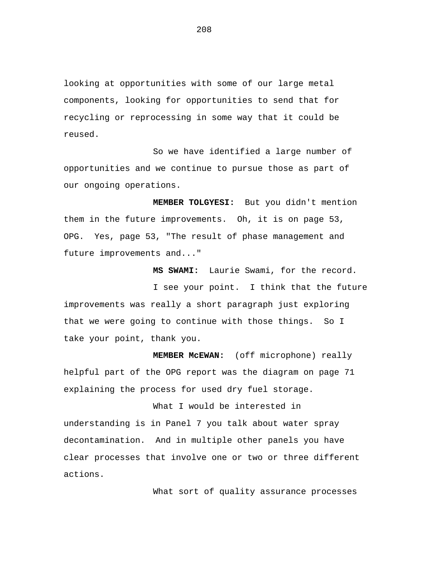looking at opportunities with some of our large metal components, looking for opportunities to send that for recycling or reprocessing in some way that it could be reused.

So we have identified a large number of opportunities and we continue to pursue those as part of our ongoing operations.

**MEMBER TOLGYESI:** But you didn't mention them in the future improvements. Oh, it is on page 53, OPG. Yes, page 53, "The result of phase management and future improvements and..."

**MS SWAMI:** Laurie Swami, for the record.

I see your point. I think that the future improvements was really a short paragraph just exploring that we were going to continue with those things. So I take your point, thank you.

**MEMBER McEWAN:** (off microphone) really helpful part of the OPG report was the diagram on page 71 explaining the process for used dry fuel storage.

What I would be interested in understanding is in Panel 7 you talk about water spray decontamination. And in multiple other panels you have clear processes that involve one or two or three different actions.

What sort of quality assurance processes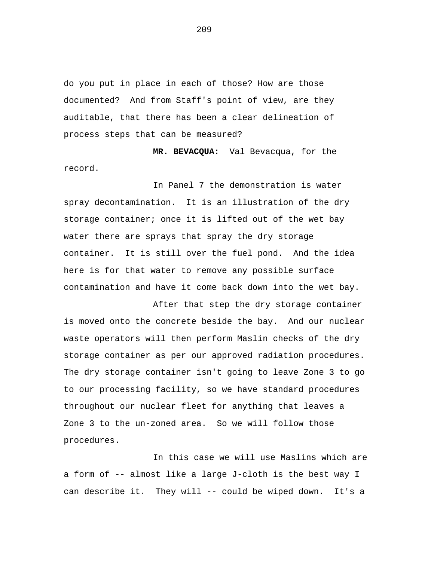do you put in place in each of those? How are those documented? And from Staff's point of view, are they auditable, that there has been a clear delineation of process steps that can be measured?

**MR. BEVACQUA:** Val Bevacqua, for the record.

In Panel 7 the demonstration is water spray decontamination. It is an illustration of the dry storage container; once it is lifted out of the wet bay water there are sprays that spray the dry storage container. It is still over the fuel pond. And the idea here is for that water to remove any possible surface contamination and have it come back down into the wet bay.

After that step the dry storage container is moved onto the concrete beside the bay. And our nuclear waste operators will then perform Maslin checks of the dry storage container as per our approved radiation procedures. The dry storage container isn't going to leave Zone 3 to go to our processing facility, so we have standard procedures throughout our nuclear fleet for anything that leaves a Zone 3 to the un-zoned area. So we will follow those procedures.

In this case we will use Maslins which are a form of -- almost like a large J-cloth is the best way I can describe it. They will -- could be wiped down. It's a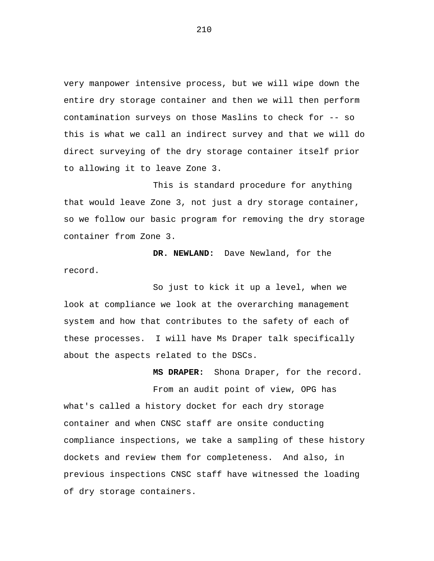very manpower intensive process, but we will wipe down the entire dry storage container and then we will then perform contamination surveys on those Maslins to check for -- so this is what we call an indirect survey and that we will do direct surveying of the dry storage container itself prior to allowing it to leave Zone 3.

This is standard procedure for anything that would leave Zone 3, not just a dry storage container, so we follow our basic program for removing the dry storage container from Zone 3.

**DR. NEWLAND:** Dave Newland, for the record.

So just to kick it up a level, when we look at compliance we look at the overarching management system and how that contributes to the safety of each of these processes. I will have Ms Draper talk specifically about the aspects related to the DSCs.

**MS DRAPER:** Shona Draper, for the record.

From an audit point of view, OPG has what's called a history docket for each dry storage container and when CNSC staff are onsite conducting compliance inspections, we take a sampling of these history dockets and review them for completeness. And also, in previous inspections CNSC staff have witnessed the loading of dry storage containers.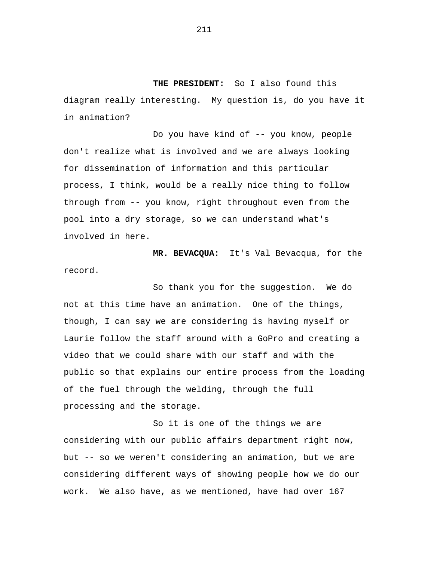**THE PRESIDENT:** So I also found this diagram really interesting. My question is, do you have it in animation?

Do you have kind of -- you know, people don't realize what is involved and we are always looking for dissemination of information and this particular process, I think, would be a really nice thing to follow through from -- you know, right throughout even from the pool into a dry storage, so we can understand what's involved in here.

**MR. BEVACQUA:** It's Val Bevacqua, for the record.

So thank you for the suggestion. We do not at this time have an animation. One of the things, though, I can say we are considering is having myself or Laurie follow the staff around with a GoPro and creating a video that we could share with our staff and with the public so that explains our entire process from the loading of the fuel through the welding, through the full processing and the storage.

So it is one of the things we are considering with our public affairs department right now, but -- so we weren't considering an animation, but we are considering different ways of showing people how we do our work. We also have, as we mentioned, have had over 167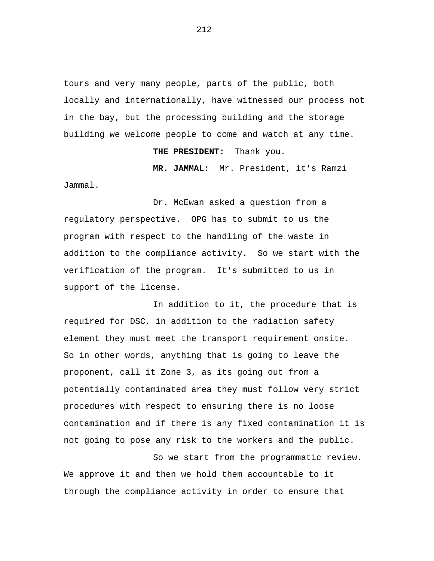tours and very many people, parts of the public, both locally and internationally, have witnessed our process not in the bay, but the processing building and the storage building we welcome people to come and watch at any time.

**THE PRESIDENT:** Thank you.

**MR. JAMMAL:** Mr. President, it's Ramzi

Jammal.

Dr. McEwan asked a question from a regulatory perspective. OPG has to submit to us the program with respect to the handling of the waste in addition to the compliance activity. So we start with the verification of the program. It's submitted to us in support of the license.

In addition to it, the procedure that is required for DSC, in addition to the radiation safety element they must meet the transport requirement onsite. So in other words, anything that is going to leave the proponent, call it Zone 3, as its going out from a potentially contaminated area they must follow very strict procedures with respect to ensuring there is no loose contamination and if there is any fixed contamination it is not going to pose any risk to the workers and the public.

So we start from the programmatic review. We approve it and then we hold them accountable to it through the compliance activity in order to ensure that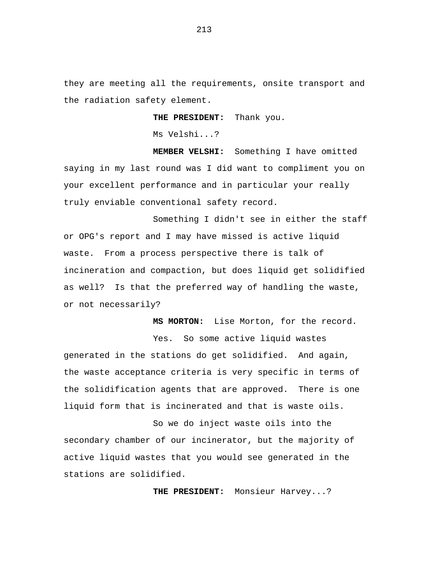they are meeting all the requirements, onsite transport and the radiation safety element.

**THE PRESIDENT:** Thank you.

Ms Velshi...?

**MEMBER VELSHI:** Something I have omitted saying in my last round was I did want to compliment you on your excellent performance and in particular your really truly enviable conventional safety record.

Something I didn't see in either the staff or OPG's report and I may have missed is active liquid waste. From a process perspective there is talk of incineration and compaction, but does liquid get solidified as well? Is that the preferred way of handling the waste, or not necessarily?

> **MS MORTON:** Lise Morton, for the record. Yes. So some active liquid wastes

generated in the stations do get solidified. And again, the waste acceptance criteria is very specific in terms of the solidification agents that are approved. There is one liquid form that is incinerated and that is waste oils.

So we do inject waste oils into the secondary chamber of our incinerator, but the majority of active liquid wastes that you would see generated in the stations are solidified.

**THE PRESIDENT:** Monsieur Harvey...?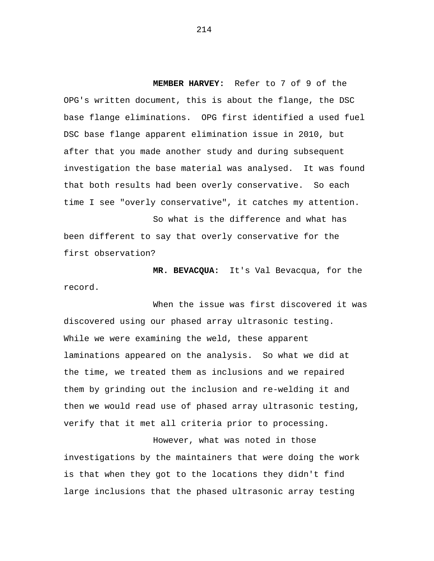**MEMBER HARVEY:** Refer to 7 of 9 of the OPG's written document, this is about the flange, the DSC base flange eliminations. OPG first identified a used fuel DSC base flange apparent elimination issue in 2010, but after that you made another study and during subsequent investigation the base material was analysed. It was found that both results had been overly conservative. So each time I see "overly conservative", it catches my attention.

So what is the difference and what has been different to say that overly conservative for the first observation?

**MR. BEVACQUA:** It's Val Bevacqua, for the record.

When the issue was first discovered it was discovered using our phased array ultrasonic testing. While we were examining the weld, these apparent laminations appeared on the analysis. So what we did at the time, we treated them as inclusions and we repaired them by grinding out the inclusion and re-welding it and then we would read use of phased array ultrasonic testing, verify that it met all criteria prior to processing.

However, what was noted in those investigations by the maintainers that were doing the work is that when they got to the locations they didn't find large inclusions that the phased ultrasonic array testing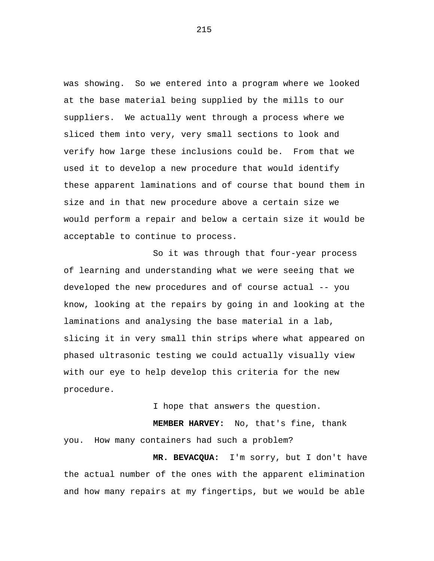was showing. So we entered into a program where we looked at the base material being supplied by the mills to our suppliers. We actually went through a process where we sliced them into very, very small sections to look and verify how large these inclusions could be. From that we used it to develop a new procedure that would identify these apparent laminations and of course that bound them in size and in that new procedure above a certain size we would perform a repair and below a certain size it would be acceptable to continue to process.

So it was through that four-year process of learning and understanding what we were seeing that we developed the new procedures and of course actual -- you know, looking at the repairs by going in and looking at the laminations and analysing the base material in a lab, slicing it in very small thin strips where what appeared on phased ultrasonic testing we could actually visually view with our eye to help develop this criteria for the new procedure.

I hope that answers the question.

**MEMBER HARVEY:** No, that's fine, thank you. How many containers had such a problem?

**MR. BEVACQUA:** I'm sorry, but I don't have the actual number of the ones with the apparent elimination and how many repairs at my fingertips, but we would be able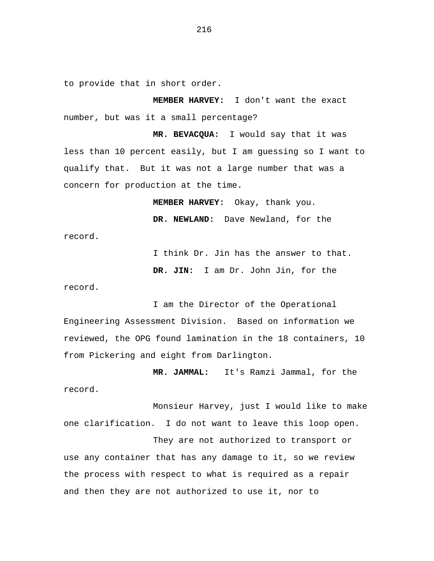to provide that in short order.

**MEMBER HARVEY:** I don't want the exact number, but was it a small percentage?

**MR. BEVACQUA:** I would say that it was less than 10 percent easily, but I am guessing so I want to qualify that. But it was not a large number that was a concern for production at the time.

**MEMBER HARVEY:** Okay, thank you.

**DR. NEWLAND:** Dave Newland, for the record.

I think Dr. Jin has the answer to that.

**DR. JIN:** I am Dr. John Jin, for the

record.

I am the Director of the Operational Engineering Assessment Division. Based on information we reviewed, the OPG found lamination in the 18 containers, 10 from Pickering and eight from Darlington.

**MR. JAMMAL:** It's Ramzi Jammal, for the record.

Monsieur Harvey, just I would like to make one clarification. I do not want to leave this loop open.

They are not authorized to transport or use any container that has any damage to it, so we review the process with respect to what is required as a repair and then they are not authorized to use it, nor to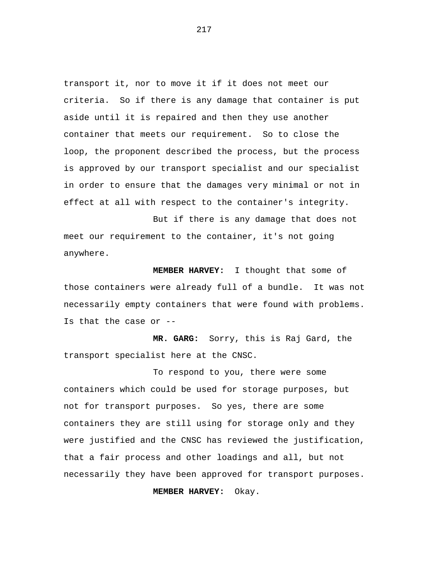transport it, nor to move it if it does not meet our criteria. So if there is any damage that container is put aside until it is repaired and then they use another container that meets our requirement. So to close the loop, the proponent described the process, but the process is approved by our transport specialist and our specialist in order to ensure that the damages very minimal or not in effect at all with respect to the container's integrity.

But if there is any damage that does not meet our requirement to the container, it's not going anywhere.

**MEMBER HARVEY:** I thought that some of those containers were already full of a bundle. It was not necessarily empty containers that were found with problems. Is that the case or --

**MR. GARG:** Sorry, this is Raj Gard, the transport specialist here at the CNSC.

To respond to you, there were some containers which could be used for storage purposes, but not for transport purposes. So yes, there are some containers they are still using for storage only and they were justified and the CNSC has reviewed the justification, that a fair process and other loadings and all, but not necessarily they have been approved for transport purposes.

**MEMBER HARVEY:** Okay.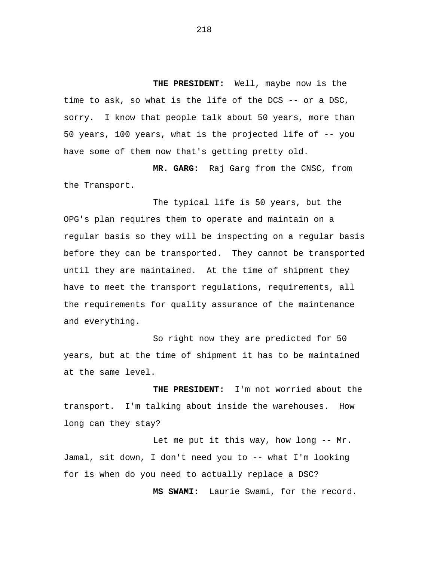**THE PRESIDENT:** Well, maybe now is the time to ask, so what is the life of the DCS -- or a DSC, sorry. I know that people talk about 50 years, more than 50 years, 100 years, what is the projected life of -- you have some of them now that's getting pretty old.

**MR. GARG:** Raj Garg from the CNSC, from the Transport.

The typical life is 50 years, but the OPG's plan requires them to operate and maintain on a regular basis so they will be inspecting on a regular basis before they can be transported. They cannot be transported until they are maintained. At the time of shipment they have to meet the transport regulations, requirements, all the requirements for quality assurance of the maintenance and everything.

So right now they are predicted for 50 years, but at the time of shipment it has to be maintained at the same level.

**THE PRESIDENT:** I'm not worried about the transport. I'm talking about inside the warehouses. How long can they stay?

Let me put it this way, how long -- Mr. Jamal, sit down, I don't need you to -- what I'm looking for is when do you need to actually replace a DSC?

**MS SWAMI:** Laurie Swami, for the record.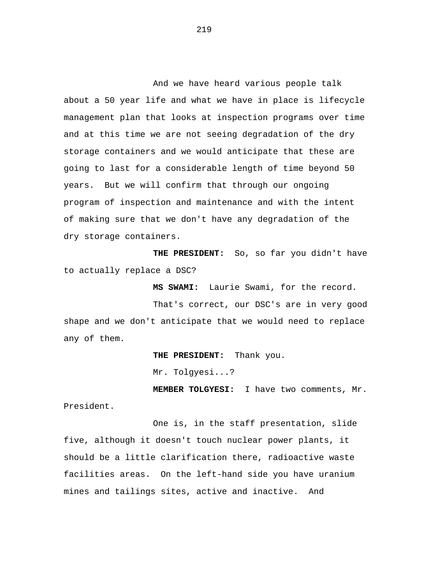And we have heard various people talk about a 50 year life and what we have in place is lifecycle management plan that looks at inspection programs over time and at this time we are not seeing degradation of the dry storage containers and we would anticipate that these are going to last for a considerable length of time beyond 50 years. But we will confirm that through our ongoing program of inspection and maintenance and with the intent of making sure that we don't have any degradation of the dry storage containers.

**THE PRESIDENT:** So, so far you didn't have to actually replace a DSC?

**MS SWAMI:** Laurie Swami, for the record.

That's correct, our DSC's are in very good shape and we don't anticipate that we would need to replace any of them.

**THE PRESIDENT:** Thank you.

Mr. Tolgyesi...?

**MEMBER TOLGYESI:** I have two comments, Mr.

President.

One is, in the staff presentation, slide five, although it doesn't touch nuclear power plants, it should be a little clarification there, radioactive waste facilities areas. On the left-hand side you have uranium mines and tailings sites, active and inactive. And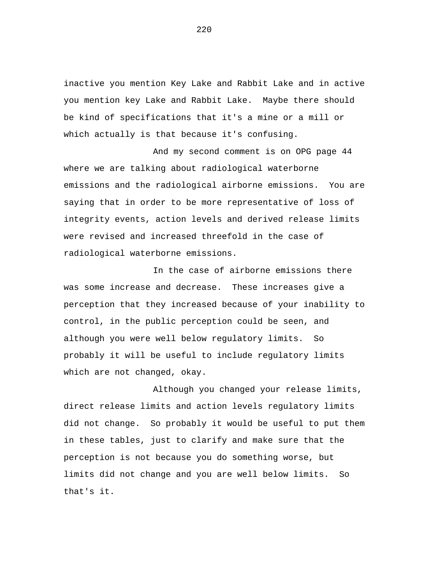inactive you mention Key Lake and Rabbit Lake and in active you mention key Lake and Rabbit Lake. Maybe there should be kind of specifications that it's a mine or a mill or which actually is that because it's confusing.

And my second comment is on OPG page 44 where we are talking about radiological waterborne emissions and the radiological airborne emissions. You are saying that in order to be more representative of loss of integrity events, action levels and derived release limits were revised and increased threefold in the case of radiological waterborne emissions.

In the case of airborne emissions there was some increase and decrease. These increases give a perception that they increased because of your inability to control, in the public perception could be seen, and although you were well below regulatory limits. So probably it will be useful to include regulatory limits which are not changed, okay.

Although you changed your release limits, direct release limits and action levels regulatory limits did not change. So probably it would be useful to put them in these tables, just to clarify and make sure that the perception is not because you do something worse, but limits did not change and you are well below limits. So that's it.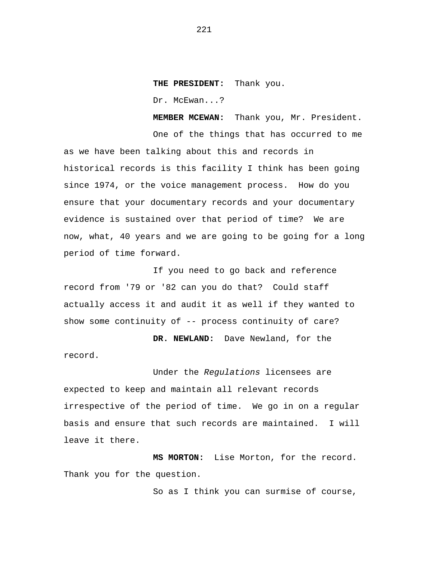**THE PRESIDENT:** Thank you.

Dr. McEwan...?

**MEMBER MCEWAN:** Thank you, Mr. President.

One of the things that has occurred to me as we have been talking about this and records in historical records is this facility I think has been going since 1974, or the voice management process. How do you ensure that your documentary records and your documentary evidence is sustained over that period of time? We are now, what, 40 years and we are going to be going for a long period of time forward.

If you need to go back and reference record from '79 or '82 can you do that? Could staff actually access it and audit it as well if they wanted to show some continuity of -- process continuity of care?

**DR. NEWLAND:** Dave Newland, for the record.

Under the *Regulations* licensees are expected to keep and maintain all relevant records irrespective of the period of time. We go in on a regular basis and ensure that such records are maintained. I will leave it there.

**MS MORTON:** Lise Morton, for the record. Thank you for the question.

So as I think you can surmise of course,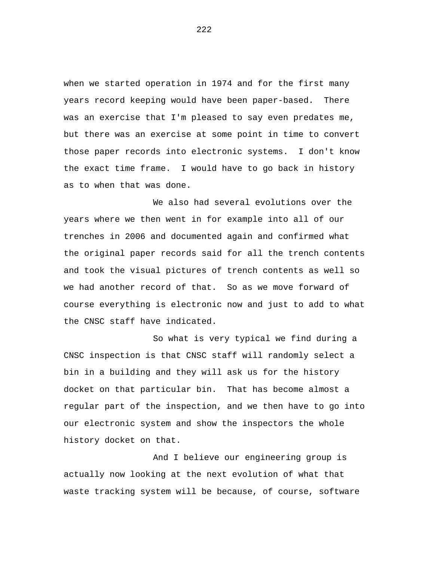when we started operation in 1974 and for the first many years record keeping would have been paper-based. There was an exercise that I'm pleased to say even predates me, but there was an exercise at some point in time to convert those paper records into electronic systems. I don't know the exact time frame. I would have to go back in history as to when that was done.

We also had several evolutions over the years where we then went in for example into all of our trenches in 2006 and documented again and confirmed what the original paper records said for all the trench contents and took the visual pictures of trench contents as well so we had another record of that. So as we move forward of course everything is electronic now and just to add to what the CNSC staff have indicated.

So what is very typical we find during a CNSC inspection is that CNSC staff will randomly select a bin in a building and they will ask us for the history docket on that particular bin. That has become almost a regular part of the inspection, and we then have to go into our electronic system and show the inspectors the whole history docket on that.

And I believe our engineering group is actually now looking at the next evolution of what that waste tracking system will be because, of course, software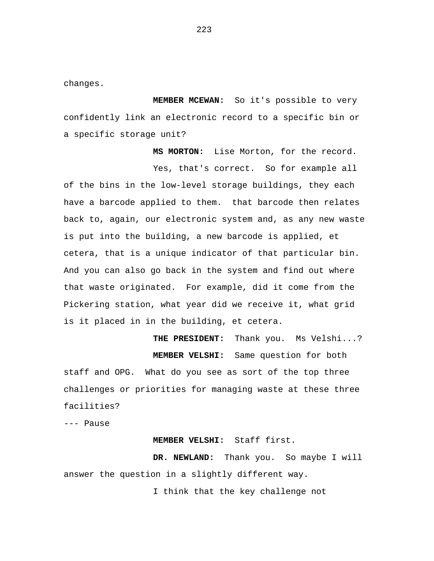changes.

**MEMBER MCEWAN:** So it's possible to very confidently link an electronic record to a specific bin or a specific storage unit?

**MS MORTON:** Lise Morton, for the record. Yes, that's correct. So for example all of the bins in the low-level storage buildings, they each have a barcode applied to them. that barcode then relates back to, again, our electronic system and, as any new waste is put into the building, a new barcode is applied, et cetera, that is a unique indicator of that particular bin. And you can also go back in the system and find out where that waste originated. For example, did it come from the Pickering station, what year did we receive it, what grid is it placed in in the building, et cetera.

**THE PRESIDENT:** Thank you. Ms Velshi...? **MEMBER VELSHI:** Same question for both staff and OPG. What do you see as sort of the top three challenges or priorities for managing waste at these three facilities?

--- Pause

## **MEMBER VELSHI:** Staff first.

**DR. NEWLAND:** Thank you. So maybe I will answer the question in a slightly different way.

I think that the key challenge not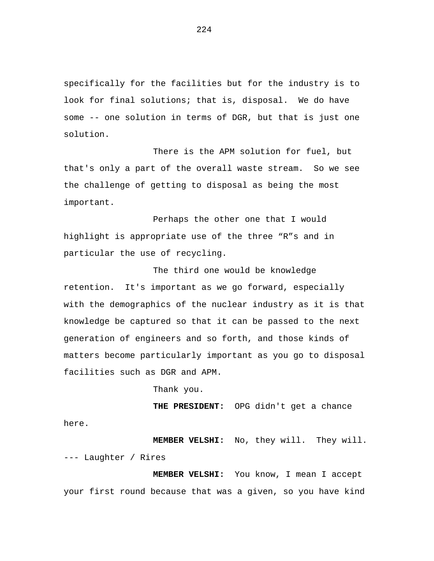specifically for the facilities but for the industry is to look for final solutions; that is, disposal. We do have some -- one solution in terms of DGR, but that is just one solution.

There is the APM solution for fuel, but that's only a part of the overall waste stream. So we see the challenge of getting to disposal as being the most important.

Perhaps the other one that I would highlight is appropriate use of the three "R"s and in particular the use of recycling.

The third one would be knowledge retention. It's important as we go forward, especially with the demographics of the nuclear industry as it is that knowledge be captured so that it can be passed to the next generation of engineers and so forth, and those kinds of matters become particularly important as you go to disposal facilities such as DGR and APM.

Thank you.

**THE PRESIDENT:** OPG didn't get a chance here.

**MEMBER VELSHI:** No, they will. They will. --- Laughter / Rires

**MEMBER VELSHI:** You know, I mean I accept your first round because that was a given, so you have kind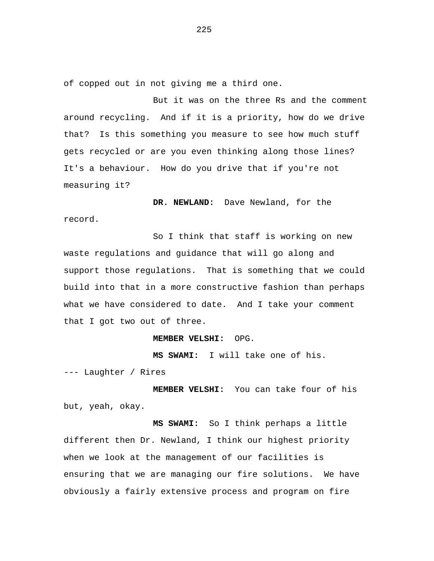of copped out in not giving me a third one.

But it was on the three Rs and the comment around recycling. And if it is a priority, how do we drive that? Is this something you measure to see how much stuff gets recycled or are you even thinking along those lines? It's a behaviour. How do you drive that if you're not measuring it?

**DR. NEWLAND:** Dave Newland, for the record.

So I think that staff is working on new waste regulations and guidance that will go along and support those regulations. That is something that we could build into that in a more constructive fashion than perhaps what we have considered to date. And I take your comment that I got two out of three.

**MEMBER VELSHI:** OPG.

**MS SWAMI:** I will take one of his.

--- Laughter / Rires

**MEMBER VELSHI:** You can take four of his but, yeah, okay.

**MS SWAMI:** So I think perhaps a little different then Dr. Newland, I think our highest priority when we look at the management of our facilities is ensuring that we are managing our fire solutions. We have obviously a fairly extensive process and program on fire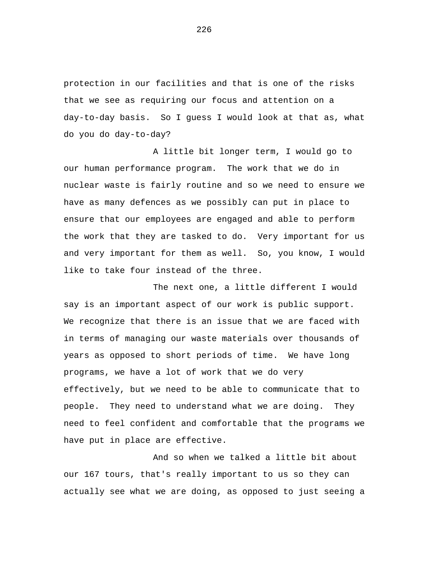protection in our facilities and that is one of the risks that we see as requiring our focus and attention on a day-to-day basis. So I guess I would look at that as, what do you do day-to-day?

A little bit longer term, I would go to our human performance program. The work that we do in nuclear waste is fairly routine and so we need to ensure we have as many defences as we possibly can put in place to ensure that our employees are engaged and able to perform the work that they are tasked to do. Very important for us and very important for them as well. So, you know, I would like to take four instead of the three.

The next one, a little different I would say is an important aspect of our work is public support. We recognize that there is an issue that we are faced with in terms of managing our waste materials over thousands of years as opposed to short periods of time. We have long programs, we have a lot of work that we do very effectively, but we need to be able to communicate that to people. They need to understand what we are doing. They need to feel confident and comfortable that the programs we have put in place are effective.

And so when we talked a little bit about our 167 tours, that's really important to us so they can actually see what we are doing, as opposed to just seeing a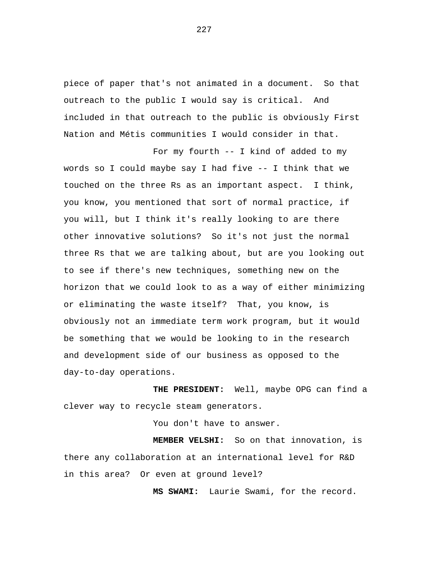piece of paper that's not animated in a document. So that outreach to the public I would say is critical. And included in that outreach to the public is obviously First Nation and Métis communities I would consider in that.

For my fourth -- I kind of added to my words so I could maybe say I had five -- I think that we touched on the three Rs as an important aspect. I think, you know, you mentioned that sort of normal practice, if you will, but I think it's really looking to are there other innovative solutions? So it's not just the normal three Rs that we are talking about, but are you looking out to see if there's new techniques, something new on the horizon that we could look to as a way of either minimizing or eliminating the waste itself? That, you know, is obviously not an immediate term work program, but it would be something that we would be looking to in the research and development side of our business as opposed to the day-to-day operations.

**THE PRESIDENT:** Well, maybe OPG can find a clever way to recycle steam generators.

You don't have to answer.

**MEMBER VELSHI:** So on that innovation, is there any collaboration at an international level for R&D in this area? Or even at ground level?

**MS SWAMI:** Laurie Swami, for the record.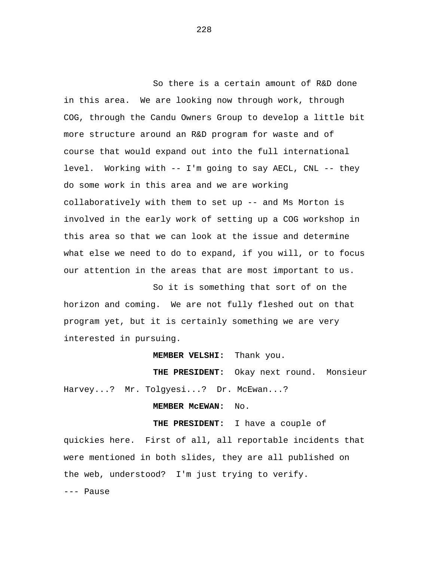So there is a certain amount of R&D done in this area. We are looking now through work, through COG, through the Candu Owners Group to develop a little bit more structure around an R&D program for waste and of course that would expand out into the full international level. Working with -- I'm going to say AECL, CNL -- they do some work in this area and we are working collaboratively with them to set up -- and Ms Morton is involved in the early work of setting up a COG workshop in this area so that we can look at the issue and determine what else we need to do to expand, if you will, or to focus our attention in the areas that are most important to us.

So it is something that sort of on the horizon and coming. We are not fully fleshed out on that program yet, but it is certainly something we are very interested in pursuing.

**MEMBER VELSHI:** Thank you.

**THE PRESIDENT:** Okay next round. Monsieur Harvey...? Mr. Tolgyesi...? Dr. McEwan...?

**MEMBER McEWAN:** No.

**THE PRESIDENT:** I have a couple of quickies here. First of all, all reportable incidents that were mentioned in both slides, they are all published on the web, understood? I'm just trying to verify. --- Pause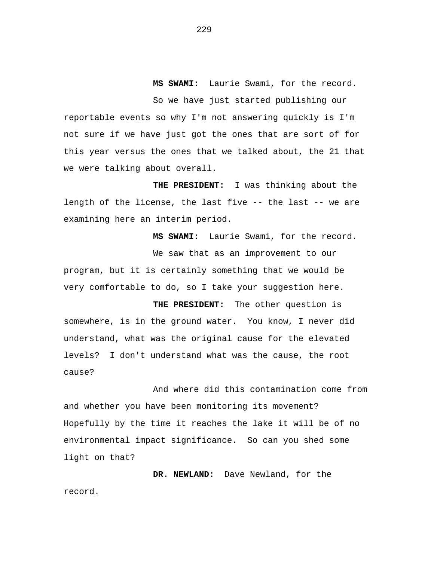**MS SWAMI:** Laurie Swami, for the record. So we have just started publishing our reportable events so why I'm not answering quickly is I'm not sure if we have just got the ones that are sort of for this year versus the ones that we talked about, the 21 that we were talking about overall.

**THE PRESIDENT:** I was thinking about the length of the license, the last five -- the last -- we are examining here an interim period.

**MS SWAMI:** Laurie Swami, for the record. We saw that as an improvement to our program, but it is certainly something that we would be very comfortable to do, so I take your suggestion here.

**THE PRESIDENT:** The other question is somewhere, is in the ground water. You know, I never did understand, what was the original cause for the elevated levels? I don't understand what was the cause, the root cause?

And where did this contamination come from and whether you have been monitoring its movement? Hopefully by the time it reaches the lake it will be of no environmental impact significance. So can you shed some light on that?

**DR. NEWLAND:** Dave Newland, for the record.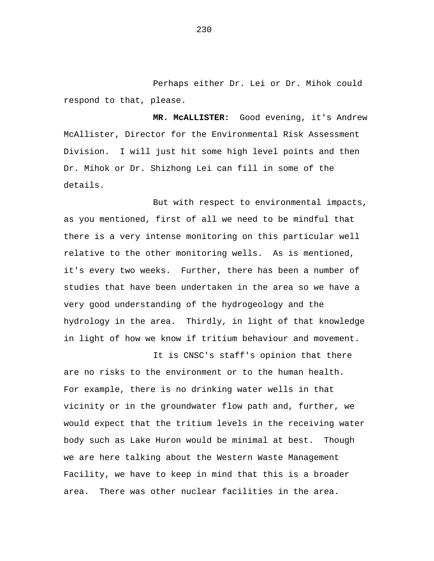Perhaps either Dr. Lei or Dr. Mihok could respond to that, please.

**MR. McALLISTER:** Good evening, it's Andrew McAllister, Director for the Environmental Risk Assessment Division. I will just hit some high level points and then Dr. Mihok or Dr. Shizhong Lei can fill in some of the details.

But with respect to environmental impacts, as you mentioned, first of all we need to be mindful that there is a very intense monitoring on this particular well relative to the other monitoring wells. As is mentioned, it's every two weeks. Further, there has been a number of studies that have been undertaken in the area so we have a very good understanding of the hydrogeology and the hydrology in the area. Thirdly, in light of that knowledge in light of how we know if tritium behaviour and movement.

It is CNSC's staff's opinion that there are no risks to the environment or to the human health. For example, there is no drinking water wells in that vicinity or in the groundwater flow path and, further, we would expect that the tritium levels in the receiving water body such as Lake Huron would be minimal at best. Though we are here talking about the Western Waste Management Facility, we have to keep in mind that this is a broader area. There was other nuclear facilities in the area.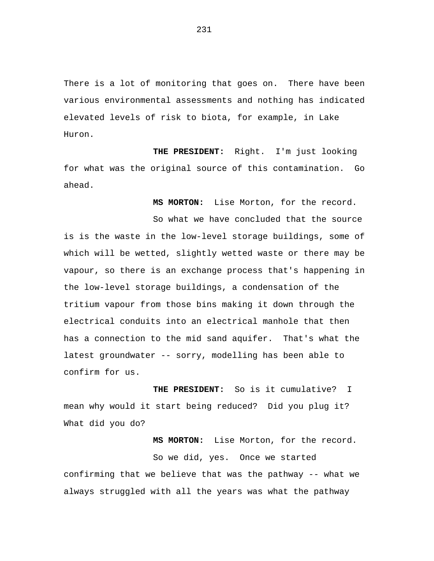There is a lot of monitoring that goes on. There have been various environmental assessments and nothing has indicated elevated levels of risk to biota, for example, in Lake Huron.

**THE PRESIDENT:** Right. I'm just looking for what was the original source of this contamination. Go ahead.

**MS MORTON:** Lise Morton, for the record.

So what we have concluded that the source

is is the waste in the low-level storage buildings, some of which will be wetted, slightly wetted waste or there may be vapour, so there is an exchange process that's happening in the low-level storage buildings, a condensation of the tritium vapour from those bins making it down through the electrical conduits into an electrical manhole that then has a connection to the mid sand aquifer. That's what the latest groundwater -- sorry, modelling has been able to confirm for us.

**THE PRESIDENT:** So is it cumulative? I mean why would it start being reduced? Did you plug it? What did you do?

**MS MORTON:** Lise Morton, for the record. So we did, yes. Once we started confirming that we believe that was the pathway -- what we always struggled with all the years was what the pathway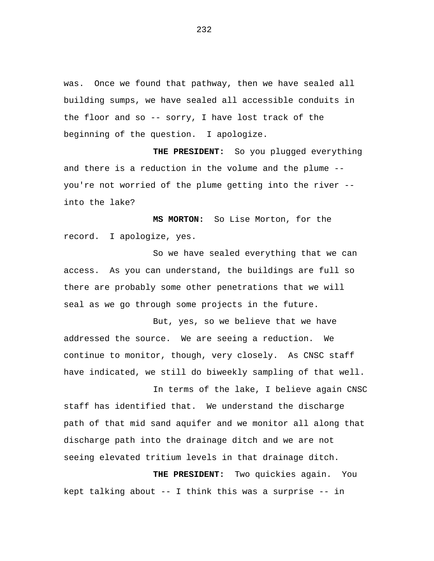was. Once we found that pathway, then we have sealed all building sumps, we have sealed all accessible conduits in the floor and so -- sorry, I have lost track of the beginning of the question. I apologize.

**THE PRESIDENT:** So you plugged everything and there is a reduction in the volume and the plume - you're not worried of the plume getting into the river - into the lake?

**MS MORTON:** So Lise Morton, for the record. I apologize, yes.

So we have sealed everything that we can access. As you can understand, the buildings are full so there are probably some other penetrations that we will seal as we go through some projects in the future.

But, yes, so we believe that we have addressed the source. We are seeing a reduction. We continue to monitor, though, very closely. As CNSC staff have indicated, we still do biweekly sampling of that well.

In terms of the lake, I believe again CNSC staff has identified that. We understand the discharge path of that mid sand aquifer and we monitor all along that discharge path into the drainage ditch and we are not seeing elevated tritium levels in that drainage ditch.

**THE PRESIDENT:** Two quickies again. You kept talking about -- I think this was a surprise -- in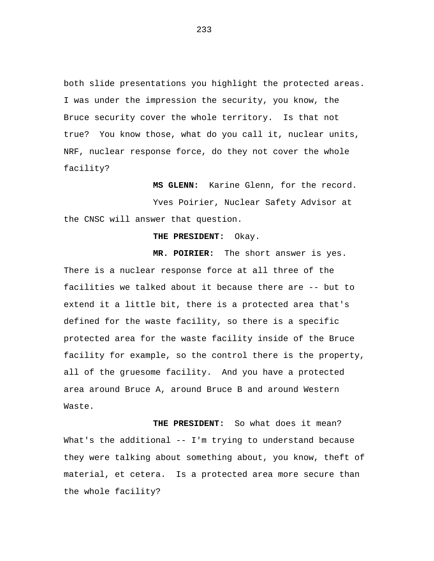both slide presentations you highlight the protected areas. I was under the impression the security, you know, the Bruce security cover the whole territory. Is that not true? You know those, what do you call it, nuclear units, NRF, nuclear response force, do they not cover the whole facility?

**MS GLENN:** Karine Glenn, for the record. Yves Poirier, Nuclear Safety Advisor at the CNSC will answer that question.

## **THE PRESIDENT:** Okay.

**MR. POIRIER:** The short answer is yes. There is a nuclear response force at all three of the facilities we talked about it because there are -- but to extend it a little bit, there is a protected area that's defined for the waste facility, so there is a specific protected area for the waste facility inside of the Bruce facility for example, so the control there is the property, all of the gruesome facility. And you have a protected area around Bruce A, around Bruce B and around Western Waste.

**THE PRESIDENT:** So what does it mean? What's the additional -- I'm trying to understand because they were talking about something about, you know, theft of material, et cetera. Is a protected area more secure than the whole facility?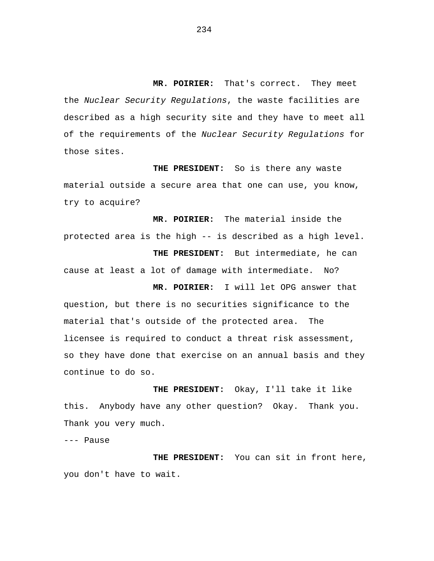**MR. POIRIER:** That's correct. They meet the *Nuclear Security Regulations*, the waste facilities are described as a high security site and they have to meet all of the requirements of the *Nuclear Security Regulations* for those sites.

**THE PRESIDENT:** So is there any waste material outside a secure area that one can use, you know, try to acquire?

**MR. POIRIER:** The material inside the protected area is the high -- is described as a high level. **THE PRESIDENT:** But intermediate, he can cause at least a lot of damage with intermediate. No? **MR. POIRIER:** I will let OPG answer that

question, but there is no securities significance to the material that's outside of the protected area. The licensee is required to conduct a threat risk assessment, so they have done that exercise on an annual basis and they continue to do so.

**THE PRESIDENT:** Okay, I'll take it like this. Anybody have any other question? Okay. Thank you. Thank you very much.

--- Pause

**THE PRESIDENT:** You can sit in front here, you don't have to wait.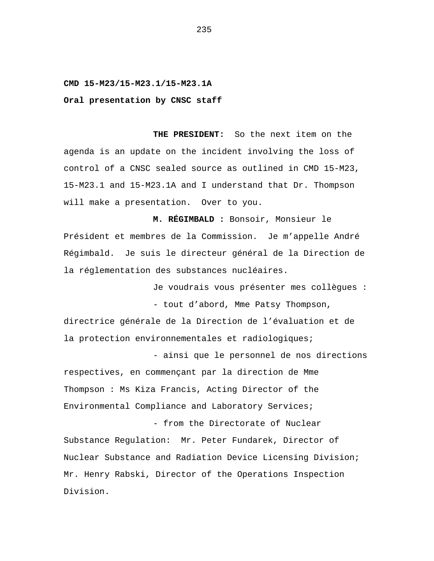## **CMD 15-M23/15-M23.1/15-M23.1A**

**Oral presentation by CNSC staff**

**THE PRESIDENT:** So the next item on the agenda is an update on the incident involving the loss of control of a CNSC sealed source as outlined in CMD 15-M23, 15-M23.1 and 15-M23.1A and I understand that Dr. Thompson will make a presentation. Over to you.

**M. RÉGIMBALD :** Bonsoir, Monsieur le Président et membres de la Commission. Je m'appelle André Régimbald. Je suis le directeur général de la Direction de la réglementation des substances nucléaires.

> Je voudrais vous présenter mes collègues : - tout d'abord, Mme Patsy Thompson,

directrice générale de la Direction de l'évaluation et de la protection environnementales et radiologiques;

- ainsi que le personnel de nos directions respectives, en commençant par la direction de Mme Thompson : Ms Kiza Francis, Acting Director of the Environmental Compliance and Laboratory Services;

- from the Directorate of Nuclear Substance Regulation: Mr. Peter Fundarek, Director of Nuclear Substance and Radiation Device Licensing Division; Mr. Henry Rabski, Director of the Operations Inspection Division.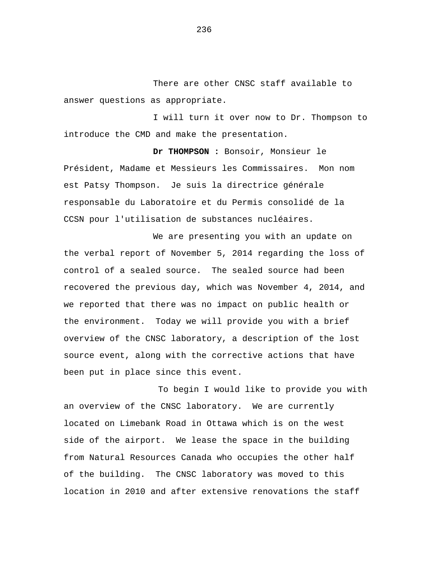There are other CNSC staff available to answer questions as appropriate.

I will turn it over now to Dr. Thompson to introduce the CMD and make the presentation.

**Dr THOMPSON :** Bonsoir, Monsieur le Président, Madame et Messieurs les Commissaires. Mon nom est Patsy Thompson. Je suis la directrice générale responsable du Laboratoire et du Permis consolidé de la CCSN pour l'utilisation de substances nucléaires.

We are presenting you with an update on the verbal report of November 5, 2014 regarding the loss of control of a sealed source. The sealed source had been recovered the previous day, which was November 4, 2014, and we reported that there was no impact on public health or the environment. Today we will provide you with a brief overview of the CNSC laboratory, a description of the lost source event, along with the corrective actions that have been put in place since this event.

To begin I would like to provide you with an overview of the CNSC laboratory. We are currently located on Limebank Road in Ottawa which is on the west side of the airport. We lease the space in the building from Natural Resources Canada who occupies the other half of the building. The CNSC laboratory was moved to this location in 2010 and after extensive renovations the staff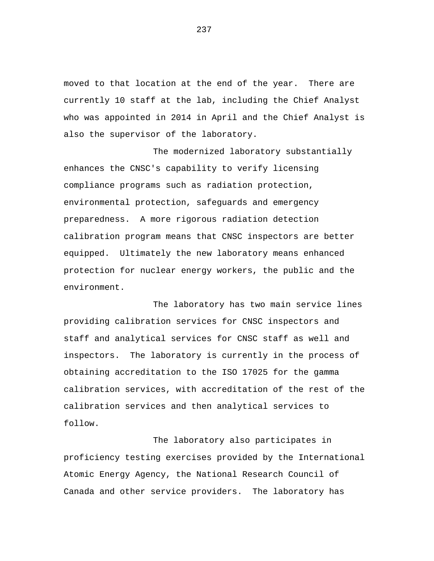moved to that location at the end of the year. There are currently 10 staff at the lab, including the Chief Analyst who was appointed in 2014 in April and the Chief Analyst is also the supervisor of the laboratory.

The modernized laboratory substantially enhances the CNSC's capability to verify licensing compliance programs such as radiation protection, environmental protection, safeguards and emergency preparedness. A more rigorous radiation detection calibration program means that CNSC inspectors are better equipped. Ultimately the new laboratory means enhanced protection for nuclear energy workers, the public and the environment.

The laboratory has two main service lines providing calibration services for CNSC inspectors and staff and analytical services for CNSC staff as well and inspectors. The laboratory is currently in the process of obtaining accreditation to the ISO 17025 for the gamma calibration services, with accreditation of the rest of the calibration services and then analytical services to follow.

The laboratory also participates in proficiency testing exercises provided by the International Atomic Energy Agency, the National Research Council of Canada and other service providers. The laboratory has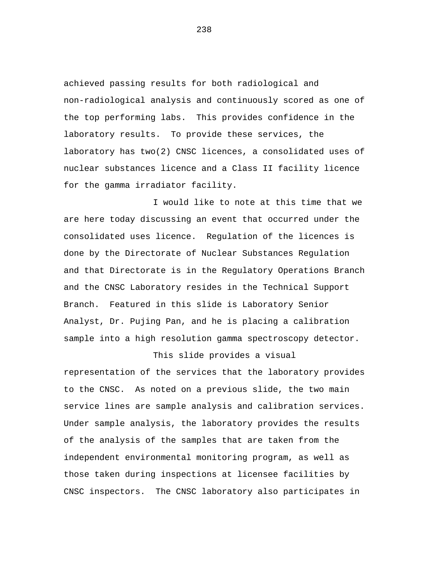achieved passing results for both radiological and non-radiological analysis and continuously scored as one of the top performing labs. This provides confidence in the laboratory results. To provide these services, the laboratory has two(2) CNSC licences, a consolidated uses of nuclear substances licence and a Class II facility licence for the gamma irradiator facility.

I would like to note at this time that we are here today discussing an event that occurred under the consolidated uses licence. Regulation of the licences is done by the Directorate of Nuclear Substances Regulation and that Directorate is in the Regulatory Operations Branch and the CNSC Laboratory resides in the Technical Support Branch. Featured in this slide is Laboratory Senior Analyst, Dr. Pujing Pan, and he is placing a calibration sample into a high resolution gamma spectroscopy detector.

This slide provides a visual representation of the services that the laboratory provides to the CNSC. As noted on a previous slide, the two main service lines are sample analysis and calibration services. Under sample analysis, the laboratory provides the results of the analysis of the samples that are taken from the independent environmental monitoring program, as well as those taken during inspections at licensee facilities by CNSC inspectors. The CNSC laboratory also participates in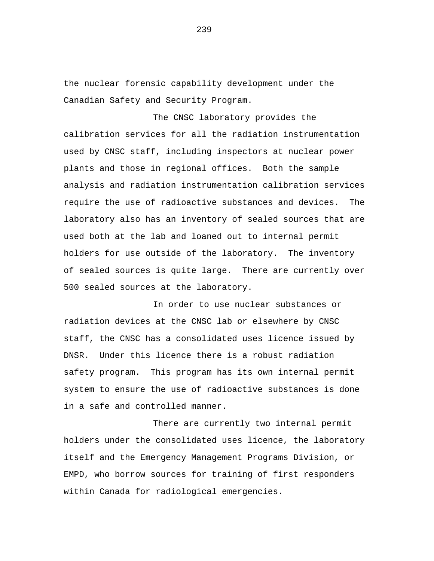the nuclear forensic capability development under the Canadian Safety and Security Program.

The CNSC laboratory provides the calibration services for all the radiation instrumentation used by CNSC staff, including inspectors at nuclear power plants and those in regional offices. Both the sample analysis and radiation instrumentation calibration services require the use of radioactive substances and devices. The laboratory also has an inventory of sealed sources that are used both at the lab and loaned out to internal permit holders for use outside of the laboratory. The inventory of sealed sources is quite large. There are currently over 500 sealed sources at the laboratory.

In order to use nuclear substances or radiation devices at the CNSC lab or elsewhere by CNSC staff, the CNSC has a consolidated uses licence issued by DNSR. Under this licence there is a robust radiation safety program. This program has its own internal permit system to ensure the use of radioactive substances is done in a safe and controlled manner.

There are currently two internal permit holders under the consolidated uses licence, the laboratory itself and the Emergency Management Programs Division, or EMPD, who borrow sources for training of first responders within Canada for radiological emergencies.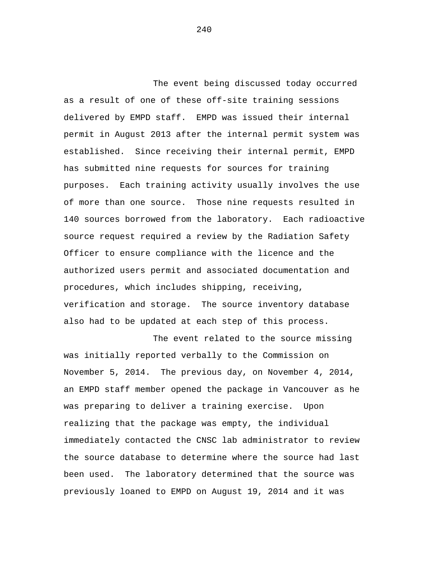The event being discussed today occurred as a result of one of these off-site training sessions delivered by EMPD staff. EMPD was issued their internal permit in August 2013 after the internal permit system was established. Since receiving their internal permit, EMPD has submitted nine requests for sources for training purposes. Each training activity usually involves the use of more than one source. Those nine requests resulted in 140 sources borrowed from the laboratory. Each radioactive source request required a review by the Radiation Safety Officer to ensure compliance with the licence and the authorized users permit and associated documentation and procedures, which includes shipping, receiving, verification and storage. The source inventory database also had to be updated at each step of this process.

The event related to the source missing was initially reported verbally to the Commission on November 5, 2014. The previous day, on November 4, 2014, an EMPD staff member opened the package in Vancouver as he was preparing to deliver a training exercise. Upon realizing that the package was empty, the individual immediately contacted the CNSC lab administrator to review the source database to determine where the source had last been used. The laboratory determined that the source was previously loaned to EMPD on August 19, 2014 and it was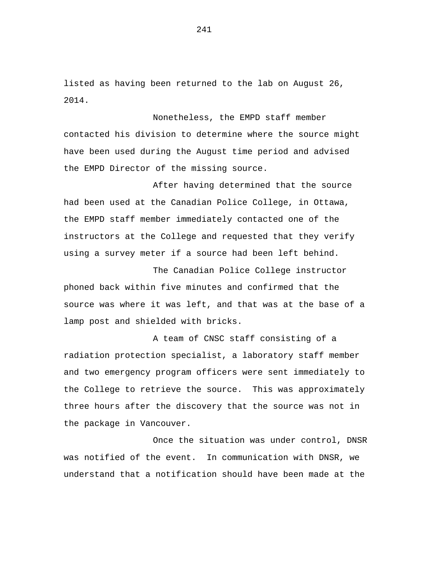listed as having been returned to the lab on August 26, 2014.

Nonetheless, the EMPD staff member contacted his division to determine where the source might have been used during the August time period and advised the EMPD Director of the missing source.

After having determined that the source had been used at the Canadian Police College, in Ottawa, the EMPD staff member immediately contacted one of the instructors at the College and requested that they verify using a survey meter if a source had been left behind.

The Canadian Police College instructor phoned back within five minutes and confirmed that the source was where it was left, and that was at the base of a lamp post and shielded with bricks.

A team of CNSC staff consisting of a radiation protection specialist, a laboratory staff member and two emergency program officers were sent immediately to the College to retrieve the source. This was approximately three hours after the discovery that the source was not in the package in Vancouver.

Once the situation was under control, DNSR was notified of the event. In communication with DNSR, we understand that a notification should have been made at the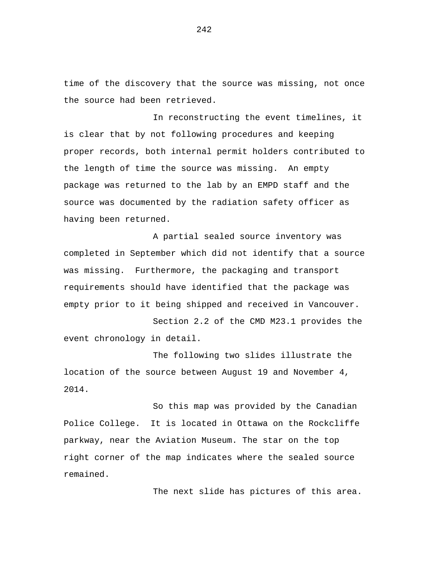time of the discovery that the source was missing, not once the source had been retrieved.

In reconstructing the event timelines, it is clear that by not following procedures and keeping proper records, both internal permit holders contributed to the length of time the source was missing. An empty package was returned to the lab by an EMPD staff and the source was documented by the radiation safety officer as having been returned.

A partial sealed source inventory was completed in September which did not identify that a source was missing. Furthermore, the packaging and transport requirements should have identified that the package was empty prior to it being shipped and received in Vancouver.

Section 2.2 of the CMD M23.1 provides the event chronology in detail.

The following two slides illustrate the location of the source between August 19 and November 4, 2014.

So this map was provided by the Canadian Police College. It is located in Ottawa on the Rockcliffe parkway, near the Aviation Museum. The star on the top right corner of the map indicates where the sealed source remained.

The next slide has pictures of this area.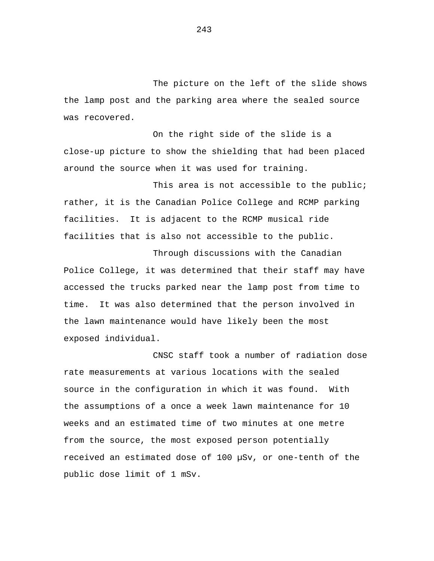The picture on the left of the slide shows the lamp post and the parking area where the sealed source was recovered.

On the right side of the slide is a close-up picture to show the shielding that had been placed around the source when it was used for training.

This area is not accessible to the public; rather, it is the Canadian Police College and RCMP parking facilities. It is adjacent to the RCMP musical ride facilities that is also not accessible to the public.

Through discussions with the Canadian Police College, it was determined that their staff may have accessed the trucks parked near the lamp post from time to time. It was also determined that the person involved in the lawn maintenance would have likely been the most exposed individual.

CNSC staff took a number of radiation dose rate measurements at various locations with the sealed source in the configuration in which it was found. With the assumptions of a once a week lawn maintenance for 10 weeks and an estimated time of two minutes at one metre from the source, the most exposed person potentially received an estimated dose of 100 µSv, or one-tenth of the public dose limit of 1 mSv.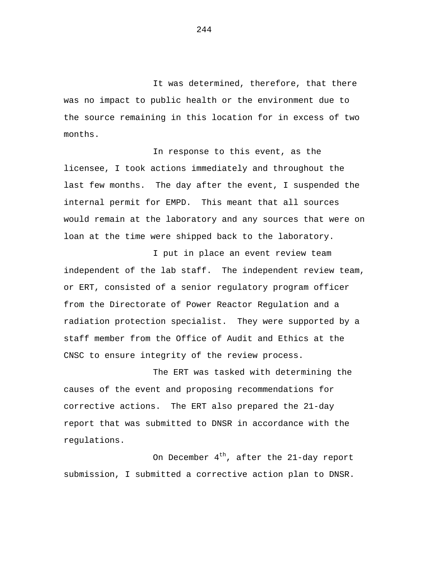It was determined, therefore, that there was no impact to public health or the environment due to the source remaining in this location for in excess of two months.

In response to this event, as the licensee, I took actions immediately and throughout the last few months. The day after the event, I suspended the internal permit for EMPD. This meant that all sources would remain at the laboratory and any sources that were on loan at the time were shipped back to the laboratory.

I put in place an event review team independent of the lab staff. The independent review team, or ERT, consisted of a senior regulatory program officer from the Directorate of Power Reactor Regulation and a radiation protection specialist. They were supported by a staff member from the Office of Audit and Ethics at the CNSC to ensure integrity of the review process.

The ERT was tasked with determining the causes of the event and proposing recommendations for corrective actions. The ERT also prepared the 21-day report that was submitted to DNSR in accordance with the regulations.

On December  $4<sup>th</sup>$ , after the 21-day report submission, I submitted a corrective action plan to DNSR.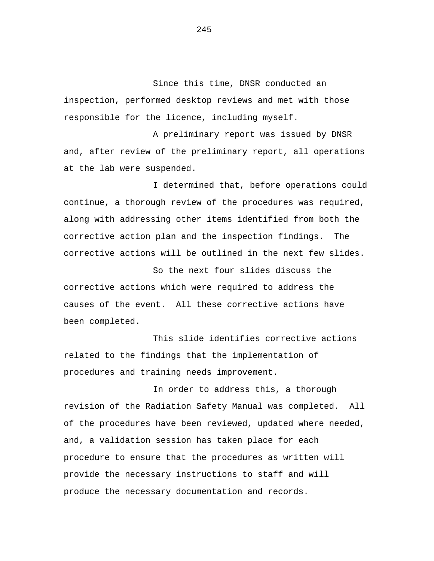Since this time, DNSR conducted an inspection, performed desktop reviews and met with those responsible for the licence, including myself.

A preliminary report was issued by DNSR and, after review of the preliminary report, all operations at the lab were suspended.

I determined that, before operations could continue, a thorough review of the procedures was required, along with addressing other items identified from both the corrective action plan and the inspection findings. The corrective actions will be outlined in the next few slides.

So the next four slides discuss the corrective actions which were required to address the causes of the event. All these corrective actions have been completed.

This slide identifies corrective actions related to the findings that the implementation of procedures and training needs improvement.

In order to address this, a thorough revision of the Radiation Safety Manual was completed. All of the procedures have been reviewed, updated where needed, and, a validation session has taken place for each procedure to ensure that the procedures as written will provide the necessary instructions to staff and will produce the necessary documentation and records.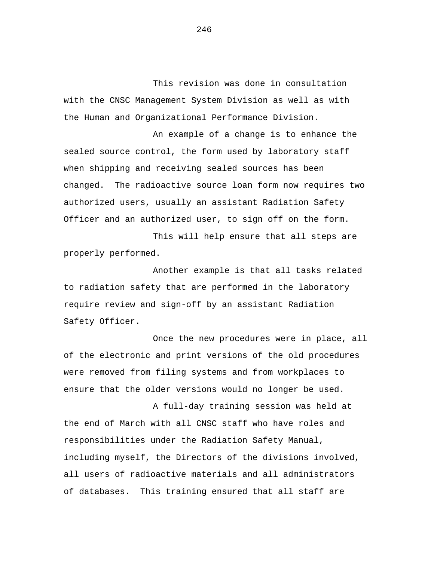This revision was done in consultation with the CNSC Management System Division as well as with the Human and Organizational Performance Division.

An example of a change is to enhance the sealed source control, the form used by laboratory staff when shipping and receiving sealed sources has been changed. The radioactive source loan form now requires two authorized users, usually an assistant Radiation Safety Officer and an authorized user, to sign off on the form.

This will help ensure that all steps are properly performed.

Another example is that all tasks related to radiation safety that are performed in the laboratory require review and sign-off by an assistant Radiation Safety Officer.

Once the new procedures were in place, all of the electronic and print versions of the old procedures were removed from filing systems and from workplaces to ensure that the older versions would no longer be used.

A full-day training session was held at the end of March with all CNSC staff who have roles and responsibilities under the Radiation Safety Manual, including myself, the Directors of the divisions involved, all users of radioactive materials and all administrators of databases. This training ensured that all staff are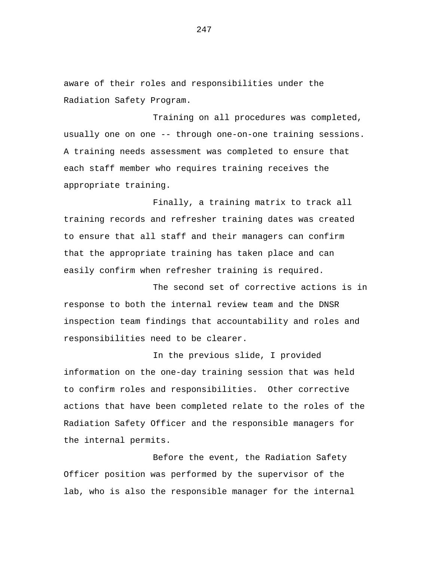aware of their roles and responsibilities under the Radiation Safety Program.

Training on all procedures was completed, usually one on one -- through one-on-one training sessions. A training needs assessment was completed to ensure that each staff member who requires training receives the appropriate training.

Finally, a training matrix to track all training records and refresher training dates was created to ensure that all staff and their managers can confirm that the appropriate training has taken place and can easily confirm when refresher training is required.

The second set of corrective actions is in response to both the internal review team and the DNSR inspection team findings that accountability and roles and responsibilities need to be clearer.

In the previous slide, I provided information on the one-day training session that was held to confirm roles and responsibilities. Other corrective actions that have been completed relate to the roles of the Radiation Safety Officer and the responsible managers for the internal permits.

Before the event, the Radiation Safety Officer position was performed by the supervisor of the lab, who is also the responsible manager for the internal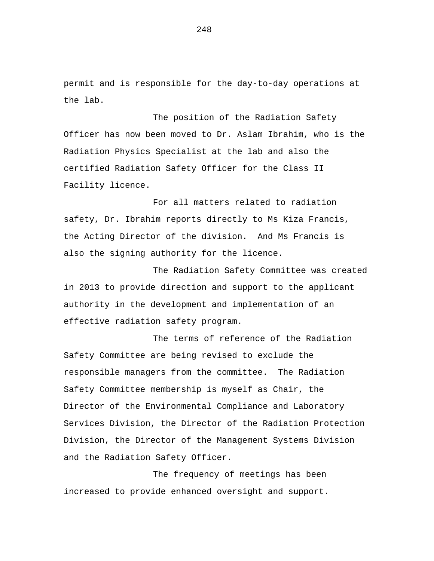permit and is responsible for the day-to-day operations at the lab.

The position of the Radiation Safety Officer has now been moved to Dr. Aslam Ibrahim, who is the Radiation Physics Specialist at the lab and also the certified Radiation Safety Officer for the Class II Facility licence.

For all matters related to radiation safety, Dr. Ibrahim reports directly to Ms Kiza Francis, the Acting Director of the division. And Ms Francis is also the signing authority for the licence.

The Radiation Safety Committee was created in 2013 to provide direction and support to the applicant authority in the development and implementation of an effective radiation safety program.

The terms of reference of the Radiation Safety Committee are being revised to exclude the responsible managers from the committee. The Radiation Safety Committee membership is myself as Chair, the Director of the Environmental Compliance and Laboratory Services Division, the Director of the Radiation Protection Division, the Director of the Management Systems Division and the Radiation Safety Officer.

The frequency of meetings has been increased to provide enhanced oversight and support.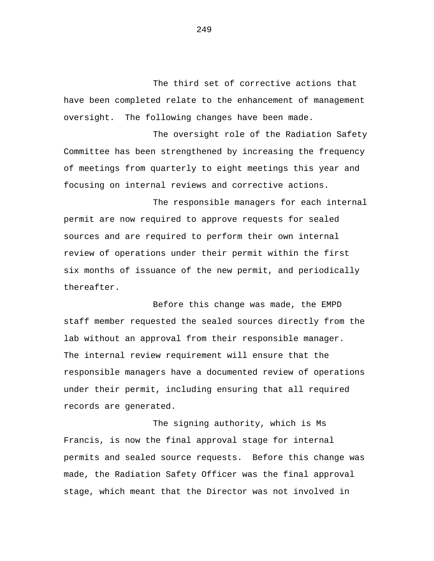The third set of corrective actions that have been completed relate to the enhancement of management oversight. The following changes have been made.

The oversight role of the Radiation Safety Committee has been strengthened by increasing the frequency of meetings from quarterly to eight meetings this year and focusing on internal reviews and corrective actions.

The responsible managers for each internal permit are now required to approve requests for sealed sources and are required to perform their own internal review of operations under their permit within the first six months of issuance of the new permit, and periodically thereafter.

Before this change was made, the EMPD staff member requested the sealed sources directly from the lab without an approval from their responsible manager. The internal review requirement will ensure that the responsible managers have a documented review of operations under their permit, including ensuring that all required records are generated.

The signing authority, which is Ms Francis, is now the final approval stage for internal permits and sealed source requests. Before this change was made, the Radiation Safety Officer was the final approval stage, which meant that the Director was not involved in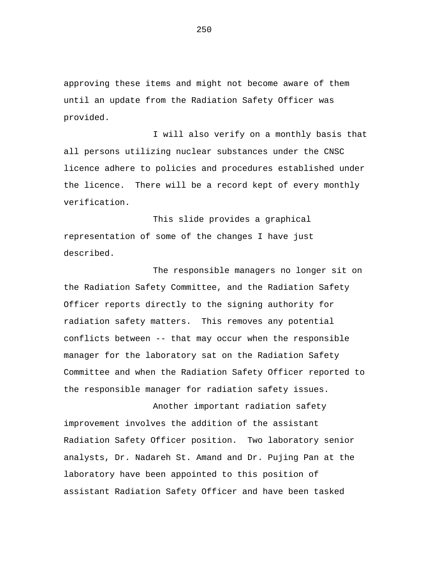approving these items and might not become aware of them until an update from the Radiation Safety Officer was provided.

I will also verify on a monthly basis that all persons utilizing nuclear substances under the CNSC licence adhere to policies and procedures established under the licence. There will be a record kept of every monthly verification.

This slide provides a graphical representation of some of the changes I have just described.

The responsible managers no longer sit on the Radiation Safety Committee, and the Radiation Safety Officer reports directly to the signing authority for radiation safety matters. This removes any potential conflicts between -- that may occur when the responsible manager for the laboratory sat on the Radiation Safety Committee and when the Radiation Safety Officer reported to the responsible manager for radiation safety issues.

Another important radiation safety improvement involves the addition of the assistant Radiation Safety Officer position. Two laboratory senior analysts, Dr. Nadareh St. Amand and Dr. Pujing Pan at the laboratory have been appointed to this position of assistant Radiation Safety Officer and have been tasked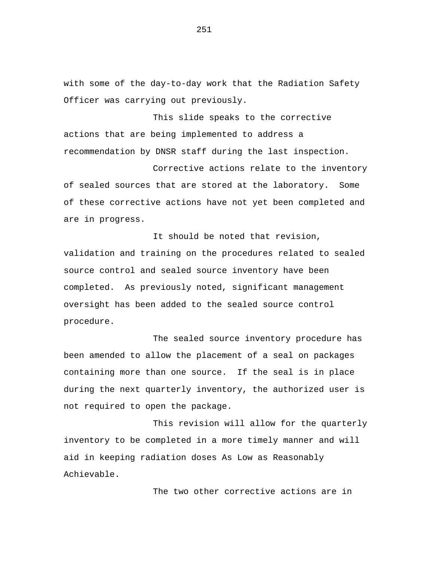with some of the day-to-day work that the Radiation Safety Officer was carrying out previously.

This slide speaks to the corrective actions that are being implemented to address a recommendation by DNSR staff during the last inspection.

Corrective actions relate to the inventory of sealed sources that are stored at the laboratory. Some of these corrective actions have not yet been completed and are in progress.

It should be noted that revision, validation and training on the procedures related to sealed source control and sealed source inventory have been completed. As previously noted, significant management oversight has been added to the sealed source control procedure.

The sealed source inventory procedure has been amended to allow the placement of a seal on packages containing more than one source. If the seal is in place during the next quarterly inventory, the authorized user is not required to open the package.

This revision will allow for the quarterly inventory to be completed in a more timely manner and will aid in keeping radiation doses As Low as Reasonably Achievable.

The two other corrective actions are in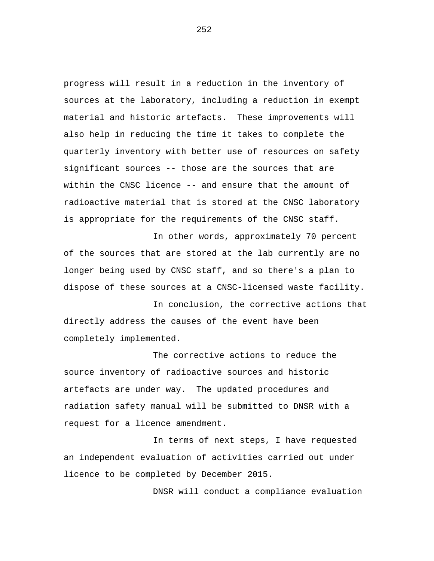progress will result in a reduction in the inventory of sources at the laboratory, including a reduction in exempt material and historic artefacts. These improvements will also help in reducing the time it takes to complete the quarterly inventory with better use of resources on safety significant sources -- those are the sources that are within the CNSC licence -- and ensure that the amount of radioactive material that is stored at the CNSC laboratory is appropriate for the requirements of the CNSC staff.

In other words, approximately 70 percent of the sources that are stored at the lab currently are no longer being used by CNSC staff, and so there's a plan to dispose of these sources at a CNSC-licensed waste facility.

In conclusion, the corrective actions that directly address the causes of the event have been completely implemented.

The corrective actions to reduce the source inventory of radioactive sources and historic artefacts are under way. The updated procedures and radiation safety manual will be submitted to DNSR with a request for a licence amendment.

In terms of next steps, I have requested an independent evaluation of activities carried out under licence to be completed by December 2015.

DNSR will conduct a compliance evaluation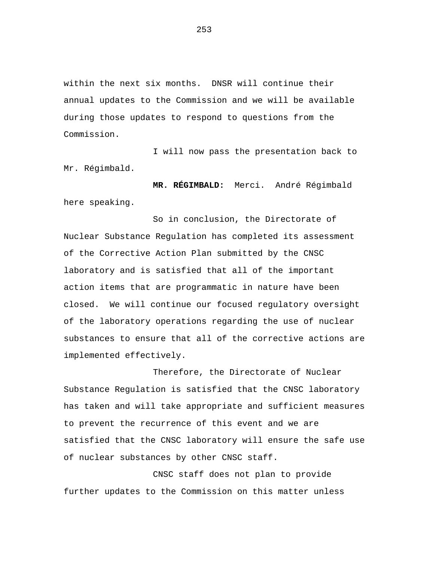within the next six months. DNSR will continue their annual updates to the Commission and we will be available during those updates to respond to questions from the Commission.

I will now pass the presentation back to Mr. Régimbald.

**MR. RÉGIMBALD:** Merci. André Régimbald here speaking.

So in conclusion, the Directorate of Nuclear Substance Regulation has completed its assessment of the Corrective Action Plan submitted by the CNSC laboratory and is satisfied that all of the important action items that are programmatic in nature have been closed. We will continue our focused regulatory oversight of the laboratory operations regarding the use of nuclear substances to ensure that all of the corrective actions are implemented effectively.

Therefore, the Directorate of Nuclear Substance Regulation is satisfied that the CNSC laboratory has taken and will take appropriate and sufficient measures to prevent the recurrence of this event and we are satisfied that the CNSC laboratory will ensure the safe use of nuclear substances by other CNSC staff.

CNSC staff does not plan to provide further updates to the Commission on this matter unless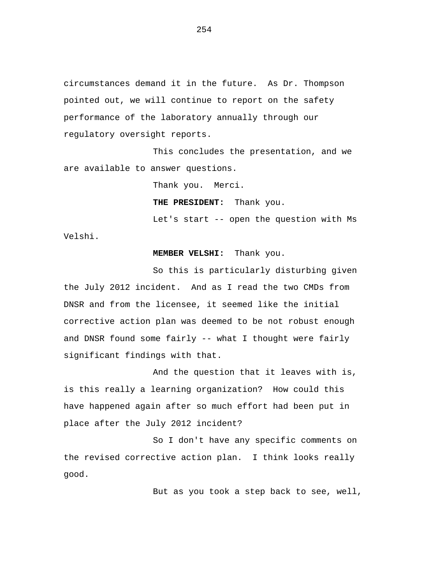circumstances demand it in the future. As Dr. Thompson pointed out, we will continue to report on the safety performance of the laboratory annually through our regulatory oversight reports.

This concludes the presentation, and we are available to answer questions.

Thank you. Merci.

**THE PRESIDENT:** Thank you.

Let's start -- open the question with Ms Velshi.

## **MEMBER VELSHI:** Thank you.

So this is particularly disturbing given the July 2012 incident. And as I read the two CMDs from DNSR and from the licensee, it seemed like the initial corrective action plan was deemed to be not robust enough and DNSR found some fairly -- what I thought were fairly significant findings with that.

And the question that it leaves with is, is this really a learning organization? How could this have happened again after so much effort had been put in place after the July 2012 incident?

So I don't have any specific comments on the revised corrective action plan. I think looks really good.

But as you took a step back to see, well,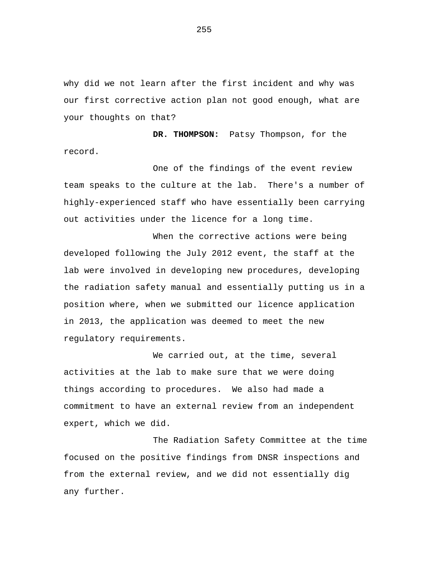why did we not learn after the first incident and why was our first corrective action plan not good enough, what are your thoughts on that?

**DR. THOMPSON:** Patsy Thompson, for the record.

One of the findings of the event review team speaks to the culture at the lab. There's a number of highly-experienced staff who have essentially been carrying out activities under the licence for a long time.

When the corrective actions were being developed following the July 2012 event, the staff at the lab were involved in developing new procedures, developing the radiation safety manual and essentially putting us in a position where, when we submitted our licence application in 2013, the application was deemed to meet the new regulatory requirements.

We carried out, at the time, several activities at the lab to make sure that we were doing things according to procedures. We also had made a commitment to have an external review from an independent expert, which we did.

The Radiation Safety Committee at the time focused on the positive findings from DNSR inspections and from the external review, and we did not essentially dig any further.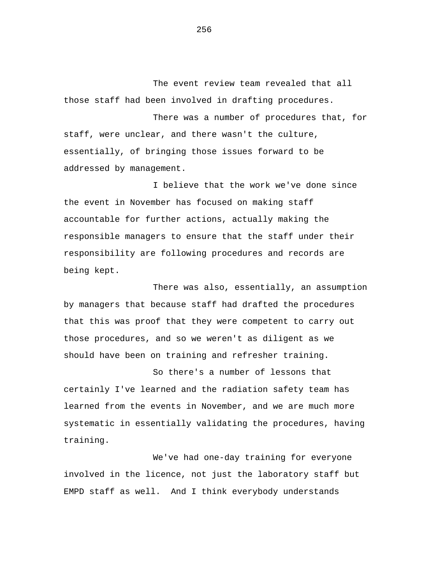The event review team revealed that all those staff had been involved in drafting procedures.

There was a number of procedures that, for staff, were unclear, and there wasn't the culture, essentially, of bringing those issues forward to be addressed by management.

I believe that the work we've done since the event in November has focused on making staff accountable for further actions, actually making the responsible managers to ensure that the staff under their responsibility are following procedures and records are being kept.

There was also, essentially, an assumption by managers that because staff had drafted the procedures that this was proof that they were competent to carry out those procedures, and so we weren't as diligent as we should have been on training and refresher training.

So there's a number of lessons that certainly I've learned and the radiation safety team has learned from the events in November, and we are much more systematic in essentially validating the procedures, having training.

We've had one-day training for everyone involved in the licence, not just the laboratory staff but EMPD staff as well. And I think everybody understands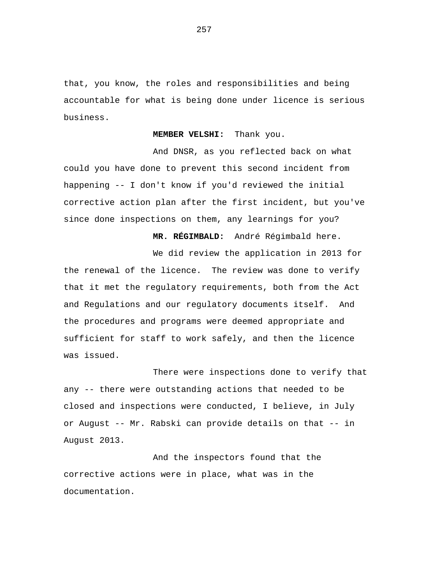that, you know, the roles and responsibilities and being accountable for what is being done under licence is serious business.

**MEMBER VELSHI:** Thank you.

And DNSR, as you reflected back on what could you have done to prevent this second incident from happening -- I don't know if you'd reviewed the initial corrective action plan after the first incident, but you've since done inspections on them, any learnings for you?

**MR. RÉGIMBALD:** André Régimbald here.

We did review the application in 2013 for the renewal of the licence. The review was done to verify that it met the regulatory requirements, both from the Act and Regulations and our regulatory documents itself. And the procedures and programs were deemed appropriate and sufficient for staff to work safely, and then the licence was issued.

There were inspections done to verify that any -- there were outstanding actions that needed to be closed and inspections were conducted, I believe, in July or August -- Mr. Rabski can provide details on that -- in August 2013.

And the inspectors found that the corrective actions were in place, what was in the documentation.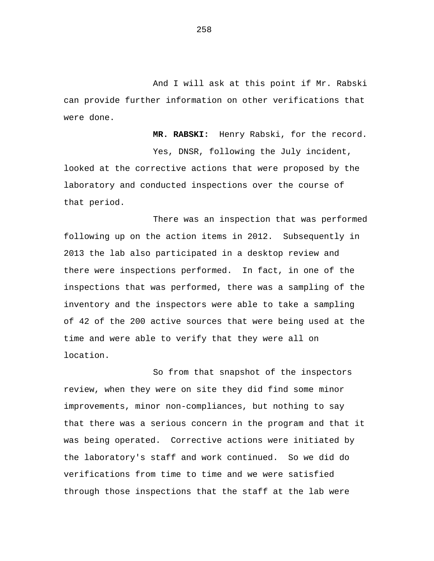And I will ask at this point if Mr. Rabski can provide further information on other verifications that were done.

**MR. RABSKI:** Henry Rabski, for the record. Yes, DNSR, following the July incident, looked at the corrective actions that were proposed by the laboratory and conducted inspections over the course of that period.

There was an inspection that was performed following up on the action items in 2012. Subsequently in 2013 the lab also participated in a desktop review and there were inspections performed. In fact, in one of the inspections that was performed, there was a sampling of the inventory and the inspectors were able to take a sampling of 42 of the 200 active sources that were being used at the time and were able to verify that they were all on location.

So from that snapshot of the inspectors review, when they were on site they did find some minor improvements, minor non-compliances, but nothing to say that there was a serious concern in the program and that it was being operated. Corrective actions were initiated by the laboratory's staff and work continued. So we did do verifications from time to time and we were satisfied through those inspections that the staff at the lab were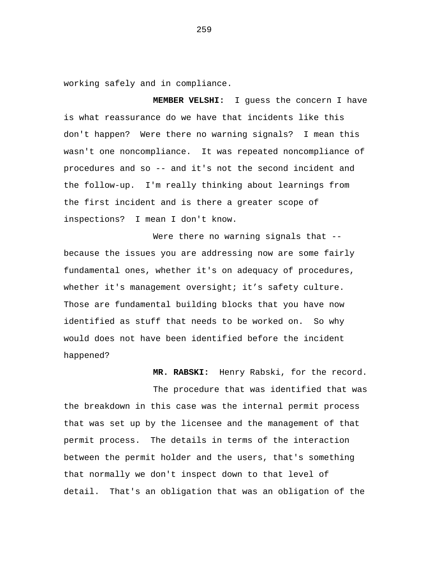working safely and in compliance.

**MEMBER VELSHI:** I guess the concern I have is what reassurance do we have that incidents like this don't happen? Were there no warning signals? I mean this wasn't one noncompliance. It was repeated noncompliance of procedures and so -- and it's not the second incident and the follow-up. I'm really thinking about learnings from the first incident and is there a greater scope of inspections? I mean I don't know.

Were there no warning signals that -because the issues you are addressing now are some fairly fundamental ones, whether it's on adequacy of procedures, whether it's management oversight; it's safety culture. Those are fundamental building blocks that you have now identified as stuff that needs to be worked on. So why would does not have been identified before the incident happened?

**MR. RABSKI:** Henry Rabski, for the record.

The procedure that was identified that was the breakdown in this case was the internal permit process that was set up by the licensee and the management of that permit process. The details in terms of the interaction between the permit holder and the users, that's something that normally we don't inspect down to that level of detail. That's an obligation that was an obligation of the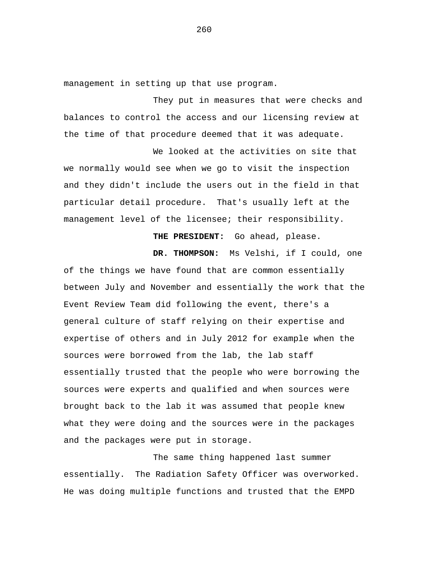management in setting up that use program.

They put in measures that were checks and balances to control the access and our licensing review at the time of that procedure deemed that it was adequate.

We looked at the activities on site that we normally would see when we go to visit the inspection and they didn't include the users out in the field in that particular detail procedure. That's usually left at the management level of the licensee; their responsibility.

**THE PRESIDENT:** Go ahead, please.

**DR. THOMPSON:** Ms Velshi, if I could, one of the things we have found that are common essentially between July and November and essentially the work that the Event Review Team did following the event, there's a general culture of staff relying on their expertise and expertise of others and in July 2012 for example when the sources were borrowed from the lab, the lab staff essentially trusted that the people who were borrowing the sources were experts and qualified and when sources were brought back to the lab it was assumed that people knew what they were doing and the sources were in the packages and the packages were put in storage.

The same thing happened last summer essentially. The Radiation Safety Officer was overworked. He was doing multiple functions and trusted that the EMPD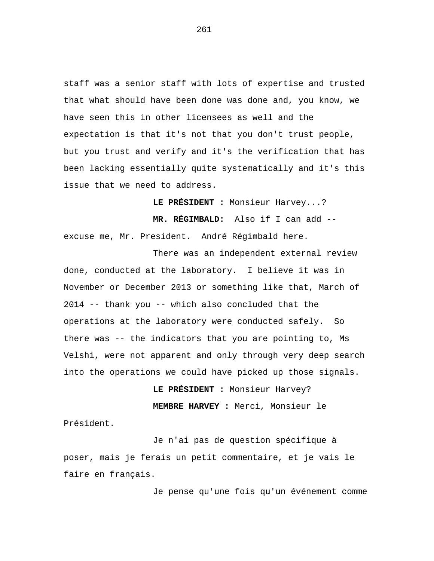staff was a senior staff with lots of expertise and trusted that what should have been done was done and, you know, we have seen this in other licensees as well and the expectation is that it's not that you don't trust people, but you trust and verify and it's the verification that has been lacking essentially quite systematically and it's this issue that we need to address.

**LE PRÉSIDENT :** Monsieur Harvey...?

**MR. RÉGIMBALD:** Also if I can add - excuse me, Mr. President. André Régimbald here.

There was an independent external review done, conducted at the laboratory. I believe it was in November or December 2013 or something like that, March of 2014 -- thank you -- which also concluded that the operations at the laboratory were conducted safely. So there was -- the indicators that you are pointing to, Ms Velshi, were not apparent and only through very deep search into the operations we could have picked up those signals.

> **LE PRÉSIDENT :** Monsieur Harvey? **MEMBRE HARVEY :** Merci, Monsieur le

Président.

Je n'ai pas de question spécifique à poser, mais je ferais un petit commentaire, et je vais le faire en français.

Je pense qu'une fois qu'un événement comme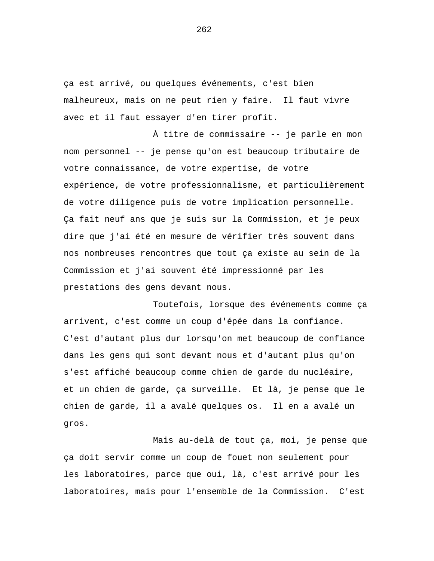ça est arrivé, ou quelques événements, c'est bien malheureux, mais on ne peut rien y faire. Il faut vivre avec et il faut essayer d'en tirer profit.

À titre de commissaire -- je parle en mon nom personnel -- je pense qu'on est beaucoup tributaire de votre connaissance, de votre expertise, de votre expérience, de votre professionnalisme, et particulièrement de votre diligence puis de votre implication personnelle. Ça fait neuf ans que je suis sur la Commission, et je peux dire que j'ai été en mesure de vérifier très souvent dans nos nombreuses rencontres que tout ça existe au sein de la Commission et j'ai souvent été impressionné par les prestations des gens devant nous.

Toutefois, lorsque des événements comme ça arrivent, c'est comme un coup d'épée dans la confiance. C'est d'autant plus dur lorsqu'on met beaucoup de confiance dans les gens qui sont devant nous et d'autant plus qu'on s'est affiché beaucoup comme chien de garde du nucléaire, et un chien de garde, ça surveille. Et là, je pense que le chien de garde, il a avalé quelques os. Il en a avalé un gros.

Mais au-delà de tout ça, moi, je pense que ça doit servir comme un coup de fouet non seulement pour les laboratoires, parce que oui, là, c'est arrivé pour les laboratoires, mais pour l'ensemble de la Commission. C'est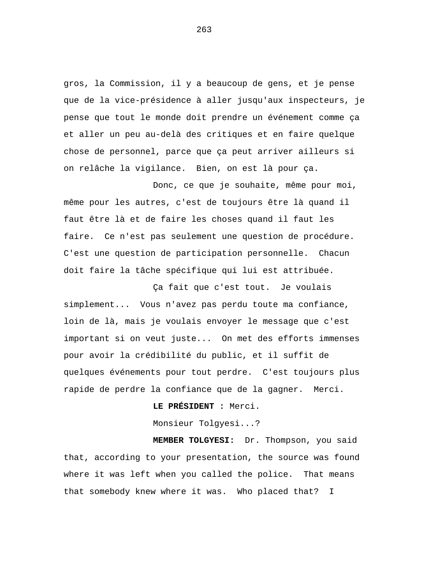gros, la Commission, il y a beaucoup de gens, et je pense que de la vice-présidence à aller jusqu'aux inspecteurs, je pense que tout le monde doit prendre un événement comme ça et aller un peu au-delà des critiques et en faire quelque chose de personnel, parce que ça peut arriver ailleurs si on relâche la vigilance. Bien, on est là pour ça.

Donc, ce que je souhaite, même pour moi, même pour les autres, c'est de toujours être là quand il faut être là et de faire les choses quand il faut les faire. Ce n'est pas seulement une question de procédure. C'est une question de participation personnelle. Chacun doit faire la tâche spécifique qui lui est attribuée.

Ça fait que c'est tout. Je voulais simplement... Vous n'avez pas perdu toute ma confiance, loin de là, mais je voulais envoyer le message que c'est important si on veut juste... On met des efforts immenses pour avoir la crédibilité du public, et il suffit de quelques événements pour tout perdre. C'est toujours plus rapide de perdre la confiance que de la gagner. Merci.

**LE PRÉSIDENT :** Merci.

Monsieur Tolgyesi...?

**MEMBER TOLGYESI:** Dr. Thompson, you said that, according to your presentation, the source was found where it was left when you called the police. That means that somebody knew where it was. Who placed that? I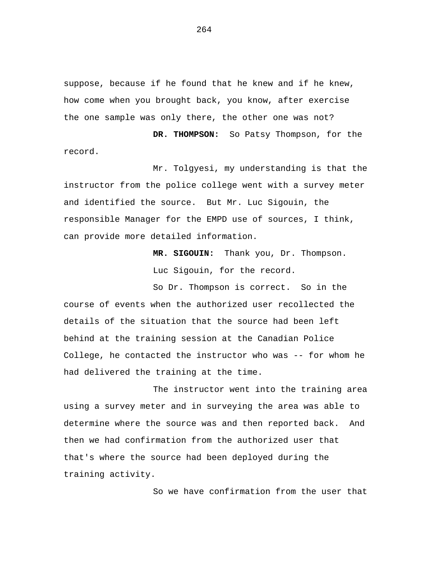suppose, because if he found that he knew and if he knew, how come when you brought back, you know, after exercise the one sample was only there, the other one was not?

**DR. THOMPSON:** So Patsy Thompson, for the record.

Mr. Tolgyesi, my understanding is that the instructor from the police college went with a survey meter and identified the source. But Mr. Luc Sigouin, the responsible Manager for the EMPD use of sources, I think, can provide more detailed information.

> **MR. SIGOUIN:** Thank you, Dr. Thompson. Luc Sigouin, for the record.

So Dr. Thompson is correct. So in the course of events when the authorized user recollected the details of the situation that the source had been left behind at the training session at the Canadian Police College, he contacted the instructor who was -- for whom he had delivered the training at the time.

The instructor went into the training area using a survey meter and in surveying the area was able to determine where the source was and then reported back. And then we had confirmation from the authorized user that that's where the source had been deployed during the training activity.

So we have confirmation from the user that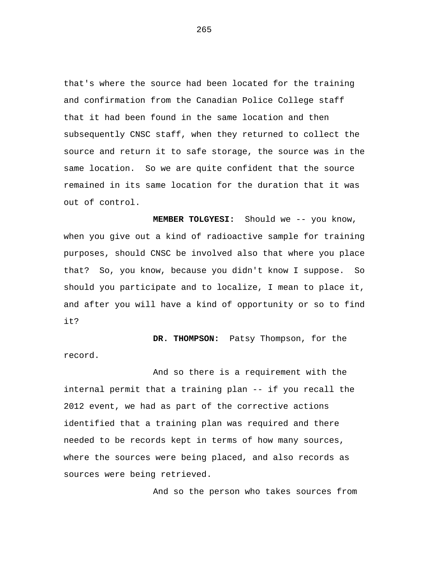that's where the source had been located for the training and confirmation from the Canadian Police College staff that it had been found in the same location and then subsequently CNSC staff, when they returned to collect the source and return it to safe storage, the source was in the same location. So we are quite confident that the source remained in its same location for the duration that it was out of control.

**MEMBER TOLGYESI:** Should we -- you know, when you give out a kind of radioactive sample for training purposes, should CNSC be involved also that where you place that? So, you know, because you didn't know I suppose. So should you participate and to localize, I mean to place it, and after you will have a kind of opportunity or so to find it?

**DR. THOMPSON:** Patsy Thompson, for the record.

And so there is a requirement with the internal permit that a training plan -- if you recall the 2012 event, we had as part of the corrective actions identified that a training plan was required and there needed to be records kept in terms of how many sources, where the sources were being placed, and also records as sources were being retrieved.

And so the person who takes sources from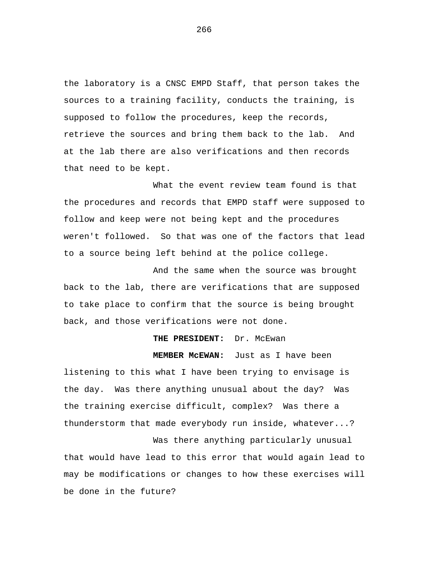the laboratory is a CNSC EMPD Staff, that person takes the sources to a training facility, conducts the training, is supposed to follow the procedures, keep the records, retrieve the sources and bring them back to the lab. And at the lab there are also verifications and then records that need to be kept.

What the event review team found is that the procedures and records that EMPD staff were supposed to follow and keep were not being kept and the procedures weren't followed. So that was one of the factors that lead to a source being left behind at the police college.

And the same when the source was brought back to the lab, there are verifications that are supposed to take place to confirm that the source is being brought back, and those verifications were not done.

## **THE PRESIDENT:** Dr. McEwan

**MEMBER McEWAN:** Just as I have been

listening to this what I have been trying to envisage is the day. Was there anything unusual about the day? Was the training exercise difficult, complex? Was there a thunderstorm that made everybody run inside, whatever...?

Was there anything particularly unusual that would have lead to this error that would again lead to may be modifications or changes to how these exercises will be done in the future?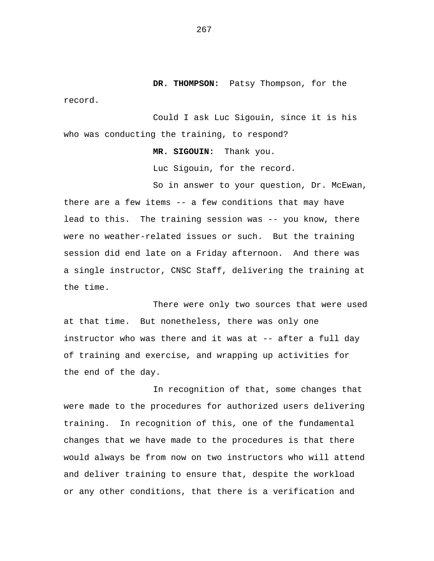**DR. THOMPSON:** Patsy Thompson, for the

Could I ask Luc Sigouin, since it is his who was conducting the training, to respond?

record.

**MR. SIGOUIN:** Thank you.

Luc Sigouin, for the record.

So in answer to your question, Dr. McEwan, there are a few items -- a few conditions that may have lead to this. The training session was -- you know, there were no weather-related issues or such. But the training session did end late on a Friday afternoon. And there was a single instructor, CNSC Staff, delivering the training at the time.

There were only two sources that were used at that time. But nonetheless, there was only one instructor who was there and it was at -- after a full day of training and exercise, and wrapping up activities for the end of the day.

In recognition of that, some changes that were made to the procedures for authorized users delivering training. In recognition of this, one of the fundamental changes that we have made to the procedures is that there would always be from now on two instructors who will attend and deliver training to ensure that, despite the workload or any other conditions, that there is a verification and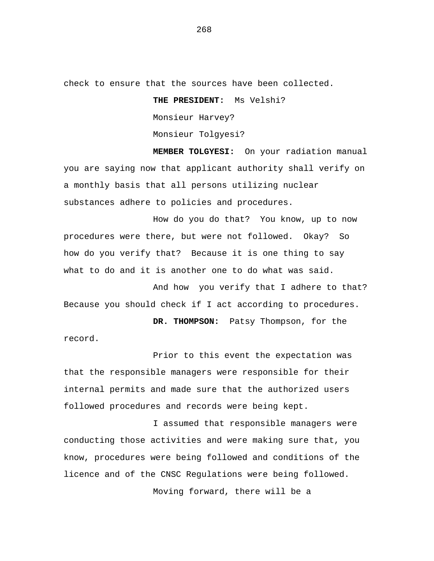check to ensure that the sources have been collected.

**THE PRESIDENT:** Ms Velshi? Monsieur Harvey? Monsieur Tolgyesi?

**MEMBER TOLGYESI:** On your radiation manual you are saying now that applicant authority shall verify on a monthly basis that all persons utilizing nuclear substances adhere to policies and procedures.

How do you do that? You know, up to now procedures were there, but were not followed. Okay? So how do you verify that? Because it is one thing to say what to do and it is another one to do what was said.

And how you verify that I adhere to that? Because you should check if I act according to procedures.

**DR. THOMPSON:** Patsy Thompson, for the record.

Prior to this event the expectation was that the responsible managers were responsible for their internal permits and made sure that the authorized users followed procedures and records were being kept.

I assumed that responsible managers were conducting those activities and were making sure that, you know, procedures were being followed and conditions of the licence and of the CNSC Regulations were being followed.

Moving forward, there will be a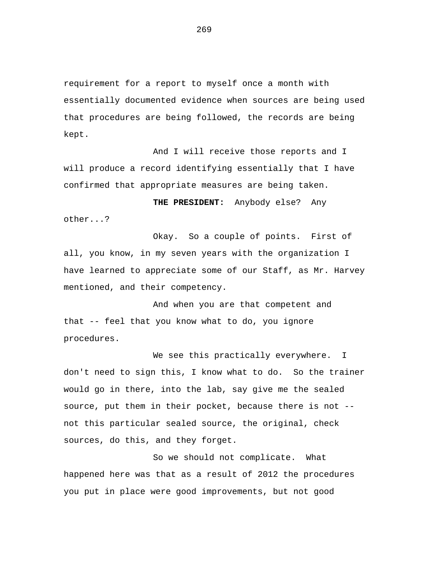requirement for a report to myself once a month with essentially documented evidence when sources are being used that procedures are being followed, the records are being kept.

And I will receive those reports and I will produce a record identifying essentially that I have confirmed that appropriate measures are being taken.

**THE PRESIDENT:** Anybody else? Any other...?

Okay. So a couple of points. First of all, you know, in my seven years with the organization I have learned to appreciate some of our Staff, as Mr. Harvey mentioned, and their competency.

And when you are that competent and that -- feel that you know what to do, you ignore procedures.

We see this practically everywhere. I don't need to sign this, I know what to do. So the trainer would go in there, into the lab, say give me the sealed source, put them in their pocket, because there is not - not this particular sealed source, the original, check sources, do this, and they forget.

So we should not complicate. What happened here was that as a result of 2012 the procedures you put in place were good improvements, but not good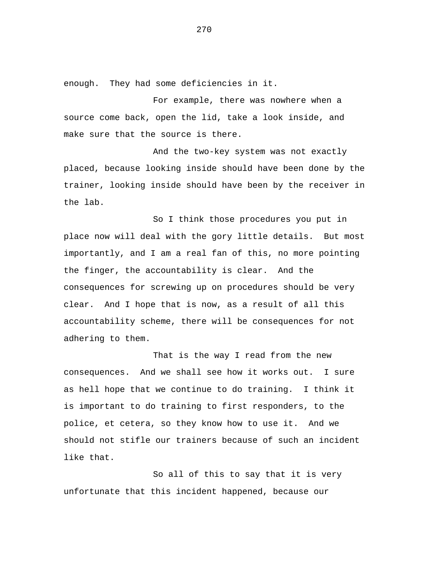enough. They had some deficiencies in it.

For example, there was nowhere when a source come back, open the lid, take a look inside, and make sure that the source is there.

And the two-key system was not exactly placed, because looking inside should have been done by the trainer, looking inside should have been by the receiver in the lab.

So I think those procedures you put in place now will deal with the gory little details. But most importantly, and I am a real fan of this, no more pointing the finger, the accountability is clear. And the consequences for screwing up on procedures should be very clear. And I hope that is now, as a result of all this accountability scheme, there will be consequences for not adhering to them.

That is the way I read from the new consequences. And we shall see how it works out. I sure as hell hope that we continue to do training. I think it is important to do training to first responders, to the police, et cetera, so they know how to use it. And we should not stifle our trainers because of such an incident like that.

So all of this to say that it is very unfortunate that this incident happened, because our